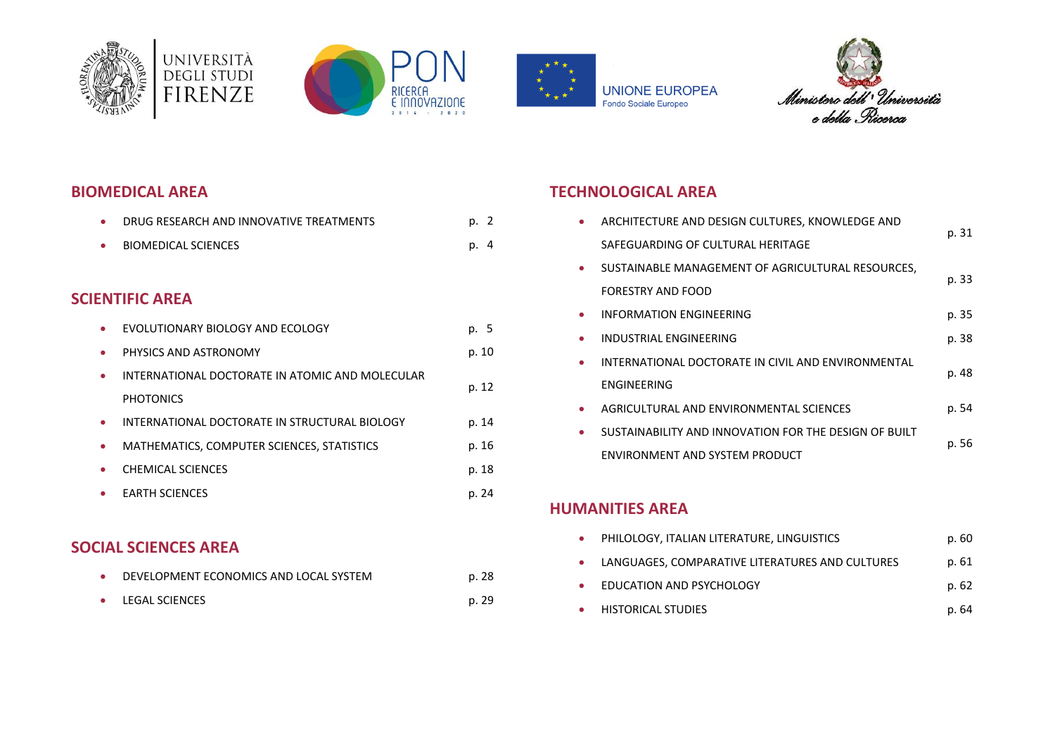









### **BIOMEDICAL AREA**

|   | DRUG RESEARCH AND INNOVATIVE TREATMENTS         | p. 2  |    |
|---|-------------------------------------------------|-------|----|
| ٠ | <b>BIOMEDICAL SCIENCES</b>                      | p.    | -4 |
|   |                                                 |       |    |
|   | <b>SCIENTIFIC AREA</b>                          |       |    |
|   | EVOLUTIONARY BIOLOGY AND ECOLOGY                | p. 5  |    |
| ۰ | PHYSICS AND ASTRONOMY                           | p. 10 |    |
| ۰ | INTERNATIONAL DOCTORATE IN ATOMIC AND MOLECULAR | p. 12 |    |
|   | <b>PHOTONICS</b>                                |       |    |
| ٠ | INTERNATIONAL DOCTORATE IN STRUCTURAL BIOLOGY   | p. 14 |    |
| ۰ | MATHEMATICS, COMPUTER SCIENCES, STATISTICS      | p. 16 |    |
|   | <b>CHEMICAL SCIENCES</b>                        | p. 18 |    |
|   | <b>EARTH SCIENCES</b>                           | p. 24 |    |

### **SOCIAL SCIENCES AREA**

|           | DEVELOPMENT ECONOMICS AND LOCAL SYSTEM | p. 28 |
|-----------|----------------------------------------|-------|
| $\bullet$ | LEGAL SCIENCES                         | p. 29 |

# **TECHNOLOGICAL AREA**

| ARCHITECTURE AND DESIGN CULTURES, KNOWLEDGE AND       |       |  |
|-------------------------------------------------------|-------|--|
| SAFEGUARDING OF CULTURAL HERITAGE                     | p. 31 |  |
| SUSTAINABLE MANAGEMENT OF AGRICULTURAL RESOURCES,     | p. 33 |  |
| <b>FORESTRY AND FOOD</b>                              |       |  |
| INFORMATION ENGINEERING                               | p. 35 |  |
| <b>INDUSTRIAL ENGINEERING</b>                         | p. 38 |  |
| INTERNATIONAL DOCTORATE IN CIVIL AND ENVIRONMENTAL    | p. 48 |  |
| ENGINEERING                                           |       |  |
| AGRICULTURAL AND ENVIRONMENTAL SCIENCES               | p. 54 |  |
| SUSTAINABILITY AND INNOVATION FOR THE DESIGN OF BUILT |       |  |
| ENVIRONMENT AND SYSTEM PRODUCT                        | p. 56 |  |

#### **HUMANITIES AREA**

| $\bullet$ | PHILOLOGY, ITALIAN LITERATURE, LINGUISTICS        | p. 60 |
|-----------|---------------------------------------------------|-------|
|           | • LANGUAGES, COMPARATIVE LITERATURES AND CULTURES | p. 61 |
| $\bullet$ | <b>EDUCATION AND PSYCHOLOGY</b>                   | p. 62 |
| $\bullet$ | HISTORICAL STUDIES                                | p. 64 |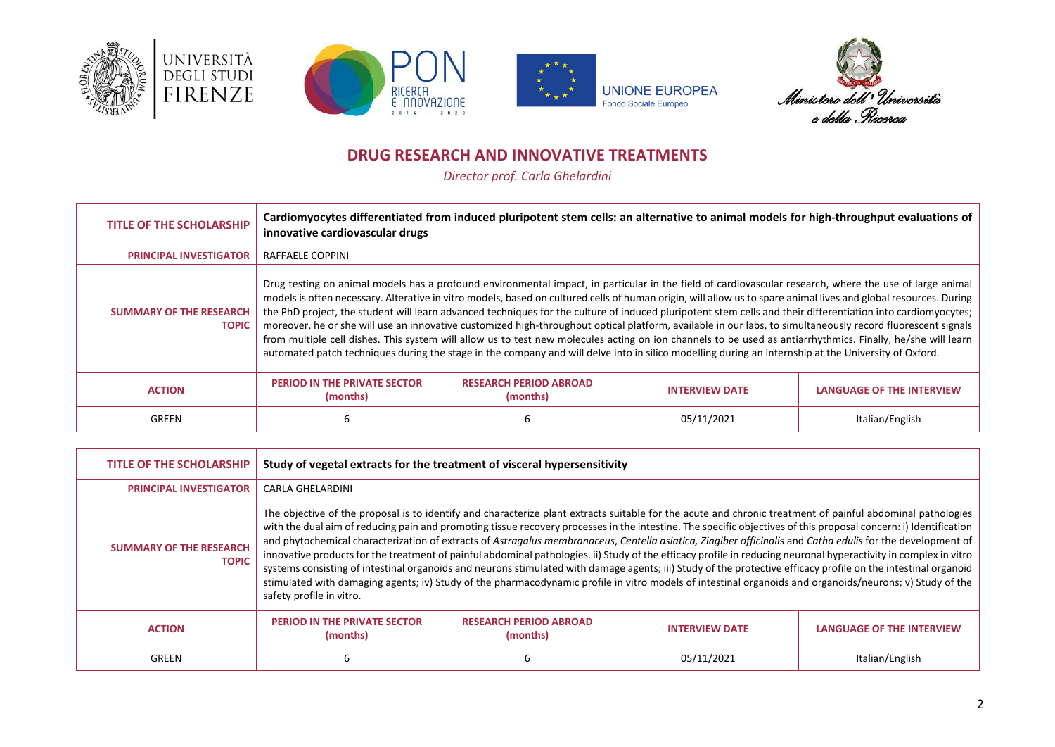







### **DRUG RESEARCH AND INNOVATIVE TREATMENTS**

*Director prof. Carla Ghelardini*

<span id="page-1-0"></span>

| <b>TITLE OF THE SCHOLARSHIP</b>                | Cardiomyocytes differentiated from induced pluripotent stem cells: an alternative to animal models for high-throughput evaluations of<br>innovative cardiovascular drugs                                                                                                                                                                                                                                                                                                                                                                                                                                                                                                                                                                                                                                                                                                                                                                                                          |                                           |                       |                                  |  |  |
|------------------------------------------------|-----------------------------------------------------------------------------------------------------------------------------------------------------------------------------------------------------------------------------------------------------------------------------------------------------------------------------------------------------------------------------------------------------------------------------------------------------------------------------------------------------------------------------------------------------------------------------------------------------------------------------------------------------------------------------------------------------------------------------------------------------------------------------------------------------------------------------------------------------------------------------------------------------------------------------------------------------------------------------------|-------------------------------------------|-----------------------|----------------------------------|--|--|
| <b>PRINCIPAL INVESTIGATOR</b>                  | RAFFAELE COPPINI                                                                                                                                                                                                                                                                                                                                                                                                                                                                                                                                                                                                                                                                                                                                                                                                                                                                                                                                                                  |                                           |                       |                                  |  |  |
| <b>SUMMARY OF THE RESEARCH</b><br><b>TOPIC</b> | Drug testing on animal models has a profound environmental impact, in particular in the field of cardiovascular research, where the use of large animal<br>models is often necessary. Alterative in vitro models, based on cultured cells of human origin, will allow us to spare animal lives and global resources. During<br>the PhD project, the student will learn advanced techniques for the culture of induced pluripotent stem cells and their differentiation into cardiomyocytes;<br>moreover, he or she will use an innovative customized high-throughput optical platform, available in our labs, to simultaneously record fluorescent signals<br>from multiple cell dishes. This system will allow us to test new molecules acting on ion channels to be used as antiarrhythmics. Finally, he/she will learn<br>automated patch techniques during the stage in the company and will delve into in silico modelling during an internship at the University of Oxford. |                                           |                       |                                  |  |  |
| <b>ACTION</b>                                  | <b>PERIOD IN THE PRIVATE SECTOR</b><br>(months)                                                                                                                                                                                                                                                                                                                                                                                                                                                                                                                                                                                                                                                                                                                                                                                                                                                                                                                                   | <b>RESEARCH PERIOD ABROAD</b><br>(months) | <b>INTERVIEW DATE</b> | <b>LANGUAGE OF THE INTERVIEW</b> |  |  |
| GREEN                                          | 6                                                                                                                                                                                                                                                                                                                                                                                                                                                                                                                                                                                                                                                                                                                                                                                                                                                                                                                                                                                 |                                           | 05/11/2021            | Italian/English                  |  |  |

| <b>TITLE OF THE SCHOLARSHIP</b>                | Study of vegetal extracts for the treatment of visceral hypersensitivity                                                                                                                                                                                                                                                                                                                                                                                                                                                                                                                                                                                                                                                                                                                                                                                                                                                                                                                                                   |                                           |                       |                                  |  |
|------------------------------------------------|----------------------------------------------------------------------------------------------------------------------------------------------------------------------------------------------------------------------------------------------------------------------------------------------------------------------------------------------------------------------------------------------------------------------------------------------------------------------------------------------------------------------------------------------------------------------------------------------------------------------------------------------------------------------------------------------------------------------------------------------------------------------------------------------------------------------------------------------------------------------------------------------------------------------------------------------------------------------------------------------------------------------------|-------------------------------------------|-----------------------|----------------------------------|--|
| <b>PRINCIPAL INVESTIGATOR</b>                  | <b>CARLA GHELARDINI</b>                                                                                                                                                                                                                                                                                                                                                                                                                                                                                                                                                                                                                                                                                                                                                                                                                                                                                                                                                                                                    |                                           |                       |                                  |  |
| <b>SUMMARY OF THE RESEARCH</b><br><b>TOPIC</b> | The objective of the proposal is to identify and characterize plant extracts suitable for the acute and chronic treatment of painful abdominal pathologies<br>with the dual aim of reducing pain and promoting tissue recovery processes in the intestine. The specific objectives of this proposal concern: i) Identification<br>and phytochemical characterization of extracts of Astragalus membranaceus, Centella asiatica, Zingiber officinalis and Catha edulis for the development of<br>innovative products for the treatment of painful abdominal pathologies. ii) Study of the efficacy profile in reducing neuronal hyperactivity in complex in vitro<br>systems consisting of intestinal organoids and neurons stimulated with damage agents; iii) Study of the protective efficacy profile on the intestinal organoid<br>stimulated with damaging agents; iv) Study of the pharmacodynamic profile in vitro models of intestinal organoids and organoids/neurons; v) Study of the<br>safety profile in vitro. |                                           |                       |                                  |  |
| <b>ACTION</b>                                  | <b>PERIOD IN THE PRIVATE SECTOR</b><br>(months)                                                                                                                                                                                                                                                                                                                                                                                                                                                                                                                                                                                                                                                                                                                                                                                                                                                                                                                                                                            | <b>RESEARCH PERIOD ABROAD</b><br>(months) | <b>INTERVIEW DATE</b> | <b>LANGUAGE OF THE INTERVIEW</b> |  |
| GREEN                                          |                                                                                                                                                                                                                                                                                                                                                                                                                                                                                                                                                                                                                                                                                                                                                                                                                                                                                                                                                                                                                            |                                           | 05/11/2021            | Italian/English                  |  |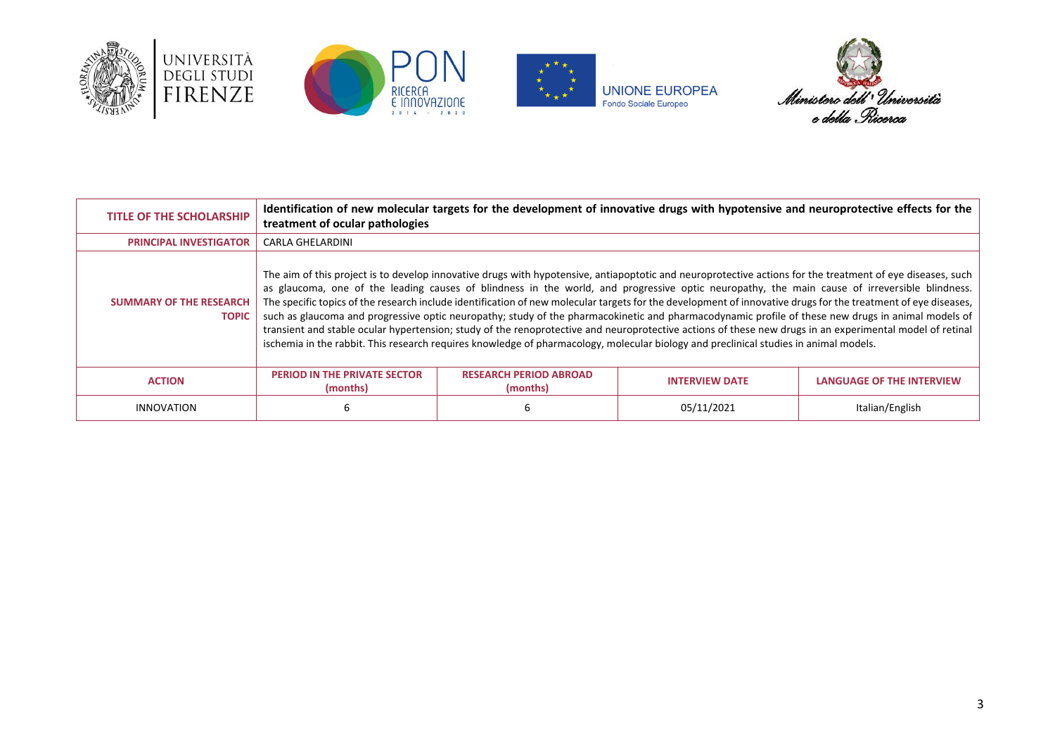







| <b>TITLE OF THE SCHOLARSHIP</b>                | treatment of ocular pathologies                                                                                                                                                                                                                                                                                                                                                                                                                                                                                                                                                                                                                                                                                                                                                                                                                                                                                                          |                                           | Identification of new molecular targets for the development of innovative drugs with hypotensive and neuroprotective effects for the |                                  |  |
|------------------------------------------------|------------------------------------------------------------------------------------------------------------------------------------------------------------------------------------------------------------------------------------------------------------------------------------------------------------------------------------------------------------------------------------------------------------------------------------------------------------------------------------------------------------------------------------------------------------------------------------------------------------------------------------------------------------------------------------------------------------------------------------------------------------------------------------------------------------------------------------------------------------------------------------------------------------------------------------------|-------------------------------------------|--------------------------------------------------------------------------------------------------------------------------------------|----------------------------------|--|
| <b>PRINCIPAL INVESTIGATOR</b>                  | <b>CARLA GHELARDINI</b>                                                                                                                                                                                                                                                                                                                                                                                                                                                                                                                                                                                                                                                                                                                                                                                                                                                                                                                  |                                           |                                                                                                                                      |                                  |  |
| <b>SUMMARY OF THE RESEARCH</b><br><b>TOPIC</b> | The aim of this project is to develop innovative drugs with hypotensive, antiapoptotic and neuroprotective actions for the treatment of eye diseases, such<br>as glaucoma, one of the leading causes of blindness in the world, and progressive optic neuropathy, the main cause of irreversible blindness.<br>The specific topics of the research include identification of new molecular targets for the development of innovative drugs for the treatment of eye diseases,<br>such as glaucoma and progressive optic neuropathy; study of the pharmacokinetic and pharmacodynamic profile of these new drugs in animal models of<br>transient and stable ocular hypertension; study of the renoprotective and neuroprotective actions of these new drugs in an experimental model of retinal<br>ischemia in the rabbit. This research requires knowledge of pharmacology, molecular biology and preclinical studies in animal models. |                                           |                                                                                                                                      |                                  |  |
| <b>ACTION</b>                                  | <b>PERIOD IN THE PRIVATE SECTOR</b><br>(months)                                                                                                                                                                                                                                                                                                                                                                                                                                                                                                                                                                                                                                                                                                                                                                                                                                                                                          | <b>RESEARCH PERIOD ABROAD</b><br>(months) | <b>INTERVIEW DATE</b>                                                                                                                | <b>LANGUAGE OF THE INTERVIEW</b> |  |
| <b>INNOVATION</b>                              | ь                                                                                                                                                                                                                                                                                                                                                                                                                                                                                                                                                                                                                                                                                                                                                                                                                                                                                                                                        |                                           | 05/11/2021                                                                                                                           | Italian/English                  |  |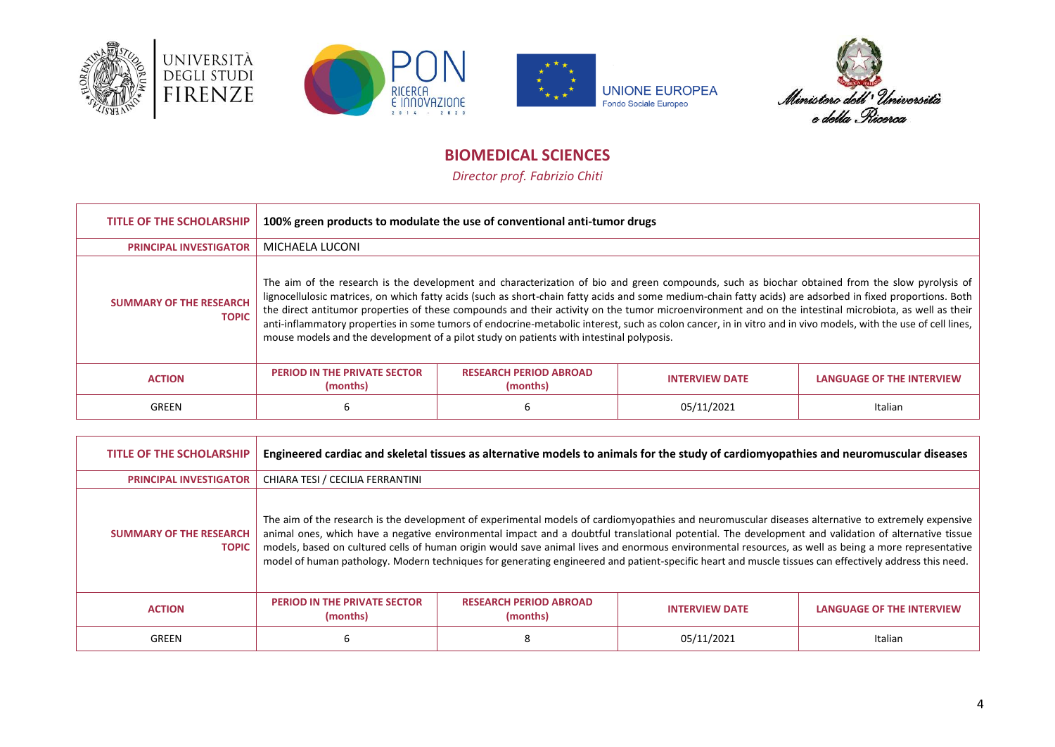







# **BIOMEDICAL SCIENCES**

*Director prof. Fabrizio Chiti*

<span id="page-3-0"></span>

| <b>TITLE OF THE SCHOLARSHIP</b>                | 100% green products to modulate the use of conventional anti-tumor drugs                                                                                                                                                                                                                                                                                                                                                                                                                                                                                                                                                                                                                                                              |                                           |                       |                                  |  |
|------------------------------------------------|---------------------------------------------------------------------------------------------------------------------------------------------------------------------------------------------------------------------------------------------------------------------------------------------------------------------------------------------------------------------------------------------------------------------------------------------------------------------------------------------------------------------------------------------------------------------------------------------------------------------------------------------------------------------------------------------------------------------------------------|-------------------------------------------|-----------------------|----------------------------------|--|
| <b>PRINCIPAL INVESTIGATOR</b>                  | MICHAELA LUCONI                                                                                                                                                                                                                                                                                                                                                                                                                                                                                                                                                                                                                                                                                                                       |                                           |                       |                                  |  |
| <b>SUMMARY OF THE RESEARCH</b><br><b>TOPIC</b> | The aim of the research is the development and characterization of bio and green compounds, such as biochar obtained from the slow pyrolysis of<br>lignocellulosic matrices, on which fatty acids (such as short-chain fatty acids and some medium-chain fatty acids) are adsorbed in fixed proportions. Both<br>the direct antitumor properties of these compounds and their activity on the tumor microenvironment and on the intestinal microbiota, as well as their<br>anti-inflammatory properties in some tumors of endocrine-metabolic interest, such as colon cancer, in in vitro and in vivo models, with the use of cell lines,<br>mouse models and the development of a pilot study on patients with intestinal polyposis. |                                           |                       |                                  |  |
| <b>ACTION</b>                                  | <b>PERIOD IN THE PRIVATE SECTOR</b><br>(months)                                                                                                                                                                                                                                                                                                                                                                                                                                                                                                                                                                                                                                                                                       | <b>RESEARCH PERIOD ABROAD</b><br>(months) | <b>INTERVIEW DATE</b> | <b>LANGUAGE OF THE INTERVIEW</b> |  |
| GREEN                                          | ь                                                                                                                                                                                                                                                                                                                                                                                                                                                                                                                                                                                                                                                                                                                                     |                                           | 05/11/2021            | Italian                          |  |

| <b>TITLE OF THE SCHOLARSHIP</b>                | Engineered cardiac and skeletal tissues as alternative models to animals for the study of cardiomyopathies and neuromuscular diseases                                                                                                                                                                                                                                                                                                                                                                                                                                                                                         |                                           |                       |                                  |  |
|------------------------------------------------|-------------------------------------------------------------------------------------------------------------------------------------------------------------------------------------------------------------------------------------------------------------------------------------------------------------------------------------------------------------------------------------------------------------------------------------------------------------------------------------------------------------------------------------------------------------------------------------------------------------------------------|-------------------------------------------|-----------------------|----------------------------------|--|
| <b>PRINCIPAL INVESTIGATOR</b>                  | CHIARA TESI / CECILIA FERRANTINI                                                                                                                                                                                                                                                                                                                                                                                                                                                                                                                                                                                              |                                           |                       |                                  |  |
| <b>SUMMARY OF THE RESEARCH</b><br><b>TOPIC</b> | The aim of the research is the development of experimental models of cardiomyopathies and neuromuscular diseases alternative to extremely expensive<br>animal ones, which have a negative environmental impact and a doubtful translational potential. The development and validation of alternative tissue<br>models, based on cultured cells of human origin would save animal lives and enormous environmental resources, as well as being a more representative<br>model of human pathology. Modern techniques for generating engineered and patient-specific heart and muscle tissues can effectively address this need. |                                           |                       |                                  |  |
| <b>ACTION</b>                                  | <b>PERIOD IN THE PRIVATE SECTOR</b><br>(months)                                                                                                                                                                                                                                                                                                                                                                                                                                                                                                                                                                               | <b>RESEARCH PERIOD ABROAD</b><br>(months) | <b>INTERVIEW DATE</b> | <b>LANGUAGE OF THE INTERVIEW</b> |  |
| GREEN                                          | 6                                                                                                                                                                                                                                                                                                                                                                                                                                                                                                                                                                                                                             |                                           | 05/11/2021            | Italian                          |  |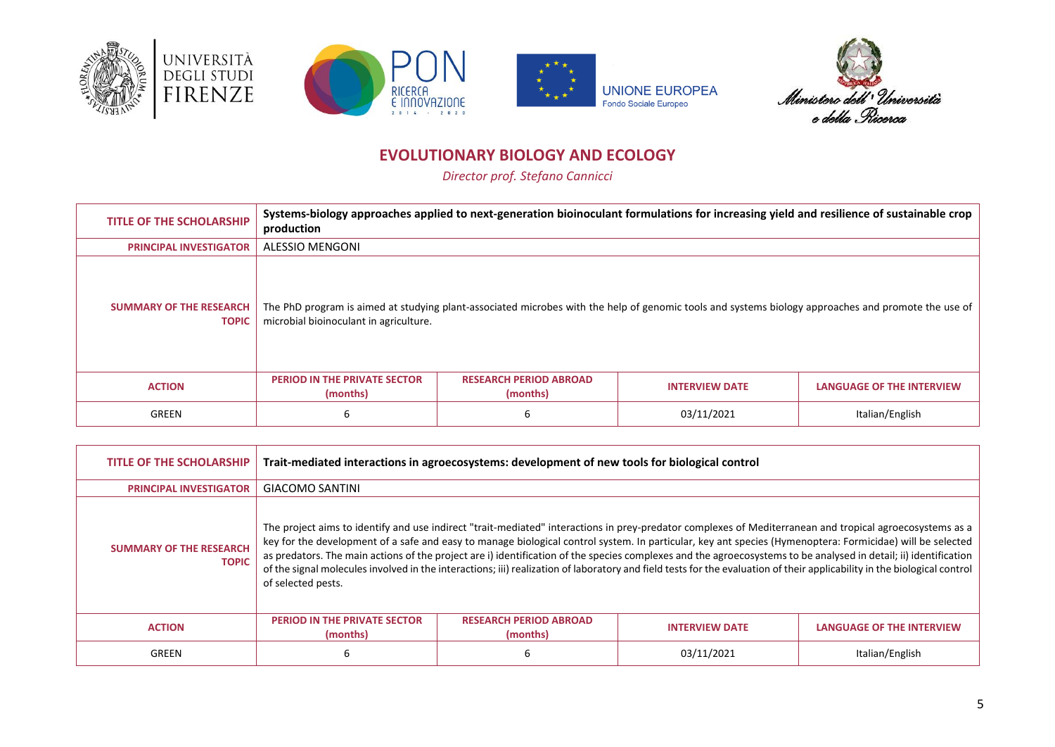







# **EVOLUTIONARY BIOLOGY AND ECOLOGY**

*Director prof. Stefano Cannicci*

<span id="page-4-0"></span>

| <b>TITLE OF THE SCHOLARSHIP</b>                | Systems-biology approaches applied to next-generation bioinoculant formulations for increasing yield and resilience of sustainable crop<br>production |                                           |                                                                                                                                                     |                           |  |
|------------------------------------------------|-------------------------------------------------------------------------------------------------------------------------------------------------------|-------------------------------------------|-----------------------------------------------------------------------------------------------------------------------------------------------------|---------------------------|--|
| <b>PRINCIPAL INVESTIGATOR</b>                  | <b>ALESSIO MENGONI</b>                                                                                                                                |                                           |                                                                                                                                                     |                           |  |
| <b>SUMMARY OF THE RESEARCH</b><br><b>TOPIC</b> | microbial bioinoculant in agriculture.                                                                                                                |                                           | The PhD program is aimed at studying plant-associated microbes with the help of genomic tools and systems biology approaches and promote the use of |                           |  |
| <b>ACTION</b>                                  | <b>PERIOD IN THE PRIVATE SECTOR</b><br>(months)                                                                                                       | <b>RESEARCH PERIOD ABROAD</b><br>(months) | <b>INTERVIEW DATE</b>                                                                                                                               | LANGUAGE OF THE INTERVIEW |  |
| GREEN                                          | 6                                                                                                                                                     |                                           | 03/11/2021                                                                                                                                          | Italian/English           |  |

| <b>TITLE OF THE SCHOLARSHIP</b>                | Trait-mediated interactions in agroecosystems: development of new tools for biological control                                                                                                                                                                                                                                                                                                                                                                                                                                                                                                                                                                                              |                                           |                       |                                  |  |
|------------------------------------------------|---------------------------------------------------------------------------------------------------------------------------------------------------------------------------------------------------------------------------------------------------------------------------------------------------------------------------------------------------------------------------------------------------------------------------------------------------------------------------------------------------------------------------------------------------------------------------------------------------------------------------------------------------------------------------------------------|-------------------------------------------|-----------------------|----------------------------------|--|
| <b>PRINCIPAL INVESTIGATOR</b>                  | <b>GIACOMO SANTINI</b>                                                                                                                                                                                                                                                                                                                                                                                                                                                                                                                                                                                                                                                                      |                                           |                       |                                  |  |
| <b>SUMMARY OF THE RESEARCH</b><br><b>TOPIC</b> | The project aims to identify and use indirect "trait-mediated" interactions in prey-predator complexes of Mediterranean and tropical agroecosystems as a<br>key for the development of a safe and easy to manage biological control system. In particular, key ant species (Hymenoptera: Formicidae) will be selected<br>as predators. The main actions of the project are i) identification of the species complexes and the agroecosystems to be analysed in detail; ii) identification<br>of the signal molecules involved in the interactions; iii) realization of laboratory and field tests for the evaluation of their applicability in the biological control<br>of selected pests. |                                           |                       |                                  |  |
| <b>ACTION</b>                                  | <b>PERIOD IN THE PRIVATE SECTOR</b><br>(months)                                                                                                                                                                                                                                                                                                                                                                                                                                                                                                                                                                                                                                             | <b>RESEARCH PERIOD ABROAD</b><br>(months) | <b>INTERVIEW DATE</b> | <b>LANGUAGE OF THE INTERVIEW</b> |  |
| GREEN                                          | ь                                                                                                                                                                                                                                                                                                                                                                                                                                                                                                                                                                                                                                                                                           | h                                         | 03/11/2021            | Italian/English                  |  |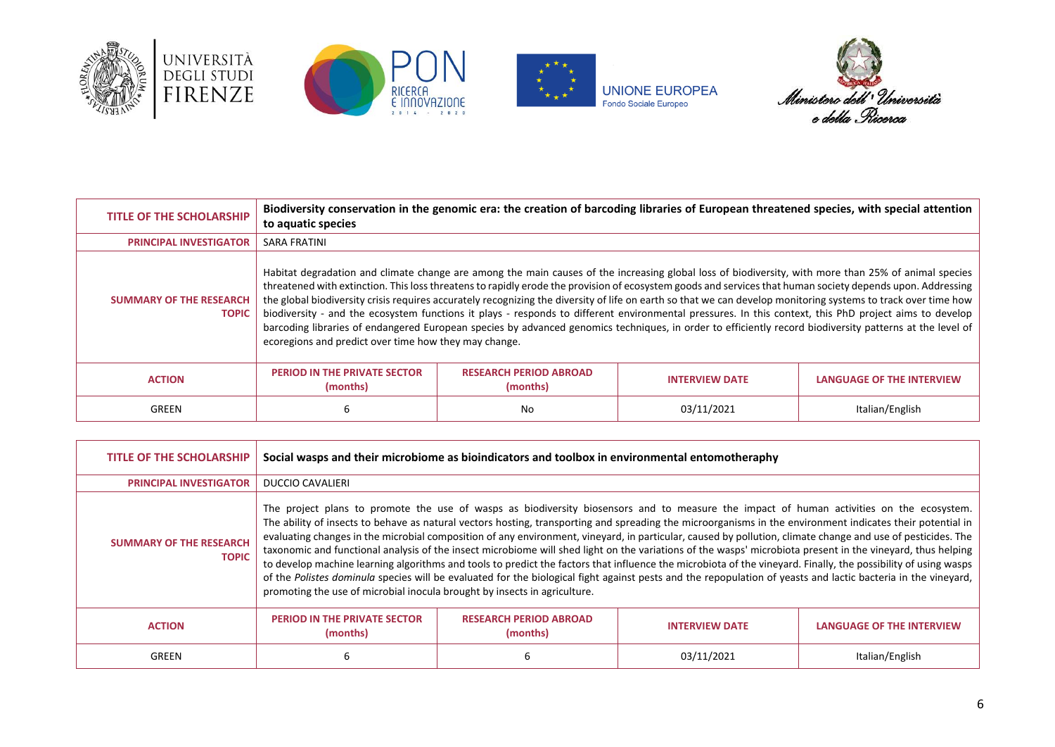







| <b>TITLE OF THE SCHOLARSHIP</b>                | Biodiversity conservation in the genomic era: the creation of barcoding libraries of European threatened species, with special attention<br>to aquatic species                                                                                                                                                                                                                                                                                                                                                                                                                                                                                                                                                                                                                                                                                                      |                                           |                       |                                  |  |  |
|------------------------------------------------|---------------------------------------------------------------------------------------------------------------------------------------------------------------------------------------------------------------------------------------------------------------------------------------------------------------------------------------------------------------------------------------------------------------------------------------------------------------------------------------------------------------------------------------------------------------------------------------------------------------------------------------------------------------------------------------------------------------------------------------------------------------------------------------------------------------------------------------------------------------------|-------------------------------------------|-----------------------|----------------------------------|--|--|
| <b>PRINCIPAL INVESTIGATOR</b>                  | <b>SARA FRATINI</b>                                                                                                                                                                                                                                                                                                                                                                                                                                                                                                                                                                                                                                                                                                                                                                                                                                                 |                                           |                       |                                  |  |  |
| <b>SUMMARY OF THE RESEARCH</b><br><b>TOPIC</b> | Habitat degradation and climate change are among the main causes of the increasing global loss of biodiversity, with more than 25% of animal species<br>threatened with extinction. This loss threatens to rapidly erode the provision of ecosystem goods and services that human society depends upon. Addressing<br>the global biodiversity crisis requires accurately recognizing the diversity of life on earth so that we can develop monitoring systems to track over time how<br>biodiversity - and the ecosystem functions it plays - responds to different environmental pressures. In this context, this PhD project aims to develop<br>barcoding libraries of endangered European species by advanced genomics techniques, in order to efficiently record biodiversity patterns at the level of<br>ecoregions and predict over time how they may change. |                                           |                       |                                  |  |  |
| <b>ACTION</b>                                  | <b>PERIOD IN THE PRIVATE SECTOR</b><br>(months)                                                                                                                                                                                                                                                                                                                                                                                                                                                                                                                                                                                                                                                                                                                                                                                                                     | <b>RESEARCH PERIOD ABROAD</b><br>(months) | <b>INTERVIEW DATE</b> | <b>LANGUAGE OF THE INTERVIEW</b> |  |  |
| GREEN                                          | 6                                                                                                                                                                                                                                                                                                                                                                                                                                                                                                                                                                                                                                                                                                                                                                                                                                                                   | No                                        | 03/11/2021            | Italian/English                  |  |  |

| <b>TITLE OF THE SCHOLARSHIP</b>                | Social wasps and their microbiome as bioindicators and toolbox in environmental entomotheraphy                                                                                                                                                                                                                                                                                                                                                                                                                                                                                                                                                                                                                                                                                                                                                                                                                                                                                                                                                       |                                           |                       |                                  |
|------------------------------------------------|------------------------------------------------------------------------------------------------------------------------------------------------------------------------------------------------------------------------------------------------------------------------------------------------------------------------------------------------------------------------------------------------------------------------------------------------------------------------------------------------------------------------------------------------------------------------------------------------------------------------------------------------------------------------------------------------------------------------------------------------------------------------------------------------------------------------------------------------------------------------------------------------------------------------------------------------------------------------------------------------------------------------------------------------------|-------------------------------------------|-----------------------|----------------------------------|
| <b>PRINCIPAL INVESTIGATOR</b>                  | <b>DUCCIO CAVALIERI</b>                                                                                                                                                                                                                                                                                                                                                                                                                                                                                                                                                                                                                                                                                                                                                                                                                                                                                                                                                                                                                              |                                           |                       |                                  |
| <b>SUMMARY OF THE RESEARCH</b><br><b>TOPIC</b> | The project plans to promote the use of wasps as biodiversity biosensors and to measure the impact of human activities on the ecosystem.<br>The ability of insects to behave as natural vectors hosting, transporting and spreading the microorganisms in the environment indicates their potential in<br>evaluating changes in the microbial composition of any environment, vineyard, in particular, caused by pollution, climate change and use of pesticides. The<br>taxonomic and functional analysis of the insect microbiome will shed light on the variations of the wasps' microbiota present in the vineyard, thus helping<br>to develop machine learning algorithms and tools to predict the factors that influence the microbiota of the vineyard. Finally, the possibility of using wasps<br>of the Polistes dominula species will be evaluated for the biological fight against pests and the repopulation of yeasts and lactic bacteria in the vineyard,<br>promoting the use of microbial inocula brought by insects in agriculture. |                                           |                       |                                  |
| <b>ACTION</b>                                  | <b>PERIOD IN THE PRIVATE SECTOR</b><br>(months)                                                                                                                                                                                                                                                                                                                                                                                                                                                                                                                                                                                                                                                                                                                                                                                                                                                                                                                                                                                                      | <b>RESEARCH PERIOD ABROAD</b><br>(months) | <b>INTERVIEW DATE</b> | <b>LANGUAGE OF THE INTERVIEW</b> |
| GREEN                                          | ь                                                                                                                                                                                                                                                                                                                                                                                                                                                                                                                                                                                                                                                                                                                                                                                                                                                                                                                                                                                                                                                    |                                           | 03/11/2021            | Italian/English                  |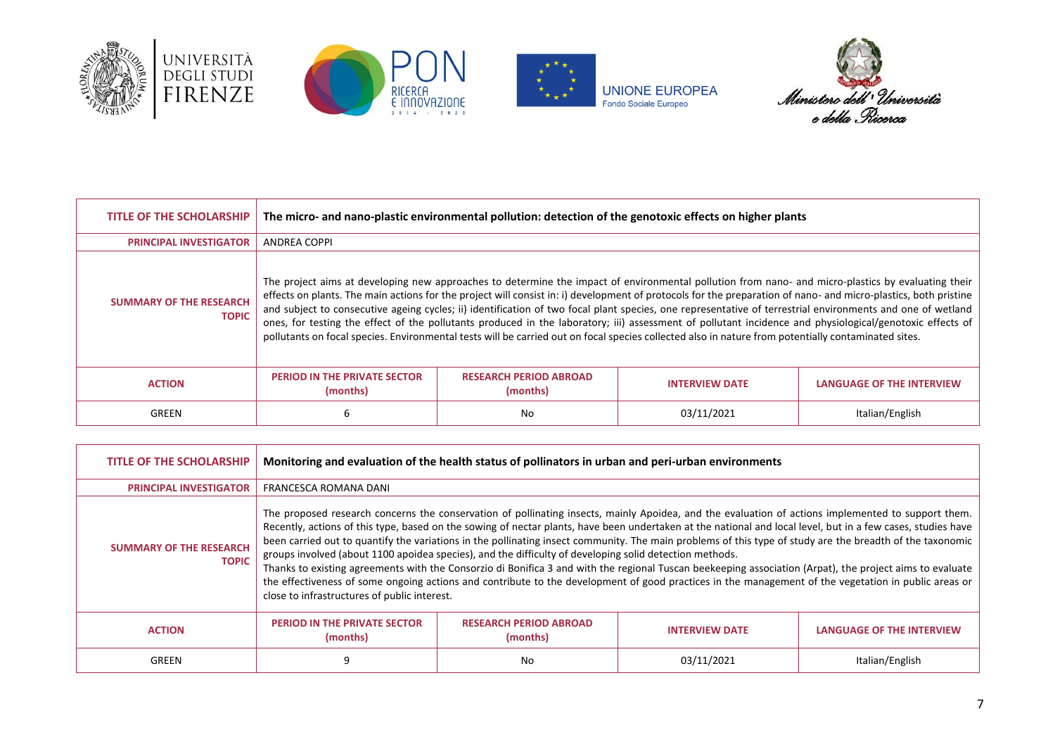







| <b>TITLE OF THE SCHOLARSHIP</b>                | The micro- and nano-plastic environmental pollution: detection of the genotoxic effects on higher plants |                                           |                                                                                                                                                                                                                                                                                                                                                                                                                                                                                                                                                                                                                                                                                                                                                                                                        |                                  |
|------------------------------------------------|----------------------------------------------------------------------------------------------------------|-------------------------------------------|--------------------------------------------------------------------------------------------------------------------------------------------------------------------------------------------------------------------------------------------------------------------------------------------------------------------------------------------------------------------------------------------------------------------------------------------------------------------------------------------------------------------------------------------------------------------------------------------------------------------------------------------------------------------------------------------------------------------------------------------------------------------------------------------------------|----------------------------------|
| <b>PRINCIPAL INVESTIGATOR</b>                  | <b>ANDREA COPPI</b>                                                                                      |                                           |                                                                                                                                                                                                                                                                                                                                                                                                                                                                                                                                                                                                                                                                                                                                                                                                        |                                  |
| <b>SUMMARY OF THE RESEARCH</b><br><b>TOPIC</b> |                                                                                                          |                                           | The project aims at developing new approaches to determine the impact of environmental pollution from nano- and micro-plastics by evaluating their<br>effects on plants. The main actions for the project will consist in: i) development of protocols for the preparation of nano- and micro-plastics, both pristine<br>and subject to consecutive ageing cycles; ii) identification of two focal plant species, one representative of terrestrial environments and one of wetland<br>ones, for testing the effect of the pollutants produced in the laboratory; iii) assessment of pollutant incidence and physiological/genotoxic effects of<br>pollutants on focal species. Environmental tests will be carried out on focal species collected also in nature from potentially contaminated sites. |                                  |
| <b>ACTION</b>                                  | <b>PERIOD IN THE PRIVATE SECTOR</b><br>(months)                                                          | <b>RESEARCH PERIOD ABROAD</b><br>(months) | <b>INTERVIEW DATE</b>                                                                                                                                                                                                                                                                                                                                                                                                                                                                                                                                                                                                                                                                                                                                                                                  | <b>LANGUAGE OF THE INTERVIEW</b> |
| GREEN                                          | 6                                                                                                        | No                                        | 03/11/2021                                                                                                                                                                                                                                                                                                                                                                                                                                                                                                                                                                                                                                                                                                                                                                                             | Italian/English                  |

| <b>TITLE OF THE SCHOLARSHIP</b>                | Monitoring and evaluation of the health status of pollinators in urban and peri-urban environments                                                                                                                                                                                                                                                                                                                                                                                                                                                                                                                                                                                                                                                                                                                                                                                                                                                             |                                           |                       |                                  |
|------------------------------------------------|----------------------------------------------------------------------------------------------------------------------------------------------------------------------------------------------------------------------------------------------------------------------------------------------------------------------------------------------------------------------------------------------------------------------------------------------------------------------------------------------------------------------------------------------------------------------------------------------------------------------------------------------------------------------------------------------------------------------------------------------------------------------------------------------------------------------------------------------------------------------------------------------------------------------------------------------------------------|-------------------------------------------|-----------------------|----------------------------------|
| <b>PRINCIPAL INVESTIGATOR</b>                  | FRANCESCA ROMANA DANI                                                                                                                                                                                                                                                                                                                                                                                                                                                                                                                                                                                                                                                                                                                                                                                                                                                                                                                                          |                                           |                       |                                  |
| <b>SUMMARY OF THE RESEARCH</b><br><b>TOPIC</b> | The proposed research concerns the conservation of pollinating insects, mainly Apoidea, and the evaluation of actions implemented to support them.<br>Recently, actions of this type, based on the sowing of nectar plants, have been undertaken at the national and local level, but in a few cases, studies have<br>been carried out to quantify the variations in the pollinating insect community. The main problems of this type of study are the breadth of the taxonomic<br>groups involved (about 1100 apoidea species), and the difficulty of developing solid detection methods.<br>Thanks to existing agreements with the Consorzio di Bonifica 3 and with the regional Tuscan beekeeping association (Arpat), the project aims to evaluate<br>the effectiveness of some ongoing actions and contribute to the development of good practices in the management of the vegetation in public areas or<br>close to infrastructures of public interest. |                                           |                       |                                  |
| <b>ACTION</b>                                  | <b>PERIOD IN THE PRIVATE SECTOR</b><br>(months)                                                                                                                                                                                                                                                                                                                                                                                                                                                                                                                                                                                                                                                                                                                                                                                                                                                                                                                | <b>RESEARCH PERIOD ABROAD</b><br>(months) | <b>INTERVIEW DATE</b> | <b>LANGUAGE OF THE INTERVIEW</b> |
| GREEN                                          | 9                                                                                                                                                                                                                                                                                                                                                                                                                                                                                                                                                                                                                                                                                                                                                                                                                                                                                                                                                              | No                                        | 03/11/2021            | Italian/English                  |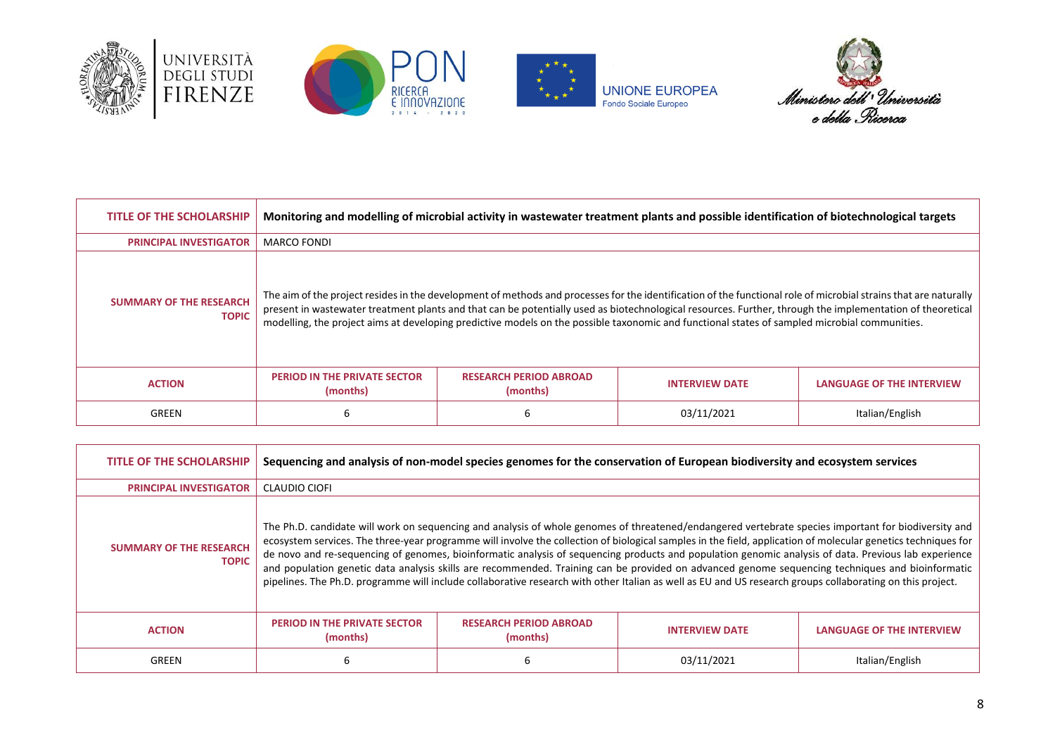







| <b>TITLE OF THE SCHOLARSHIP</b>                |                                                 |                                           | Monitoring and modelling of microbial activity in wastewater treatment plants and possible identification of biotechnological targets                                                                                                                                                                                                                                                                                                                                          |                                  |
|------------------------------------------------|-------------------------------------------------|-------------------------------------------|--------------------------------------------------------------------------------------------------------------------------------------------------------------------------------------------------------------------------------------------------------------------------------------------------------------------------------------------------------------------------------------------------------------------------------------------------------------------------------|----------------------------------|
| <b>PRINCIPAL INVESTIGATOR</b>                  | <b>MARCO FONDI</b>                              |                                           |                                                                                                                                                                                                                                                                                                                                                                                                                                                                                |                                  |
| <b>SUMMARY OF THE RESEARCH</b><br><b>TOPIC</b> |                                                 |                                           | The aim of the project resides in the development of methods and processes for the identification of the functional role of microbial strains that are naturally<br>present in wastewater treatment plants and that can be potentially used as biotechnological resources. Further, through the implementation of theoretical<br>modelling, the project aims at developing predictive models on the possible taxonomic and functional states of sampled microbial communities. |                                  |
| <b>ACTION</b>                                  | <b>PERIOD IN THE PRIVATE SECTOR</b><br>(months) | <b>RESEARCH PERIOD ABROAD</b><br>(months) | <b>INTERVIEW DATE</b>                                                                                                                                                                                                                                                                                                                                                                                                                                                          | <b>LANGUAGE OF THE INTERVIEW</b> |
| GREEN                                          | 6                                               |                                           | 03/11/2021                                                                                                                                                                                                                                                                                                                                                                                                                                                                     | Italian/English                  |

| TITLE OF THE SCHOLARSHIP                       | Sequencing and analysis of non-model species genomes for the conservation of European biodiversity and ecosystem services |                                           |                                                                                                                                                                                                                                                                                                                                                                                                                                                                                                                                                                                                                                                                                                                                                                                                |                           |
|------------------------------------------------|---------------------------------------------------------------------------------------------------------------------------|-------------------------------------------|------------------------------------------------------------------------------------------------------------------------------------------------------------------------------------------------------------------------------------------------------------------------------------------------------------------------------------------------------------------------------------------------------------------------------------------------------------------------------------------------------------------------------------------------------------------------------------------------------------------------------------------------------------------------------------------------------------------------------------------------------------------------------------------------|---------------------------|
| <b>PRINCIPAL INVESTIGATOR</b>                  | <b>CLAUDIO CIOFI</b>                                                                                                      |                                           |                                                                                                                                                                                                                                                                                                                                                                                                                                                                                                                                                                                                                                                                                                                                                                                                |                           |
| <b>SUMMARY OF THE RESEARCH</b><br><b>TOPIC</b> |                                                                                                                           |                                           | The Ph.D. candidate will work on sequencing and analysis of whole genomes of threatened/endangered vertebrate species important for biodiversity and<br>ecosystem services. The three-year programme will involve the collection of biological samples in the field, application of molecular genetics techniques for<br>de novo and re-sequencing of genomes, bioinformatic analysis of sequencing products and population genomic analysis of data. Previous lab experience<br>and population genetic data analysis skills are recommended. Training can be provided on advanced genome sequencing techniques and bioinformatic<br>pipelines. The Ph.D. programme will include collaborative research with other Italian as well as EU and US research groups collaborating on this project. |                           |
| <b>ACTION</b>                                  | <b>PERIOD IN THE PRIVATE SECTOR</b><br>(months)                                                                           | <b>RESEARCH PERIOD ABROAD</b><br>(months) | <b>INTERVIEW DATE</b>                                                                                                                                                                                                                                                                                                                                                                                                                                                                                                                                                                                                                                                                                                                                                                          | LANGUAGE OF THE INTERVIEW |
| GREEN                                          | 6                                                                                                                         |                                           | 03/11/2021                                                                                                                                                                                                                                                                                                                                                                                                                                                                                                                                                                                                                                                                                                                                                                                     | Italian/English           |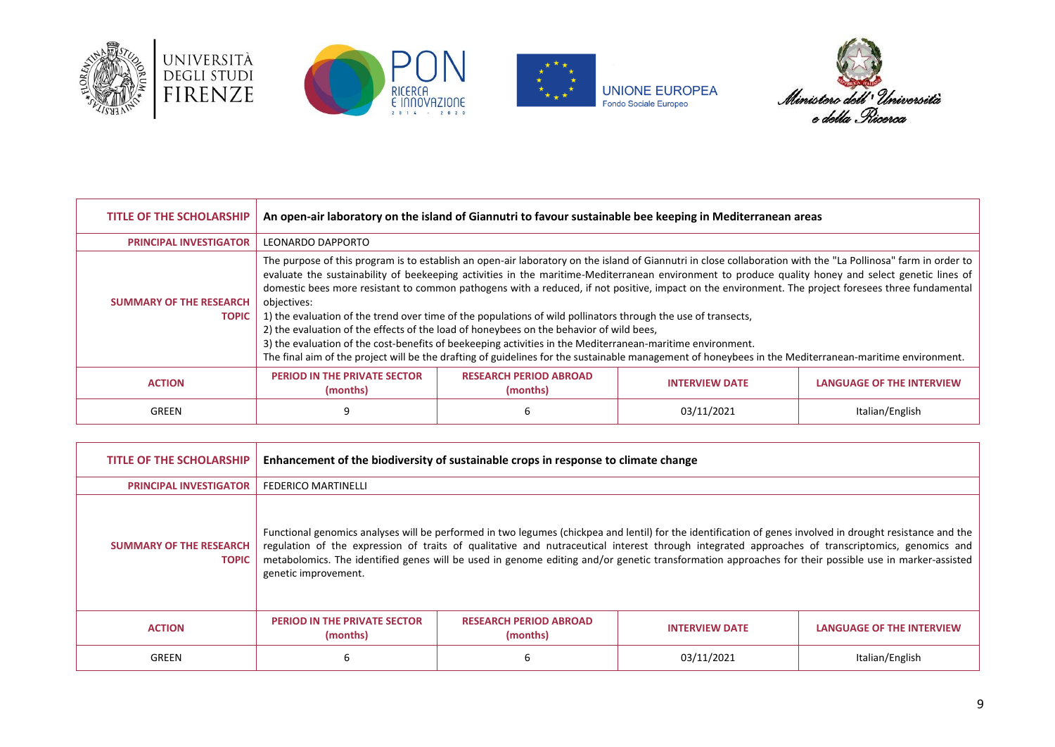







| <b>TITLE OF THE SCHOLARSHIP</b>                | An open-air laboratory on the island of Giannutri to favour sustainable bee keeping in Mediterranean areas                                                                                                                                                                                                                                                                                                                                                                                                                                                                                                                                                                                                                                                                                                                                                                                                                                                                     |                                           |                       |                                  |
|------------------------------------------------|--------------------------------------------------------------------------------------------------------------------------------------------------------------------------------------------------------------------------------------------------------------------------------------------------------------------------------------------------------------------------------------------------------------------------------------------------------------------------------------------------------------------------------------------------------------------------------------------------------------------------------------------------------------------------------------------------------------------------------------------------------------------------------------------------------------------------------------------------------------------------------------------------------------------------------------------------------------------------------|-------------------------------------------|-----------------------|----------------------------------|
| <b>PRINCIPAL INVESTIGATOR</b>                  | LEONARDO DAPPORTO                                                                                                                                                                                                                                                                                                                                                                                                                                                                                                                                                                                                                                                                                                                                                                                                                                                                                                                                                              |                                           |                       |                                  |
| <b>SUMMARY OF THE RESEARCH</b><br><b>TOPIC</b> | The purpose of this program is to establish an open-air laboratory on the island of Giannutri in close collaboration with the "La Pollinosa" farm in order to<br>evaluate the sustainability of beekeeping activities in the maritime-Mediterranean environment to produce quality honey and select genetic lines of<br>domestic bees more resistant to common pathogens with a reduced, if not positive, impact on the environment. The project foresees three fundamental<br>objectives:<br>1) the evaluation of the trend over time of the populations of wild pollinators through the use of transects,<br>2) the evaluation of the effects of the load of honeybees on the behavior of wild bees,<br>3) the evaluation of the cost-benefits of beekeeping activities in the Mediterranean-maritime environment.<br>The final aim of the project will be the drafting of guidelines for the sustainable management of honeybees in the Mediterranean-maritime environment. |                                           |                       |                                  |
| <b>ACTION</b>                                  | <b>PERIOD IN THE PRIVATE SECTOR</b><br>(months)                                                                                                                                                                                                                                                                                                                                                                                                                                                                                                                                                                                                                                                                                                                                                                                                                                                                                                                                | <b>RESEARCH PERIOD ABROAD</b><br>(months) | <b>INTERVIEW DATE</b> | <b>LANGUAGE OF THE INTERVIEW</b> |
| GREEN                                          |                                                                                                                                                                                                                                                                                                                                                                                                                                                                                                                                                                                                                                                                                                                                                                                                                                                                                                                                                                                |                                           | 03/11/2021            | Italian/English                  |

| <b>TITLE OF THE SCHOLARSHIP</b>                | Enhancement of the biodiversity of sustainable crops in response to climate change |                                                                                                                                                                                                                                                                                                                                                                                                                                                                       |                       |                                  |
|------------------------------------------------|------------------------------------------------------------------------------------|-----------------------------------------------------------------------------------------------------------------------------------------------------------------------------------------------------------------------------------------------------------------------------------------------------------------------------------------------------------------------------------------------------------------------------------------------------------------------|-----------------------|----------------------------------|
| <b>PRINCIPAL INVESTIGATOR</b>                  | <b>FEDERICO MARTINELLI</b>                                                         |                                                                                                                                                                                                                                                                                                                                                                                                                                                                       |                       |                                  |
| <b>SUMMARY OF THE RESEARCH</b><br><b>TOPIC</b> | genetic improvement.                                                               | Functional genomics analyses will be performed in two legumes (chickpea and lentil) for the identification of genes involved in drought resistance and the<br>regulation of the expression of traits of qualitative and nutraceutical interest through integrated approaches of transcriptomics, genomics and<br>metabolomics. The identified genes will be used in genome editing and/or genetic transformation approaches for their possible use in marker-assisted |                       |                                  |
| <b>ACTION</b>                                  | <b>PERIOD IN THE PRIVATE SECTOR</b><br>(months)                                    | <b>RESEARCH PERIOD ABROAD</b><br>(months)                                                                                                                                                                                                                                                                                                                                                                                                                             | <b>INTERVIEW DATE</b> | <b>LANGUAGE OF THE INTERVIEW</b> |
| GREEN                                          | ь                                                                                  | h                                                                                                                                                                                                                                                                                                                                                                                                                                                                     | 03/11/2021            | Italian/English                  |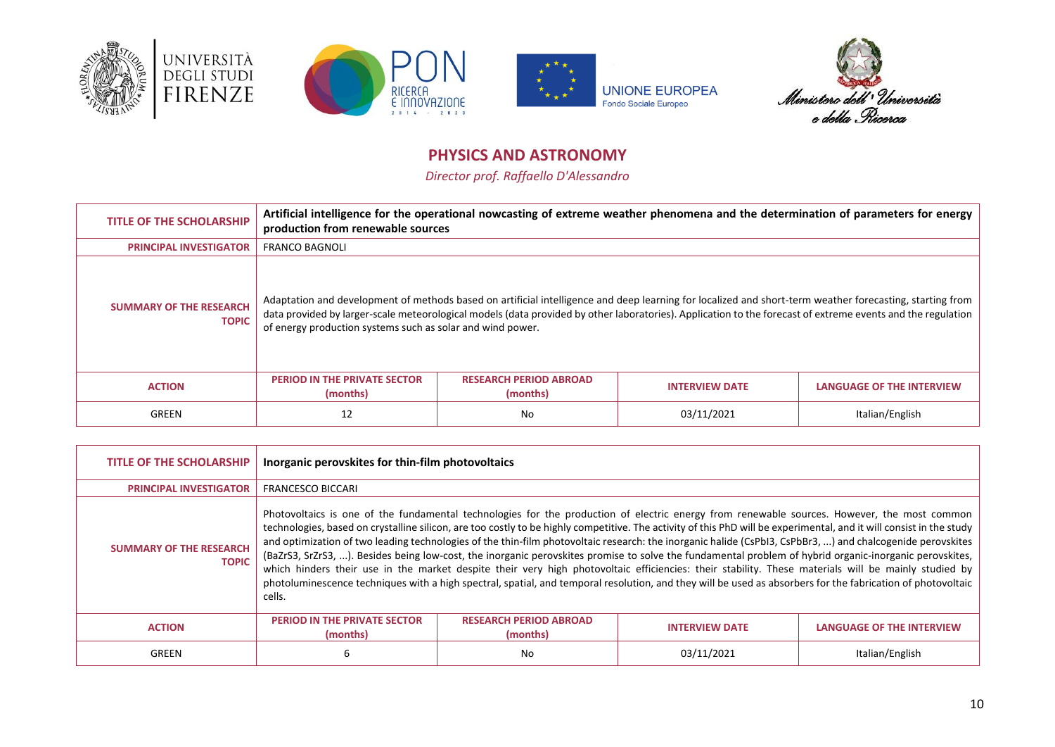







# **PHYSICS AND ASTRONOMY**

*Director prof. Raffaello D'Alessandro*

<span id="page-9-0"></span>

| <b>TITLE OF THE SCHOLARSHIP</b>                | production from renewable sources                          |                                           | Artificial intelligence for the operational nowcasting of extreme weather phenomena and the determination of parameters for energy                                                                                                                                                                                      |                                  |
|------------------------------------------------|------------------------------------------------------------|-------------------------------------------|-------------------------------------------------------------------------------------------------------------------------------------------------------------------------------------------------------------------------------------------------------------------------------------------------------------------------|----------------------------------|
| <b>PRINCIPAL INVESTIGATOR</b>                  | <b>FRANCO BAGNOLI</b>                                      |                                           |                                                                                                                                                                                                                                                                                                                         |                                  |
| <b>SUMMARY OF THE RESEARCH</b><br><b>TOPIC</b> | of energy production systems such as solar and wind power. |                                           | Adaptation and development of methods based on artificial intelligence and deep learning for localized and short-term weather forecasting, starting from<br>data provided by larger-scale meteorological models (data provided by other laboratories). Application to the forecast of extreme events and the regulation |                                  |
| <b>ACTION</b>                                  | <b>PERIOD IN THE PRIVATE SECTOR</b><br>(months)            | <b>RESEARCH PERIOD ABROAD</b><br>(months) | <b>INTERVIEW DATE</b>                                                                                                                                                                                                                                                                                                   | <b>LANGUAGE OF THE INTERVIEW</b> |
| GREEN                                          | 12                                                         | No                                        | 03/11/2021                                                                                                                                                                                                                                                                                                              | Italian/English                  |

| <b>TITLE OF THE SCHOLARSHIP</b>                | Inorganic perovskites for thin-film photovoltaics |                                           |                                                                                                                                                                                                                                                                                                                                                                                                                                                                                                                                                                                                                                                                                                                                                                                                                                                                                                                                                                    |                                  |
|------------------------------------------------|---------------------------------------------------|-------------------------------------------|--------------------------------------------------------------------------------------------------------------------------------------------------------------------------------------------------------------------------------------------------------------------------------------------------------------------------------------------------------------------------------------------------------------------------------------------------------------------------------------------------------------------------------------------------------------------------------------------------------------------------------------------------------------------------------------------------------------------------------------------------------------------------------------------------------------------------------------------------------------------------------------------------------------------------------------------------------------------|----------------------------------|
| <b>PRINCIPAL INVESTIGATOR</b>                  | <b>FRANCESCO BICCARI</b>                          |                                           |                                                                                                                                                                                                                                                                                                                                                                                                                                                                                                                                                                                                                                                                                                                                                                                                                                                                                                                                                                    |                                  |
| <b>SUMMARY OF THE RESEARCH</b><br><b>TOPIC</b> | cells.                                            |                                           | Photovoltaics is one of the fundamental technologies for the production of electric energy from renewable sources. However, the most common<br>technologies, based on crystalline silicon, are too costly to be highly competitive. The activity of this PhD will be experimental, and it will consist in the study<br>and optimization of two leading technologies of the thin-film photovoltaic research: the inorganic halide (CsPbI3, CsPbBr3, ) and chalcogenide perovskites<br>(BaZrS3, SrZrS3, ). Besides being low-cost, the inorganic perovskites promise to solve the fundamental problem of hybrid organic-inorganic perovskites,<br>which hinders their use in the market despite their very high photovoltaic efficiencies: their stability. These materials will be mainly studied by<br>photoluminescence techniques with a high spectral, spatial, and temporal resolution, and they will be used as absorbers for the fabrication of photovoltaic |                                  |
| <b>ACTION</b>                                  | <b>PERIOD IN THE PRIVATE SECTOR</b><br>(months)   | <b>RESEARCH PERIOD ABROAD</b><br>(months) | <b>INTERVIEW DATE</b>                                                                                                                                                                                                                                                                                                                                                                                                                                                                                                                                                                                                                                                                                                                                                                                                                                                                                                                                              | <b>LANGUAGE OF THE INTERVIEW</b> |
| GREEN                                          | 6                                                 | No                                        | 03/11/2021                                                                                                                                                                                                                                                                                                                                                                                                                                                                                                                                                                                                                                                                                                                                                                                                                                                                                                                                                         | Italian/English                  |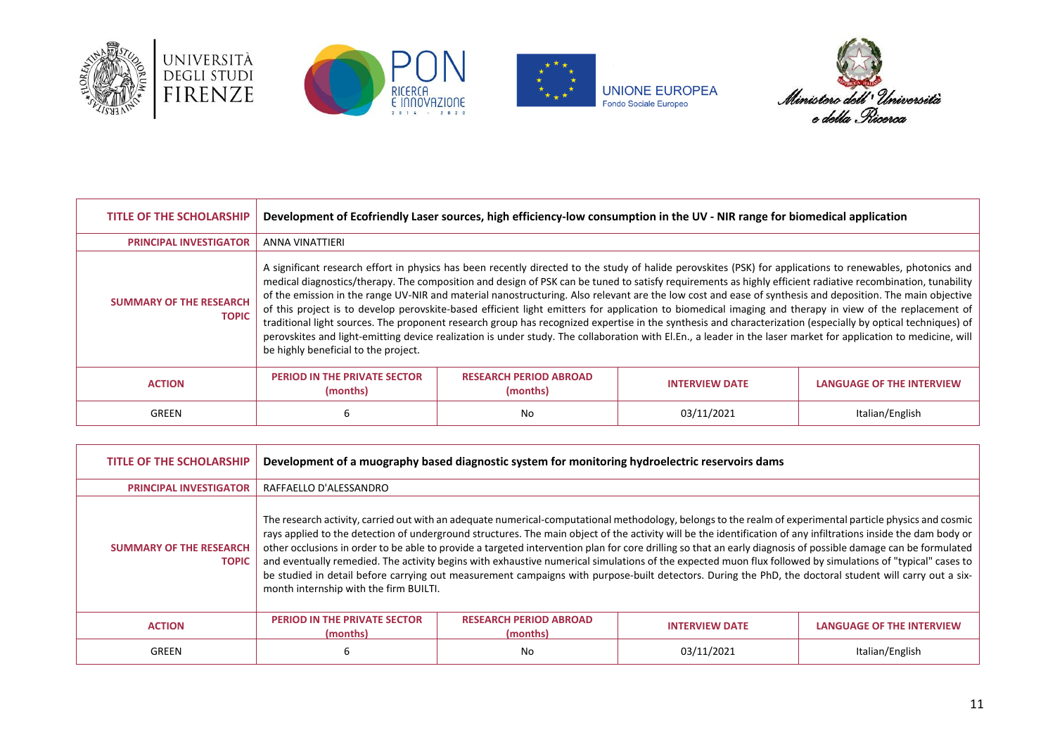







| TITLE OF THE SCHOLARSHIP                       | Development of Ecofriendly Laser sources, high efficiency-low consumption in the UV - NIR range for biomedical application                                                                                                                                                                                                                                                                                                                                                                                                                                                                                                                                                                                                                                                                                                                                                                                                                                                                                                   |                                           |                       |                                  |
|------------------------------------------------|------------------------------------------------------------------------------------------------------------------------------------------------------------------------------------------------------------------------------------------------------------------------------------------------------------------------------------------------------------------------------------------------------------------------------------------------------------------------------------------------------------------------------------------------------------------------------------------------------------------------------------------------------------------------------------------------------------------------------------------------------------------------------------------------------------------------------------------------------------------------------------------------------------------------------------------------------------------------------------------------------------------------------|-------------------------------------------|-----------------------|----------------------------------|
| <b>PRINCIPAL INVESTIGATOR</b>                  | ANNA VINATTIERI                                                                                                                                                                                                                                                                                                                                                                                                                                                                                                                                                                                                                                                                                                                                                                                                                                                                                                                                                                                                              |                                           |                       |                                  |
| <b>SUMMARY OF THE RESEARCH</b><br><b>TOPIC</b> | A significant research effort in physics has been recently directed to the study of halide perovskites (PSK) for applications to renewables, photonics and<br>medical diagnostics/therapy. The composition and design of PSK can be tuned to satisfy requirements as highly efficient radiative recombination, tunability<br>of the emission in the range UV-NIR and material nanostructuring. Also relevant are the low cost and ease of synthesis and deposition. The main objective<br>of this project is to develop perovskite-based efficient light emitters for application to biomedical imaging and therapy in view of the replacement of<br>traditional light sources. The proponent research group has recognized expertise in the synthesis and characterization (especially by optical techniques) of<br>perovskites and light-emitting device realization is under study. The collaboration with El.En., a leader in the laser market for application to medicine, will<br>be highly beneficial to the project. |                                           |                       |                                  |
| <b>ACTION</b>                                  | <b>PERIOD IN THE PRIVATE SECTOR</b><br>(months)                                                                                                                                                                                                                                                                                                                                                                                                                                                                                                                                                                                                                                                                                                                                                                                                                                                                                                                                                                              | <b>RESEARCH PERIOD ABROAD</b><br>(months) | <b>INTERVIEW DATE</b> | <b>LANGUAGE OF THE INTERVIEW</b> |
| GREEN                                          | 6                                                                                                                                                                                                                                                                                                                                                                                                                                                                                                                                                                                                                                                                                                                                                                                                                                                                                                                                                                                                                            | No                                        | 03/11/2021            | Italian/English                  |

| <b>TITLE OF THE SCHOLARSHIP</b>                | Development of a muography based diagnostic system for monitoring hydroelectric reservoirs dams                                                                                                                                                                                                                                                                                                                                                                                                                                                                                                                                                                                                                                                                                                                                                                   |                                           |                       |                                  |
|------------------------------------------------|-------------------------------------------------------------------------------------------------------------------------------------------------------------------------------------------------------------------------------------------------------------------------------------------------------------------------------------------------------------------------------------------------------------------------------------------------------------------------------------------------------------------------------------------------------------------------------------------------------------------------------------------------------------------------------------------------------------------------------------------------------------------------------------------------------------------------------------------------------------------|-------------------------------------------|-----------------------|----------------------------------|
| <b>PRINCIPAL INVESTIGATOR</b>                  | RAFFAELLO D'ALESSANDRO                                                                                                                                                                                                                                                                                                                                                                                                                                                                                                                                                                                                                                                                                                                                                                                                                                            |                                           |                       |                                  |
| <b>SUMMARY OF THE RESEARCH</b><br><b>TOPIC</b> | The research activity, carried out with an adequate numerical-computational methodology, belongs to the realm of experimental particle physics and cosmic<br>rays applied to the detection of underground structures. The main object of the activity will be the identification of any infiltrations inside the dam body or<br>other occlusions in order to be able to provide a targeted intervention plan for core drilling so that an early diagnosis of possible damage can be formulated<br>and eventually remedied. The activity begins with exhaustive numerical simulations of the expected muon flux followed by simulations of "typical" cases to<br>be studied in detail before carrying out measurement campaigns with purpose-built detectors. During the PhD, the doctoral student will carry out a six-<br>month internship with the firm BUILTI. |                                           |                       |                                  |
| <b>ACTION</b>                                  | <b>PERIOD IN THE PRIVATE SECTOR</b><br>(months)                                                                                                                                                                                                                                                                                                                                                                                                                                                                                                                                                                                                                                                                                                                                                                                                                   | <b>RESEARCH PERIOD ABROAD</b><br>(months) | <b>INTERVIEW DATE</b> | <b>LANGUAGE OF THE INTERVIEW</b> |
| GREEN                                          | ь                                                                                                                                                                                                                                                                                                                                                                                                                                                                                                                                                                                                                                                                                                                                                                                                                                                                 | No                                        | 03/11/2021            | Italian/English                  |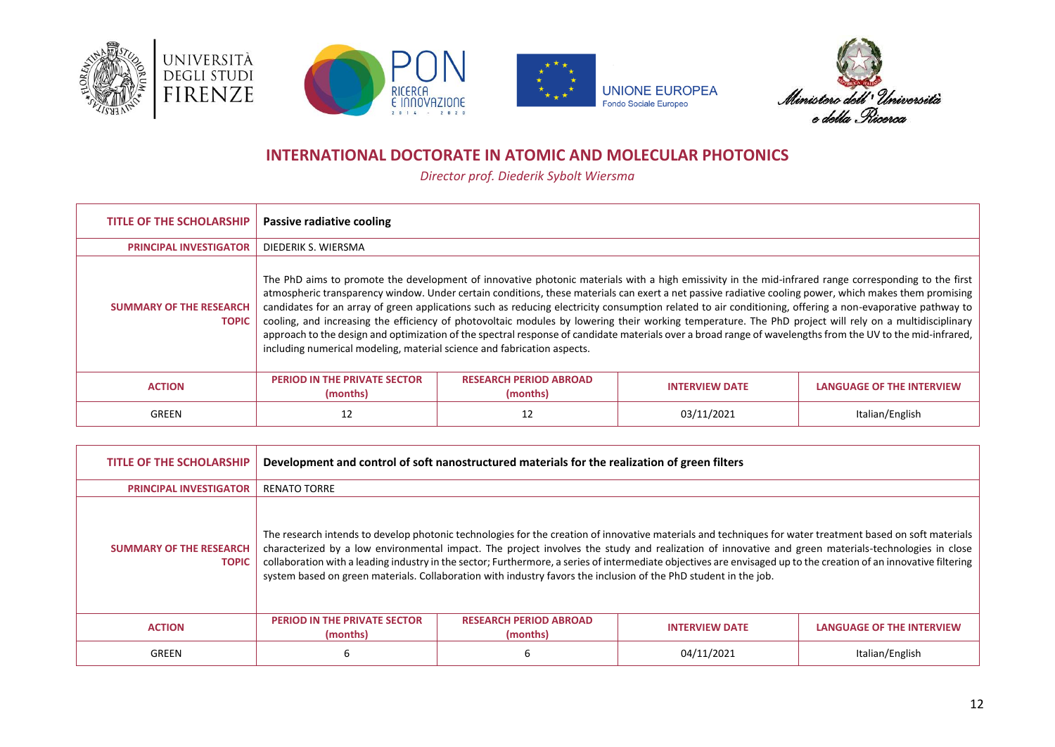







# **INTERNATIONAL DOCTORATE IN ATOMIC AND MOLECULAR PHOTONICS**

*Director prof. Diederik Sybolt Wiersma*

<span id="page-11-0"></span>

| <b>TITLE OF THE SCHOLARSHIP</b>                | Passive radiative cooling                                                                                                                                                                                                                                                                                                                                                                                                                                                                                                                                                                                                                                                                                                                                                                                                                                                      |                                           |                       |                                  |
|------------------------------------------------|--------------------------------------------------------------------------------------------------------------------------------------------------------------------------------------------------------------------------------------------------------------------------------------------------------------------------------------------------------------------------------------------------------------------------------------------------------------------------------------------------------------------------------------------------------------------------------------------------------------------------------------------------------------------------------------------------------------------------------------------------------------------------------------------------------------------------------------------------------------------------------|-------------------------------------------|-----------------------|----------------------------------|
| <b>PRINCIPAL INVESTIGATOR</b>                  | DIEDERIK S. WIERSMA                                                                                                                                                                                                                                                                                                                                                                                                                                                                                                                                                                                                                                                                                                                                                                                                                                                            |                                           |                       |                                  |
| <b>SUMMARY OF THE RESEARCH</b><br><b>TOPIC</b> | The PhD aims to promote the development of innovative photonic materials with a high emissivity in the mid-infrared range corresponding to the first<br>atmospheric transparency window. Under certain conditions, these materials can exert a net passive radiative cooling power, which makes them promising<br>candidates for an array of green applications such as reducing electricity consumption related to air conditioning, offering a non-evaporative pathway to<br>cooling, and increasing the efficiency of photovoltaic modules by lowering their working temperature. The PhD project will rely on a multidisciplinary<br>approach to the design and optimization of the spectral response of candidate materials over a broad range of wavelengths from the UV to the mid-infrared,<br>including numerical modeling, material science and fabrication aspects. |                                           |                       |                                  |
| <b>ACTION</b>                                  | <b>PERIOD IN THE PRIVATE SECTOR</b><br>(months)                                                                                                                                                                                                                                                                                                                                                                                                                                                                                                                                                                                                                                                                                                                                                                                                                                | <b>RESEARCH PERIOD ABROAD</b><br>(months) | <b>INTERVIEW DATE</b> | <b>LANGUAGE OF THE INTERVIEW</b> |
| GREEN                                          | 12                                                                                                                                                                                                                                                                                                                                                                                                                                                                                                                                                                                                                                                                                                                                                                                                                                                                             | 12                                        | 03/11/2021            | Italian/English                  |

| <b>TITLE OF THE SCHOLARSHIP</b>                | Development and control of soft nanostructured materials for the realization of green filters |                                                                                                                  |                                                                                                                                                                                                                                                                                                                                                                                                                                                                                       |                                  |
|------------------------------------------------|-----------------------------------------------------------------------------------------------|------------------------------------------------------------------------------------------------------------------|---------------------------------------------------------------------------------------------------------------------------------------------------------------------------------------------------------------------------------------------------------------------------------------------------------------------------------------------------------------------------------------------------------------------------------------------------------------------------------------|----------------------------------|
| <b>PRINCIPAL INVESTIGATOR</b>                  | <b>RENATO TORRE</b>                                                                           |                                                                                                                  |                                                                                                                                                                                                                                                                                                                                                                                                                                                                                       |                                  |
| <b>SUMMARY OF THE RESEARCH</b><br><b>TOPIC</b> |                                                                                               | system based on green materials. Collaboration with industry favors the inclusion of the PhD student in the job. | The research intends to develop photonic technologies for the creation of innovative materials and techniques for water treatment based on soft materials<br>characterized by a low environmental impact. The project involves the study and realization of innovative and green materials-technologies in close<br>collaboration with a leading industry in the sector; Furthermore, a series of intermediate objectives are envisaged up to the creation of an innovative filtering |                                  |
| <b>ACTION</b>                                  | <b>PERIOD IN THE PRIVATE SECTOR</b><br>(months)                                               | <b>RESEARCH PERIOD ABROAD</b><br>(months)                                                                        | <b>INTERVIEW DATE</b>                                                                                                                                                                                                                                                                                                                                                                                                                                                                 | <b>LANGUAGE OF THE INTERVIEW</b> |
| GREEN                                          | ь                                                                                             |                                                                                                                  | 04/11/2021                                                                                                                                                                                                                                                                                                                                                                                                                                                                            | Italian/English                  |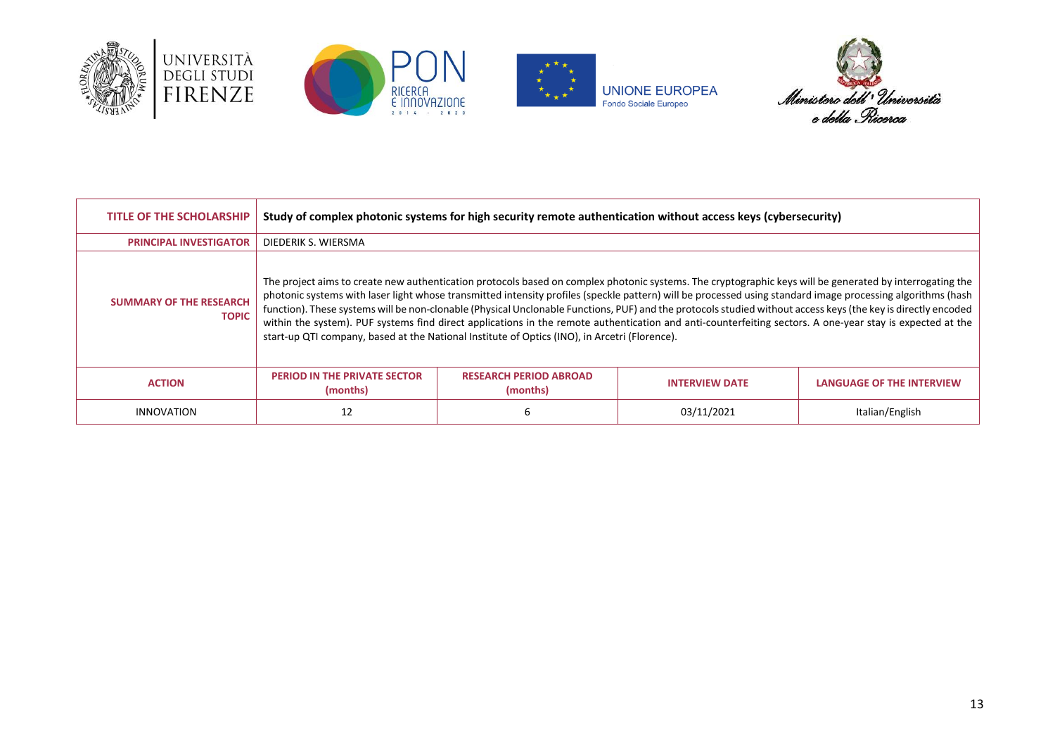







| <b>TITLE OF THE SCHOLARSHIP</b>                | Study of complex photonic systems for high security remote authentication without access keys (cybersecurity)                                                                                                                                                                                                                                                                                                                                                                                                                                                                                                                                                                                                                                          |                                           |                       |                                  |
|------------------------------------------------|--------------------------------------------------------------------------------------------------------------------------------------------------------------------------------------------------------------------------------------------------------------------------------------------------------------------------------------------------------------------------------------------------------------------------------------------------------------------------------------------------------------------------------------------------------------------------------------------------------------------------------------------------------------------------------------------------------------------------------------------------------|-------------------------------------------|-----------------------|----------------------------------|
| <b>PRINCIPAL INVESTIGATOR</b>                  | DIEDERIK S. WIERSMA                                                                                                                                                                                                                                                                                                                                                                                                                                                                                                                                                                                                                                                                                                                                    |                                           |                       |                                  |
| <b>SUMMARY OF THE RESEARCH</b><br><b>TOPIC</b> | The project aims to create new authentication protocols based on complex photonic systems. The cryptographic keys will be generated by interrogating the<br>photonic systems with laser light whose transmitted intensity profiles (speckle pattern) will be processed using standard image processing algorithms (hash<br>function). These systems will be non-clonable (Physical Unclonable Functions, PUF) and the protocols studied without access keys (the key is directly encoded<br>within the system). PUF systems find direct applications in the remote authentication and anti-counterfeiting sectors. A one-year stay is expected at the<br>start-up QTI company, based at the National Institute of Optics (INO), in Arcetri (Florence). |                                           |                       |                                  |
| <b>ACTION</b>                                  | <b>PERIOD IN THE PRIVATE SECTOR</b><br>(months)                                                                                                                                                                                                                                                                                                                                                                                                                                                                                                                                                                                                                                                                                                        | <b>RESEARCH PERIOD ABROAD</b><br>(months) | <b>INTERVIEW DATE</b> | <b>LANGUAGE OF THE INTERVIEW</b> |
| INNOVATION                                     | 12                                                                                                                                                                                                                                                                                                                                                                                                                                                                                                                                                                                                                                                                                                                                                     |                                           | 03/11/2021            | Italian/English                  |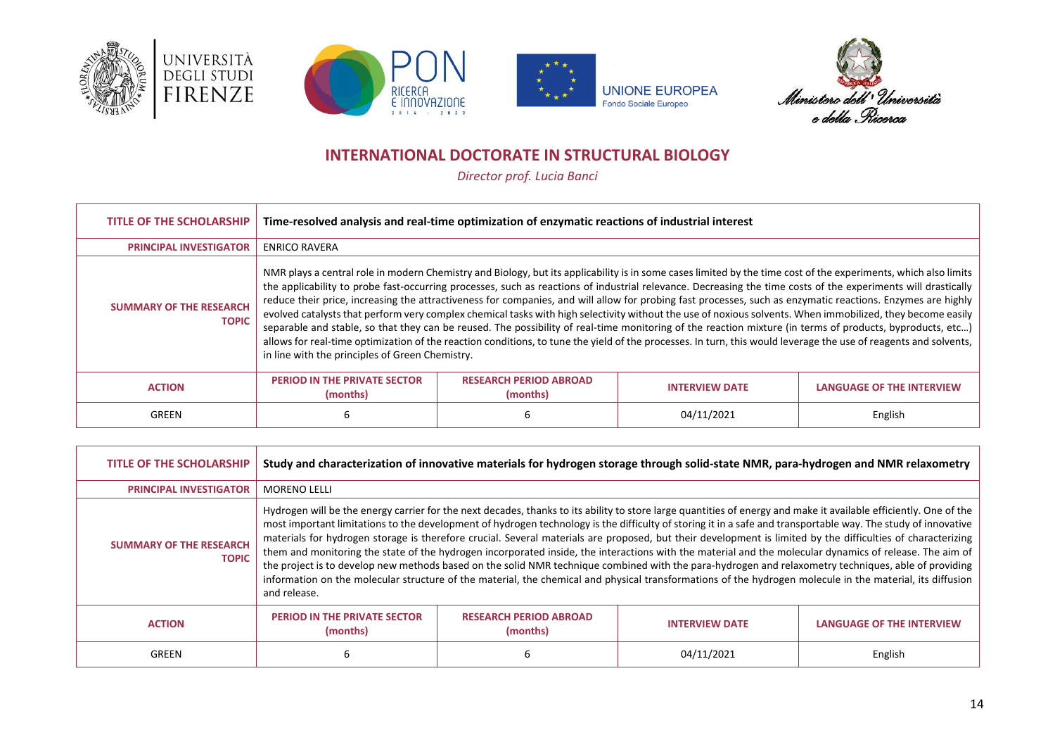







# **INTERNATIONAL DOCTORATE IN STRUCTURAL BIOLOGY**

*Director prof. Lucia Banci*

<span id="page-13-0"></span>

| <b>TITLE OF THE SCHOLARSHIP</b>                | Time-resolved analysis and real-time optimization of enzymatic reactions of industrial interest                                                                                                                                                                                                                                                                                                                                                                                                                                                                                                                                                                                                                                                                                                                                                                                                                                                                                                                                                   |                                           |                       |                                  |
|------------------------------------------------|---------------------------------------------------------------------------------------------------------------------------------------------------------------------------------------------------------------------------------------------------------------------------------------------------------------------------------------------------------------------------------------------------------------------------------------------------------------------------------------------------------------------------------------------------------------------------------------------------------------------------------------------------------------------------------------------------------------------------------------------------------------------------------------------------------------------------------------------------------------------------------------------------------------------------------------------------------------------------------------------------------------------------------------------------|-------------------------------------------|-----------------------|----------------------------------|
| <b>PRINCIPAL INVESTIGATOR</b>                  | <b>ENRICO RAVERA</b>                                                                                                                                                                                                                                                                                                                                                                                                                                                                                                                                                                                                                                                                                                                                                                                                                                                                                                                                                                                                                              |                                           |                       |                                  |
| <b>SUMMARY OF THE RESEARCH</b><br><b>TOPIC</b> | NMR plays a central role in modern Chemistry and Biology, but its applicability is in some cases limited by the time cost of the experiments, which also limits<br>the applicability to probe fast-occurring processes, such as reactions of industrial relevance. Decreasing the time costs of the experiments will drastically<br>reduce their price, increasing the attractiveness for companies, and will allow for probing fast processes, such as enzymatic reactions. Enzymes are highly<br>evolved catalysts that perform very complex chemical tasks with high selectivity without the use of noxious solvents. When immobilized, they become easily<br>separable and stable, so that they can be reused. The possibility of real-time monitoring of the reaction mixture (in terms of products, byproducts, etc)<br>allows for real-time optimization of the reaction conditions, to tune the yield of the processes. In turn, this would leverage the use of reagents and solvents,<br>in line with the principles of Green Chemistry. |                                           |                       |                                  |
| <b>ACTION</b>                                  | <b>PERIOD IN THE PRIVATE SECTOR</b><br>(months)                                                                                                                                                                                                                                                                                                                                                                                                                                                                                                                                                                                                                                                                                                                                                                                                                                                                                                                                                                                                   | <b>RESEARCH PERIOD ABROAD</b><br>(months) | <b>INTERVIEW DATE</b> | <b>LANGUAGE OF THE INTERVIEW</b> |
| GREEN                                          | 6                                                                                                                                                                                                                                                                                                                                                                                                                                                                                                                                                                                                                                                                                                                                                                                                                                                                                                                                                                                                                                                 |                                           | 04/11/2021            | English                          |

| <b>TITLE OF THE SCHOLARSHIP</b>                | Study and characterization of innovative materials for hydrogen storage through solid-state NMR, para-hydrogen and NMR relaxometry                                                                                                                                                                                                                                                                                                                                                                                                                                                                                                                                                                                                                                                                                                                                                                                                                                                                |                                           |                       |                                  |
|------------------------------------------------|---------------------------------------------------------------------------------------------------------------------------------------------------------------------------------------------------------------------------------------------------------------------------------------------------------------------------------------------------------------------------------------------------------------------------------------------------------------------------------------------------------------------------------------------------------------------------------------------------------------------------------------------------------------------------------------------------------------------------------------------------------------------------------------------------------------------------------------------------------------------------------------------------------------------------------------------------------------------------------------------------|-------------------------------------------|-----------------------|----------------------------------|
| <b>PRINCIPAL INVESTIGATOR</b>                  | <b>MORENO LELLI</b>                                                                                                                                                                                                                                                                                                                                                                                                                                                                                                                                                                                                                                                                                                                                                                                                                                                                                                                                                                               |                                           |                       |                                  |
| <b>SUMMARY OF THE RESEARCH</b><br><b>TOPIC</b> | Hydrogen will be the energy carrier for the next decades, thanks to its ability to store large quantities of energy and make it available efficiently. One of the<br>most important limitations to the development of hydrogen technology is the difficulty of storing it in a safe and transportable way. The study of innovative<br>materials for hydrogen storage is therefore crucial. Several materials are proposed, but their development is limited by the difficulties of characterizing<br>them and monitoring the state of the hydrogen incorporated inside, the interactions with the material and the molecular dynamics of release. The aim of<br>the project is to develop new methods based on the solid NMR technique combined with the para-hydrogen and relaxometry techniques, able of providing<br>information on the molecular structure of the material, the chemical and physical transformations of the hydrogen molecule in the material, its diffusion<br>and release. |                                           |                       |                                  |
| <b>ACTION</b>                                  | <b>PERIOD IN THE PRIVATE SECTOR</b><br>(months)                                                                                                                                                                                                                                                                                                                                                                                                                                                                                                                                                                                                                                                                                                                                                                                                                                                                                                                                                   | <b>RESEARCH PERIOD ABROAD</b><br>(months) | <b>INTERVIEW DATE</b> | <b>LANGUAGE OF THE INTERVIEW</b> |
| GREEN                                          | 6                                                                                                                                                                                                                                                                                                                                                                                                                                                                                                                                                                                                                                                                                                                                                                                                                                                                                                                                                                                                 |                                           | 04/11/2021            | English                          |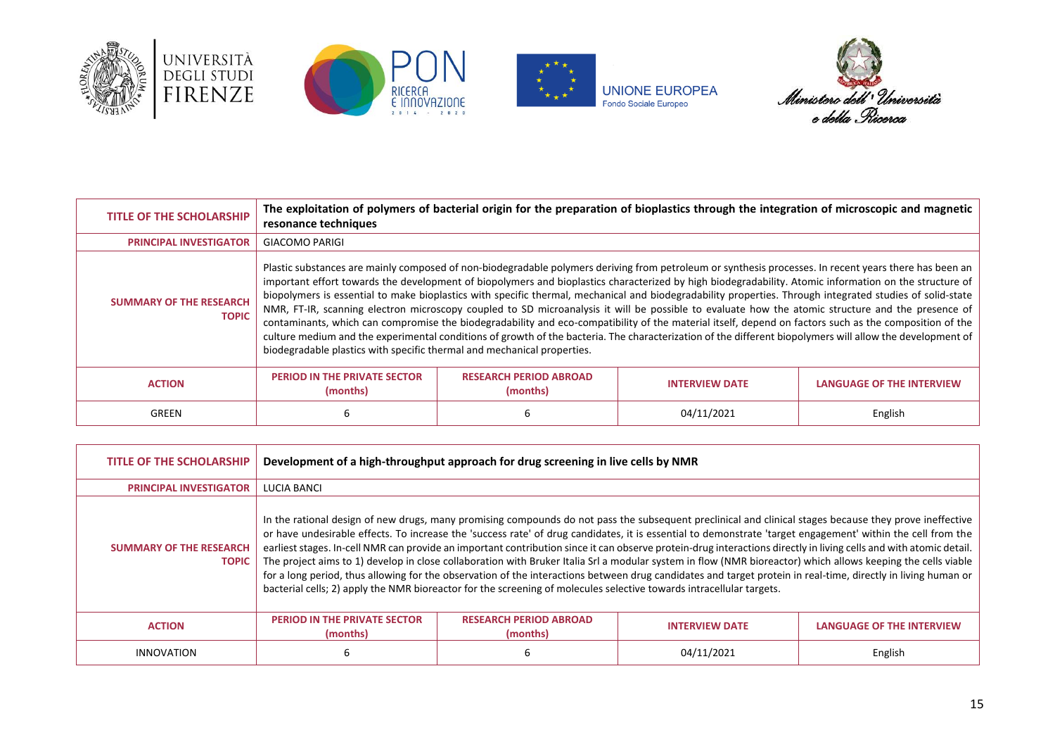





**UNIONE EUROPEA**<br>Fondo Sociale Europeo



| <b>TITLE OF THE SCHOLARSHIP</b>                | resonance techniques                                                                                                                                                                                                                                                                                                                                                                                                                                                                                                                                                                                                                                                                                                                                                                                                                                                                                                                                                                                                                 |                                           | The exploitation of polymers of bacterial origin for the preparation of bioplastics through the integration of microscopic and magnetic |                                  |
|------------------------------------------------|--------------------------------------------------------------------------------------------------------------------------------------------------------------------------------------------------------------------------------------------------------------------------------------------------------------------------------------------------------------------------------------------------------------------------------------------------------------------------------------------------------------------------------------------------------------------------------------------------------------------------------------------------------------------------------------------------------------------------------------------------------------------------------------------------------------------------------------------------------------------------------------------------------------------------------------------------------------------------------------------------------------------------------------|-------------------------------------------|-----------------------------------------------------------------------------------------------------------------------------------------|----------------------------------|
| <b>PRINCIPAL INVESTIGATOR</b>                  | <b>GIACOMO PARIGI</b>                                                                                                                                                                                                                                                                                                                                                                                                                                                                                                                                                                                                                                                                                                                                                                                                                                                                                                                                                                                                                |                                           |                                                                                                                                         |                                  |
| <b>SUMMARY OF THE RESEARCH</b><br><b>TOPIC</b> | Plastic substances are mainly composed of non-biodegradable polymers deriving from petroleum or synthesis processes. In recent years there has been an<br>important effort towards the development of biopolymers and bioplastics characterized by high biodegradability. Atomic information on the structure of<br>biopolymers is essential to make bioplastics with specific thermal, mechanical and biodegradability properties. Through integrated studies of solid-state<br>NMR, FT-IR, scanning electron microscopy coupled to SD microanalysis it will be possible to evaluate how the atomic structure and the presence of<br>contaminants, which can compromise the biodegradability and eco-compatibility of the material itself, depend on factors such as the composition of the<br>culture medium and the experimental conditions of growth of the bacteria. The characterization of the different biopolymers will allow the development of<br>biodegradable plastics with specific thermal and mechanical properties. |                                           |                                                                                                                                         |                                  |
| <b>ACTION</b>                                  | <b>PERIOD IN THE PRIVATE SECTOR</b><br>(months)                                                                                                                                                                                                                                                                                                                                                                                                                                                                                                                                                                                                                                                                                                                                                                                                                                                                                                                                                                                      | <b>RESEARCH PERIOD ABROAD</b><br>(months) | <b>INTERVIEW DATE</b>                                                                                                                   | <b>LANGUAGE OF THE INTERVIEW</b> |
| GREEN                                          | ь                                                                                                                                                                                                                                                                                                                                                                                                                                                                                                                                                                                                                                                                                                                                                                                                                                                                                                                                                                                                                                    |                                           | 04/11/2021                                                                                                                              | English                          |

| <b>TITLE OF THE SCHOLARSHIP</b>                | Development of a high-throughput approach for drug screening in live cells by NMR                                                                                                                                                                                                                                                                                                                                                                                                                                                                                                                                                                                                                                                                                                                                                                                                                                                                     |                                           |                       |                                  |
|------------------------------------------------|-------------------------------------------------------------------------------------------------------------------------------------------------------------------------------------------------------------------------------------------------------------------------------------------------------------------------------------------------------------------------------------------------------------------------------------------------------------------------------------------------------------------------------------------------------------------------------------------------------------------------------------------------------------------------------------------------------------------------------------------------------------------------------------------------------------------------------------------------------------------------------------------------------------------------------------------------------|-------------------------------------------|-----------------------|----------------------------------|
| <b>PRINCIPAL INVESTIGATOR</b>                  | LUCIA BANCI                                                                                                                                                                                                                                                                                                                                                                                                                                                                                                                                                                                                                                                                                                                                                                                                                                                                                                                                           |                                           |                       |                                  |
| <b>SUMMARY OF THE RESEARCH</b><br><b>TOPIC</b> | In the rational design of new drugs, many promising compounds do not pass the subsequent preclinical and clinical stages because they prove ineffective<br>or have undesirable effects. To increase the 'success rate' of drug candidates, it is essential to demonstrate 'target engagement' within the cell from the<br>earliest stages. In-cell NMR can provide an important contribution since it can observe protein-drug interactions directly in living cells and with atomic detail.<br>The project aims to 1) develop in close collaboration with Bruker Italia Srl a modular system in flow (NMR bioreactor) which allows keeping the cells viable<br>for a long period, thus allowing for the observation of the interactions between drug candidates and target protein in real-time, directly in living human or<br>bacterial cells; 2) apply the NMR bioreactor for the screening of molecules selective towards intracellular targets. |                                           |                       |                                  |
| <b>ACTION</b>                                  | <b>PERIOD IN THE PRIVATE SECTOR</b><br>(months)                                                                                                                                                                                                                                                                                                                                                                                                                                                                                                                                                                                                                                                                                                                                                                                                                                                                                                       | <b>RESEARCH PERIOD ABROAD</b><br>(months) | <b>INTERVIEW DATE</b> | <b>LANGUAGE OF THE INTERVIEW</b> |
| <b>INNOVATION</b>                              | ь                                                                                                                                                                                                                                                                                                                                                                                                                                                                                                                                                                                                                                                                                                                                                                                                                                                                                                                                                     |                                           | 04/11/2021            | English                          |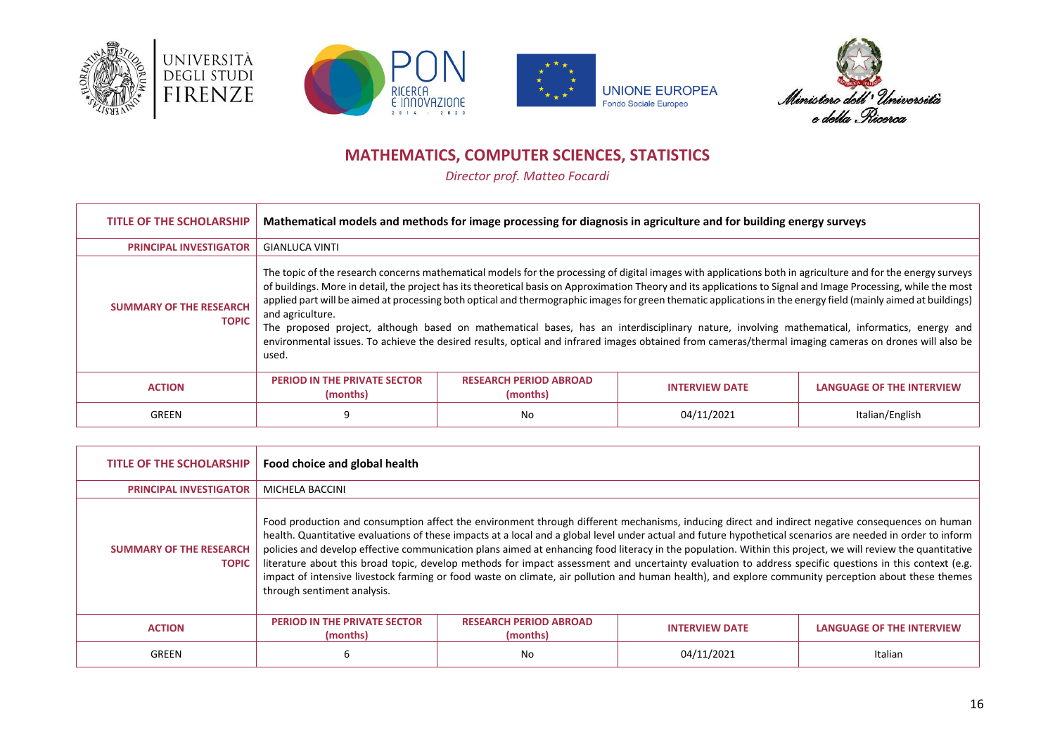







# **MATHEMATICS, COMPUTER SCIENCES, STATISTICS**

*Director prof. Matteo Focardi*

<span id="page-15-0"></span>

| <b>TITLE OF THE SCHOLARSHIP</b>                | Mathematical models and methods for image processing for diagnosis in agriculture and for building energy surveys                                                                                                                                                                                                                                                                                                                                                                                                                                                                                                                                                                                                                                                                                                                        |                                           |                       |                                  |
|------------------------------------------------|------------------------------------------------------------------------------------------------------------------------------------------------------------------------------------------------------------------------------------------------------------------------------------------------------------------------------------------------------------------------------------------------------------------------------------------------------------------------------------------------------------------------------------------------------------------------------------------------------------------------------------------------------------------------------------------------------------------------------------------------------------------------------------------------------------------------------------------|-------------------------------------------|-----------------------|----------------------------------|
| <b>PRINCIPAL INVESTIGATOR</b>                  | <b>GIANLUCA VINTI</b>                                                                                                                                                                                                                                                                                                                                                                                                                                                                                                                                                                                                                                                                                                                                                                                                                    |                                           |                       |                                  |
| <b>SUMMARY OF THE RESEARCH</b><br><b>TOPIC</b> | The topic of the research concerns mathematical models for the processing of digital images with applications both in agriculture and for the energy surveys<br>of buildings. More in detail, the project has its theoretical basis on Approximation Theory and its applications to Signal and Image Processing, while the most<br>applied part will be aimed at processing both optical and thermographic images for green thematic applications in the energy field (mainly aimed at buildings)<br>and agriculture.<br>The proposed project, although based on mathematical bases, has an interdisciplinary nature, involving mathematical, informatics, energy and<br>environmental issues. To achieve the desired results, optical and infrared images obtained from cameras/thermal imaging cameras on drones will also be<br>used. |                                           |                       |                                  |
| <b>ACTION</b>                                  | <b>PERIOD IN THE PRIVATE SECTOR</b><br>(months)                                                                                                                                                                                                                                                                                                                                                                                                                                                                                                                                                                                                                                                                                                                                                                                          | <b>RESEARCH PERIOD ABROAD</b><br>(months) | <b>INTERVIEW DATE</b> | <b>LANGUAGE OF THE INTERVIEW</b> |
| GREEN                                          | 9                                                                                                                                                                                                                                                                                                                                                                                                                                                                                                                                                                                                                                                                                                                                                                                                                                        | No                                        | 04/11/2021            | Italian/English                  |

| <b>TITLE OF THE SCHOLARSHIP</b>                | Food choice and global health                                                                                                                                                                                                                                                                                                                                                                                                                                                                                                                                                                                                                                                                                                                                                                                                     |                                           |                       |                                  |
|------------------------------------------------|-----------------------------------------------------------------------------------------------------------------------------------------------------------------------------------------------------------------------------------------------------------------------------------------------------------------------------------------------------------------------------------------------------------------------------------------------------------------------------------------------------------------------------------------------------------------------------------------------------------------------------------------------------------------------------------------------------------------------------------------------------------------------------------------------------------------------------------|-------------------------------------------|-----------------------|----------------------------------|
| <b>PRINCIPAL INVESTIGATOR</b>                  | MICHELA BACCINI                                                                                                                                                                                                                                                                                                                                                                                                                                                                                                                                                                                                                                                                                                                                                                                                                   |                                           |                       |                                  |
| <b>SUMMARY OF THE RESEARCH</b><br><b>TOPIC</b> | Food production and consumption affect the environment through different mechanisms, inducing direct and indirect negative consequences on human<br>health. Quantitative evaluations of these impacts at a local and a global level under actual and future hypothetical scenarios are needed in order to inform<br>policies and develop effective communication plans aimed at enhancing food literacy in the population. Within this project, we will review the quantitative<br>literature about this broad topic, develop methods for impact assessment and uncertainty evaluation to address specific questions in this context (e.g.<br>impact of intensive livestock farming or food waste on climate, air pollution and human health), and explore community perception about these themes<br>through sentiment analysis. |                                           |                       |                                  |
| <b>ACTION</b>                                  | <b>PERIOD IN THE PRIVATE SECTOR</b><br>(months)                                                                                                                                                                                                                                                                                                                                                                                                                                                                                                                                                                                                                                                                                                                                                                                   | <b>RESEARCH PERIOD ABROAD</b><br>(months) | <b>INTERVIEW DATE</b> | <b>LANGUAGE OF THE INTERVIEW</b> |
| GREEN                                          | 6                                                                                                                                                                                                                                                                                                                                                                                                                                                                                                                                                                                                                                                                                                                                                                                                                                 | No                                        | 04/11/2021            | Italian                          |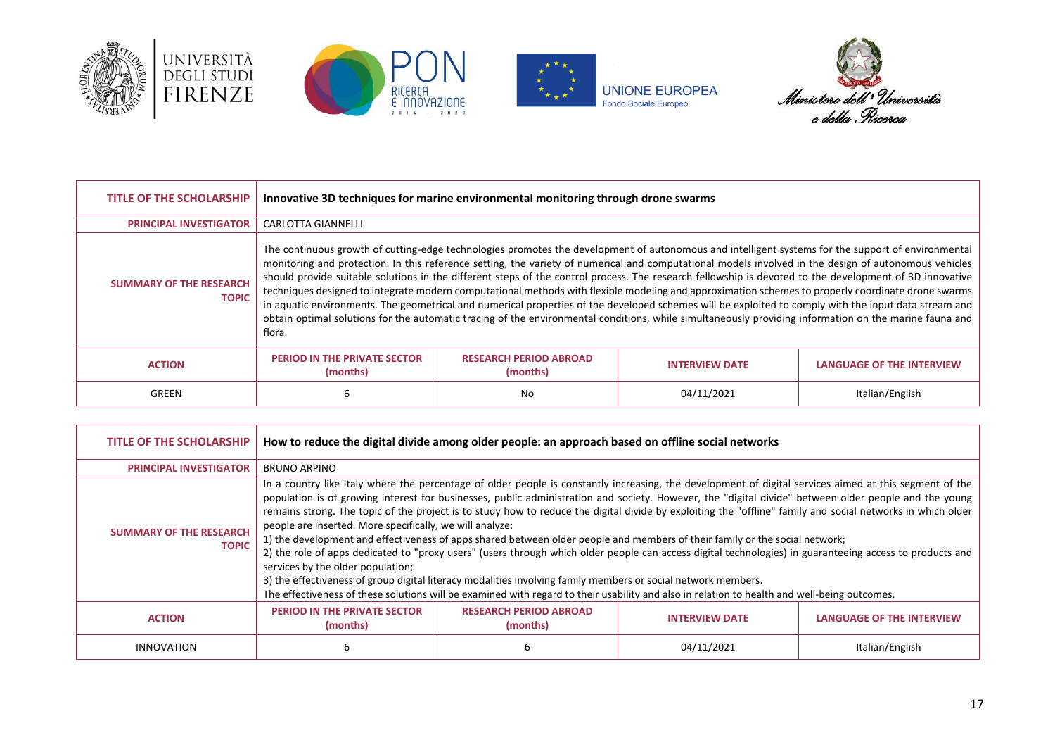







| <b>TITLE OF THE SCHOLARSHIP</b>                | Innovative 3D techniques for marine environmental monitoring through drone swarms                                                                                                                                                                                                                                                                                                                                                                                                                                                                                                                                                                                                                                                                                                                                                                                                                                                                         |                                           |                       |                                  |
|------------------------------------------------|-----------------------------------------------------------------------------------------------------------------------------------------------------------------------------------------------------------------------------------------------------------------------------------------------------------------------------------------------------------------------------------------------------------------------------------------------------------------------------------------------------------------------------------------------------------------------------------------------------------------------------------------------------------------------------------------------------------------------------------------------------------------------------------------------------------------------------------------------------------------------------------------------------------------------------------------------------------|-------------------------------------------|-----------------------|----------------------------------|
| <b>PRINCIPAL INVESTIGATOR</b>                  | CARLOTTA GIANNELLI                                                                                                                                                                                                                                                                                                                                                                                                                                                                                                                                                                                                                                                                                                                                                                                                                                                                                                                                        |                                           |                       |                                  |
| <b>SUMMARY OF THE RESEARCH</b><br><b>TOPIC</b> | The continuous growth of cutting-edge technologies promotes the development of autonomous and intelligent systems for the support of environmental<br>monitoring and protection. In this reference setting, the variety of numerical and computational models involved in the design of autonomous vehicles<br>should provide suitable solutions in the different steps of the control process. The research fellowship is devoted to the development of 3D innovative<br>techniques designed to integrate modern computational methods with flexible modeling and approximation schemes to properly coordinate drone swarms<br>in aquatic environments. The geometrical and numerical properties of the developed schemes will be exploited to comply with the input data stream and<br>obtain optimal solutions for the automatic tracing of the environmental conditions, while simultaneously providing information on the marine fauna and<br>flora. |                                           |                       |                                  |
| <b>ACTION</b>                                  | <b>PERIOD IN THE PRIVATE SECTOR</b><br>(months)                                                                                                                                                                                                                                                                                                                                                                                                                                                                                                                                                                                                                                                                                                                                                                                                                                                                                                           | <b>RESEARCH PERIOD ABROAD</b><br>(months) | <b>INTERVIEW DATE</b> | <b>LANGUAGE OF THE INTERVIEW</b> |
| GREEN                                          | 6                                                                                                                                                                                                                                                                                                                                                                                                                                                                                                                                                                                                                                                                                                                                                                                                                                                                                                                                                         | No                                        | 04/11/2021            | Italian/English                  |

| TITLE OF THE SCHOLARSHIP                       | How to reduce the digital divide among older people: an approach based on offline social networks                                                                                                                                                                                                                                                                                                                                                                                                                                                                                                                                                                                                                                                                                                                                                                                                                                                                                                                                                                                                                                            |                                           |                       |                                  |
|------------------------------------------------|----------------------------------------------------------------------------------------------------------------------------------------------------------------------------------------------------------------------------------------------------------------------------------------------------------------------------------------------------------------------------------------------------------------------------------------------------------------------------------------------------------------------------------------------------------------------------------------------------------------------------------------------------------------------------------------------------------------------------------------------------------------------------------------------------------------------------------------------------------------------------------------------------------------------------------------------------------------------------------------------------------------------------------------------------------------------------------------------------------------------------------------------|-------------------------------------------|-----------------------|----------------------------------|
| <b>PRINCIPAL INVESTIGATOR</b>                  | <b>BRUNO ARPINO</b>                                                                                                                                                                                                                                                                                                                                                                                                                                                                                                                                                                                                                                                                                                                                                                                                                                                                                                                                                                                                                                                                                                                          |                                           |                       |                                  |
| <b>SUMMARY OF THE RESEARCH</b><br><b>TOPIC</b> | In a country like Italy where the percentage of older people is constantly increasing, the development of digital services aimed at this segment of the<br>population is of growing interest for businesses, public administration and society. However, the "digital divide" between older people and the young<br>remains strong. The topic of the project is to study how to reduce the digital divide by exploiting the "offline" family and social networks in which older<br>people are inserted. More specifically, we will analyze:<br>1) the development and effectiveness of apps shared between older people and members of their family or the social network;<br>2) the role of apps dedicated to "proxy users" (users through which older people can access digital technologies) in guaranteeing access to products and<br>services by the older population;<br>3) the effectiveness of group digital literacy modalities involving family members or social network members.<br>The effectiveness of these solutions will be examined with regard to their usability and also in relation to health and well-being outcomes. |                                           |                       |                                  |
| <b>ACTION</b>                                  | <b>PERIOD IN THE PRIVATE SECTOR</b><br>(months)                                                                                                                                                                                                                                                                                                                                                                                                                                                                                                                                                                                                                                                                                                                                                                                                                                                                                                                                                                                                                                                                                              | <b>RESEARCH PERIOD ABROAD</b><br>(months) | <b>INTERVIEW DATE</b> | <b>LANGUAGE OF THE INTERVIEW</b> |
| <b>INNOVATION</b>                              | 6                                                                                                                                                                                                                                                                                                                                                                                                                                                                                                                                                                                                                                                                                                                                                                                                                                                                                                                                                                                                                                                                                                                                            |                                           | 04/11/2021            | Italian/English                  |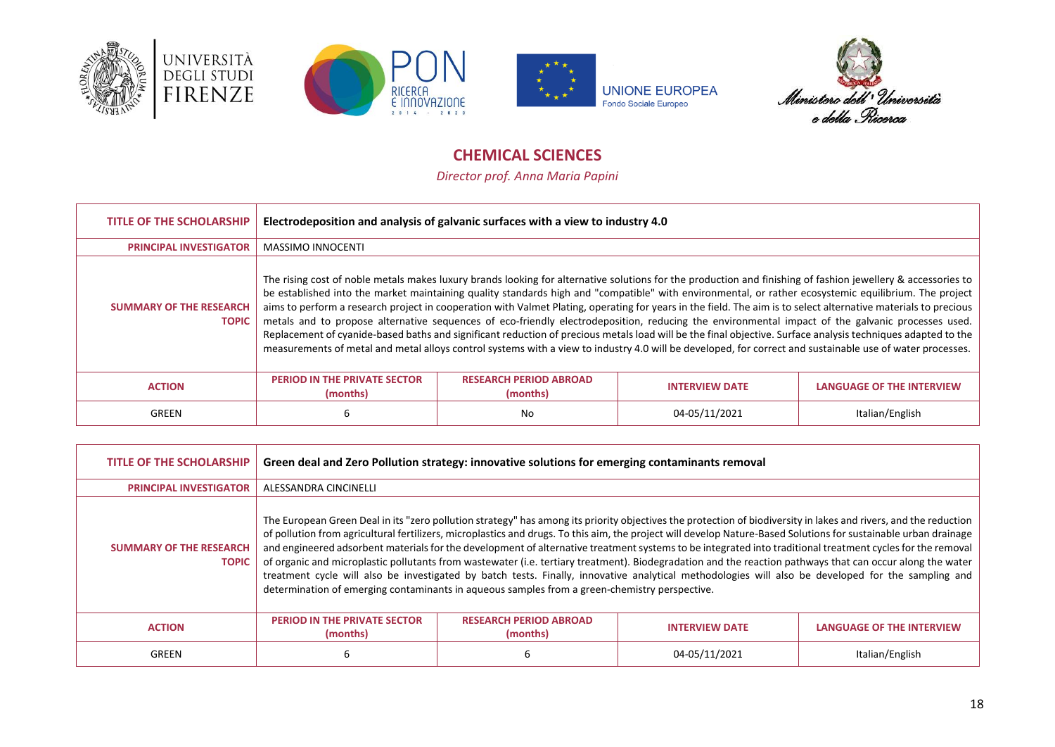







# **CHEMICAL SCIENCES**

*Director prof. Anna Maria Papini*

<span id="page-17-0"></span>

| <b>TITLE OF THE SCHOLARSHIP</b>                | Electrodeposition and analysis of galvanic surfaces with a view to industry 4.0                                                                                                                                                                                                                                                                                                                                                                                                                                                                                                                                                                                                                                                                                                                                                                                                                                                                                           |                                           |                       |                                  |
|------------------------------------------------|---------------------------------------------------------------------------------------------------------------------------------------------------------------------------------------------------------------------------------------------------------------------------------------------------------------------------------------------------------------------------------------------------------------------------------------------------------------------------------------------------------------------------------------------------------------------------------------------------------------------------------------------------------------------------------------------------------------------------------------------------------------------------------------------------------------------------------------------------------------------------------------------------------------------------------------------------------------------------|-------------------------------------------|-----------------------|----------------------------------|
| <b>PRINCIPAL INVESTIGATOR</b>                  | <b>MASSIMO INNOCENTI</b>                                                                                                                                                                                                                                                                                                                                                                                                                                                                                                                                                                                                                                                                                                                                                                                                                                                                                                                                                  |                                           |                       |                                  |
| <b>SUMMARY OF THE RESEARCH</b><br><b>TOPIC</b> | The rising cost of noble metals makes luxury brands looking for alternative solutions for the production and finishing of fashion jewellery & accessories to<br>be established into the market maintaining quality standards high and "compatible" with environmental, or rather ecosystemic equilibrium. The project<br>aims to perform a research project in cooperation with Valmet Plating, operating for years in the field. The aim is to select alternative materials to precious<br>metals and to propose alternative sequences of eco-friendly electrodeposition, reducing the environmental impact of the galvanic processes used.<br>Replacement of cyanide-based baths and significant reduction of precious metals load will be the final objective. Surface analysis techniques adapted to the<br>measurements of metal and metal alloys control systems with a view to industry 4.0 will be developed, for correct and sustainable use of water processes. |                                           |                       |                                  |
| <b>ACTION</b>                                  | <b>PERIOD IN THE PRIVATE SECTOR</b><br>(months)                                                                                                                                                                                                                                                                                                                                                                                                                                                                                                                                                                                                                                                                                                                                                                                                                                                                                                                           | <b>RESEARCH PERIOD ABROAD</b><br>(months) | <b>INTERVIEW DATE</b> | <b>LANGUAGE OF THE INTERVIEW</b> |
| GREEN                                          | ь                                                                                                                                                                                                                                                                                                                                                                                                                                                                                                                                                                                                                                                                                                                                                                                                                                                                                                                                                                         | No                                        | 04-05/11/2021         | Italian/English                  |

| <b>TITLE OF THE SCHOLARSHIP</b>                | Green deal and Zero Pollution strategy: innovative solutions for emerging contaminants removal                                                                                                                                                                                                                                                                                                                                                                                                                                                                                                                                                                                                                                                                                                                                                                                                                         |                                           |                       |                                  |
|------------------------------------------------|------------------------------------------------------------------------------------------------------------------------------------------------------------------------------------------------------------------------------------------------------------------------------------------------------------------------------------------------------------------------------------------------------------------------------------------------------------------------------------------------------------------------------------------------------------------------------------------------------------------------------------------------------------------------------------------------------------------------------------------------------------------------------------------------------------------------------------------------------------------------------------------------------------------------|-------------------------------------------|-----------------------|----------------------------------|
| <b>PRINCIPAL INVESTIGATOR</b>                  | ALESSANDRA CINCINELLI                                                                                                                                                                                                                                                                                                                                                                                                                                                                                                                                                                                                                                                                                                                                                                                                                                                                                                  |                                           |                       |                                  |
| <b>SUMMARY OF THE RESEARCH</b><br><b>TOPIC</b> | The European Green Deal in its "zero pollution strategy" has among its priority objectives the protection of biodiversity in lakes and rivers, and the reduction<br>of pollution from agricultural fertilizers, microplastics and drugs. To this aim, the project will develop Nature-Based Solutions for sustainable urban drainage<br>and engineered adsorbent materials for the development of alternative treatment systems to be integrated into traditional treatment cycles for the removal<br>of organic and microplastic pollutants from wastewater (i.e. tertiary treatment). Biodegradation and the reaction pathways that can occur along the water<br>treatment cycle will also be investigated by batch tests. Finally, innovative analytical methodologies will also be developed for the sampling and<br>determination of emerging contaminants in aqueous samples from a green-chemistry perspective. |                                           |                       |                                  |
| <b>ACTION</b>                                  | <b>PERIOD IN THE PRIVATE SECTOR</b><br>(months)                                                                                                                                                                                                                                                                                                                                                                                                                                                                                                                                                                                                                                                                                                                                                                                                                                                                        | <b>RESEARCH PERIOD ABROAD</b><br>(months) | <b>INTERVIEW DATE</b> | <b>LANGUAGE OF THE INTERVIEW</b> |
| <b>GREEN</b>                                   | 6                                                                                                                                                                                                                                                                                                                                                                                                                                                                                                                                                                                                                                                                                                                                                                                                                                                                                                                      |                                           | 04-05/11/2021         | Italian/English                  |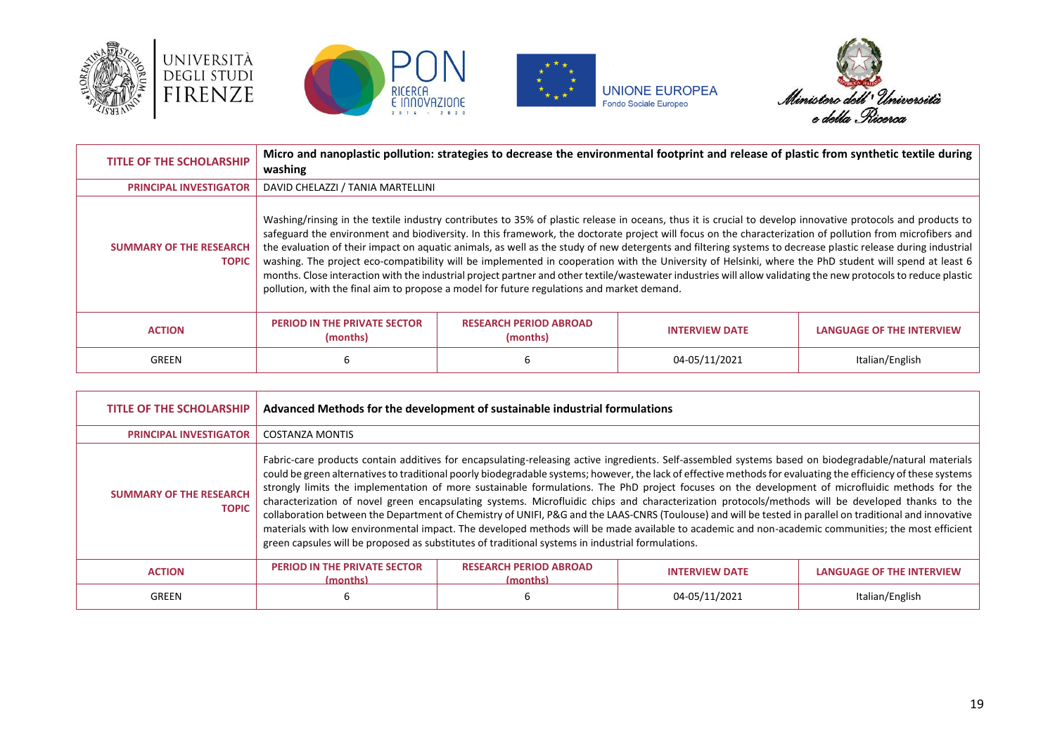







| <b>TITLE OF THE SCHOLARSHIP</b>                | Micro and nanoplastic pollution: strategies to decrease the environmental footprint and release of plastic from synthetic textile during<br>washing |                                                                                                                                                                                                                                                                                                                                                                                                                                                                                                                                                                                                                                                                                                                                                                                                                                                                                                                      |                       |                                  |
|------------------------------------------------|-----------------------------------------------------------------------------------------------------------------------------------------------------|----------------------------------------------------------------------------------------------------------------------------------------------------------------------------------------------------------------------------------------------------------------------------------------------------------------------------------------------------------------------------------------------------------------------------------------------------------------------------------------------------------------------------------------------------------------------------------------------------------------------------------------------------------------------------------------------------------------------------------------------------------------------------------------------------------------------------------------------------------------------------------------------------------------------|-----------------------|----------------------------------|
| <b>PRINCIPAL INVESTIGATOR</b>                  | DAVID CHELAZZI / TANIA MARTELLINI                                                                                                                   |                                                                                                                                                                                                                                                                                                                                                                                                                                                                                                                                                                                                                                                                                                                                                                                                                                                                                                                      |                       |                                  |
| <b>SUMMARY OF THE RESEARCH</b><br><b>TOPIC</b> |                                                                                                                                                     | Washing/rinsing in the textile industry contributes to 35% of plastic release in oceans, thus it is crucial to develop innovative protocols and products to<br>safeguard the environment and biodiversity. In this framework, the doctorate project will focus on the characterization of pollution from microfibers and<br>the evaluation of their impact on aquatic animals, as well as the study of new detergents and filtering systems to decrease plastic release during industrial<br>washing. The project eco-compatibility will be implemented in cooperation with the University of Helsinki, where the PhD student will spend at least 6<br>months. Close interaction with the industrial project partner and other textile/wastewater industries will allow validating the new protocols to reduce plastic<br>pollution, with the final aim to propose a model for future regulations and market demand. |                       |                                  |
| <b>ACTION</b>                                  | <b>PERIOD IN THE PRIVATE SECTOR</b><br>(months)                                                                                                     | <b>RESEARCH PERIOD ABROAD</b><br>(months)                                                                                                                                                                                                                                                                                                                                                                                                                                                                                                                                                                                                                                                                                                                                                                                                                                                                            | <b>INTERVIEW DATE</b> | <b>LANGUAGE OF THE INTERVIEW</b> |
| GREEN                                          | 6                                                                                                                                                   |                                                                                                                                                                                                                                                                                                                                                                                                                                                                                                                                                                                                                                                                                                                                                                                                                                                                                                                      | 04-05/11/2021         | Italian/English                  |

| <b>TITLE OF THE SCHOLARSHIP</b>                | Advanced Methods for the development of sustainable industrial formulations |                                                                                                                                                                                                                                                                                                                                                                                                                                                                                                                                                                                                                                                                                                                                                                                                                                                                                                                                                                                                                                                         |                       |                                  |
|------------------------------------------------|-----------------------------------------------------------------------------|---------------------------------------------------------------------------------------------------------------------------------------------------------------------------------------------------------------------------------------------------------------------------------------------------------------------------------------------------------------------------------------------------------------------------------------------------------------------------------------------------------------------------------------------------------------------------------------------------------------------------------------------------------------------------------------------------------------------------------------------------------------------------------------------------------------------------------------------------------------------------------------------------------------------------------------------------------------------------------------------------------------------------------------------------------|-----------------------|----------------------------------|
| <b>PRINCIPAL INVESTIGATOR</b>                  | <b>COSTANZA MONTIS</b>                                                      |                                                                                                                                                                                                                                                                                                                                                                                                                                                                                                                                                                                                                                                                                                                                                                                                                                                                                                                                                                                                                                                         |                       |                                  |
| <b>SUMMARY OF THE RESEARCH</b><br><b>TOPIC</b> |                                                                             | Fabric-care products contain additives for encapsulating-releasing active ingredients. Self-assembled systems based on biodegradable/natural materials<br>could be green alternatives to traditional poorly biodegradable systems; however, the lack of effective methods for evaluating the efficiency of these systems<br>strongly limits the implementation of more sustainable formulations. The PhD project focuses on the development of microfluidic methods for the<br>characterization of novel green encapsulating systems. Microfluidic chips and characterization protocols/methods will be developed thanks to the<br>collaboration between the Department of Chemistry of UNIFI, P&G and the LAAS-CNRS (Toulouse) and will be tested in parallel on traditional and innovative<br>materials with low environmental impact. The developed methods will be made available to academic and non-academic communities; the most efficient<br>green capsules will be proposed as substitutes of traditional systems in industrial formulations. |                       |                                  |
| <b>ACTION</b>                                  | <b>PERIOD IN THE PRIVATE SECTOR</b><br>(months)                             | <b>RESEARCH PERIOD ABROAD</b><br>(months)                                                                                                                                                                                                                                                                                                                                                                                                                                                                                                                                                                                                                                                                                                                                                                                                                                                                                                                                                                                                               | <b>INTERVIEW DATE</b> | <b>LANGUAGE OF THE INTERVIEW</b> |
| GREEN                                          | 6                                                                           |                                                                                                                                                                                                                                                                                                                                                                                                                                                                                                                                                                                                                                                                                                                                                                                                                                                                                                                                                                                                                                                         | 04-05/11/2021         | Italian/English                  |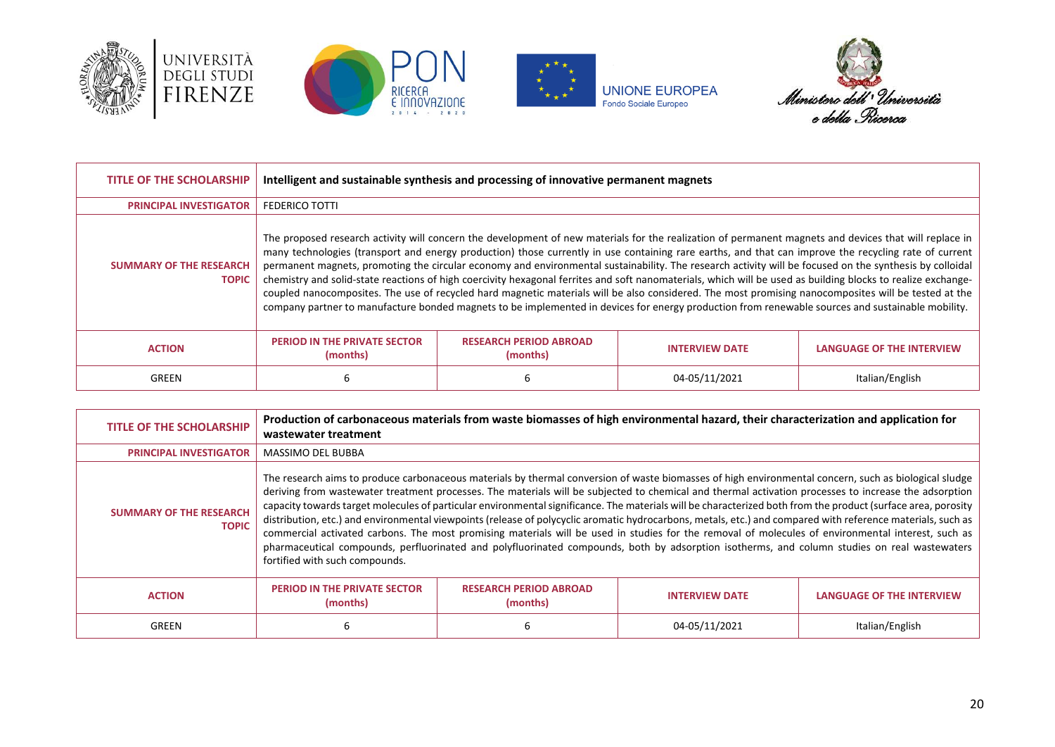







| <b>TITLE OF THE SCHOLARSHIP</b>                | Intelligent and sustainable synthesis and processing of innovative permanent magnets |                                           |                                                                                                                                                                                                                                                                                                                                                                                                                                                                                                                                                                                                                                                                                                                                                                                                                                                                                                                                                         |                                  |
|------------------------------------------------|--------------------------------------------------------------------------------------|-------------------------------------------|---------------------------------------------------------------------------------------------------------------------------------------------------------------------------------------------------------------------------------------------------------------------------------------------------------------------------------------------------------------------------------------------------------------------------------------------------------------------------------------------------------------------------------------------------------------------------------------------------------------------------------------------------------------------------------------------------------------------------------------------------------------------------------------------------------------------------------------------------------------------------------------------------------------------------------------------------------|----------------------------------|
| <b>PRINCIPAL INVESTIGATOR</b>                  | <b>FEDERICO TOTTI</b>                                                                |                                           |                                                                                                                                                                                                                                                                                                                                                                                                                                                                                                                                                                                                                                                                                                                                                                                                                                                                                                                                                         |                                  |
| <b>SUMMARY OF THE RESEARCH</b><br><b>TOPIC</b> |                                                                                      |                                           | The proposed research activity will concern the development of new materials for the realization of permanent magnets and devices that will replace in<br>many technologies (transport and energy production) those currently in use containing rare earths, and that can improve the recycling rate of current<br>permanent magnets, promoting the circular economy and environmental sustainability. The research activity will be focused on the synthesis by colloidal<br>chemistry and solid-state reactions of high coercivity hexagonal ferrites and soft nanomaterials, which will be used as building blocks to realize exchange-<br>coupled nanocomposites. The use of recycled hard magnetic materials will be also considered. The most promising nanocomposites will be tested at the<br>company partner to manufacture bonded magnets to be implemented in devices for energy production from renewable sources and sustainable mobility. |                                  |
| <b>ACTION</b>                                  | <b>PERIOD IN THE PRIVATE SECTOR</b><br>(months)                                      | <b>RESEARCH PERIOD ABROAD</b><br>(months) | <b>INTERVIEW DATE</b>                                                                                                                                                                                                                                                                                                                                                                                                                                                                                                                                                                                                                                                                                                                                                                                                                                                                                                                                   | <b>LANGUAGE OF THE INTERVIEW</b> |
| GREEN                                          | b                                                                                    |                                           | 04-05/11/2021                                                                                                                                                                                                                                                                                                                                                                                                                                                                                                                                                                                                                                                                                                                                                                                                                                                                                                                                           | Italian/English                  |

| <b>TITLE OF THE SCHOLARSHIP</b>                | wastewater treatment                                                                                                                                                                                                                                                                                                                                                                                                                                                                                                                                                                                                                                                                                                                                                                                                                                                                                                                                                                   |                                           | Production of carbonaceous materials from waste biomasses of high environmental hazard, their characterization and application for |                                  |
|------------------------------------------------|----------------------------------------------------------------------------------------------------------------------------------------------------------------------------------------------------------------------------------------------------------------------------------------------------------------------------------------------------------------------------------------------------------------------------------------------------------------------------------------------------------------------------------------------------------------------------------------------------------------------------------------------------------------------------------------------------------------------------------------------------------------------------------------------------------------------------------------------------------------------------------------------------------------------------------------------------------------------------------------|-------------------------------------------|------------------------------------------------------------------------------------------------------------------------------------|----------------------------------|
| <b>PRINCIPAL INVESTIGATOR</b>                  | <b>MASSIMO DEL BUBBA</b>                                                                                                                                                                                                                                                                                                                                                                                                                                                                                                                                                                                                                                                                                                                                                                                                                                                                                                                                                               |                                           |                                                                                                                                    |                                  |
| <b>SUMMARY OF THE RESEARCH</b><br><b>TOPIC</b> | The research aims to produce carbonaceous materials by thermal conversion of waste biomasses of high environmental concern, such as biological sludge<br>deriving from wastewater treatment processes. The materials will be subjected to chemical and thermal activation processes to increase the adsorption<br>capacity towards target molecules of particular environmental significance. The materials will be characterized both from the product (surface area, porosity<br>distribution, etc.) and environmental viewpoints (release of polycyclic aromatic hydrocarbons, metals, etc.) and compared with reference materials, such as<br>commercial activated carbons. The most promising materials will be used in studies for the removal of molecules of environmental interest, such as<br>pharmaceutical compounds, perfluorinated and polyfluorinated compounds, both by adsorption isotherms, and column studies on real wastewaters<br>fortified with such compounds. |                                           |                                                                                                                                    |                                  |
| <b>ACTION</b>                                  | <b>PERIOD IN THE PRIVATE SECTOR</b><br>(months)                                                                                                                                                                                                                                                                                                                                                                                                                                                                                                                                                                                                                                                                                                                                                                                                                                                                                                                                        | <b>RESEARCH PERIOD ABROAD</b><br>(months) | <b>INTERVIEW DATE</b>                                                                                                              | <b>LANGUAGE OF THE INTERVIEW</b> |
| GREEN                                          | ь                                                                                                                                                                                                                                                                                                                                                                                                                                                                                                                                                                                                                                                                                                                                                                                                                                                                                                                                                                                      |                                           | 04-05/11/2021                                                                                                                      | Italian/English                  |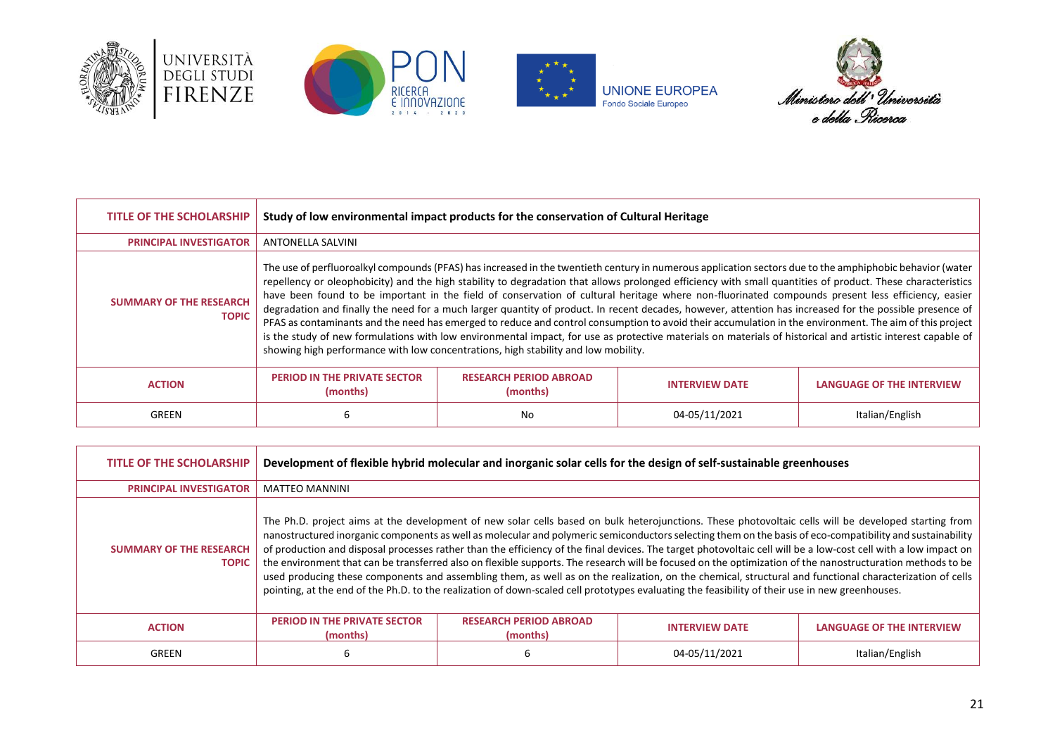





**UNIONE EUROPEA**<br>Fondo Sociale Europeo



| <b>TITLE OF THE SCHOLARSHIP</b>                | Study of low environmental impact products for the conservation of Cultural Heritage                                                                                                                                                                                                                                                                                                                                                                                                                                                                                                                                                                                                                                                                                                                                                                                                                                                                                                                                                                     |                                           |                       |                                  |
|------------------------------------------------|----------------------------------------------------------------------------------------------------------------------------------------------------------------------------------------------------------------------------------------------------------------------------------------------------------------------------------------------------------------------------------------------------------------------------------------------------------------------------------------------------------------------------------------------------------------------------------------------------------------------------------------------------------------------------------------------------------------------------------------------------------------------------------------------------------------------------------------------------------------------------------------------------------------------------------------------------------------------------------------------------------------------------------------------------------|-------------------------------------------|-----------------------|----------------------------------|
| <b>PRINCIPAL INVESTIGATOR</b>                  | <b>ANTONELLA SALVINI</b>                                                                                                                                                                                                                                                                                                                                                                                                                                                                                                                                                                                                                                                                                                                                                                                                                                                                                                                                                                                                                                 |                                           |                       |                                  |
| <b>SUMMARY OF THE RESEARCH</b><br><b>TOPIC</b> | The use of perfluoroalkyl compounds (PFAS) has increased in the twentieth century in numerous application sectors due to the amphiphobic behavior (water<br>repellency or oleophobicity) and the high stability to degradation that allows prolonged efficiency with small quantities of product. These characteristics<br>have been found to be important in the field of conservation of cultural heritage where non-fluorinated compounds present less efficiency, easier<br>degradation and finally the need for a much larger quantity of product. In recent decades, however, attention has increased for the possible presence of<br>PFAS as contaminants and the need has emerged to reduce and control consumption to avoid their accumulation in the environment. The aim of this project<br>is the study of new formulations with low environmental impact, for use as protective materials on materials of historical and artistic interest capable of<br>showing high performance with low concentrations, high stability and low mobility. |                                           |                       |                                  |
| <b>ACTION</b>                                  | <b>PERIOD IN THE PRIVATE SECTOR</b><br>(months)                                                                                                                                                                                                                                                                                                                                                                                                                                                                                                                                                                                                                                                                                                                                                                                                                                                                                                                                                                                                          | <b>RESEARCH PERIOD ABROAD</b><br>(months) | <b>INTERVIEW DATE</b> | <b>LANGUAGE OF THE INTERVIEW</b> |
| GREEN                                          | 6                                                                                                                                                                                                                                                                                                                                                                                                                                                                                                                                                                                                                                                                                                                                                                                                                                                                                                                                                                                                                                                        | No                                        | 04-05/11/2021         | Italian/English                  |

| <b>TITLE OF THE SCHOLARSHIP</b>                | Development of flexible hybrid molecular and inorganic solar cells for the design of self-sustainable greenhouses                                                                                                                                                                                                                                                                                                                                                                                                                                                                                                                                                                                                                                                                                                                                                                                                                                                 |                                           |                       |                                  |
|------------------------------------------------|-------------------------------------------------------------------------------------------------------------------------------------------------------------------------------------------------------------------------------------------------------------------------------------------------------------------------------------------------------------------------------------------------------------------------------------------------------------------------------------------------------------------------------------------------------------------------------------------------------------------------------------------------------------------------------------------------------------------------------------------------------------------------------------------------------------------------------------------------------------------------------------------------------------------------------------------------------------------|-------------------------------------------|-----------------------|----------------------------------|
| <b>PRINCIPAL INVESTIGATOR</b>                  | <b>MATTEO MANNINI</b>                                                                                                                                                                                                                                                                                                                                                                                                                                                                                                                                                                                                                                                                                                                                                                                                                                                                                                                                             |                                           |                       |                                  |
| <b>SUMMARY OF THE RESEARCH</b><br><b>TOPIC</b> | The Ph.D. project aims at the development of new solar cells based on bulk heterojunctions. These photovoltaic cells will be developed starting from<br>nanostructured inorganic components as well as molecular and polymeric semiconductors selecting them on the basis of eco-compatibility and sustainability<br>of production and disposal processes rather than the efficiency of the final devices. The target photovoltaic cell will be a low-cost cell with a low impact on<br>the environment that can be transferred also on flexible supports. The research will be focused on the optimization of the nanostructuration methods to be<br>used producing these components and assembling them, as well as on the realization, on the chemical, structural and functional characterization of cells<br>pointing, at the end of the Ph.D. to the realization of down-scaled cell prototypes evaluating the feasibility of their use in new greenhouses. |                                           |                       |                                  |
| <b>ACTION</b>                                  | <b>PERIOD IN THE PRIVATE SECTOR</b><br>(months)                                                                                                                                                                                                                                                                                                                                                                                                                                                                                                                                                                                                                                                                                                                                                                                                                                                                                                                   | <b>RESEARCH PERIOD ABROAD</b><br>(months) | <b>INTERVIEW DATE</b> | <b>LANGUAGE OF THE INTERVIEW</b> |
| GREEN                                          | 6                                                                                                                                                                                                                                                                                                                                                                                                                                                                                                                                                                                                                                                                                                                                                                                                                                                                                                                                                                 |                                           | 04-05/11/2021         | Italian/English                  |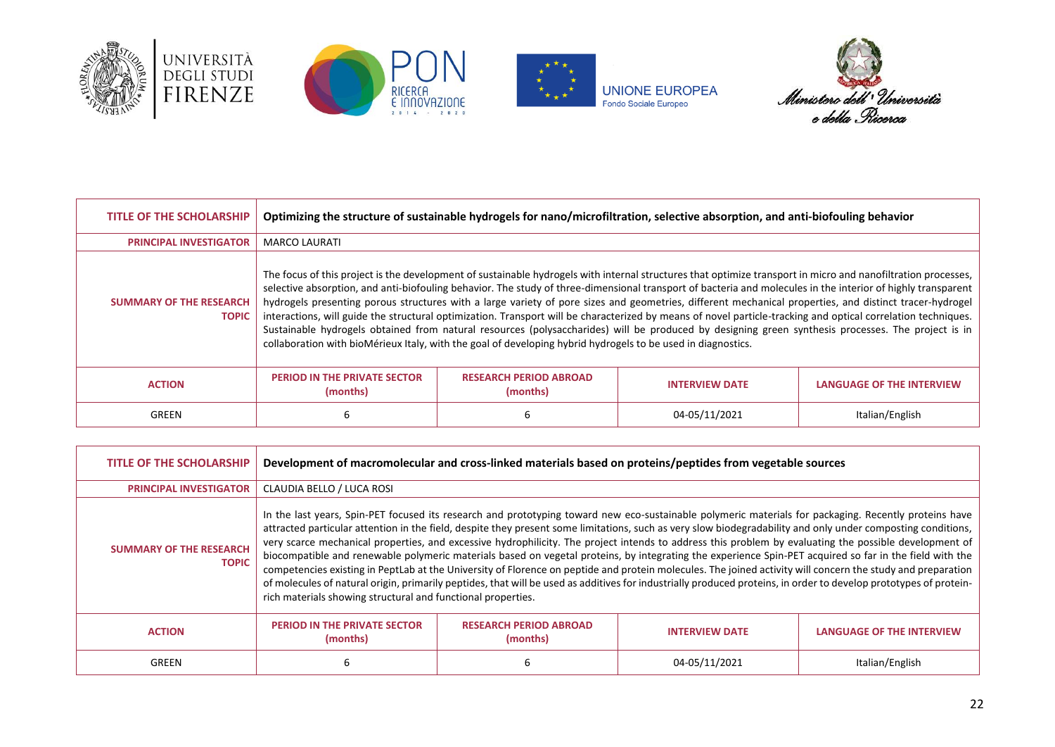







| <b>TITLE OF THE SCHOLARSHIP</b>                | Optimizing the structure of sustainable hydrogels for nano/microfiltration, selective absorption, and anti-biofouling behavior                                                                                                                                                                                                                                                                                                                                                                                                                                                                                                                                                                                                                                                                                                                                                                                                  |                                           |                       |                                  |
|------------------------------------------------|---------------------------------------------------------------------------------------------------------------------------------------------------------------------------------------------------------------------------------------------------------------------------------------------------------------------------------------------------------------------------------------------------------------------------------------------------------------------------------------------------------------------------------------------------------------------------------------------------------------------------------------------------------------------------------------------------------------------------------------------------------------------------------------------------------------------------------------------------------------------------------------------------------------------------------|-------------------------------------------|-----------------------|----------------------------------|
| <b>PRINCIPAL INVESTIGATOR</b>                  | <b>MARCO LAURATI</b>                                                                                                                                                                                                                                                                                                                                                                                                                                                                                                                                                                                                                                                                                                                                                                                                                                                                                                            |                                           |                       |                                  |
| <b>SUMMARY OF THE RESEARCH</b><br><b>TOPIC</b> | The focus of this project is the development of sustainable hydrogels with internal structures that optimize transport in micro and nanofiltration processes,<br>selective absorption, and anti-biofouling behavior. The study of three-dimensional transport of bacteria and molecules in the interior of highly transparent<br>hydrogels presenting porous structures with a large variety of pore sizes and geometries, different mechanical properties, and distinct tracer-hydrogel<br>interactions, will guide the structural optimization. Transport will be characterized by means of novel particle-tracking and optical correlation techniques.<br>Sustainable hydrogels obtained from natural resources (polysaccharides) will be produced by designing green synthesis processes. The project is in<br>collaboration with bioMérieux Italy, with the goal of developing hybrid hydrogels to be used in diagnostics. |                                           |                       |                                  |
| <b>ACTION</b>                                  | <b>PERIOD IN THE PRIVATE SECTOR</b><br>(months)                                                                                                                                                                                                                                                                                                                                                                                                                                                                                                                                                                                                                                                                                                                                                                                                                                                                                 | <b>RESEARCH PERIOD ABROAD</b><br>(months) | <b>INTERVIEW DATE</b> | <b>LANGUAGE OF THE INTERVIEW</b> |
| GREEN                                          | 6                                                                                                                                                                                                                                                                                                                                                                                                                                                                                                                                                                                                                                                                                                                                                                                                                                                                                                                               |                                           | 04-05/11/2021         | Italian/English                  |

| <b>TITLE OF THE SCHOLARSHIP</b>                | Development of macromolecular and cross-linked materials based on proteins/peptides from vegetable sources                                                                                                                                                                                                                                                                                                                                                                                                                                                                                                                                                                                                                                                                                                                                                                                                                                                                                                                                     |                                           |                       |                                  |
|------------------------------------------------|------------------------------------------------------------------------------------------------------------------------------------------------------------------------------------------------------------------------------------------------------------------------------------------------------------------------------------------------------------------------------------------------------------------------------------------------------------------------------------------------------------------------------------------------------------------------------------------------------------------------------------------------------------------------------------------------------------------------------------------------------------------------------------------------------------------------------------------------------------------------------------------------------------------------------------------------------------------------------------------------------------------------------------------------|-------------------------------------------|-----------------------|----------------------------------|
| <b>PRINCIPAL INVESTIGATOR</b>                  | CLAUDIA BELLO / LUCA ROSI                                                                                                                                                                                                                                                                                                                                                                                                                                                                                                                                                                                                                                                                                                                                                                                                                                                                                                                                                                                                                      |                                           |                       |                                  |
| <b>SUMMARY OF THE RESEARCH</b><br><b>TOPIC</b> | In the last years, Spin-PET focused its research and prototyping toward new eco-sustainable polymeric materials for packaging. Recently proteins have<br>attracted particular attention in the field, despite they present some limitations, such as very slow biodegradability and only under composting conditions,<br>very scarce mechanical properties, and excessive hydrophilicity. The project intends to address this problem by evaluating the possible development of<br>biocompatible and renewable polymeric materials based on vegetal proteins, by integrating the experience Spin-PET acquired so far in the field with the<br>competencies existing in PeptLab at the University of Florence on peptide and protein molecules. The joined activity will concern the study and preparation<br>of molecules of natural origin, primarily peptides, that will be used as additives for industrially produced proteins, in order to develop prototypes of protein-<br>rich materials showing structural and functional properties. |                                           |                       |                                  |
| <b>ACTION</b>                                  | <b>PERIOD IN THE PRIVATE SECTOR</b><br>(months)                                                                                                                                                                                                                                                                                                                                                                                                                                                                                                                                                                                                                                                                                                                                                                                                                                                                                                                                                                                                | <b>RESEARCH PERIOD ABROAD</b><br>(months) | <b>INTERVIEW DATE</b> | <b>LANGUAGE OF THE INTERVIEW</b> |
| GREEN                                          | ь                                                                                                                                                                                                                                                                                                                                                                                                                                                                                                                                                                                                                                                                                                                                                                                                                                                                                                                                                                                                                                              |                                           | 04-05/11/2021         | Italian/English                  |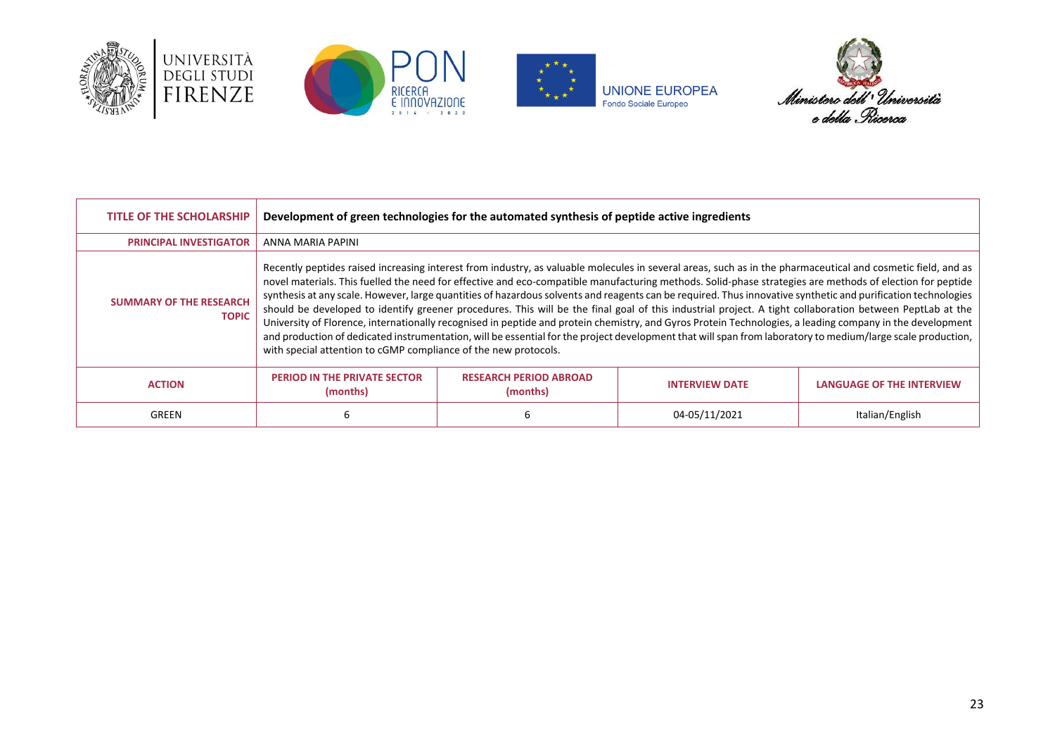







| <b>TITLE OF THE SCHOLARSHIP</b>                | Development of green technologies for the automated synthesis of peptide active ingredients                                                                                                                                                                                                                                                                                                                                                                                                                                                                                                                                                                                                                                                                                                                                                                                                                                                                                                                                                           |                                           |                       |                                  |
|------------------------------------------------|-------------------------------------------------------------------------------------------------------------------------------------------------------------------------------------------------------------------------------------------------------------------------------------------------------------------------------------------------------------------------------------------------------------------------------------------------------------------------------------------------------------------------------------------------------------------------------------------------------------------------------------------------------------------------------------------------------------------------------------------------------------------------------------------------------------------------------------------------------------------------------------------------------------------------------------------------------------------------------------------------------------------------------------------------------|-------------------------------------------|-----------------------|----------------------------------|
| <b>PRINCIPAL INVESTIGATOR</b>                  | ANNA MARIA PAPINI                                                                                                                                                                                                                                                                                                                                                                                                                                                                                                                                                                                                                                                                                                                                                                                                                                                                                                                                                                                                                                     |                                           |                       |                                  |
| <b>SUMMARY OF THE RESEARCH</b><br><b>TOPIC</b> | Recently peptides raised increasing interest from industry, as valuable molecules in several areas, such as in the pharmaceutical and cosmetic field, and as<br>novel materials. This fuelled the need for effective and eco-compatible manufacturing methods. Solid-phase strategies are methods of election for peptide<br>synthesis at any scale. However, large quantities of hazardous solvents and reagents can be required. Thus innovative synthetic and purification technologies<br>should be developed to identify greener procedures. This will be the final goal of this industrial project. A tight collaboration between PeptLab at the<br>University of Florence, internationally recognised in peptide and protein chemistry, and Gyros Protein Technologies, a leading company in the development<br>and production of dedicated instrumentation, will be essential for the project development that will span from laboratory to medium/large scale production,<br>with special attention to cGMP compliance of the new protocols. |                                           |                       |                                  |
| <b>ACTION</b>                                  | <b>PERIOD IN THE PRIVATE SECTOR</b><br>(months)                                                                                                                                                                                                                                                                                                                                                                                                                                                                                                                                                                                                                                                                                                                                                                                                                                                                                                                                                                                                       | <b>RESEARCH PERIOD ABROAD</b><br>(months) | <b>INTERVIEW DATE</b> | <b>LANGUAGE OF THE INTERVIEW</b> |
| GREEN                                          | ь                                                                                                                                                                                                                                                                                                                                                                                                                                                                                                                                                                                                                                                                                                                                                                                                                                                                                                                                                                                                                                                     |                                           | 04-05/11/2021         | Italian/English                  |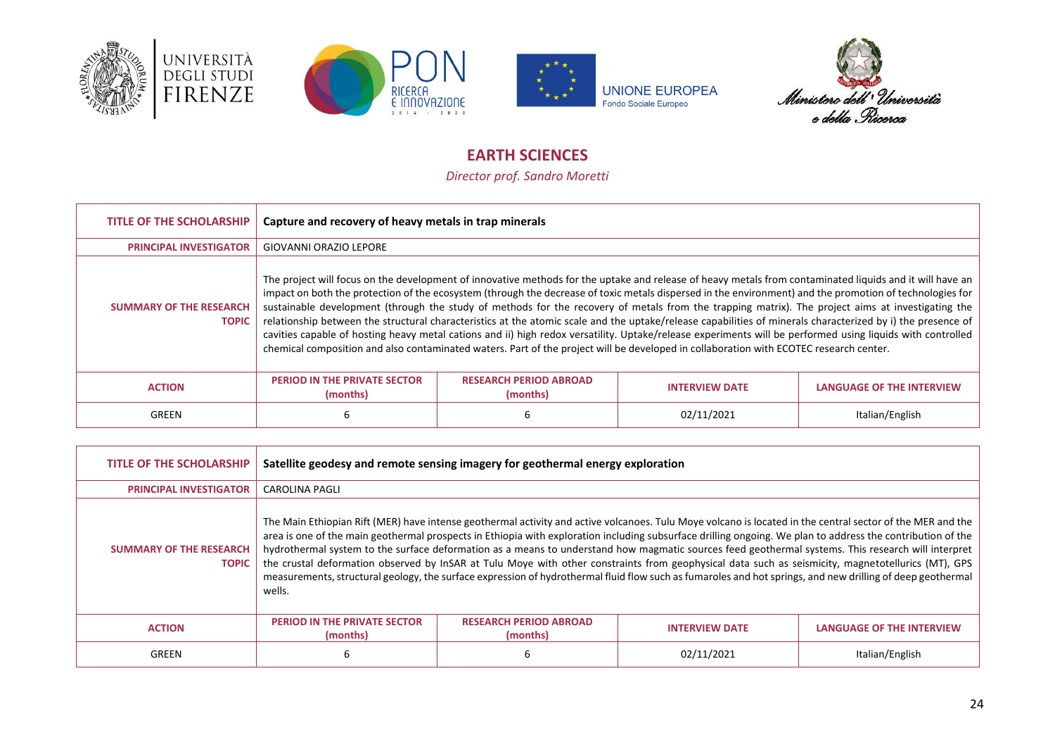







# **EARTH SCIENCES**

*Director prof. Sandro Moretti*

<span id="page-23-0"></span>

| <b>TITLE OF THE SCHOLARSHIP</b>                | Capture and recovery of heavy metals in trap minerals                                                                                                                                                                                                                                                                                                                                                                                                                                                                                                                                                                                                                                                                                                                                                                                                                                                                                            |                                           |                       |                                  |
|------------------------------------------------|--------------------------------------------------------------------------------------------------------------------------------------------------------------------------------------------------------------------------------------------------------------------------------------------------------------------------------------------------------------------------------------------------------------------------------------------------------------------------------------------------------------------------------------------------------------------------------------------------------------------------------------------------------------------------------------------------------------------------------------------------------------------------------------------------------------------------------------------------------------------------------------------------------------------------------------------------|-------------------------------------------|-----------------------|----------------------------------|
| <b>PRINCIPAL INVESTIGATOR</b>                  | GIOVANNI ORAZIO LEPORE                                                                                                                                                                                                                                                                                                                                                                                                                                                                                                                                                                                                                                                                                                                                                                                                                                                                                                                           |                                           |                       |                                  |
| <b>SUMMARY OF THE RESEARCH</b><br><b>TOPIC</b> | The project will focus on the development of innovative methods for the uptake and release of heavy metals from contaminated liquids and it will have an<br>impact on both the protection of the ecosystem (through the decrease of toxic metals dispersed in the environment) and the promotion of technologies for<br>sustainable development (through the study of methods for the recovery of metals from the trapping matrix). The project aims at investigating the<br>relationship between the structural characteristics at the atomic scale and the uptake/release capabilities of minerals characterized by i) the presence of<br>cavities capable of hosting heavy metal cations and ii) high redox versatility. Uptake/release experiments will be performed using liquids with controlled<br>chemical composition and also contaminated waters. Part of the project will be developed in collaboration with ECOTEC research center. |                                           |                       |                                  |
| <b>ACTION</b>                                  | <b>PERIOD IN THE PRIVATE SECTOR</b><br>(months)                                                                                                                                                                                                                                                                                                                                                                                                                                                                                                                                                                                                                                                                                                                                                                                                                                                                                                  | <b>RESEARCH PERIOD ABROAD</b><br>(months) | <b>INTERVIEW DATE</b> | <b>LANGUAGE OF THE INTERVIEW</b> |
| GREEN                                          |                                                                                                                                                                                                                                                                                                                                                                                                                                                                                                                                                                                                                                                                                                                                                                                                                                                                                                                                                  |                                           | 02/11/2021            | Italian/English                  |

| <b>TITLE OF THE SCHOLARSHIP</b>                | Satellite geodesy and remote sensing imagery for geothermal energy exploration |                                           |                                                                                                                                                                                                                                                                                                                                                                                                                                                                                                                                                                                                                                                                                                                                                                                                     |                                  |
|------------------------------------------------|--------------------------------------------------------------------------------|-------------------------------------------|-----------------------------------------------------------------------------------------------------------------------------------------------------------------------------------------------------------------------------------------------------------------------------------------------------------------------------------------------------------------------------------------------------------------------------------------------------------------------------------------------------------------------------------------------------------------------------------------------------------------------------------------------------------------------------------------------------------------------------------------------------------------------------------------------------|----------------------------------|
| <b>PRINCIPAL INVESTIGATOR</b>                  | <b>CAROLINA PAGLI</b>                                                          |                                           |                                                                                                                                                                                                                                                                                                                                                                                                                                                                                                                                                                                                                                                                                                                                                                                                     |                                  |
| <b>SUMMARY OF THE RESEARCH</b><br><b>TOPIC</b> | wells.                                                                         |                                           | The Main Ethiopian Rift (MER) have intense geothermal activity and active volcanoes. Tulu Moye volcano is located in the central sector of the MER and the<br>area is one of the main geothermal prospects in Ethiopia with exploration including subsurface drilling ongoing. We plan to address the contribution of the<br>hydrothermal system to the surface deformation as a means to understand how magmatic sources feed geothermal systems. This research will interpret<br>the crustal deformation observed by InSAR at Tulu Moye with other constraints from geophysical data such as seismicity, magnetotellurics (MT), GPS<br>measurements, structural geology, the surface expression of hydrothermal fluid flow such as fumaroles and hot springs, and new drilling of deep geothermal |                                  |
| <b>ACTION</b>                                  | <b>PERIOD IN THE PRIVATE SECTOR</b><br>(months)                                | <b>RESEARCH PERIOD ABROAD</b><br>(months) | <b>INTERVIEW DATE</b>                                                                                                                                                                                                                                                                                                                                                                                                                                                                                                                                                                                                                                                                                                                                                                               | <b>LANGUAGE OF THE INTERVIEW</b> |
| GREEN                                          | 6                                                                              |                                           | 02/11/2021                                                                                                                                                                                                                                                                                                                                                                                                                                                                                                                                                                                                                                                                                                                                                                                          | Italian/English                  |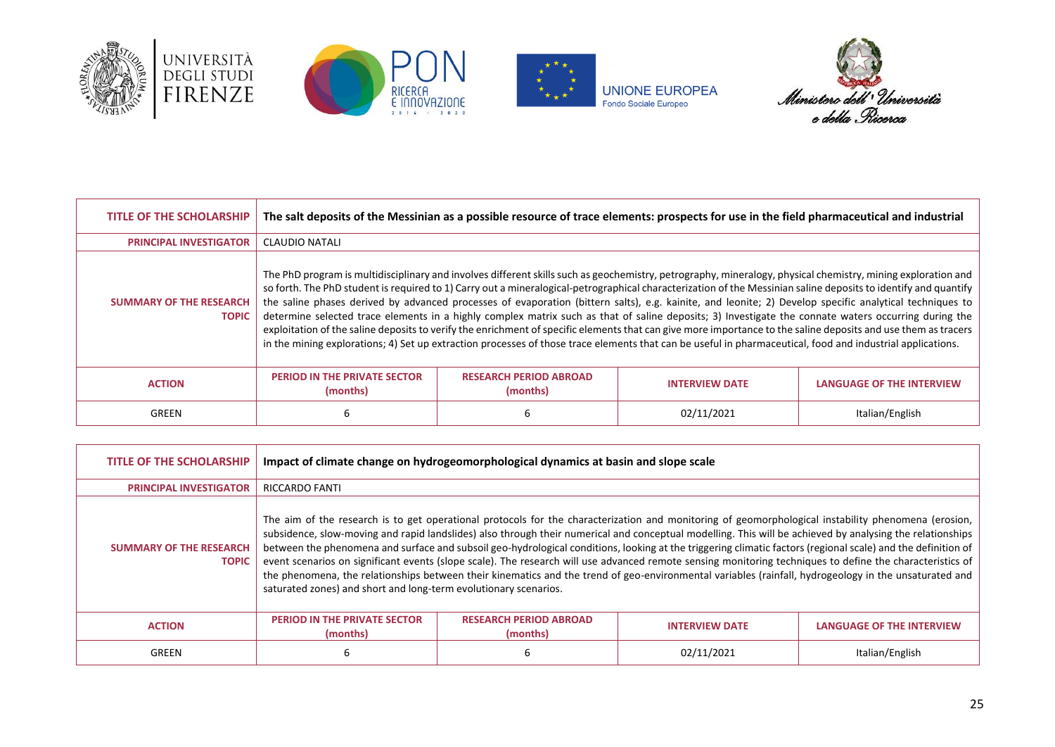







| <b>TITLE OF THE SCHOLARSHIP</b>                | The salt deposits of the Messinian as a possible resource of trace elements: prospects for use in the field pharmaceutical and industrial                                                                                                                                                                                                                                                                                                                                                                                                                                                                                                                                                                                                                                                                                                                                                                                                                                          |                                           |                       |                           |
|------------------------------------------------|------------------------------------------------------------------------------------------------------------------------------------------------------------------------------------------------------------------------------------------------------------------------------------------------------------------------------------------------------------------------------------------------------------------------------------------------------------------------------------------------------------------------------------------------------------------------------------------------------------------------------------------------------------------------------------------------------------------------------------------------------------------------------------------------------------------------------------------------------------------------------------------------------------------------------------------------------------------------------------|-------------------------------------------|-----------------------|---------------------------|
| <b>PRINCIPAL INVESTIGATOR</b>                  | <b>CLAUDIO NATALI</b>                                                                                                                                                                                                                                                                                                                                                                                                                                                                                                                                                                                                                                                                                                                                                                                                                                                                                                                                                              |                                           |                       |                           |
| <b>SUMMARY OF THE RESEARCH</b><br><b>TOPIC</b> | The PhD program is multidisciplinary and involves different skills such as geochemistry, petrography, mineralogy, physical chemistry, mining exploration and<br>so forth. The PhD student is required to 1) Carry out a mineralogical-petrographical characterization of the Messinian saline deposits to identify and quantify<br>the saline phases derived by advanced processes of evaporation (bittern salts), e.g. kainite, and leonite; 2) Develop specific analytical techniques to<br>determine selected trace elements in a highly complex matrix such as that of saline deposits; 3) Investigate the connate waters occurring during the<br>exploitation of the saline deposits to verify the enrichment of specific elements that can give more importance to the saline deposits and use them as tracers<br>in the mining explorations; 4) Set up extraction processes of those trace elements that can be useful in pharmaceutical, food and industrial applications. |                                           |                       |                           |
| <b>ACTION</b>                                  | <b>PERIOD IN THE PRIVATE SECTOR</b><br>(months)                                                                                                                                                                                                                                                                                                                                                                                                                                                                                                                                                                                                                                                                                                                                                                                                                                                                                                                                    | <b>RESEARCH PERIOD ABROAD</b><br>(months) | <b>INTERVIEW DATE</b> | LANGUAGE OF THE INTERVIEW |
| GREEN                                          | 6                                                                                                                                                                                                                                                                                                                                                                                                                                                                                                                                                                                                                                                                                                                                                                                                                                                                                                                                                                                  | ь                                         | 02/11/2021            | Italian/English           |

| <b>TITLE OF THE SCHOLARSHIP</b>                | Impact of climate change on hydrogeomorphological dynamics at basin and slope scale                                                                                                                                                                                                                                                                                                                                                                                                                                                                                                                                                                                                                                                                                                                                                                                        |                                           |                       |                                  |
|------------------------------------------------|----------------------------------------------------------------------------------------------------------------------------------------------------------------------------------------------------------------------------------------------------------------------------------------------------------------------------------------------------------------------------------------------------------------------------------------------------------------------------------------------------------------------------------------------------------------------------------------------------------------------------------------------------------------------------------------------------------------------------------------------------------------------------------------------------------------------------------------------------------------------------|-------------------------------------------|-----------------------|----------------------------------|
| <b>PRINCIPAL INVESTIGATOR</b>                  | <b>RICCARDO FANTI</b>                                                                                                                                                                                                                                                                                                                                                                                                                                                                                                                                                                                                                                                                                                                                                                                                                                                      |                                           |                       |                                  |
| <b>SUMMARY OF THE RESEARCH</b><br><b>TOPIC</b> | The aim of the research is to get operational protocols for the characterization and monitoring of geomorphological instability phenomena (erosion,<br>subsidence, slow-moving and rapid landslides) also through their numerical and conceptual modelling. This will be achieved by analysing the relationships<br>between the phenomena and surface and subsoil geo-hydrological conditions, looking at the triggering climatic factors (regional scale) and the definition of<br>event scenarios on significant events (slope scale). The research will use advanced remote sensing monitoring techniques to define the characteristics of<br>the phenomena, the relationships between their kinematics and the trend of geo-environmental variables (rainfall, hydrogeology in the unsaturated and<br>saturated zones) and short and long-term evolutionary scenarios. |                                           |                       |                                  |
| <b>ACTION</b>                                  | <b>PERIOD IN THE PRIVATE SECTOR</b><br>(months)                                                                                                                                                                                                                                                                                                                                                                                                                                                                                                                                                                                                                                                                                                                                                                                                                            | <b>RESEARCH PERIOD ABROAD</b><br>(months) | <b>INTERVIEW DATE</b> | <b>LANGUAGE OF THE INTERVIEW</b> |
| GREEN                                          | ь                                                                                                                                                                                                                                                                                                                                                                                                                                                                                                                                                                                                                                                                                                                                                                                                                                                                          |                                           | 02/11/2021            | Italian/English                  |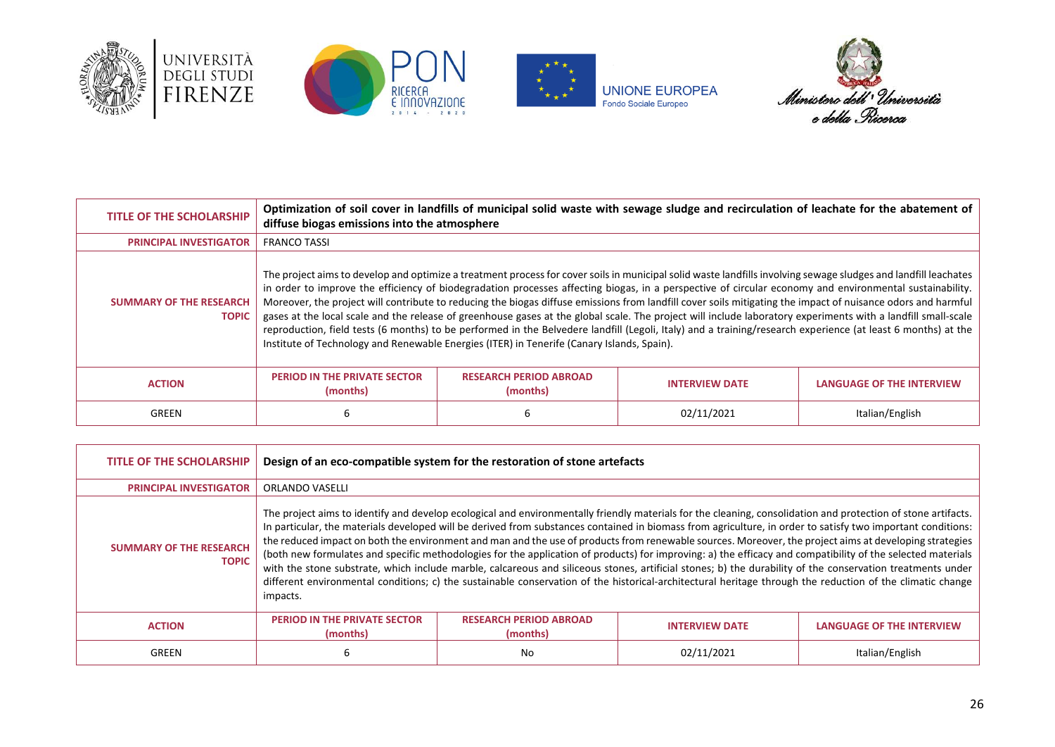







| <b>TITLE OF THE SCHOLARSHIP</b>                | Optimization of soil cover in landfills of municipal solid waste with sewage sludge and recirculation of leachate for the abatement of<br>diffuse biogas emissions into the atmosphere                                                                                                                                                                                                                                                                                                                                                                                                                                                                                                                                                                                                                                                                                                                                    |                                           |                       |                                  |
|------------------------------------------------|---------------------------------------------------------------------------------------------------------------------------------------------------------------------------------------------------------------------------------------------------------------------------------------------------------------------------------------------------------------------------------------------------------------------------------------------------------------------------------------------------------------------------------------------------------------------------------------------------------------------------------------------------------------------------------------------------------------------------------------------------------------------------------------------------------------------------------------------------------------------------------------------------------------------------|-------------------------------------------|-----------------------|----------------------------------|
| <b>PRINCIPAL INVESTIGATOR</b>                  | <b>FRANCO TASSI</b>                                                                                                                                                                                                                                                                                                                                                                                                                                                                                                                                                                                                                                                                                                                                                                                                                                                                                                       |                                           |                       |                                  |
| <b>SUMMARY OF THE RESEARCH</b><br><b>TOPIC</b> | The project aims to develop and optimize a treatment process for cover soils in municipal solid waste landfills involving sewage sludges and landfill leachates<br>in order to improve the efficiency of biodegradation processes affecting biogas, in a perspective of circular economy and environmental sustainability.<br>Moreover, the project will contribute to reducing the biogas diffuse emissions from landfill cover soils mitigating the impact of nuisance odors and harmful<br>gases at the local scale and the release of greenhouse gases at the global scale. The project will include laboratory experiments with a landfill small-scale<br>reproduction, field tests (6 months) to be performed in the Belvedere landfill (Legoli, Italy) and a training/research experience (at least 6 months) at the<br>Institute of Technology and Renewable Energies (ITER) in Tenerife (Canary Islands, Spain). |                                           |                       |                                  |
| <b>ACTION</b>                                  | <b>PERIOD IN THE PRIVATE SECTOR</b><br>(months)                                                                                                                                                                                                                                                                                                                                                                                                                                                                                                                                                                                                                                                                                                                                                                                                                                                                           | <b>RESEARCH PERIOD ABROAD</b><br>(months) | <b>INTERVIEW DATE</b> | <b>LANGUAGE OF THE INTERVIEW</b> |
| GREEN                                          | ь                                                                                                                                                                                                                                                                                                                                                                                                                                                                                                                                                                                                                                                                                                                                                                                                                                                                                                                         |                                           | 02/11/2021            | Italian/English                  |

| <b>TITLE OF THE SCHOLARSHIP</b>                | Design of an eco-compatible system for the restoration of stone artefacts                                                                                                                                                                                                                                                                                                                                                                                                                                                                                                                                                                                                                                                                                                                                                                                                                                                                                                                    |                                           |                       |                                  |
|------------------------------------------------|----------------------------------------------------------------------------------------------------------------------------------------------------------------------------------------------------------------------------------------------------------------------------------------------------------------------------------------------------------------------------------------------------------------------------------------------------------------------------------------------------------------------------------------------------------------------------------------------------------------------------------------------------------------------------------------------------------------------------------------------------------------------------------------------------------------------------------------------------------------------------------------------------------------------------------------------------------------------------------------------|-------------------------------------------|-----------------------|----------------------------------|
| <b>PRINCIPAL INVESTIGATOR</b>                  | <b>ORLANDO VASELLI</b>                                                                                                                                                                                                                                                                                                                                                                                                                                                                                                                                                                                                                                                                                                                                                                                                                                                                                                                                                                       |                                           |                       |                                  |
| <b>SUMMARY OF THE RESEARCH</b><br><b>TOPIC</b> | The project aims to identify and develop ecological and environmentally friendly materials for the cleaning, consolidation and protection of stone artifacts.<br>In particular, the materials developed will be derived from substances contained in biomass from agriculture, in order to satisfy two important conditions:<br>the reduced impact on both the environment and man and the use of products from renewable sources. Moreover, the project aims at developing strategies<br>(both new formulates and specific methodologies for the application of products) for improving: a) the efficacy and compatibility of the selected materials<br>with the stone substrate, which include marble, calcareous and siliceous stones, artificial stones; b) the durability of the conservation treatments under<br>different environmental conditions; c) the sustainable conservation of the historical-architectural heritage through the reduction of the climatic change<br>impacts. |                                           |                       |                                  |
| <b>ACTION</b>                                  | <b>PERIOD IN THE PRIVATE SECTOR</b><br>(months)                                                                                                                                                                                                                                                                                                                                                                                                                                                                                                                                                                                                                                                                                                                                                                                                                                                                                                                                              | <b>RESEARCH PERIOD ABROAD</b><br>(months) | <b>INTERVIEW DATE</b> | <b>LANGUAGE OF THE INTERVIEW</b> |
| <b>GREEN</b>                                   | 6                                                                                                                                                                                                                                                                                                                                                                                                                                                                                                                                                                                                                                                                                                                                                                                                                                                                                                                                                                                            | No                                        | 02/11/2021            | Italian/English                  |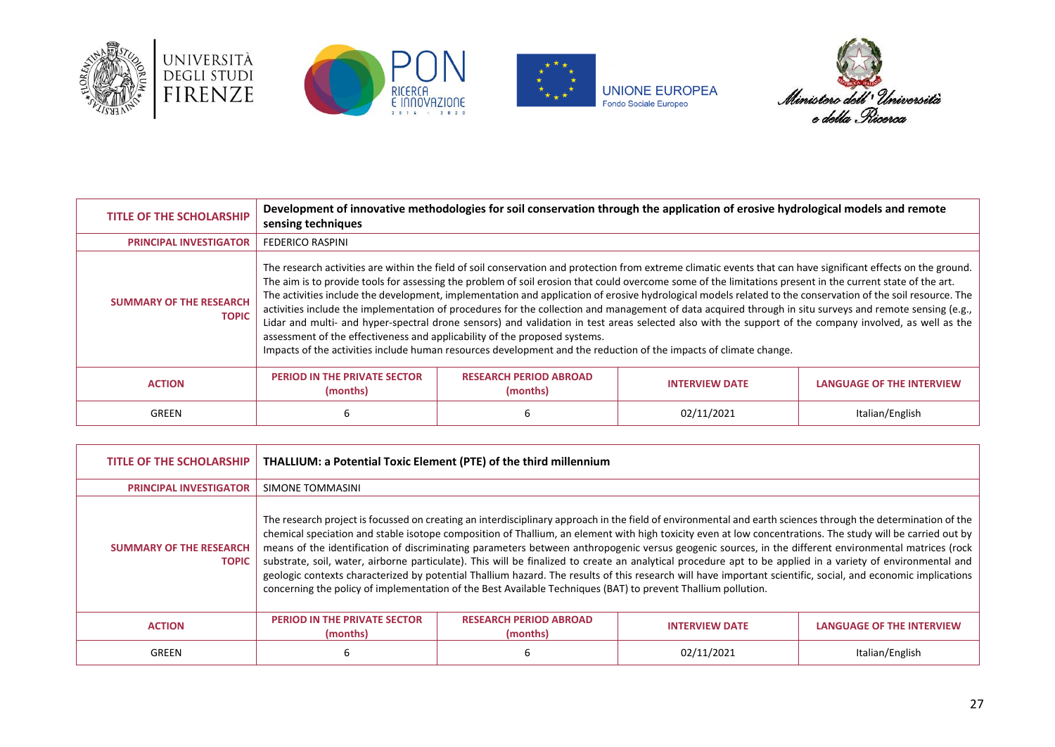







| <b>TITLE OF THE SCHOLARSHIP</b>                | sensing techniques                                                                                                                                                                                                                                                                                                                                                                                                                                                                                                                                                                                                                                                                                                                                                                                                                                                                                                                                                                                                   | Development of innovative methodologies for soil conservation through the application of erosive hydrological models and remote |                       |                                  |
|------------------------------------------------|----------------------------------------------------------------------------------------------------------------------------------------------------------------------------------------------------------------------------------------------------------------------------------------------------------------------------------------------------------------------------------------------------------------------------------------------------------------------------------------------------------------------------------------------------------------------------------------------------------------------------------------------------------------------------------------------------------------------------------------------------------------------------------------------------------------------------------------------------------------------------------------------------------------------------------------------------------------------------------------------------------------------|---------------------------------------------------------------------------------------------------------------------------------|-----------------------|----------------------------------|
| <b>PRINCIPAL INVESTIGATOR</b>                  | <b>FEDERICO RASPINI</b>                                                                                                                                                                                                                                                                                                                                                                                                                                                                                                                                                                                                                                                                                                                                                                                                                                                                                                                                                                                              |                                                                                                                                 |                       |                                  |
| <b>SUMMARY OF THE RESEARCH</b><br><b>TOPIC</b> | The research activities are within the field of soil conservation and protection from extreme climatic events that can have significant effects on the ground.<br>The aim is to provide tools for assessing the problem of soil erosion that could overcome some of the limitations present in the current state of the art.<br>The activities include the development, implementation and application of erosive hydrological models related to the conservation of the soil resource. The<br>activities include the implementation of procedures for the collection and management of data acquired through in situ surveys and remote sensing (e.g.,<br>Lidar and multi- and hyper-spectral drone sensors) and validation in test areas selected also with the support of the company involved, as well as the<br>assessment of the effectiveness and applicability of the proposed systems.<br>Impacts of the activities include human resources development and the reduction of the impacts of climate change. |                                                                                                                                 |                       |                                  |
| <b>ACTION</b>                                  | <b>PERIOD IN THE PRIVATE SECTOR</b><br>(months)                                                                                                                                                                                                                                                                                                                                                                                                                                                                                                                                                                                                                                                                                                                                                                                                                                                                                                                                                                      | <b>RESEARCH PERIOD ABROAD</b><br>(months)                                                                                       | <b>INTERVIEW DATE</b> | <b>LANGUAGE OF THE INTERVIEW</b> |
| GREEN                                          |                                                                                                                                                                                                                                                                                                                                                                                                                                                                                                                                                                                                                                                                                                                                                                                                                                                                                                                                                                                                                      |                                                                                                                                 | 02/11/2021            | Italian/English                  |

| <b>TITLE OF THE SCHOLARSHIP</b>                | THALLIUM: a Potential Toxic Element (PTE) of the third millennium                                                                                                                                                                                                                                                                                                                                                                                                                                                                                                                                                                                                                                                                                                                                                                                                                                                                   |                                           |                       |                           |
|------------------------------------------------|-------------------------------------------------------------------------------------------------------------------------------------------------------------------------------------------------------------------------------------------------------------------------------------------------------------------------------------------------------------------------------------------------------------------------------------------------------------------------------------------------------------------------------------------------------------------------------------------------------------------------------------------------------------------------------------------------------------------------------------------------------------------------------------------------------------------------------------------------------------------------------------------------------------------------------------|-------------------------------------------|-----------------------|---------------------------|
| <b>PRINCIPAL INVESTIGATOR</b>                  | SIMONE TOMMASINI                                                                                                                                                                                                                                                                                                                                                                                                                                                                                                                                                                                                                                                                                                                                                                                                                                                                                                                    |                                           |                       |                           |
| <b>SUMMARY OF THE RESEARCH</b><br><b>TOPIC</b> | The research project is focussed on creating an interdisciplinary approach in the field of environmental and earth sciences through the determination of the<br>chemical speciation and stable isotope composition of Thallium, an element with high toxicity even at low concentrations. The study will be carried out by<br>means of the identification of discriminating parameters between anthropogenic versus geogenic sources, in the different environmental matrices (rock<br>substrate, soil, water, airborne particulate). This will be finalized to create an analytical procedure apt to be applied in a variety of environmental and<br>geologic contexts characterized by potential Thallium hazard. The results of this research will have important scientific, social, and economic implications<br>concerning the policy of implementation of the Best Available Techniques (BAT) to prevent Thallium pollution. |                                           |                       |                           |
| <b>ACTION</b>                                  | <b>PERIOD IN THE PRIVATE SECTOR</b><br>(months)                                                                                                                                                                                                                                                                                                                                                                                                                                                                                                                                                                                                                                                                                                                                                                                                                                                                                     | <b>RESEARCH PERIOD ABROAD</b><br>(months) | <b>INTERVIEW DATE</b> | LANGUAGE OF THE INTERVIEW |
| GREEN                                          | 6                                                                                                                                                                                                                                                                                                                                                                                                                                                                                                                                                                                                                                                                                                                                                                                                                                                                                                                                   |                                           | 02/11/2021            | Italian/English           |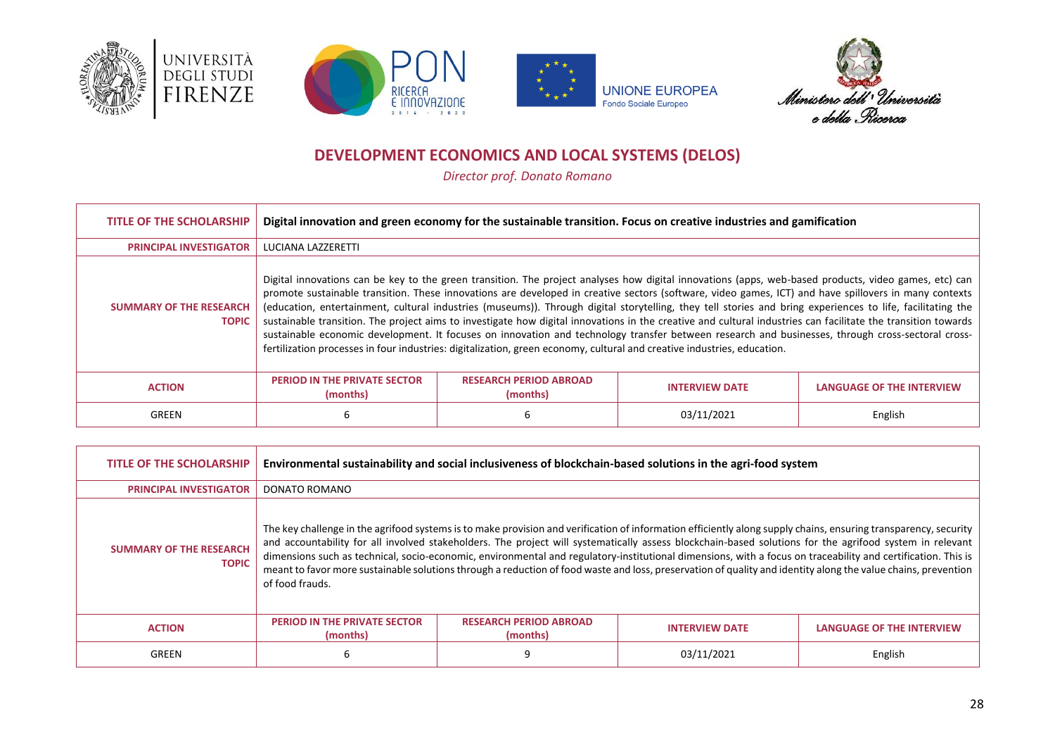







# **DEVELOPMENT ECONOMICS AND LOCAL SYSTEMS (DELOS)**

*Director prof. Donato Romano*

<span id="page-27-0"></span>

| <b>TITLE OF THE SCHOLARSHIP</b>                | Digital innovation and green economy for the sustainable transition. Focus on creative industries and gamification                                                                                                                                                                                                                                                                                                                                                                                                                                                                                                                                                                                                                                                                                                                                                                                                            |                                           |                       |                                  |
|------------------------------------------------|-------------------------------------------------------------------------------------------------------------------------------------------------------------------------------------------------------------------------------------------------------------------------------------------------------------------------------------------------------------------------------------------------------------------------------------------------------------------------------------------------------------------------------------------------------------------------------------------------------------------------------------------------------------------------------------------------------------------------------------------------------------------------------------------------------------------------------------------------------------------------------------------------------------------------------|-------------------------------------------|-----------------------|----------------------------------|
| <b>PRINCIPAL INVESTIGATOR</b>                  | LUCIANA LAZZERETTI                                                                                                                                                                                                                                                                                                                                                                                                                                                                                                                                                                                                                                                                                                                                                                                                                                                                                                            |                                           |                       |                                  |
| <b>SUMMARY OF THE RESEARCH</b><br><b>TOPIC</b> | Digital innovations can be key to the green transition. The project analyses how digital innovations (apps, web-based products, video games, etc) can<br>promote sustainable transition. These innovations are developed in creative sectors (software, video games, ICT) and have spillovers in many contexts<br>(education, entertainment, cultural industries (museums)). Through digital storytelling, they tell stories and bring experiences to life, facilitating the<br>sustainable transition. The project aims to investigate how digital innovations in the creative and cultural industries can facilitate the transition towards<br>sustainable economic development. It focuses on innovation and technology transfer between research and businesses, through cross-sectoral cross-<br>fertilization processes in four industries: digitalization, green economy, cultural and creative industries, education. |                                           |                       |                                  |
| <b>ACTION</b>                                  | <b>PERIOD IN THE PRIVATE SECTOR</b><br>(months)                                                                                                                                                                                                                                                                                                                                                                                                                                                                                                                                                                                                                                                                                                                                                                                                                                                                               | <b>RESEARCH PERIOD ABROAD</b><br>(months) | <b>INTERVIEW DATE</b> | <b>LANGUAGE OF THE INTERVIEW</b> |
| GREEN                                          | 6                                                                                                                                                                                                                                                                                                                                                                                                                                                                                                                                                                                                                                                                                                                                                                                                                                                                                                                             |                                           | 03/11/2021            | English                          |

| <b>TITLE OF THE SCHOLARSHIP</b>                | Environmental sustainability and social inclusiveness of blockchain-based solutions in the agri-food system                                                                                                                                                                                                                                                                                                                                                                                                                                                                                                                                                                    |                                           |                       |                                  |
|------------------------------------------------|--------------------------------------------------------------------------------------------------------------------------------------------------------------------------------------------------------------------------------------------------------------------------------------------------------------------------------------------------------------------------------------------------------------------------------------------------------------------------------------------------------------------------------------------------------------------------------------------------------------------------------------------------------------------------------|-------------------------------------------|-----------------------|----------------------------------|
| <b>PRINCIPAL INVESTIGATOR</b>                  | DONATO ROMANO                                                                                                                                                                                                                                                                                                                                                                                                                                                                                                                                                                                                                                                                  |                                           |                       |                                  |
| <b>SUMMARY OF THE RESEARCH</b><br><b>TOPIC</b> | The key challenge in the agrifood systems is to make provision and verification of information efficiently along supply chains, ensuring transparency, security<br>and accountability for all involved stakeholders. The project will systematically assess blockchain-based solutions for the agrifood system in relevant<br>dimensions such as technical, socio-economic, environmental and regulatory-institutional dimensions, with a focus on traceability and certification. This is<br>meant to favor more sustainable solutions through a reduction of food waste and loss, preservation of quality and identity along the value chains, prevention<br>of food frauds. |                                           |                       |                                  |
| <b>ACTION</b>                                  | <b>PERIOD IN THE PRIVATE SECTOR</b><br>(months)                                                                                                                                                                                                                                                                                                                                                                                                                                                                                                                                                                                                                                | <b>RESEARCH PERIOD ABROAD</b><br>(months) | <b>INTERVIEW DATE</b> | <b>LANGUAGE OF THE INTERVIEW</b> |
| GREEN                                          | 6                                                                                                                                                                                                                                                                                                                                                                                                                                                                                                                                                                                                                                                                              | 9                                         | 03/11/2021            | English                          |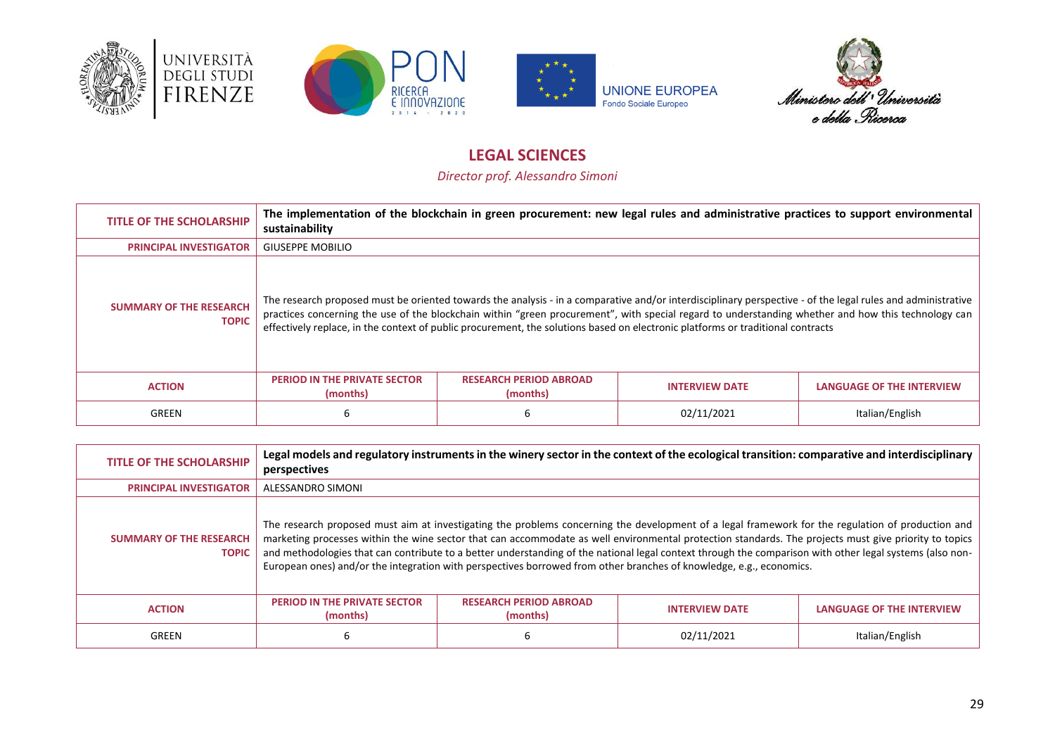







# **LEGAL SCIENCES**

*Director prof. Alessandro Simoni*

<span id="page-28-0"></span>

| <b>TITLE OF THE SCHOLARSHIP</b>                | The implementation of the blockchain in green procurement: new legal rules and administrative practices to support environmental<br>sustainability |                                           |                                                                                                                                                                                                                                                                                                                                                                                                                                                       |                           |
|------------------------------------------------|----------------------------------------------------------------------------------------------------------------------------------------------------|-------------------------------------------|-------------------------------------------------------------------------------------------------------------------------------------------------------------------------------------------------------------------------------------------------------------------------------------------------------------------------------------------------------------------------------------------------------------------------------------------------------|---------------------------|
| <b>PRINCIPAL INVESTIGATOR</b>                  | <b>GIUSEPPE MOBILIO</b>                                                                                                                            |                                           |                                                                                                                                                                                                                                                                                                                                                                                                                                                       |                           |
| <b>SUMMARY OF THE RESEARCH</b><br><b>TOPIC</b> |                                                                                                                                                    |                                           | The research proposed must be oriented towards the analysis - in a comparative and/or interdisciplinary perspective - of the legal rules and administrative<br>practices concerning the use of the blockchain within "green procurement", with special regard to understanding whether and how this technology can<br>effectively replace, in the context of public procurement, the solutions based on electronic platforms or traditional contracts |                           |
| <b>ACTION</b>                                  | <b>PERIOD IN THE PRIVATE SECTOR</b><br>(months)                                                                                                    | <b>RESEARCH PERIOD ABROAD</b><br>(months) | <b>INTERVIEW DATE</b>                                                                                                                                                                                                                                                                                                                                                                                                                                 | LANGUAGE OF THE INTERVIEW |
| GREEN                                          | ь                                                                                                                                                  | b                                         | 02/11/2021                                                                                                                                                                                                                                                                                                                                                                                                                                            | Italian/English           |

| <b>TITLE OF THE SCHOLARSHIP</b>                | perspectives                                                                                                                                                                                                                                                                                                                                                                                                                                                                                                                                                                                  |                                           | Legal models and regulatory instruments in the winery sector in the context of the ecological transition: comparative and interdisciplinary |                                  |
|------------------------------------------------|-----------------------------------------------------------------------------------------------------------------------------------------------------------------------------------------------------------------------------------------------------------------------------------------------------------------------------------------------------------------------------------------------------------------------------------------------------------------------------------------------------------------------------------------------------------------------------------------------|-------------------------------------------|---------------------------------------------------------------------------------------------------------------------------------------------|----------------------------------|
| <b>PRINCIPAL INVESTIGATOR</b>                  | ALESSANDRO SIMONI                                                                                                                                                                                                                                                                                                                                                                                                                                                                                                                                                                             |                                           |                                                                                                                                             |                                  |
| <b>SUMMARY OF THE RESEARCH</b><br><b>TOPIC</b> | The research proposed must aim at investigating the problems concerning the development of a legal framework for the regulation of production and<br>marketing processes within the wine sector that can accommodate as well environmental protection standards. The projects must give priority to topics<br>and methodologies that can contribute to a better understanding of the national legal context through the comparison with other legal systems (also non-<br>European ones) and/or the integration with perspectives borrowed from other branches of knowledge, e.g., economics. |                                           |                                                                                                                                             |                                  |
| <b>ACTION</b>                                  | <b>PERIOD IN THE PRIVATE SECTOR</b><br>(months)                                                                                                                                                                                                                                                                                                                                                                                                                                                                                                                                               | <b>RESEARCH PERIOD ABROAD</b><br>(months) | <b>INTERVIEW DATE</b>                                                                                                                       | <b>LANGUAGE OF THE INTERVIEW</b> |
| GREEN                                          | 6                                                                                                                                                                                                                                                                                                                                                                                                                                                                                                                                                                                             |                                           | 02/11/2021                                                                                                                                  | Italian/English                  |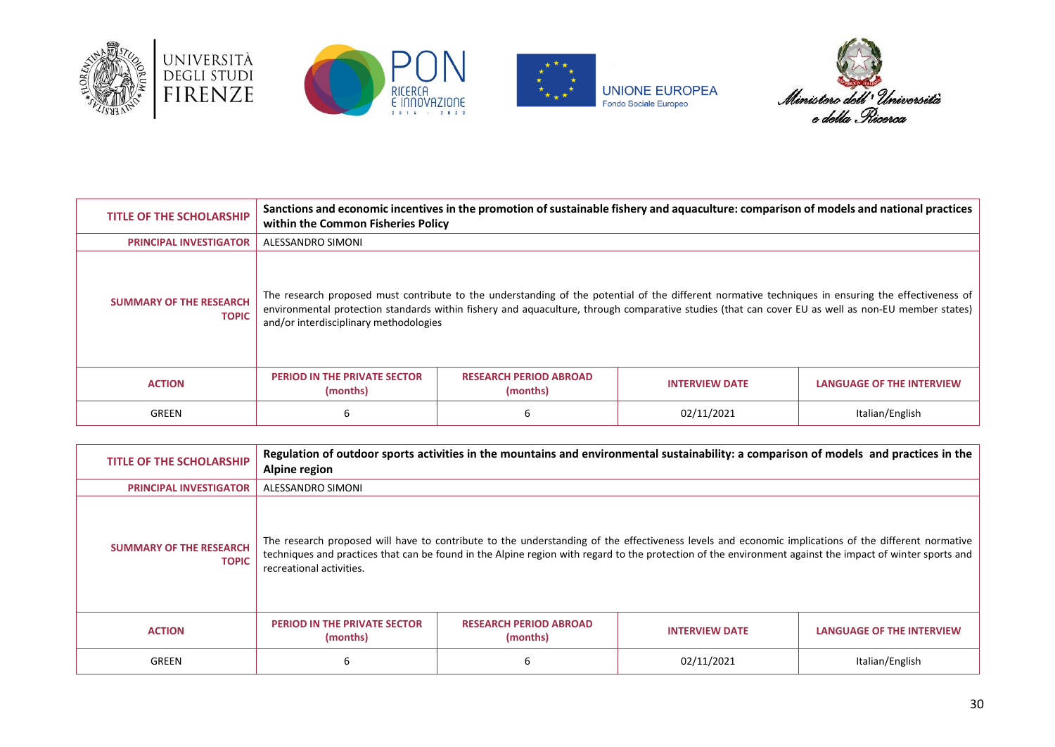







| <b>TITLE OF THE SCHOLARSHIP</b>                | Sanctions and economic incentives in the promotion of sustainable fishery and aquaculture: comparison of models and national practices<br>within the Common Fisheries Policy |                                           |                                                                                                                                                                                                                                                                                                          |                                  |
|------------------------------------------------|------------------------------------------------------------------------------------------------------------------------------------------------------------------------------|-------------------------------------------|----------------------------------------------------------------------------------------------------------------------------------------------------------------------------------------------------------------------------------------------------------------------------------------------------------|----------------------------------|
| <b>PRINCIPAL INVESTIGATOR</b>                  | ALESSANDRO SIMONI                                                                                                                                                            |                                           |                                                                                                                                                                                                                                                                                                          |                                  |
| <b>SUMMARY OF THE RESEARCH</b><br><b>TOPIC</b> | and/or interdisciplinary methodologies                                                                                                                                       |                                           | The research proposed must contribute to the understanding of the potential of the different normative techniques in ensuring the effectiveness of<br>environmental protection standards within fishery and aquaculture, through comparative studies (that can cover EU as well as non-EU member states) |                                  |
| <b>ACTION</b>                                  | <b>PERIOD IN THE PRIVATE SECTOR</b><br>(months)                                                                                                                              | <b>RESEARCH PERIOD ABROAD</b><br>(months) | <b>INTERVIEW DATE</b>                                                                                                                                                                                                                                                                                    | <b>LANGUAGE OF THE INTERVIEW</b> |
| GREEN                                          | ь                                                                                                                                                                            | b                                         | 02/11/2021                                                                                                                                                                                                                                                                                               | Italian/English                  |

| <b>TITLE OF THE SCHOLARSHIP</b>                | Regulation of outdoor sports activities in the mountains and environmental sustainability: a comparison of models and practices in the<br>Alpine region |                                           |                                                                                                                                                                                                                                                                                                                 |                           |
|------------------------------------------------|---------------------------------------------------------------------------------------------------------------------------------------------------------|-------------------------------------------|-----------------------------------------------------------------------------------------------------------------------------------------------------------------------------------------------------------------------------------------------------------------------------------------------------------------|---------------------------|
| <b>PRINCIPAL INVESTIGATOR</b>                  | ALESSANDRO SIMONI                                                                                                                                       |                                           |                                                                                                                                                                                                                                                                                                                 |                           |
| <b>SUMMARY OF THE RESEARCH</b><br><b>TOPIC</b> | recreational activities.                                                                                                                                |                                           | The research proposed will have to contribute to the understanding of the effectiveness levels and economic implications of the different normative<br>techniques and practices that can be found in the Alpine region with regard to the protection of the environment against the impact of winter sports and |                           |
| <b>ACTION</b>                                  | <b>PERIOD IN THE PRIVATE SECTOR</b><br>(months)                                                                                                         | <b>RESEARCH PERIOD ABROAD</b><br>(months) | <b>INTERVIEW DATE</b>                                                                                                                                                                                                                                                                                           | LANGUAGE OF THE INTERVIEW |
| <b>GREEN</b>                                   | ь                                                                                                                                                       |                                           | 02/11/2021                                                                                                                                                                                                                                                                                                      | Italian/English           |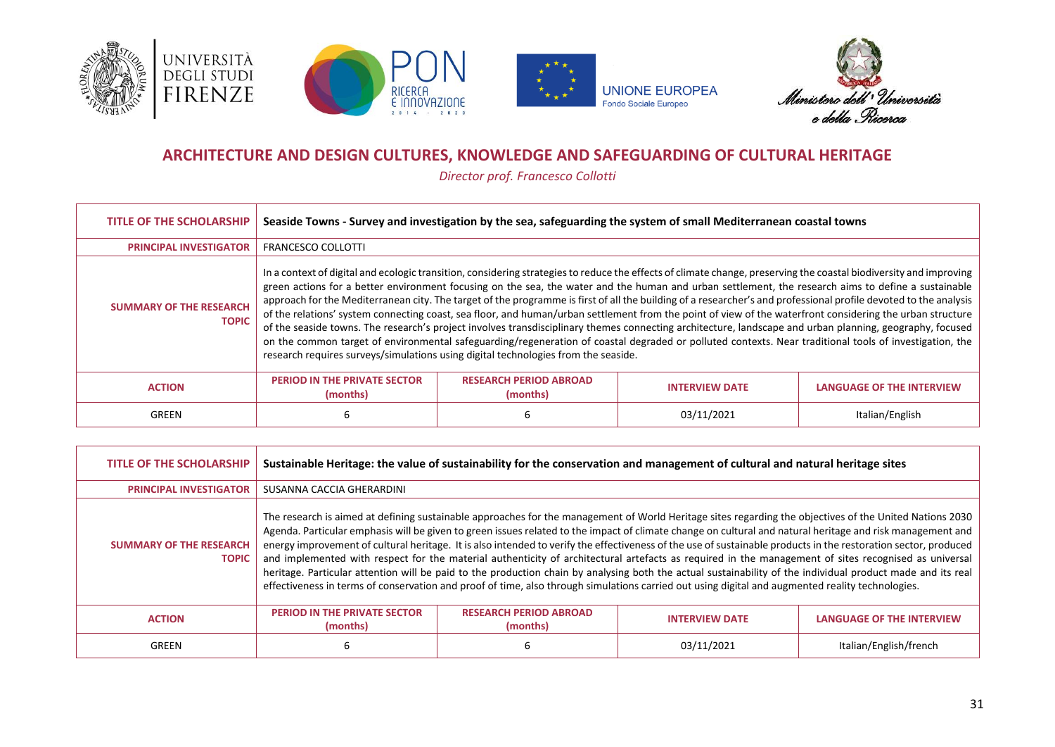







### **ARCHITECTURE AND DESIGN CULTURES, KNOWLEDGE AND SAFEGUARDING OF CULTURAL HERITAGE**

*Director prof. Francesco Collotti*

<span id="page-30-0"></span>

| <b>TITLE OF THE SCHOLARSHIP</b>                | Seaside Towns - Survey and investigation by the sea, safeguarding the system of small Mediterranean coastal towns                                                                                                                                                                                                                                                                                                                                                                                                                                                                                                                                                                                                                                                                                                                                                                                                                                                                                                                                                      |                                           |                       |                                  |
|------------------------------------------------|------------------------------------------------------------------------------------------------------------------------------------------------------------------------------------------------------------------------------------------------------------------------------------------------------------------------------------------------------------------------------------------------------------------------------------------------------------------------------------------------------------------------------------------------------------------------------------------------------------------------------------------------------------------------------------------------------------------------------------------------------------------------------------------------------------------------------------------------------------------------------------------------------------------------------------------------------------------------------------------------------------------------------------------------------------------------|-------------------------------------------|-----------------------|----------------------------------|
| <b>PRINCIPAL INVESTIGATOR</b>                  | <b>FRANCESCO COLLOTTI</b>                                                                                                                                                                                                                                                                                                                                                                                                                                                                                                                                                                                                                                                                                                                                                                                                                                                                                                                                                                                                                                              |                                           |                       |                                  |
| <b>SUMMARY OF THE RESEARCH</b><br><b>TOPIC</b> | In a context of digital and ecologic transition, considering strategies to reduce the effects of climate change, preserving the coastal biodiversity and improving<br>green actions for a better environment focusing on the sea, the water and the human and urban settlement, the research aims to define a sustainable<br>approach for the Mediterranean city. The target of the programme is first of all the building of a researcher's and professional profile devoted to the analysis<br>of the relations' system connecting coast, sea floor, and human/urban settlement from the point of view of the waterfront considering the urban structure<br>of the seaside towns. The research's project involves transdisciplinary themes connecting architecture, landscape and urban planning, geography, focused<br>on the common target of environmental safeguarding/regeneration of coastal degraded or polluted contexts. Near traditional tools of investigation, the<br>research requires surveys/simulations using digital technologies from the seaside. |                                           |                       |                                  |
| <b>ACTION</b>                                  | <b>PERIOD IN THE PRIVATE SECTOR</b><br>(months)                                                                                                                                                                                                                                                                                                                                                                                                                                                                                                                                                                                                                                                                                                                                                                                                                                                                                                                                                                                                                        | <b>RESEARCH PERIOD ABROAD</b><br>(months) | <b>INTERVIEW DATE</b> | <b>LANGUAGE OF THE INTERVIEW</b> |
| GREEN                                          | 6                                                                                                                                                                                                                                                                                                                                                                                                                                                                                                                                                                                                                                                                                                                                                                                                                                                                                                                                                                                                                                                                      |                                           | 03/11/2021            | Italian/English                  |

| <b>TITLE OF THE SCHOLARSHIP</b>                | Sustainable Heritage: the value of sustainability for the conservation and management of cultural and natural heritage sites                                                                                                                                                                                                                                                                                                                                                                                                                                                                                                                                                                                                                                                                                                                                                                                                                                        |                                           |                       |                                  |
|------------------------------------------------|---------------------------------------------------------------------------------------------------------------------------------------------------------------------------------------------------------------------------------------------------------------------------------------------------------------------------------------------------------------------------------------------------------------------------------------------------------------------------------------------------------------------------------------------------------------------------------------------------------------------------------------------------------------------------------------------------------------------------------------------------------------------------------------------------------------------------------------------------------------------------------------------------------------------------------------------------------------------|-------------------------------------------|-----------------------|----------------------------------|
| <b>PRINCIPAL INVESTIGATOR</b>                  | SUSANNA CACCIA GHERARDINI                                                                                                                                                                                                                                                                                                                                                                                                                                                                                                                                                                                                                                                                                                                                                                                                                                                                                                                                           |                                           |                       |                                  |
| <b>SUMMARY OF THE RESEARCH</b><br><b>TOPIC</b> | The research is aimed at defining sustainable approaches for the management of World Heritage sites regarding the objectives of the United Nations 2030<br>Agenda. Particular emphasis will be given to green issues related to the impact of climate change on cultural and natural heritage and risk management and<br>energy improvement of cultural heritage. It is also intended to verify the effectiveness of the use of sustainable products in the restoration sector, produced<br>and implemented with respect for the material authenticity of architectural artefacts as required in the management of sites recognised as universal<br>heritage. Particular attention will be paid to the production chain by analysing both the actual sustainability of the individual product made and its real<br>effectiveness in terms of conservation and proof of time, also through simulations carried out using digital and augmented reality technologies. |                                           |                       |                                  |
| <b>ACTION</b>                                  | <b>PERIOD IN THE PRIVATE SECTOR</b><br>(months)                                                                                                                                                                                                                                                                                                                                                                                                                                                                                                                                                                                                                                                                                                                                                                                                                                                                                                                     | <b>RESEARCH PERIOD ABROAD</b><br>(months) | <b>INTERVIEW DATE</b> | <b>LANGUAGE OF THE INTERVIEW</b> |
| GREEN                                          | 6                                                                                                                                                                                                                                                                                                                                                                                                                                                                                                                                                                                                                                                                                                                                                                                                                                                                                                                                                                   |                                           | 03/11/2021            | Italian/English/french           |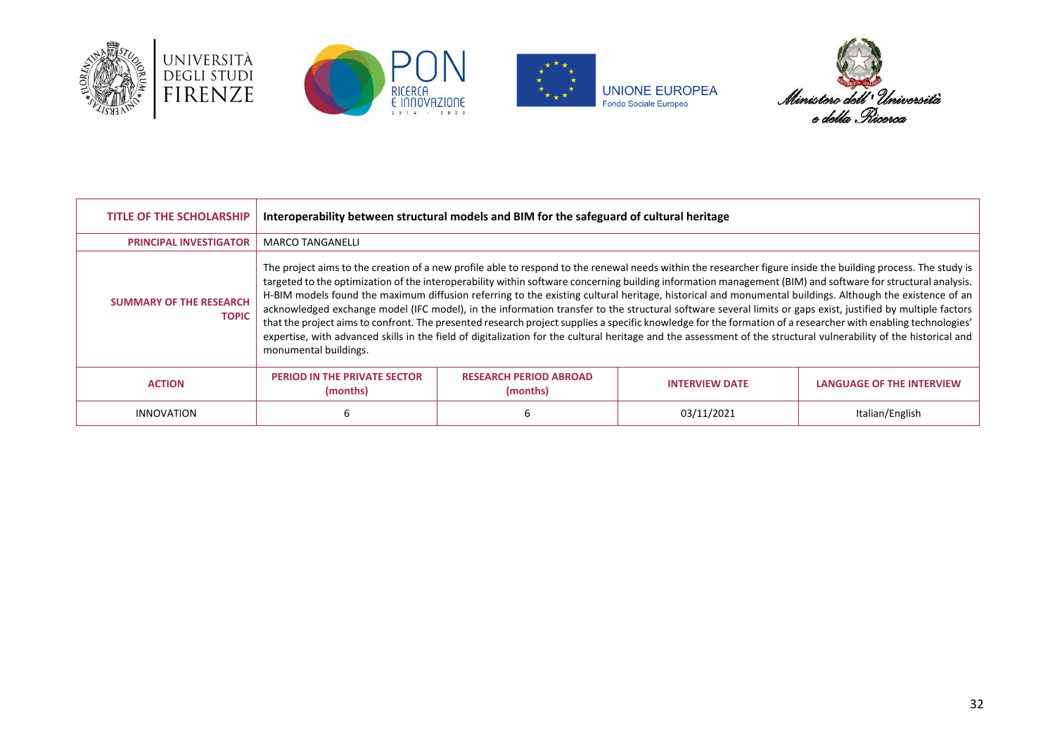







| <b>TITLE OF THE SCHOLARSHIP</b>                | Interoperability between structural models and BIM for the safeguard of cultural heritage                                                                                                                                                                                                                                                                                                                                                                                                                                                                                                                                                                                                                                                                                                                                                                                                                                                                                                                             |                                           |                       |                                  |
|------------------------------------------------|-----------------------------------------------------------------------------------------------------------------------------------------------------------------------------------------------------------------------------------------------------------------------------------------------------------------------------------------------------------------------------------------------------------------------------------------------------------------------------------------------------------------------------------------------------------------------------------------------------------------------------------------------------------------------------------------------------------------------------------------------------------------------------------------------------------------------------------------------------------------------------------------------------------------------------------------------------------------------------------------------------------------------|-------------------------------------------|-----------------------|----------------------------------|
| <b>PRINCIPAL INVESTIGATOR</b>                  | <b>MARCO TANGANELLI</b>                                                                                                                                                                                                                                                                                                                                                                                                                                                                                                                                                                                                                                                                                                                                                                                                                                                                                                                                                                                               |                                           |                       |                                  |
| <b>SUMMARY OF THE RESEARCH</b><br><b>TOPIC</b> | The project aims to the creation of a new profile able to respond to the renewal needs within the researcher figure inside the building process. The study is<br>targeted to the optimization of the interoperability within software concerning building information management (BIM) and software for structural analysis.<br>H-BIM models found the maximum diffusion referring to the existing cultural heritage, historical and monumental buildings. Although the existence of an<br>acknowledged exchange model (IFC model), in the information transfer to the structural software several limits or gaps exist, justified by multiple factors<br>that the project aims to confront. The presented research project supplies a specific knowledge for the formation of a researcher with enabling technologies'<br>expertise, with advanced skills in the field of digitalization for the cultural heritage and the assessment of the structural vulnerability of the historical and<br>monumental buildings. |                                           |                       |                                  |
| <b>ACTION</b>                                  | <b>PERIOD IN THE PRIVATE SECTOR</b><br>(months)                                                                                                                                                                                                                                                                                                                                                                                                                                                                                                                                                                                                                                                                                                                                                                                                                                                                                                                                                                       | <b>RESEARCH PERIOD ABROAD</b><br>(months) | <b>INTERVIEW DATE</b> | <b>LANGUAGE OF THE INTERVIEW</b> |
| INNOVATION                                     | ь                                                                                                                                                                                                                                                                                                                                                                                                                                                                                                                                                                                                                                                                                                                                                                                                                                                                                                                                                                                                                     |                                           | 03/11/2021            | Italian/English                  |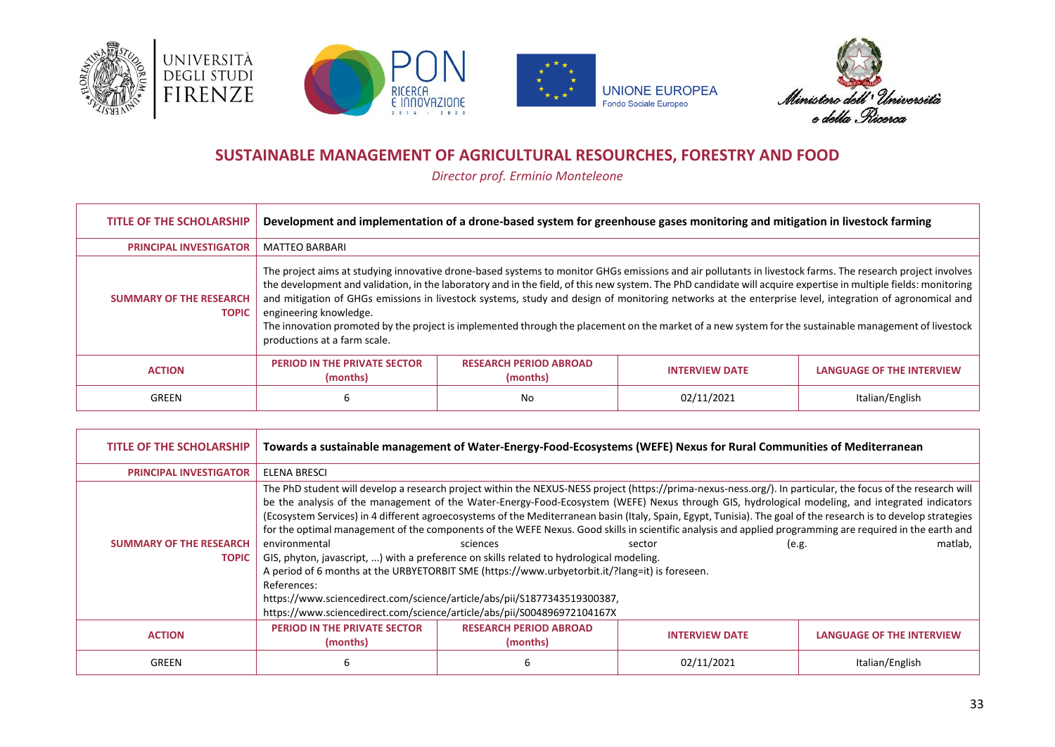







### **SUSTAINABLE MANAGEMENT OF AGRICULTURAL RESOURCHES, FORESTRY AND FOOD**

*Director prof. Erminio Monteleone*

<span id="page-32-0"></span>

| <b>TITLE OF THE SCHOLARSHIP</b>                | Development and implementation of a drone-based system for greenhouse gases monitoring and mitigation in livestock farming                                                                                                                                                                                                                                                                                                                                                                                                                                                                                                                                                                                 |                                           |                       |                                  |
|------------------------------------------------|------------------------------------------------------------------------------------------------------------------------------------------------------------------------------------------------------------------------------------------------------------------------------------------------------------------------------------------------------------------------------------------------------------------------------------------------------------------------------------------------------------------------------------------------------------------------------------------------------------------------------------------------------------------------------------------------------------|-------------------------------------------|-----------------------|----------------------------------|
| <b>PRINCIPAL INVESTIGATOR</b>                  | <b>MATTEO BARBARI</b>                                                                                                                                                                                                                                                                                                                                                                                                                                                                                                                                                                                                                                                                                      |                                           |                       |                                  |
| <b>SUMMARY OF THE RESEARCH</b><br><b>TOPIC</b> | The project aims at studying innovative drone-based systems to monitor GHGs emissions and air pollutants in livestock farms. The research project involves<br>the development and validation, in the laboratory and in the field, of this new system. The PhD candidate will acquire expertise in multiple fields: monitoring<br>and mitigation of GHGs emissions in livestock systems, study and design of monitoring networks at the enterprise level, integration of agronomical and<br>engineering knowledge.<br>The innovation promoted by the project is implemented through the placement on the market of a new system for the sustainable management of livestock<br>productions at a farm scale. |                                           |                       |                                  |
| <b>ACTION</b>                                  | PERIOD IN THE PRIVATE SECTOR<br>(months)                                                                                                                                                                                                                                                                                                                                                                                                                                                                                                                                                                                                                                                                   | <b>RESEARCH PERIOD ABROAD</b><br>(months) | <b>INTERVIEW DATE</b> | <b>LANGUAGE OF THE INTERVIEW</b> |
| GREEN                                          | ь                                                                                                                                                                                                                                                                                                                                                                                                                                                                                                                                                                                                                                                                                                          | No                                        | 02/11/2021            | Italian/English                  |

| <b>TITLE OF THE SCHOLARSHIP</b>                | Towards a sustainable management of Water-Energy-Food-Ecosystems (WEFE) Nexus for Rural Communities of Mediterranean |                                                                                                                                                                                                                                                                                                                                                               |                                                                                                                                                                                                                                                                                                                                                                                                                                                                                                                                                                                                                                                                   |                                  |
|------------------------------------------------|----------------------------------------------------------------------------------------------------------------------|---------------------------------------------------------------------------------------------------------------------------------------------------------------------------------------------------------------------------------------------------------------------------------------------------------------------------------------------------------------|-------------------------------------------------------------------------------------------------------------------------------------------------------------------------------------------------------------------------------------------------------------------------------------------------------------------------------------------------------------------------------------------------------------------------------------------------------------------------------------------------------------------------------------------------------------------------------------------------------------------------------------------------------------------|----------------------------------|
| <b>PRINCIPAL INVESTIGATOR</b>                  | ELENA BRESCI                                                                                                         |                                                                                                                                                                                                                                                                                                                                                               |                                                                                                                                                                                                                                                                                                                                                                                                                                                                                                                                                                                                                                                                   |                                  |
| <b>SUMMARY OF THE RESEARCH</b><br><b>TOPIC</b> | environmental<br>References:                                                                                         | sciences<br>GIS, phyton, javascript, ) with a preference on skills related to hydrological modeling.<br>A period of 6 months at the URBYETORBIT SME (https://www.urbyetorbit.it/?lang=it) is foreseen.<br>https://www.sciencedirect.com/science/article/abs/pii/S1877343519300387,<br>https://www.sciencedirect.com/science/article/abs/pii/S004896972104167X | The PhD student will develop a research project within the NEXUS-NESS project (https://prima-nexus-ness.org/). In particular, the focus of the research will<br>be the analysis of the management of the Water-Energy-Food-Ecosystem (WEFE) Nexus through GIS, hydrological modeling, and integrated indicators<br>(Ecosystem Services) in 4 different agroecosystems of the Mediterranean basin (Italy, Spain, Egypt, Tunisia). The goal of the research is to develop strategies<br>for the optimal management of the components of the WEFE Nexus. Good skills in scientific analysis and applied programming are required in the earth and<br>sector<br>(e.g. | matlab,                          |
| <b>ACTION</b>                                  | <b>PERIOD IN THE PRIVATE SECTOR</b><br>(months)                                                                      | <b>RESEARCH PERIOD ABROAD</b><br>(months)                                                                                                                                                                                                                                                                                                                     | <b>INTERVIEW DATE</b>                                                                                                                                                                                                                                                                                                                                                                                                                                                                                                                                                                                                                                             | <b>LANGUAGE OF THE INTERVIEW</b> |
| GREEN                                          | 6                                                                                                                    |                                                                                                                                                                                                                                                                                                                                                               | 02/11/2021                                                                                                                                                                                                                                                                                                                                                                                                                                                                                                                                                                                                                                                        | Italian/English                  |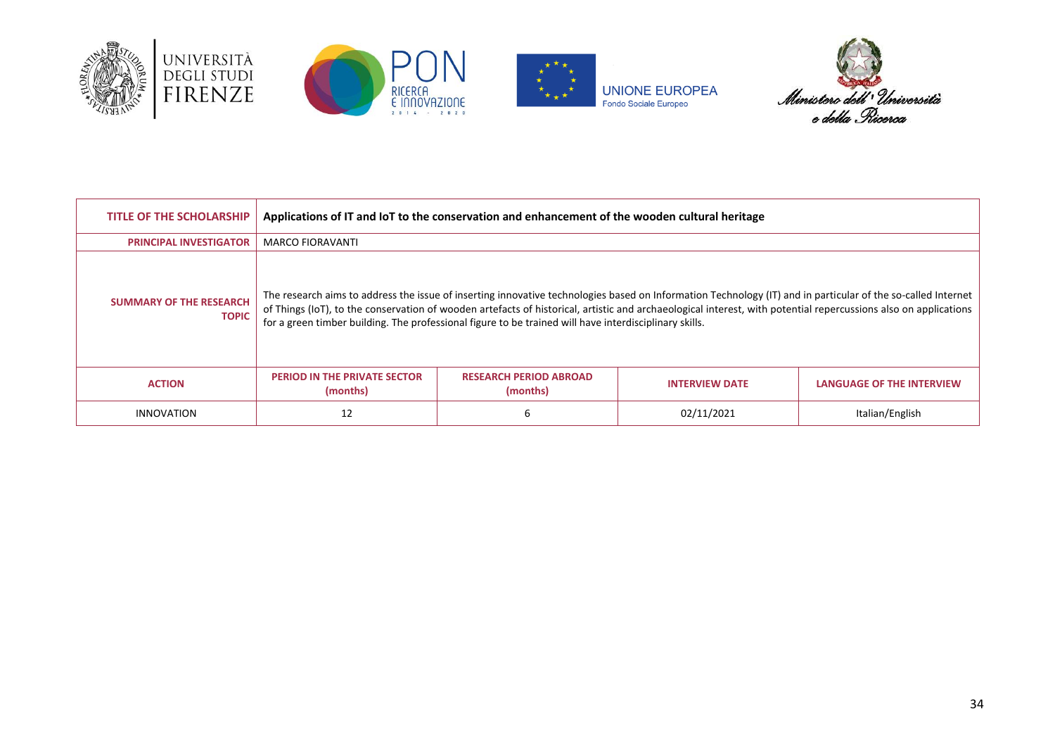







| <b>TITLE OF THE SCHOLARSHIP</b>                | Applications of IT and IoT to the conservation and enhancement of the wooden cultural heritage |                                                                                                        |                                                                                                                                                                                                                                                                                                                                 |                                  |
|------------------------------------------------|------------------------------------------------------------------------------------------------|--------------------------------------------------------------------------------------------------------|---------------------------------------------------------------------------------------------------------------------------------------------------------------------------------------------------------------------------------------------------------------------------------------------------------------------------------|----------------------------------|
| <b>PRINCIPAL INVESTIGATOR</b>                  | <b>MARCO FIORAVANTI</b>                                                                        |                                                                                                        |                                                                                                                                                                                                                                                                                                                                 |                                  |
| <b>SUMMARY OF THE RESEARCH</b><br><b>TOPIC</b> |                                                                                                | for a green timber building. The professional figure to be trained will have interdisciplinary skills. | The research aims to address the issue of inserting innovative technologies based on Information Technology (IT) and in particular of the so-called Internet<br>of Things (IoT), to the conservation of wooden artefacts of historical, artistic and archaeological interest, with potential repercussions also on applications |                                  |
| <b>ACTION</b>                                  | <b>PERIOD IN THE PRIVATE SECTOR</b><br>(months)                                                | <b>RESEARCH PERIOD ABROAD</b><br>(months)                                                              | <b>INTERVIEW DATE</b>                                                                                                                                                                                                                                                                                                           | <b>LANGUAGE OF THE INTERVIEW</b> |
| <b>INNOVATION</b>                              | 12                                                                                             |                                                                                                        | 02/11/2021                                                                                                                                                                                                                                                                                                                      | Italian/English                  |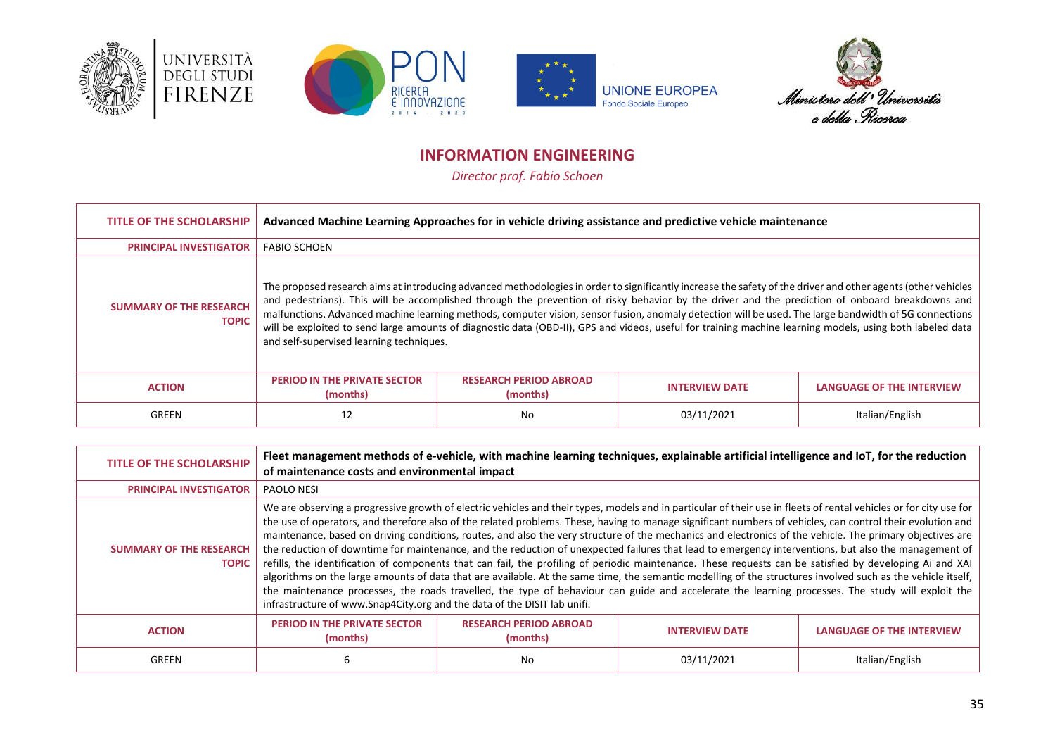







# **INFORMATION ENGINEERING**

*Director prof. Fabio Schoen*

<span id="page-34-0"></span>

| <b>TITLE OF THE SCHOLARSHIP</b>                | Advanced Machine Learning Approaches for in vehicle driving assistance and predictive vehicle maintenance |                                           |                                                                                                                                                                                                                                                                                                                                                                                                                                                                                                                                                                                                                                         |                                  |
|------------------------------------------------|-----------------------------------------------------------------------------------------------------------|-------------------------------------------|-----------------------------------------------------------------------------------------------------------------------------------------------------------------------------------------------------------------------------------------------------------------------------------------------------------------------------------------------------------------------------------------------------------------------------------------------------------------------------------------------------------------------------------------------------------------------------------------------------------------------------------------|----------------------------------|
| <b>PRINCIPAL INVESTIGATOR</b>                  | <b>FABIO SCHOEN</b>                                                                                       |                                           |                                                                                                                                                                                                                                                                                                                                                                                                                                                                                                                                                                                                                                         |                                  |
| <b>SUMMARY OF THE RESEARCH</b><br><b>TOPIC</b> | and self-supervised learning techniques.                                                                  |                                           | The proposed research aims at introducing advanced methodologies in order to significantly increase the safety of the driver and other agents (other vehicles<br>and pedestrians). This will be accomplished through the prevention of risky behavior by the driver and the prediction of onboard breakdowns and<br>malfunctions. Advanced machine learning methods, computer vision, sensor fusion, anomaly detection will be used. The large bandwidth of 5G connections<br>will be exploited to send large amounts of diagnostic data (OBD-II), GPS and videos, useful for training machine learning models, using both labeled data |                                  |
| <b>ACTION</b>                                  | <b>PERIOD IN THE PRIVATE SECTOR</b><br>(months)                                                           | <b>RESEARCH PERIOD ABROAD</b><br>(months) | <b>INTERVIEW DATE</b>                                                                                                                                                                                                                                                                                                                                                                                                                                                                                                                                                                                                                   | <b>LANGUAGE OF THE INTERVIEW</b> |
| GREEN                                          | 12                                                                                                        | No                                        | 03/11/2021                                                                                                                                                                                                                                                                                                                                                                                                                                                                                                                                                                                                                              | Italian/English                  |

| TITLE OF THE SCHOLARSHIP                       | Fleet management methods of e-vehicle, with machine learning techniques, explainable artificial intelligence and IoT, for the reduction<br>of maintenance costs and environmental impact                                                                                                                                                                                                                                                                                                                                                                                                                                                                                                                                                                                                                                                                                                                                                                                                                                                                                                                                                                                                                          |                                           |                       |                                  |
|------------------------------------------------|-------------------------------------------------------------------------------------------------------------------------------------------------------------------------------------------------------------------------------------------------------------------------------------------------------------------------------------------------------------------------------------------------------------------------------------------------------------------------------------------------------------------------------------------------------------------------------------------------------------------------------------------------------------------------------------------------------------------------------------------------------------------------------------------------------------------------------------------------------------------------------------------------------------------------------------------------------------------------------------------------------------------------------------------------------------------------------------------------------------------------------------------------------------------------------------------------------------------|-------------------------------------------|-----------------------|----------------------------------|
| <b>PRINCIPAL INVESTIGATOR</b>                  | PAOLO NESI                                                                                                                                                                                                                                                                                                                                                                                                                                                                                                                                                                                                                                                                                                                                                                                                                                                                                                                                                                                                                                                                                                                                                                                                        |                                           |                       |                                  |
| <b>SUMMARY OF THE RESEARCH</b><br><b>TOPIC</b> | We are observing a progressive growth of electric vehicles and their types, models and in particular of their use in fleets of rental vehicles or for city use for<br>the use of operators, and therefore also of the related problems. These, having to manage significant numbers of vehicles, can control their evolution and<br>maintenance, based on driving conditions, routes, and also the very structure of the mechanics and electronics of the vehicle. The primary objectives are<br>the reduction of downtime for maintenance, and the reduction of unexpected failures that lead to emergency interventions, but also the management of<br>refills, the identification of components that can fail, the profiling of periodic maintenance. These requests can be satisfied by developing Ai and XAI<br>algorithms on the large amounts of data that are available. At the same time, the semantic modelling of the structures involved such as the vehicle itself,<br>the maintenance processes, the roads travelled, the type of behaviour can guide and accelerate the learning processes. The study will exploit the<br>infrastructure of www.Snap4City.org and the data of the DISIT lab unifi. |                                           |                       |                                  |
| <b>ACTION</b>                                  | <b>PERIOD IN THE PRIVATE SECTOR</b><br>(months)                                                                                                                                                                                                                                                                                                                                                                                                                                                                                                                                                                                                                                                                                                                                                                                                                                                                                                                                                                                                                                                                                                                                                                   | <b>RESEARCH PERIOD ABROAD</b><br>(months) | <b>INTERVIEW DATE</b> | <b>LANGUAGE OF THE INTERVIEW</b> |
| GREEN                                          | ь                                                                                                                                                                                                                                                                                                                                                                                                                                                                                                                                                                                                                                                                                                                                                                                                                                                                                                                                                                                                                                                                                                                                                                                                                 | No                                        | 03/11/2021            | Italian/English                  |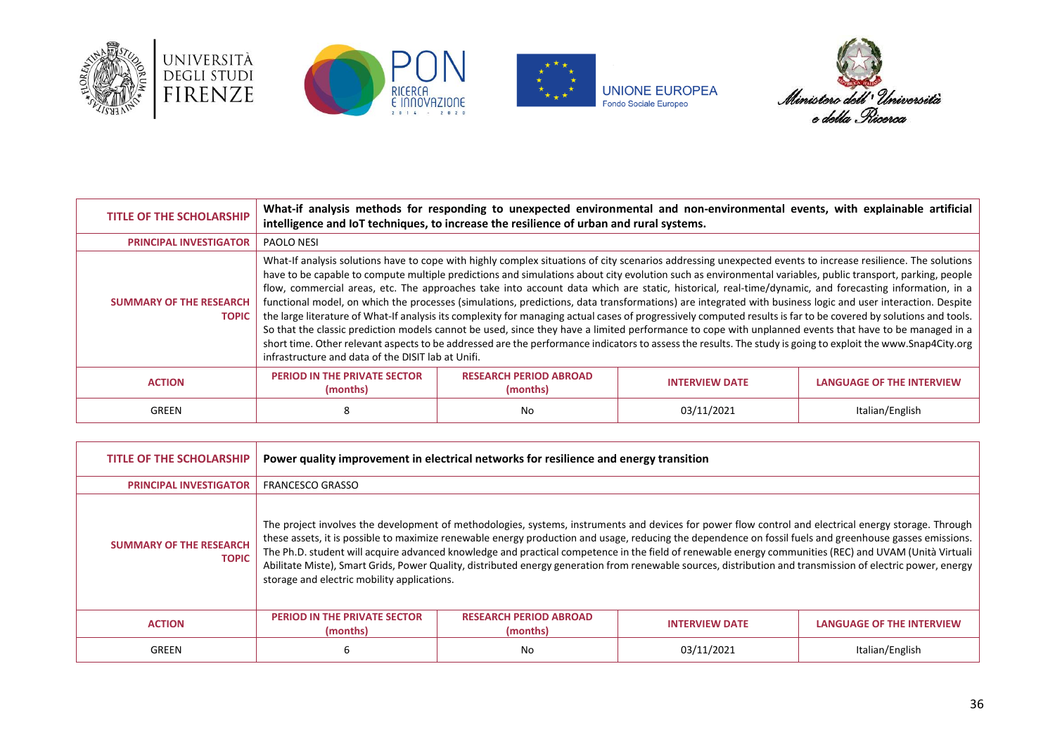









| <b>TITLE OF THE SCHOLARSHIP</b>                | What-if analysis methods for responding to unexpected environmental and non-environmental events, with explainable artificial<br>intelligence and IoT techniques, to increase the resilience of urban and rural systems.                                                                                                                                                                                                                                                                                                                                                                                                                                                                                                                                                                                                                                                                                                                                                                                                                                                                                                                                                                             |                                           |                       |                                  |
|------------------------------------------------|------------------------------------------------------------------------------------------------------------------------------------------------------------------------------------------------------------------------------------------------------------------------------------------------------------------------------------------------------------------------------------------------------------------------------------------------------------------------------------------------------------------------------------------------------------------------------------------------------------------------------------------------------------------------------------------------------------------------------------------------------------------------------------------------------------------------------------------------------------------------------------------------------------------------------------------------------------------------------------------------------------------------------------------------------------------------------------------------------------------------------------------------------------------------------------------------------|-------------------------------------------|-----------------------|----------------------------------|
| <b>PRINCIPAL INVESTIGATOR</b>                  | PAOLO NESI                                                                                                                                                                                                                                                                                                                                                                                                                                                                                                                                                                                                                                                                                                                                                                                                                                                                                                                                                                                                                                                                                                                                                                                           |                                           |                       |                                  |
| <b>SUMMARY OF THE RESEARCH</b><br><b>TOPIC</b> | What-If analysis solutions have to cope with highly complex situations of city scenarios addressing unexpected events to increase resilience. The solutions<br>have to be capable to compute multiple predictions and simulations about city evolution such as environmental variables, public transport, parking, people<br>flow, commercial areas, etc. The approaches take into account data which are static, historical, real-time/dynamic, and forecasting information, in a<br>functional model, on which the processes (simulations, predictions, data transformations) are integrated with business logic and user interaction. Despite<br>the large literature of What-If analysis its complexity for managing actual cases of progressively computed results is far to be covered by solutions and tools.<br>So that the classic prediction models cannot be used, since they have a limited performance to cope with unplanned events that have to be managed in a<br>short time. Other relevant aspects to be addressed are the performance indicators to assess the results. The study is going to exploit the www.Snap4City.org<br>infrastructure and data of the DISIT lab at Unifi. |                                           |                       |                                  |
| <b>ACTION</b>                                  | <b>PERIOD IN THE PRIVATE SECTOR</b><br>(months)                                                                                                                                                                                                                                                                                                                                                                                                                                                                                                                                                                                                                                                                                                                                                                                                                                                                                                                                                                                                                                                                                                                                                      | <b>RESEARCH PERIOD ABROAD</b><br>(months) | <b>INTERVIEW DATE</b> | <b>LANGUAGE OF THE INTERVIEW</b> |
| GREEN                                          | ӽ                                                                                                                                                                                                                                                                                                                                                                                                                                                                                                                                                                                                                                                                                                                                                                                                                                                                                                                                                                                                                                                                                                                                                                                                    | No                                        | 03/11/2021            | Italian/English                  |

| <b>TITLE OF THE SCHOLARSHIP</b>                | Power quality improvement in electrical networks for resilience and energy transition |                                           |                                                                                                                                                                                                                                                                                                                                                                                                                                                                                                                                                                                                                                            |                           |
|------------------------------------------------|---------------------------------------------------------------------------------------|-------------------------------------------|--------------------------------------------------------------------------------------------------------------------------------------------------------------------------------------------------------------------------------------------------------------------------------------------------------------------------------------------------------------------------------------------------------------------------------------------------------------------------------------------------------------------------------------------------------------------------------------------------------------------------------------------|---------------------------|
| <b>PRINCIPAL INVESTIGATOR</b>                  | <b>FRANCESCO GRASSO</b>                                                               |                                           |                                                                                                                                                                                                                                                                                                                                                                                                                                                                                                                                                                                                                                            |                           |
| <b>SUMMARY OF THE RESEARCH</b><br><b>TOPIC</b> | storage and electric mobility applications.                                           |                                           | The project involves the development of methodologies, systems, instruments and devices for power flow control and electrical energy storage. Through<br>these assets, it is possible to maximize renewable energy production and usage, reducing the dependence on fossil fuels and greenhouse gasses emissions.<br>The Ph.D. student will acquire advanced knowledge and practical competence in the field of renewable energy communities (REC) and UVAM (Unità Virtuali<br>Abilitate Miste), Smart Grids, Power Quality, distributed energy generation from renewable sources, distribution and transmission of electric power, energy |                           |
| <b>ACTION</b>                                  | <b>PERIOD IN THE PRIVATE SECTOR</b><br>(months)                                       | <b>RESEARCH PERIOD ABROAD</b><br>(months) | <b>INTERVIEW DATE</b>                                                                                                                                                                                                                                                                                                                                                                                                                                                                                                                                                                                                                      | LANGUAGE OF THE INTERVIEW |
| GREEN                                          | 6                                                                                     | No                                        | 03/11/2021                                                                                                                                                                                                                                                                                                                                                                                                                                                                                                                                                                                                                                 | Italian/English           |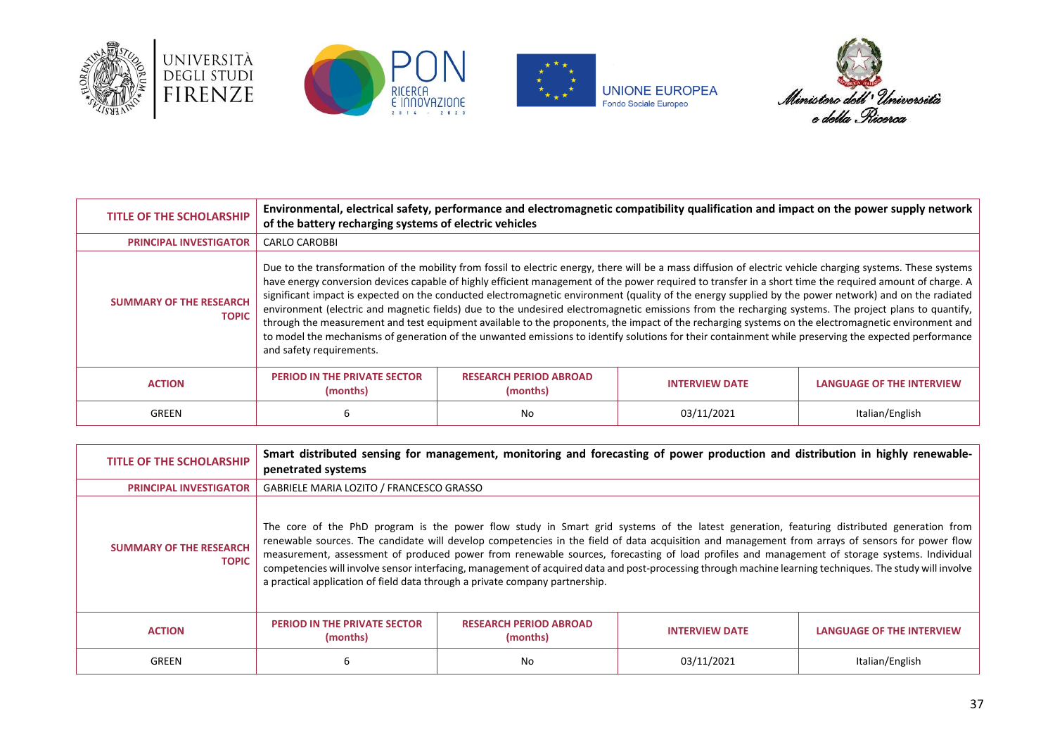







| TITLE OF THE SCHOLARSHIP                       | of the battery recharging systems of electric vehicles                                                                                                                                                                                                                                                                                                                                                                                                                                                                                                                                                                                                                                                                                                                                                                                                                                                                                                                                 |                                           | Environmental, electrical safety, performance and electromagnetic compatibility qualification and impact on the power supply network |                                  |
|------------------------------------------------|----------------------------------------------------------------------------------------------------------------------------------------------------------------------------------------------------------------------------------------------------------------------------------------------------------------------------------------------------------------------------------------------------------------------------------------------------------------------------------------------------------------------------------------------------------------------------------------------------------------------------------------------------------------------------------------------------------------------------------------------------------------------------------------------------------------------------------------------------------------------------------------------------------------------------------------------------------------------------------------|-------------------------------------------|--------------------------------------------------------------------------------------------------------------------------------------|----------------------------------|
| <b>PRINCIPAL INVESTIGATOR</b>                  | <b>CARLO CAROBBI</b>                                                                                                                                                                                                                                                                                                                                                                                                                                                                                                                                                                                                                                                                                                                                                                                                                                                                                                                                                                   |                                           |                                                                                                                                      |                                  |
| <b>SUMMARY OF THE RESEARCH</b><br><b>TOPIC</b> | Due to the transformation of the mobility from fossil to electric energy, there will be a mass diffusion of electric vehicle charging systems. These systems<br>have energy conversion devices capable of highly efficient management of the power required to transfer in a short time the required amount of charge. A<br>significant impact is expected on the conducted electromagnetic environment (quality of the energy supplied by the power network) and on the radiated<br>environment (electric and magnetic fields) due to the undesired electromagnetic emissions from the recharging systems. The project plans to quantify,<br>through the measurement and test equipment available to the proponents, the impact of the recharging systems on the electromagnetic environment and<br>to model the mechanisms of generation of the unwanted emissions to identify solutions for their containment while preserving the expected performance<br>and safety requirements. |                                           |                                                                                                                                      |                                  |
| <b>ACTION</b>                                  | <b>PERIOD IN THE PRIVATE SECTOR</b><br>(months)                                                                                                                                                                                                                                                                                                                                                                                                                                                                                                                                                                                                                                                                                                                                                                                                                                                                                                                                        | <b>RESEARCH PERIOD ABROAD</b><br>(months) | <b>INTERVIEW DATE</b>                                                                                                                | <b>LANGUAGE OF THE INTERVIEW</b> |
| GREEN                                          | 6                                                                                                                                                                                                                                                                                                                                                                                                                                                                                                                                                                                                                                                                                                                                                                                                                                                                                                                                                                                      | No.                                       | 03/11/2021                                                                                                                           | Italian/English                  |

| TITLE OF THE SCHOLARSHIP                       | Smart distributed sensing for management, monitoring and forecasting of power production and distribution in highly renewable-<br>penetrated systems                                                                                                                                                                                                                                                                                                                                                                                                                                                                                                                                       |                                           |                       |                                  |
|------------------------------------------------|--------------------------------------------------------------------------------------------------------------------------------------------------------------------------------------------------------------------------------------------------------------------------------------------------------------------------------------------------------------------------------------------------------------------------------------------------------------------------------------------------------------------------------------------------------------------------------------------------------------------------------------------------------------------------------------------|-------------------------------------------|-----------------------|----------------------------------|
| <b>PRINCIPAL INVESTIGATOR</b>                  | GABRIELE MARIA LOZITO / FRANCESCO GRASSO                                                                                                                                                                                                                                                                                                                                                                                                                                                                                                                                                                                                                                                   |                                           |                       |                                  |
| <b>SUMMARY OF THE RESEARCH</b><br><b>TOPIC</b> | The core of the PhD program is the power flow study in Smart grid systems of the latest generation, featuring distributed generation from<br>renewable sources. The candidate will develop competencies in the field of data acquisition and management from arrays of sensors for power flow<br>measurement, assessment of produced power from renewable sources, forecasting of load profiles and management of storage systems. Individual<br>competencies will involve sensor interfacing, management of acquired data and post-processing through machine learning techniques. The study will involve<br>a practical application of field data through a private company partnership. |                                           |                       |                                  |
| <b>ACTION</b>                                  | <b>PERIOD IN THE PRIVATE SECTOR</b><br>(months)                                                                                                                                                                                                                                                                                                                                                                                                                                                                                                                                                                                                                                            | <b>RESEARCH PERIOD ABROAD</b><br>(months) | <b>INTERVIEW DATE</b> | <b>LANGUAGE OF THE INTERVIEW</b> |
| GREEN                                          | 6                                                                                                                                                                                                                                                                                                                                                                                                                                                                                                                                                                                                                                                                                          | No                                        | 03/11/2021            | Italian/English                  |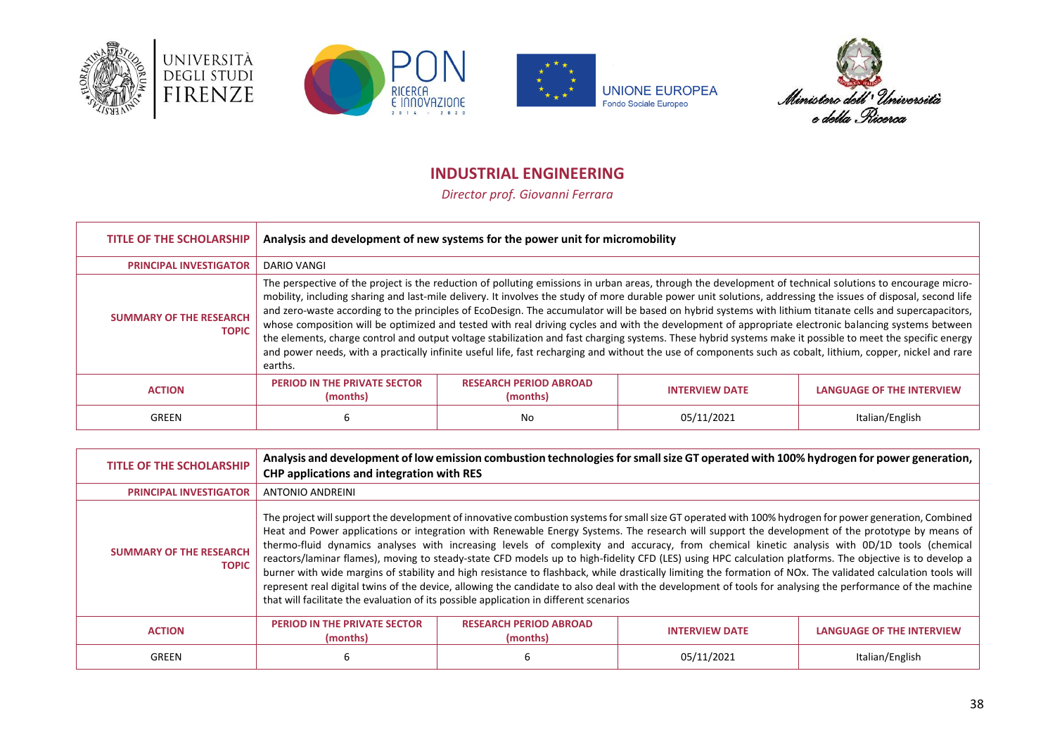







# **INDUSTRIAL ENGINEERING**

*Director prof. Giovanni Ferrara*

<span id="page-37-0"></span>

| <b>TITLE OF THE SCHOLARSHIP</b>                | Analysis and development of new systems for the power unit for micromobility |                                                                                                                                                                                                                                                                                                                                                                                                                                                                                                                                                                                                                                                                                                                                                                                                              |                       |                                                                                                                                                                |
|------------------------------------------------|------------------------------------------------------------------------------|--------------------------------------------------------------------------------------------------------------------------------------------------------------------------------------------------------------------------------------------------------------------------------------------------------------------------------------------------------------------------------------------------------------------------------------------------------------------------------------------------------------------------------------------------------------------------------------------------------------------------------------------------------------------------------------------------------------------------------------------------------------------------------------------------------------|-----------------------|----------------------------------------------------------------------------------------------------------------------------------------------------------------|
| <b>PRINCIPAL INVESTIGATOR</b>                  | DARIO VANGI                                                                  |                                                                                                                                                                                                                                                                                                                                                                                                                                                                                                                                                                                                                                                                                                                                                                                                              |                       |                                                                                                                                                                |
| <b>SUMMARY OF THE RESEARCH</b><br><b>TOPIC</b> | earths.                                                                      | The perspective of the project is the reduction of polluting emissions in urban areas, through the development of technical solutions to encourage micro-<br>and zero-waste according to the principles of EcoDesign. The accumulator will be based on hybrid systems with lithium titanate cells and supercapacitors,<br>whose composition will be optimized and tested with real driving cycles and with the development of appropriate electronic balancing systems between<br>the elements, charge control and output voltage stabilization and fast charging systems. These hybrid systems make it possible to meet the specific energy<br>and power needs, with a practically infinite useful life, fast recharging and without the use of components such as cobalt, lithium, copper, nickel and rare |                       | mobility, including sharing and last-mile delivery. It involves the study of more durable power unit solutions, addressing the issues of disposal, second life |
| <b>ACTION</b>                                  | <b>PERIOD IN THE PRIVATE SECTOR</b><br>(months)                              | <b>RESEARCH PERIOD ABROAD</b><br>(months)                                                                                                                                                                                                                                                                                                                                                                                                                                                                                                                                                                                                                                                                                                                                                                    | <b>INTERVIEW DATE</b> | <b>LANGUAGE OF THE INTERVIEW</b>                                                                                                                               |
| GREEN                                          |                                                                              | No                                                                                                                                                                                                                                                                                                                                                                                                                                                                                                                                                                                                                                                                                                                                                                                                           | 05/11/2021            | Italian/English                                                                                                                                                |

| <b>TITLE OF THE SCHOLARSHIP</b>                | CHP applications and integration with RES                                                                                                                                                                                                                                                                                                                                                                                                                                                                                                                                                                                                                                                                                                                                                                                                                                                                                                                                                                                                      |                                           | Analysis and development of low emission combustion technologies for small size GT operated with 100% hydrogen for power generation, |                                  |
|------------------------------------------------|------------------------------------------------------------------------------------------------------------------------------------------------------------------------------------------------------------------------------------------------------------------------------------------------------------------------------------------------------------------------------------------------------------------------------------------------------------------------------------------------------------------------------------------------------------------------------------------------------------------------------------------------------------------------------------------------------------------------------------------------------------------------------------------------------------------------------------------------------------------------------------------------------------------------------------------------------------------------------------------------------------------------------------------------|-------------------------------------------|--------------------------------------------------------------------------------------------------------------------------------------|----------------------------------|
| <b>PRINCIPAL INVESTIGATOR</b>                  | <b>ANTONIO ANDREINI</b>                                                                                                                                                                                                                                                                                                                                                                                                                                                                                                                                                                                                                                                                                                                                                                                                                                                                                                                                                                                                                        |                                           |                                                                                                                                      |                                  |
| <b>SUMMARY OF THE RESEARCH</b><br><b>TOPIC</b> | The project will support the development of innovative combustion systems for small size GT operated with 100% hydrogen for power generation, Combined<br>Heat and Power applications or integration with Renewable Energy Systems. The research will support the development of the prototype by means of<br>thermo-fluid dynamics analyses with increasing levels of complexity and accuracy, from chemical kinetic analysis with 0D/1D tools (chemical<br>reactors/laminar flames), moving to steady-state CFD models up to high-fidelity CFD (LES) using HPC calculation platforms. The objective is to develop a<br>burner with wide margins of stability and high resistance to flashback, while drastically limiting the formation of NOx. The validated calculation tools will<br>represent real digital twins of the device, allowing the candidate to also deal with the development of tools for analysing the performance of the machine<br>that will facilitate the evaluation of its possible application in different scenarios |                                           |                                                                                                                                      |                                  |
| <b>ACTION</b>                                  | <b>PERIOD IN THE PRIVATE SECTOR</b><br>(months)                                                                                                                                                                                                                                                                                                                                                                                                                                                                                                                                                                                                                                                                                                                                                                                                                                                                                                                                                                                                | <b>RESEARCH PERIOD ABROAD</b><br>(months) | <b>INTERVIEW DATE</b>                                                                                                                | <b>LANGUAGE OF THE INTERVIEW</b> |
| GREEN                                          | 6                                                                                                                                                                                                                                                                                                                                                                                                                                                                                                                                                                                                                                                                                                                                                                                                                                                                                                                                                                                                                                              |                                           | 05/11/2021                                                                                                                           | Italian/English                  |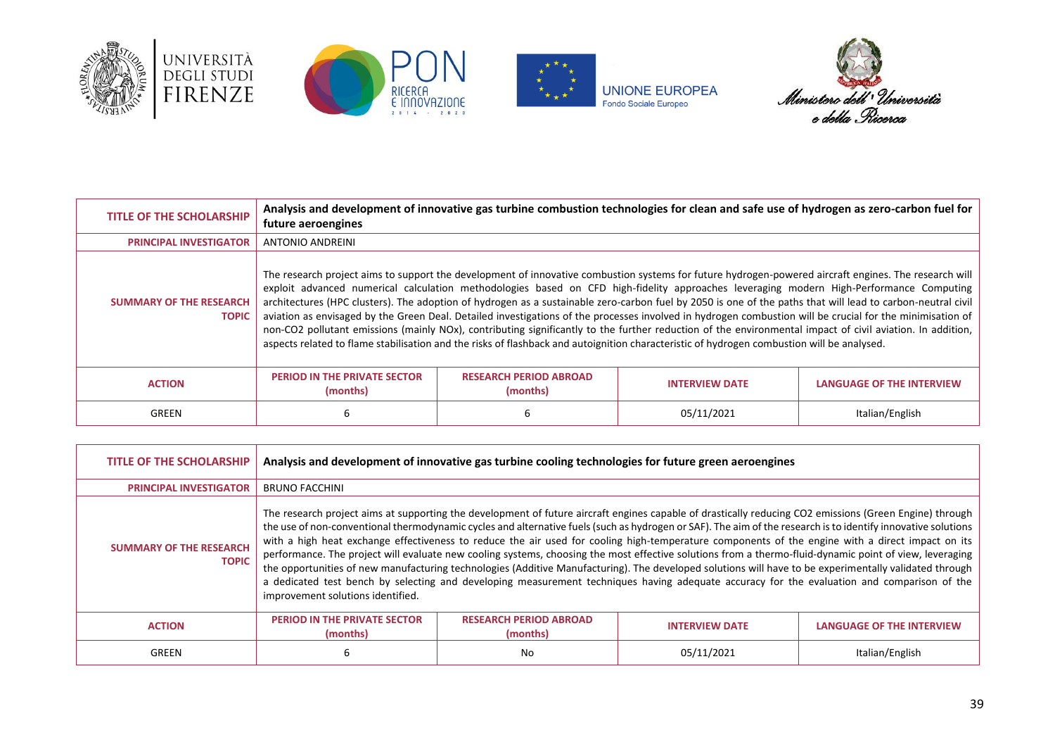







| <b>TITLE OF THE SCHOLARSHIP</b>                | future aeroengines                                                                                                                                                                                                                                                                                                                                                                                                                                                                                                                                                                                                                                                                                                                                                                                                                                                                                                                      |                                           | Analysis and development of innovative gas turbine combustion technologies for clean and safe use of hydrogen as zero-carbon fuel for |                                  |
|------------------------------------------------|-----------------------------------------------------------------------------------------------------------------------------------------------------------------------------------------------------------------------------------------------------------------------------------------------------------------------------------------------------------------------------------------------------------------------------------------------------------------------------------------------------------------------------------------------------------------------------------------------------------------------------------------------------------------------------------------------------------------------------------------------------------------------------------------------------------------------------------------------------------------------------------------------------------------------------------------|-------------------------------------------|---------------------------------------------------------------------------------------------------------------------------------------|----------------------------------|
| <b>PRINCIPAL INVESTIGATOR</b>                  | <b>ANTONIO ANDREINI</b>                                                                                                                                                                                                                                                                                                                                                                                                                                                                                                                                                                                                                                                                                                                                                                                                                                                                                                                 |                                           |                                                                                                                                       |                                  |
| <b>SUMMARY OF THE RESEARCH</b><br><b>TOPIC</b> | The research project aims to support the development of innovative combustion systems for future hydrogen-powered aircraft engines. The research will<br>exploit advanced numerical calculation methodologies based on CFD high-fidelity approaches leveraging modern High-Performance Computing<br>architectures (HPC clusters). The adoption of hydrogen as a sustainable zero-carbon fuel by 2050 is one of the paths that will lead to carbon-neutral civil<br>aviation as envisaged by the Green Deal. Detailed investigations of the processes involved in hydrogen combustion will be crucial for the minimisation of<br>non-CO2 pollutant emissions (mainly NOx), contributing significantly to the further reduction of the environmental impact of civil aviation. In addition,<br>aspects related to flame stabilisation and the risks of flashback and autoignition characteristic of hydrogen combustion will be analysed. |                                           |                                                                                                                                       |                                  |
| <b>ACTION</b>                                  | <b>PERIOD IN THE PRIVATE SECTOR</b><br>(months)                                                                                                                                                                                                                                                                                                                                                                                                                                                                                                                                                                                                                                                                                                                                                                                                                                                                                         | <b>RESEARCH PERIOD ABROAD</b><br>(months) | <b>INTERVIEW DATE</b>                                                                                                                 | <b>LANGUAGE OF THE INTERVIEW</b> |
| GREEN                                          | 6                                                                                                                                                                                                                                                                                                                                                                                                                                                                                                                                                                                                                                                                                                                                                                                                                                                                                                                                       |                                           | 05/11/2021                                                                                                                            | Italian/English                  |

| <b>TITLE OF THE SCHOLARSHIP</b>                | Analysis and development of innovative gas turbine cooling technologies for future green aeroengines                                                                                                                                                                                                                                                                                                                                                                                                                                                                                                                                                                                                                                                                                                                                                                                                                                                                                  |                                           |                       |                                  |
|------------------------------------------------|---------------------------------------------------------------------------------------------------------------------------------------------------------------------------------------------------------------------------------------------------------------------------------------------------------------------------------------------------------------------------------------------------------------------------------------------------------------------------------------------------------------------------------------------------------------------------------------------------------------------------------------------------------------------------------------------------------------------------------------------------------------------------------------------------------------------------------------------------------------------------------------------------------------------------------------------------------------------------------------|-------------------------------------------|-----------------------|----------------------------------|
| <b>PRINCIPAL INVESTIGATOR</b>                  | <b>BRUNO FACCHINI</b>                                                                                                                                                                                                                                                                                                                                                                                                                                                                                                                                                                                                                                                                                                                                                                                                                                                                                                                                                                 |                                           |                       |                                  |
| <b>SUMMARY OF THE RESEARCH</b><br><b>TOPIC</b> | The research project aims at supporting the development of future aircraft engines capable of drastically reducing CO2 emissions (Green Engine) through<br>the use of non-conventional thermodynamic cycles and alternative fuels (such as hydrogen or SAF). The aim of the research is to identify innovative solutions<br>with a high heat exchange effectiveness to reduce the air used for cooling high-temperature components of the engine with a direct impact on its<br>performance. The project will evaluate new cooling systems, choosing the most effective solutions from a thermo-fluid-dynamic point of view, leveraging<br>the opportunities of new manufacturing technologies (Additive Manufacturing). The developed solutions will have to be experimentally validated through<br>a dedicated test bench by selecting and developing measurement techniques having adequate accuracy for the evaluation and comparison of the<br>improvement solutions identified. |                                           |                       |                                  |
| <b>ACTION</b>                                  | <b>PERIOD IN THE PRIVATE SECTOR</b><br>(months)                                                                                                                                                                                                                                                                                                                                                                                                                                                                                                                                                                                                                                                                                                                                                                                                                                                                                                                                       | <b>RESEARCH PERIOD ABROAD</b><br>(months) | <b>INTERVIEW DATE</b> | <b>LANGUAGE OF THE INTERVIEW</b> |
| GREEN                                          | 6                                                                                                                                                                                                                                                                                                                                                                                                                                                                                                                                                                                                                                                                                                                                                                                                                                                                                                                                                                                     | No                                        | 05/11/2021            | Italian/English                  |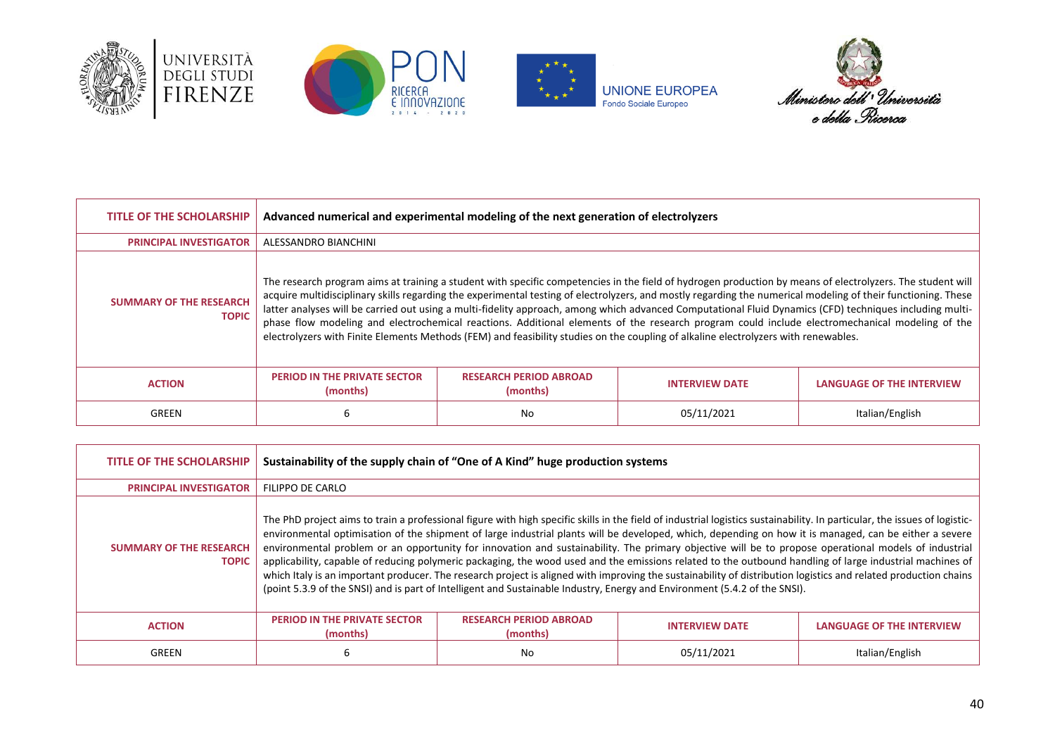







| TITLE OF THE SCHOLARSHIP                       | Advanced numerical and experimental modeling of the next generation of electrolyzers |                                           |                                                                                                                                                                                                                                                                                                                                                                                                                                                                                                                                                                                                                                                                                                                                                                                  |                           |
|------------------------------------------------|--------------------------------------------------------------------------------------|-------------------------------------------|----------------------------------------------------------------------------------------------------------------------------------------------------------------------------------------------------------------------------------------------------------------------------------------------------------------------------------------------------------------------------------------------------------------------------------------------------------------------------------------------------------------------------------------------------------------------------------------------------------------------------------------------------------------------------------------------------------------------------------------------------------------------------------|---------------------------|
| <b>PRINCIPAL INVESTIGATOR</b>                  | ALESSANDRO BIANCHINI                                                                 |                                           |                                                                                                                                                                                                                                                                                                                                                                                                                                                                                                                                                                                                                                                                                                                                                                                  |                           |
| <b>SUMMARY OF THE RESEARCH</b><br><b>TOPIC</b> |                                                                                      |                                           | The research program aims at training a student with specific competencies in the field of hydrogen production by means of electrolyzers. The student will<br>acquire multidisciplinary skills regarding the experimental testing of electrolyzers, and mostly regarding the numerical modeling of their functioning. These<br>latter analyses will be carried out using a multi-fidelity approach, among which advanced Computational Fluid Dynamics (CFD) techniques including multi-<br>phase flow modeling and electrochemical reactions. Additional elements of the research program could include electromechanical modeling of the<br>electrolyzers with Finite Elements Methods (FEM) and feasibility studies on the coupling of alkaline electrolyzers with renewables. |                           |
| <b>ACTION</b>                                  | <b>PERIOD IN THE PRIVATE SECTOR</b><br>(months)                                      | <b>RESEARCH PERIOD ABROAD</b><br>(months) | <b>INTERVIEW DATE</b>                                                                                                                                                                                                                                                                                                                                                                                                                                                                                                                                                                                                                                                                                                                                                            | LANGUAGE OF THE INTERVIEW |
| GREEN                                          | 6                                                                                    | No                                        | 05/11/2021                                                                                                                                                                                                                                                                                                                                                                                                                                                                                                                                                                                                                                                                                                                                                                       | Italian/English           |

| <b>TITLE OF THE SCHOLARSHIP</b>                | Sustainability of the supply chain of "One of A Kind" huge production systems                                                                                                                                                                                                                                                                                                                                                                                                                                                                                                                                                                                                                                                                                                                                                                                                                                                                            |                                           |                       |                           |
|------------------------------------------------|----------------------------------------------------------------------------------------------------------------------------------------------------------------------------------------------------------------------------------------------------------------------------------------------------------------------------------------------------------------------------------------------------------------------------------------------------------------------------------------------------------------------------------------------------------------------------------------------------------------------------------------------------------------------------------------------------------------------------------------------------------------------------------------------------------------------------------------------------------------------------------------------------------------------------------------------------------|-------------------------------------------|-----------------------|---------------------------|
| <b>PRINCIPAL INVESTIGATOR</b>                  | FILIPPO DE CARLO                                                                                                                                                                                                                                                                                                                                                                                                                                                                                                                                                                                                                                                                                                                                                                                                                                                                                                                                         |                                           |                       |                           |
| <b>SUMMARY OF THE RESEARCH</b><br><b>TOPIC</b> | The PhD project aims to train a professional figure with high specific skills in the field of industrial logistics sustainability. In particular, the issues of logistic-<br>environmental optimisation of the shipment of large industrial plants will be developed, which, depending on how it is managed, can be either a severe<br>environmental problem or an opportunity for innovation and sustainability. The primary objective will be to propose operational models of industrial<br>applicability, capable of reducing polymeric packaging, the wood used and the emissions related to the outbound handling of large industrial machines of<br>which Italy is an important producer. The research project is aligned with improving the sustainability of distribution logistics and related production chains<br>(point 5.3.9 of the SNSI) and is part of Intelligent and Sustainable Industry, Energy and Environment (5.4.2 of the SNSI). |                                           |                       |                           |
| <b>ACTION</b>                                  | <b>PERIOD IN THE PRIVATE SECTOR</b><br>(months)                                                                                                                                                                                                                                                                                                                                                                                                                                                                                                                                                                                                                                                                                                                                                                                                                                                                                                          | <b>RESEARCH PERIOD ABROAD</b><br>(months) | <b>INTERVIEW DATE</b> | LANGUAGE OF THE INTERVIEW |
| GREEN                                          | 6                                                                                                                                                                                                                                                                                                                                                                                                                                                                                                                                                                                                                                                                                                                                                                                                                                                                                                                                                        | No                                        | 05/11/2021            | Italian/English           |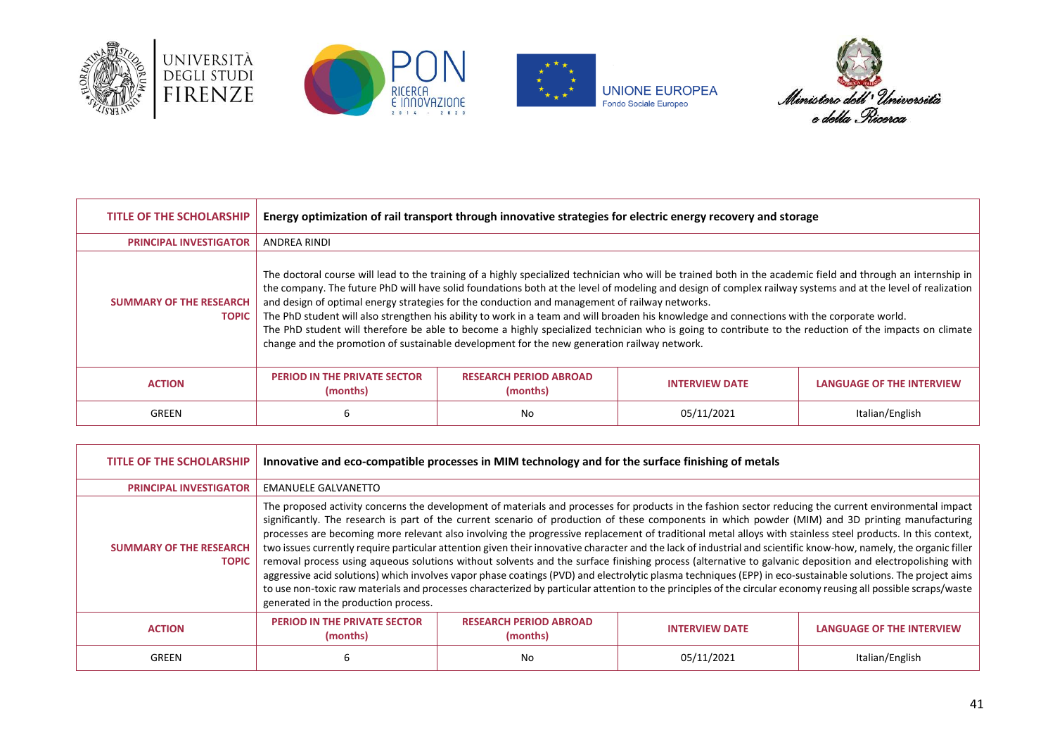







| TITLE OF THE SCHOLARSHIP                       | Energy optimization of rail transport through innovative strategies for electric energy recovery and storage                                                                                                                                                                                                                                                                                                                                                                                                                                                                                                                                                                                                                                                                                                                          |                                           |                       |                                  |
|------------------------------------------------|---------------------------------------------------------------------------------------------------------------------------------------------------------------------------------------------------------------------------------------------------------------------------------------------------------------------------------------------------------------------------------------------------------------------------------------------------------------------------------------------------------------------------------------------------------------------------------------------------------------------------------------------------------------------------------------------------------------------------------------------------------------------------------------------------------------------------------------|-------------------------------------------|-----------------------|----------------------------------|
| <b>PRINCIPAL INVESTIGATOR</b>                  | ANDREA RINDI                                                                                                                                                                                                                                                                                                                                                                                                                                                                                                                                                                                                                                                                                                                                                                                                                          |                                           |                       |                                  |
| <b>SUMMARY OF THE RESEARCH</b><br><b>TOPIC</b> | The doctoral course will lead to the training of a highly specialized technician who will be trained both in the academic field and through an internship in<br>the company. The future PhD will have solid foundations both at the level of modeling and design of complex railway systems and at the level of realization<br>and design of optimal energy strategies for the conduction and management of railway networks.<br>The PhD student will also strengthen his ability to work in a team and will broaden his knowledge and connections with the corporate world.<br>The PhD student will therefore be able to become a highly specialized technician who is going to contribute to the reduction of the impacts on climate<br>change and the promotion of sustainable development for the new generation railway network. |                                           |                       |                                  |
| <b>ACTION</b>                                  | <b>PERIOD IN THE PRIVATE SECTOR</b><br>(months)                                                                                                                                                                                                                                                                                                                                                                                                                                                                                                                                                                                                                                                                                                                                                                                       | <b>RESEARCH PERIOD ABROAD</b><br>(months) | <b>INTERVIEW DATE</b> | <b>LANGUAGE OF THE INTERVIEW</b> |
| GREEN                                          | 6                                                                                                                                                                                                                                                                                                                                                                                                                                                                                                                                                                                                                                                                                                                                                                                                                                     | No                                        | 05/11/2021            | Italian/English                  |

| <b>TITLE OF THE SCHOLARSHIP</b>                | Innovative and eco-compatible processes in MIM technology and for the surface finishing of metals                                                                                                                                                                                                                                                                                                                                                                                                                                                                                                                                                                                                                                                                                                                                                                                                                                                                                                                                                                                                                                                                                     |                                           |                       |                                  |
|------------------------------------------------|---------------------------------------------------------------------------------------------------------------------------------------------------------------------------------------------------------------------------------------------------------------------------------------------------------------------------------------------------------------------------------------------------------------------------------------------------------------------------------------------------------------------------------------------------------------------------------------------------------------------------------------------------------------------------------------------------------------------------------------------------------------------------------------------------------------------------------------------------------------------------------------------------------------------------------------------------------------------------------------------------------------------------------------------------------------------------------------------------------------------------------------------------------------------------------------|-------------------------------------------|-----------------------|----------------------------------|
| <b>PRINCIPAL INVESTIGATOR</b>                  | <b>EMANUELE GALVANETTO</b>                                                                                                                                                                                                                                                                                                                                                                                                                                                                                                                                                                                                                                                                                                                                                                                                                                                                                                                                                                                                                                                                                                                                                            |                                           |                       |                                  |
| <b>SUMMARY OF THE RESEARCH</b><br><b>TOPIC</b> | The proposed activity concerns the development of materials and processes for products in the fashion sector reducing the current environmental impact<br>significantly. The research is part of the current scenario of production of these components in which powder (MIM) and 3D printing manufacturing<br>processes are becoming more relevant also involving the progressive replacement of traditional metal alloys with stainless steel products. In this context,<br>two issues currently require particular attention given their innovative character and the lack of industrial and scientific know-how, namely, the organic filler<br>removal process using aqueous solutions without solvents and the surface finishing process (alternative to galvanic deposition and electropolishing with<br>aggressive acid solutions) which involves vapor phase coatings (PVD) and electrolytic plasma techniques (EPP) in eco-sustainable solutions. The project aims<br>to use non-toxic raw materials and processes characterized by particular attention to the principles of the circular economy reusing all possible scraps/waste<br>generated in the production process. |                                           |                       |                                  |
| <b>ACTION</b>                                  | <b>PERIOD IN THE PRIVATE SECTOR</b><br>(months)                                                                                                                                                                                                                                                                                                                                                                                                                                                                                                                                                                                                                                                                                                                                                                                                                                                                                                                                                                                                                                                                                                                                       | <b>RESEARCH PERIOD ABROAD</b><br>(months) | <b>INTERVIEW DATE</b> | <b>LANGUAGE OF THE INTERVIEW</b> |
| <b>GREEN</b>                                   | b                                                                                                                                                                                                                                                                                                                                                                                                                                                                                                                                                                                                                                                                                                                                                                                                                                                                                                                                                                                                                                                                                                                                                                                     | No                                        | 05/11/2021            | Italian/English                  |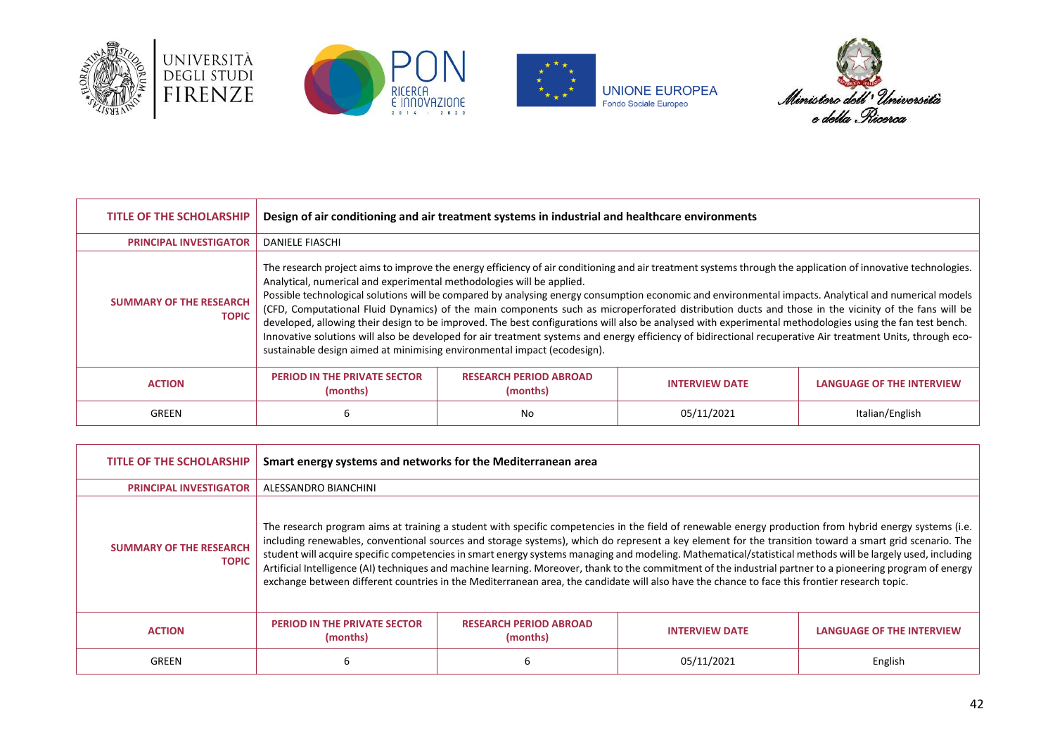







| <b>TITLE OF THE SCHOLARSHIP</b>                | Design of air conditioning and air treatment systems in industrial and healthcare environments                                                                                                                                                                                                                                                                                                                                                                                                                                                                                                                                                                                                                                                                                                                                                                                                                                                               |                                           |                       |                                  |
|------------------------------------------------|--------------------------------------------------------------------------------------------------------------------------------------------------------------------------------------------------------------------------------------------------------------------------------------------------------------------------------------------------------------------------------------------------------------------------------------------------------------------------------------------------------------------------------------------------------------------------------------------------------------------------------------------------------------------------------------------------------------------------------------------------------------------------------------------------------------------------------------------------------------------------------------------------------------------------------------------------------------|-------------------------------------------|-----------------------|----------------------------------|
| <b>PRINCIPAL INVESTIGATOR</b>                  | <b>DANIELE FIASCHI</b>                                                                                                                                                                                                                                                                                                                                                                                                                                                                                                                                                                                                                                                                                                                                                                                                                                                                                                                                       |                                           |                       |                                  |
| <b>SUMMARY OF THE RESEARCH</b><br><b>TOPIC</b> | The research project aims to improve the energy efficiency of air conditioning and air treatment systems through the application of innovative technologies.<br>Analytical, numerical and experimental methodologies will be applied.<br>Possible technological solutions will be compared by analysing energy consumption economic and environmental impacts. Analytical and numerical models<br>(CFD, Computational Fluid Dynamics) of the main components such as microperforated distribution ducts and those in the vicinity of the fans will be<br>developed, allowing their design to be improved. The best configurations will also be analysed with experimental methodologies using the fan test bench.<br>Innovative solutions will also be developed for air treatment systems and energy efficiency of bidirectional recuperative Air treatment Units, through eco-<br>sustainable design aimed at minimising environmental impact (ecodesign). |                                           |                       |                                  |
| <b>ACTION</b>                                  | <b>PERIOD IN THE PRIVATE SECTOR</b><br>(months)                                                                                                                                                                                                                                                                                                                                                                                                                                                                                                                                                                                                                                                                                                                                                                                                                                                                                                              | <b>RESEARCH PERIOD ABROAD</b><br>(months) | <b>INTERVIEW DATE</b> | <b>LANGUAGE OF THE INTERVIEW</b> |
| GREEN                                          | ь                                                                                                                                                                                                                                                                                                                                                                                                                                                                                                                                                                                                                                                                                                                                                                                                                                                                                                                                                            | No                                        | 05/11/2021            | Italian/English                  |

| TITLE OF THE SCHOLARSHIP                       | Smart energy systems and networks for the Mediterranean area |                                                                                                                                                                                                                                                                                                                                                                                                                                                                                                                                                                                                                                                                                                                                                                                                 |                       |                                  |
|------------------------------------------------|--------------------------------------------------------------|-------------------------------------------------------------------------------------------------------------------------------------------------------------------------------------------------------------------------------------------------------------------------------------------------------------------------------------------------------------------------------------------------------------------------------------------------------------------------------------------------------------------------------------------------------------------------------------------------------------------------------------------------------------------------------------------------------------------------------------------------------------------------------------------------|-----------------------|----------------------------------|
| <b>PRINCIPAL INVESTIGATOR</b>                  | ALESSANDRO BIANCHINI                                         |                                                                                                                                                                                                                                                                                                                                                                                                                                                                                                                                                                                                                                                                                                                                                                                                 |                       |                                  |
| <b>SUMMARY OF THE RESEARCH</b><br><b>TOPIC</b> |                                                              | The research program aims at training a student with specific competencies in the field of renewable energy production from hybrid energy systems (i.e.<br>including renewables, conventional sources and storage systems), which do represent a key element for the transition toward a smart grid scenario. The<br>student will acquire specific competencies in smart energy systems managing and modeling. Mathematical/statistical methods will be largely used, including<br>Artificial Intelligence (AI) techniques and machine learning. Moreover, thank to the commitment of the industrial partner to a pioneering program of energy<br>exchange between different countries in the Mediterranean area, the candidate will also have the chance to face this frontier research topic. |                       |                                  |
| <b>ACTION</b>                                  | <b>PERIOD IN THE PRIVATE SECTOR</b><br>(months)              | <b>RESEARCH PERIOD ABROAD</b><br>(months)                                                                                                                                                                                                                                                                                                                                                                                                                                                                                                                                                                                                                                                                                                                                                       | <b>INTERVIEW DATE</b> | <b>LANGUAGE OF THE INTERVIEW</b> |
| GREEN                                          |                                                              |                                                                                                                                                                                                                                                                                                                                                                                                                                                                                                                                                                                                                                                                                                                                                                                                 | 05/11/2021            | English                          |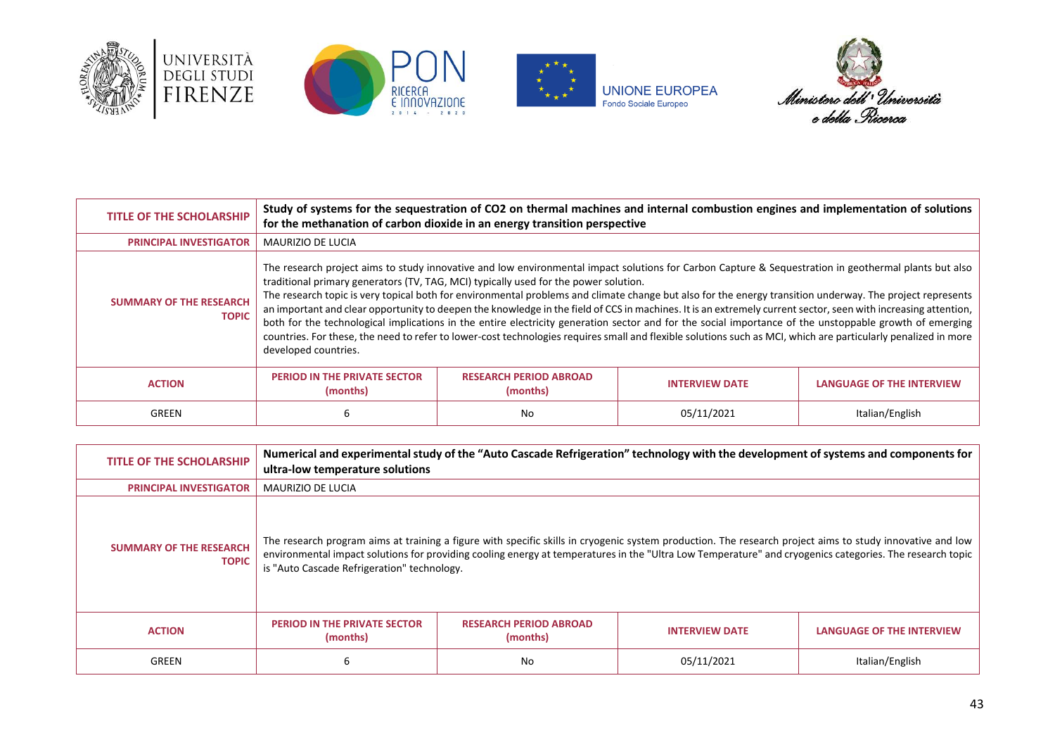







| <b>TITLE OF THE SCHOLARSHIP</b>                | Study of systems for the sequestration of CO2 on thermal machines and internal combustion engines and implementation of solutions<br>for the methanation of carbon dioxide in an energy transition perspective |                                                                                      |                                                                                                                                                                                                                                                                                                                                                                                                                                                                                                                                                                                                                                                                                                                                                                                                                   |                           |
|------------------------------------------------|----------------------------------------------------------------------------------------------------------------------------------------------------------------------------------------------------------------|--------------------------------------------------------------------------------------|-------------------------------------------------------------------------------------------------------------------------------------------------------------------------------------------------------------------------------------------------------------------------------------------------------------------------------------------------------------------------------------------------------------------------------------------------------------------------------------------------------------------------------------------------------------------------------------------------------------------------------------------------------------------------------------------------------------------------------------------------------------------------------------------------------------------|---------------------------|
| <b>PRINCIPAL INVESTIGATOR</b>                  | MAURIZIO DE LUCIA                                                                                                                                                                                              |                                                                                      |                                                                                                                                                                                                                                                                                                                                                                                                                                                                                                                                                                                                                                                                                                                                                                                                                   |                           |
| <b>SUMMARY OF THE RESEARCH</b><br><b>TOPIC</b> | developed countries.                                                                                                                                                                                           | traditional primary generators (TV, TAG, MCI) typically used for the power solution. | The research project aims to study innovative and low environmental impact solutions for Carbon Capture & Sequestration in geothermal plants but also<br>The research topic is very topical both for environmental problems and climate change but also for the energy transition underway. The project represents<br>an important and clear opportunity to deepen the knowledge in the field of CCS in machines. It is an extremely current sector, seen with increasing attention,<br>both for the technological implications in the entire electricity generation sector and for the social importance of the unstoppable growth of emerging<br>countries. For these, the need to refer to lower-cost technologies requires small and flexible solutions such as MCI, which are particularly penalized in more |                           |
| <b>ACTION</b>                                  | <b>PERIOD IN THE PRIVATE SECTOR</b><br>(months)                                                                                                                                                                | <b>RESEARCH PERIOD ABROAD</b><br>(months)                                            | <b>INTERVIEW DATE</b>                                                                                                                                                                                                                                                                                                                                                                                                                                                                                                                                                                                                                                                                                                                                                                                             | LANGUAGE OF THE INTERVIEW |
| GREEN                                          | 6                                                                                                                                                                                                              | No                                                                                   | 05/11/2021                                                                                                                                                                                                                                                                                                                                                                                                                                                                                                                                                                                                                                                                                                                                                                                                        | Italian/English           |

| <b>TITLE OF THE SCHOLARSHIP</b>                | ultra-low temperature solutions                 |                                           | Numerical and experimental study of the "Auto Cascade Refrigeration" technology with the development of systems and components for                                                                                                                                                                                    |                           |
|------------------------------------------------|-------------------------------------------------|-------------------------------------------|-----------------------------------------------------------------------------------------------------------------------------------------------------------------------------------------------------------------------------------------------------------------------------------------------------------------------|---------------------------|
| <b>PRINCIPAL INVESTIGATOR</b>                  | <b>MAURIZIO DE LUCIA</b>                        |                                           |                                                                                                                                                                                                                                                                                                                       |                           |
| <b>SUMMARY OF THE RESEARCH</b><br><b>TOPIC</b> | is "Auto Cascade Refrigeration" technology.     |                                           | The research program aims at training a figure with specific skills in cryogenic system production. The research project aims to study innovative and low<br>environmental impact solutions for providing cooling energy at temperatures in the "Ultra Low Temperature" and cryogenics categories. The research topic |                           |
| <b>ACTION</b>                                  | <b>PERIOD IN THE PRIVATE SECTOR</b><br>(months) | <b>RESEARCH PERIOD ABROAD</b><br>(months) | <b>INTERVIEW DATE</b>                                                                                                                                                                                                                                                                                                 | LANGUAGE OF THE INTERVIEW |
| GREEN                                          | 6                                               | No                                        | 05/11/2021                                                                                                                                                                                                                                                                                                            | Italian/English           |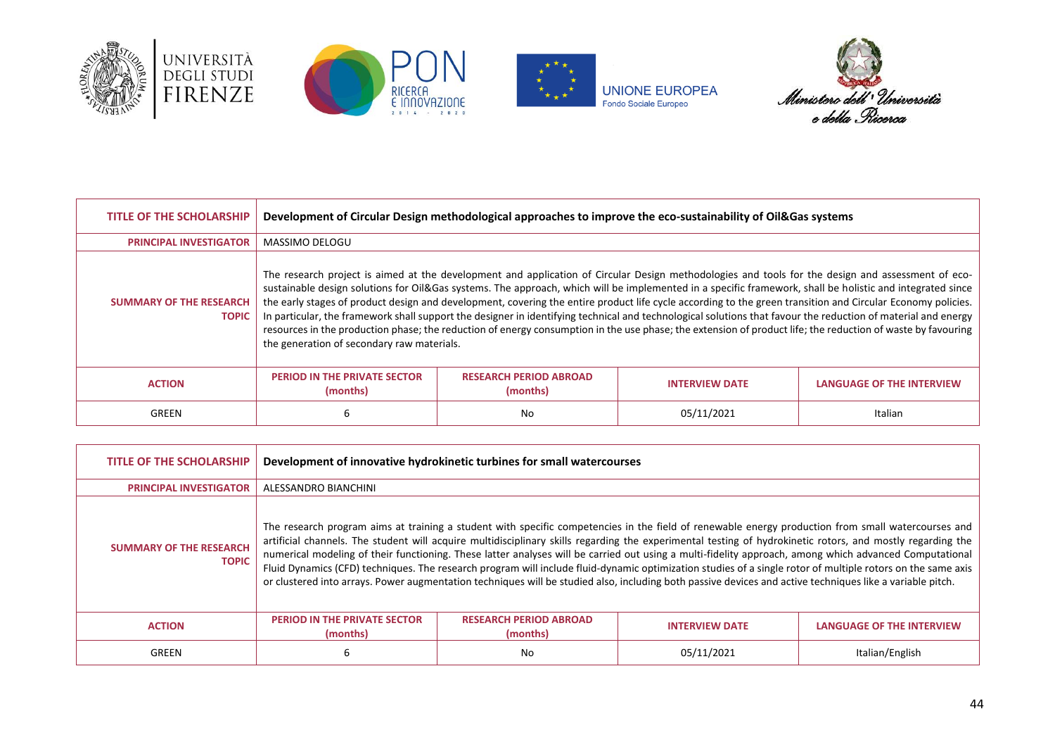







| <b>TITLE OF THE SCHOLARSHIP</b>                | Development of Circular Design methodological approaches to improve the eco-sustainability of Oil&Gas systems                                                                                                                                                                                                                                                                                                                                                                                                                                                                                                                                                                                                                                                                                                                                               |                                           |                       |                                  |
|------------------------------------------------|-------------------------------------------------------------------------------------------------------------------------------------------------------------------------------------------------------------------------------------------------------------------------------------------------------------------------------------------------------------------------------------------------------------------------------------------------------------------------------------------------------------------------------------------------------------------------------------------------------------------------------------------------------------------------------------------------------------------------------------------------------------------------------------------------------------------------------------------------------------|-------------------------------------------|-----------------------|----------------------------------|
| <b>PRINCIPAL INVESTIGATOR</b>                  | MASSIMO DELOGU                                                                                                                                                                                                                                                                                                                                                                                                                                                                                                                                                                                                                                                                                                                                                                                                                                              |                                           |                       |                                  |
| <b>SUMMARY OF THE RESEARCH</b><br><b>TOPIC</b> | The research project is aimed at the development and application of Circular Design methodologies and tools for the design and assessment of eco-<br>sustainable design solutions for Oil&Gas systems. The approach, which will be implemented in a specific framework, shall be holistic and integrated since<br>the early stages of product design and development, covering the entire product life cycle according to the green transition and Circular Economy policies.<br>In particular, the framework shall support the designer in identifying technical and technological solutions that favour the reduction of material and energy<br>resources in the production phase; the reduction of energy consumption in the use phase; the extension of product life; the reduction of waste by favouring<br>the generation of secondary raw materials. |                                           |                       |                                  |
| <b>ACTION</b>                                  | PERIOD IN THE PRIVATE SECTOR<br>(months)                                                                                                                                                                                                                                                                                                                                                                                                                                                                                                                                                                                                                                                                                                                                                                                                                    | <b>RESEARCH PERIOD ABROAD</b><br>(months) | <b>INTERVIEW DATE</b> | <b>LANGUAGE OF THE INTERVIEW</b> |
| GREEN                                          | 6                                                                                                                                                                                                                                                                                                                                                                                                                                                                                                                                                                                                                                                                                                                                                                                                                                                           | No                                        | 05/11/2021            | Italian                          |

| <b>TITLE OF THE SCHOLARSHIP</b>                | Development of innovative hydrokinetic turbines for small watercourses                                                                                                                                                                                                                                                                                                                                                                                                                                                                                                                                                                                                                                                                                                                                 |                                           |                       |                           |
|------------------------------------------------|--------------------------------------------------------------------------------------------------------------------------------------------------------------------------------------------------------------------------------------------------------------------------------------------------------------------------------------------------------------------------------------------------------------------------------------------------------------------------------------------------------------------------------------------------------------------------------------------------------------------------------------------------------------------------------------------------------------------------------------------------------------------------------------------------------|-------------------------------------------|-----------------------|---------------------------|
| <b>PRINCIPAL INVESTIGATOR</b>                  | ALESSANDRO BIANCHINI                                                                                                                                                                                                                                                                                                                                                                                                                                                                                                                                                                                                                                                                                                                                                                                   |                                           |                       |                           |
| <b>SUMMARY OF THE RESEARCH</b><br><b>TOPIC</b> | The research program aims at training a student with specific competencies in the field of renewable energy production from small watercourses and<br>artificial channels. The student will acquire multidisciplinary skills regarding the experimental testing of hydrokinetic rotors, and mostly regarding the<br>numerical modeling of their functioning. These latter analyses will be carried out using a multi-fidelity approach, among which advanced Computational<br>Fluid Dynamics (CFD) techniques. The research program will include fluid-dynamic optimization studies of a single rotor of multiple rotors on the same axis<br>or clustered into arrays. Power augmentation techniques will be studied also, including both passive devices and active techniques like a variable pitch. |                                           |                       |                           |
| <b>ACTION</b>                                  | <b>PERIOD IN THE PRIVATE SECTOR</b><br>(months)                                                                                                                                                                                                                                                                                                                                                                                                                                                                                                                                                                                                                                                                                                                                                        | <b>RESEARCH PERIOD ABROAD</b><br>(months) | <b>INTERVIEW DATE</b> | LANGUAGE OF THE INTERVIEW |
| GREEN                                          | 6                                                                                                                                                                                                                                                                                                                                                                                                                                                                                                                                                                                                                                                                                                                                                                                                      | No                                        | 05/11/2021            | Italian/English           |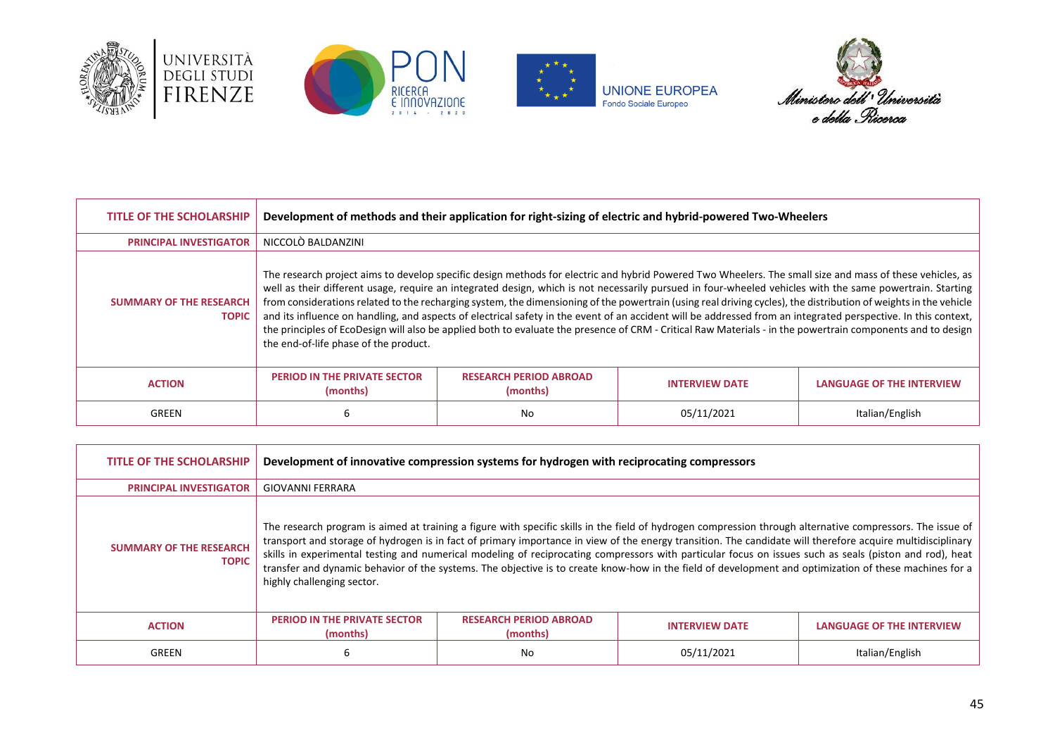







| <b>TITLE OF THE SCHOLARSHIP</b>                | Development of methods and their application for right-sizing of electric and hybrid-powered Two-Wheelers                                                                                                                                                                                                                                                                                                                                                                                                                                                                                                                                                                                                                                                                                                                                                           |                                           |                       |                                  |
|------------------------------------------------|---------------------------------------------------------------------------------------------------------------------------------------------------------------------------------------------------------------------------------------------------------------------------------------------------------------------------------------------------------------------------------------------------------------------------------------------------------------------------------------------------------------------------------------------------------------------------------------------------------------------------------------------------------------------------------------------------------------------------------------------------------------------------------------------------------------------------------------------------------------------|-------------------------------------------|-----------------------|----------------------------------|
| <b>PRINCIPAL INVESTIGATOR</b>                  | NICCOLÒ BALDANZINI                                                                                                                                                                                                                                                                                                                                                                                                                                                                                                                                                                                                                                                                                                                                                                                                                                                  |                                           |                       |                                  |
| <b>SUMMARY OF THE RESEARCH</b><br><b>TOPIC</b> | The research project aims to develop specific design methods for electric and hybrid Powered Two Wheelers. The small size and mass of these vehicles, as<br>well as their different usage, require an integrated design, which is not necessarily pursued in four-wheeled vehicles with the same powertrain. Starting<br>from considerations related to the recharging system, the dimensioning of the powertrain (using real driving cycles), the distribution of weights in the vehicle<br>and its influence on handling, and aspects of electrical safety in the event of an accident will be addressed from an integrated perspective. In this context,<br>the principles of EcoDesign will also be applied both to evaluate the presence of CRM - Critical Raw Materials - in the powertrain components and to design<br>the end-of-life phase of the product. |                                           |                       |                                  |
| <b>ACTION</b>                                  | <b>PERIOD IN THE PRIVATE SECTOR</b><br>(months)                                                                                                                                                                                                                                                                                                                                                                                                                                                                                                                                                                                                                                                                                                                                                                                                                     | <b>RESEARCH PERIOD ABROAD</b><br>(months) | <b>INTERVIEW DATE</b> | <b>LANGUAGE OF THE INTERVIEW</b> |
| GREEN                                          | 6                                                                                                                                                                                                                                                                                                                                                                                                                                                                                                                                                                                                                                                                                                                                                                                                                                                                   | No                                        | 05/11/2021            | Italian/English                  |

| <b>TITLE OF THE SCHOLARSHIP</b>                | Development of innovative compression systems for hydrogen with reciprocating compressors |                                                                                                                                                                                                                                                                                                                                                                                                                                                                                                                                                                                                                                                |                       |                           |
|------------------------------------------------|-------------------------------------------------------------------------------------------|------------------------------------------------------------------------------------------------------------------------------------------------------------------------------------------------------------------------------------------------------------------------------------------------------------------------------------------------------------------------------------------------------------------------------------------------------------------------------------------------------------------------------------------------------------------------------------------------------------------------------------------------|-----------------------|---------------------------|
| <b>PRINCIPAL INVESTIGATOR</b>                  | <b>GIOVANNI FERRARA</b>                                                                   |                                                                                                                                                                                                                                                                                                                                                                                                                                                                                                                                                                                                                                                |                       |                           |
| <b>SUMMARY OF THE RESEARCH</b><br><b>TOPIC</b> | highly challenging sector.                                                                | The research program is aimed at training a figure with specific skills in the field of hydrogen compression through alternative compressors. The issue of<br>transport and storage of hydrogen is in fact of primary importance in view of the energy transition. The candidate will therefore acquire multidisciplinary<br>skills in experimental testing and numerical modeling of reciprocating compressors with particular focus on issues such as seals (piston and rod), heat<br>transfer and dynamic behavior of the systems. The objective is to create know-how in the field of development and optimization of these machines for a |                       |                           |
| <b>ACTION</b>                                  | PERIOD IN THE PRIVATE SECTOR<br>(months)                                                  | <b>RESEARCH PERIOD ABROAD</b><br>(months)                                                                                                                                                                                                                                                                                                                                                                                                                                                                                                                                                                                                      | <b>INTERVIEW DATE</b> | LANGUAGE OF THE INTERVIEW |
| GREEN                                          | 6                                                                                         | No                                                                                                                                                                                                                                                                                                                                                                                                                                                                                                                                                                                                                                             | 05/11/2021            | Italian/English           |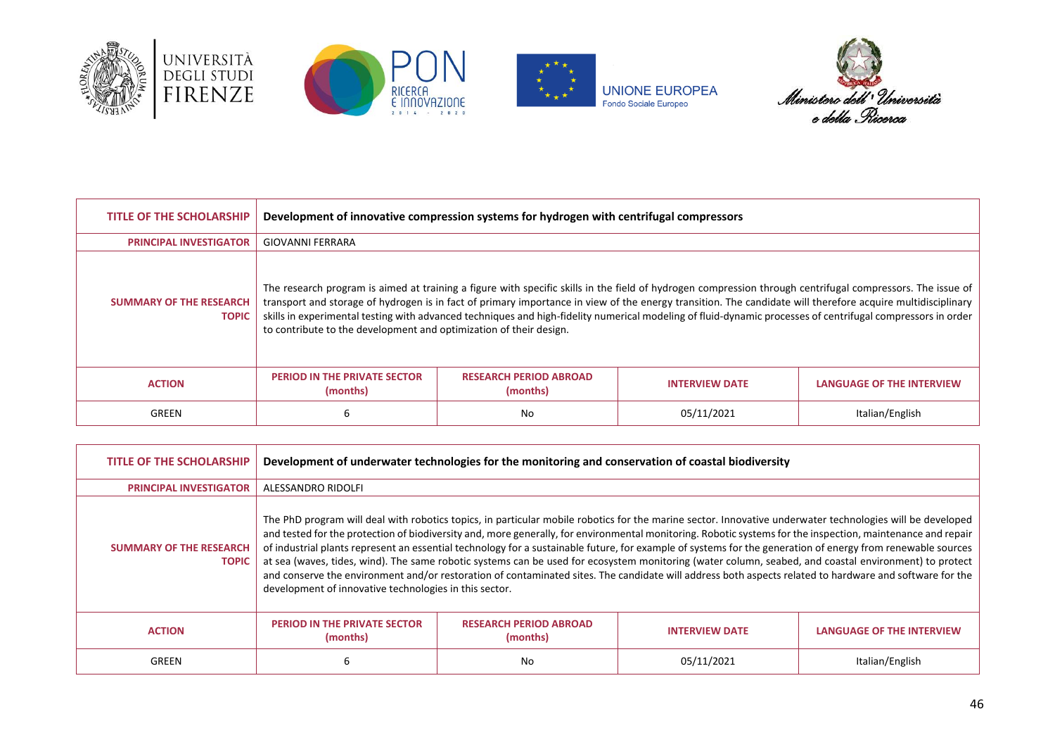







| <b>TITLE OF THE SCHOLARSHIP</b>                | Development of innovative compression systems for hydrogen with centrifugal compressors                                                                                                                                                                                                                                                                                                                                                                                                                                                                        |                                           |                       |                                  |
|------------------------------------------------|----------------------------------------------------------------------------------------------------------------------------------------------------------------------------------------------------------------------------------------------------------------------------------------------------------------------------------------------------------------------------------------------------------------------------------------------------------------------------------------------------------------------------------------------------------------|-------------------------------------------|-----------------------|----------------------------------|
| <b>PRINCIPAL INVESTIGATOR</b>                  | <b>GIOVANNI FERRARA</b>                                                                                                                                                                                                                                                                                                                                                                                                                                                                                                                                        |                                           |                       |                                  |
| <b>SUMMARY OF THE RESEARCH</b><br><b>TOPIC</b> | The research program is aimed at training a figure with specific skills in the field of hydrogen compression through centrifugal compressors. The issue of<br>transport and storage of hydrogen is in fact of primary importance in view of the energy transition. The candidate will therefore acquire multidisciplinary<br>skills in experimental testing with advanced techniques and high-fidelity numerical modeling of fluid-dynamic processes of centrifugal compressors in order<br>to contribute to the development and optimization of their design. |                                           |                       |                                  |
| <b>ACTION</b>                                  | <b>PERIOD IN THE PRIVATE SECTOR</b><br>(months)                                                                                                                                                                                                                                                                                                                                                                                                                                                                                                                | <b>RESEARCH PERIOD ABROAD</b><br>(months) | <b>INTERVIEW DATE</b> | <b>LANGUAGE OF THE INTERVIEW</b> |
| GREEN                                          | 6                                                                                                                                                                                                                                                                                                                                                                                                                                                                                                                                                              | No                                        | 05/11/2021            | Italian/English                  |

| <b>TITLE OF THE SCHOLARSHIP</b>                | Development of underwater technologies for the monitoring and conservation of coastal biodiversity                                                                                                                                                                                                                                                                                                                                                                                                                                                                                                                                                                                                                                                                                                                                                                    |                                           |                       |                                  |
|------------------------------------------------|-----------------------------------------------------------------------------------------------------------------------------------------------------------------------------------------------------------------------------------------------------------------------------------------------------------------------------------------------------------------------------------------------------------------------------------------------------------------------------------------------------------------------------------------------------------------------------------------------------------------------------------------------------------------------------------------------------------------------------------------------------------------------------------------------------------------------------------------------------------------------|-------------------------------------------|-----------------------|----------------------------------|
| <b>PRINCIPAL INVESTIGATOR</b>                  | ALESSANDRO RIDOLFI                                                                                                                                                                                                                                                                                                                                                                                                                                                                                                                                                                                                                                                                                                                                                                                                                                                    |                                           |                       |                                  |
| <b>SUMMARY OF THE RESEARCH</b><br><b>TOPIC</b> | The PhD program will deal with robotics topics, in particular mobile robotics for the marine sector. Innovative underwater technologies will be developed<br>and tested for the protection of biodiversity and, more generally, for environmental monitoring. Robotic systems for the inspection, maintenance and repair<br>of industrial plants represent an essential technology for a sustainable future, for example of systems for the generation of energy from renewable sources<br>at sea (waves, tides, wind). The same robotic systems can be used for ecosystem monitoring (water column, seabed, and coastal environment) to protect<br>and conserve the environment and/or restoration of contaminated sites. The candidate will address both aspects related to hardware and software for the<br>development of innovative technologies in this sector. |                                           |                       |                                  |
| <b>ACTION</b>                                  | <b>PERIOD IN THE PRIVATE SECTOR</b><br>(months)                                                                                                                                                                                                                                                                                                                                                                                                                                                                                                                                                                                                                                                                                                                                                                                                                       | <b>RESEARCH PERIOD ABROAD</b><br>(months) | <b>INTERVIEW DATE</b> | <b>LANGUAGE OF THE INTERVIEW</b> |
| GREEN                                          | ь                                                                                                                                                                                                                                                                                                                                                                                                                                                                                                                                                                                                                                                                                                                                                                                                                                                                     | No                                        | 05/11/2021            | Italian/English                  |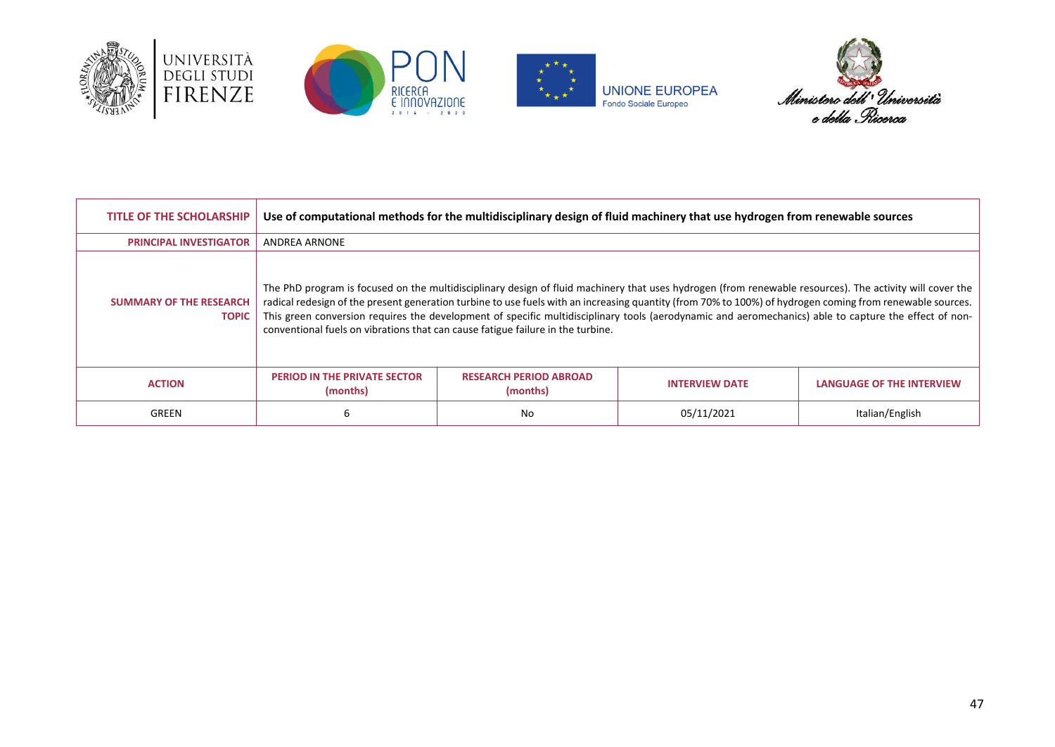







| <b>TITLE OF THE SCHOLARSHIP</b>                | Use of computational methods for the multidisciplinary design of fluid machinery that use hydrogen from renewable sources |                                           |                                                                                                                                                                                                                                                                                                                                                                                                                                                                                |                                  |
|------------------------------------------------|---------------------------------------------------------------------------------------------------------------------------|-------------------------------------------|--------------------------------------------------------------------------------------------------------------------------------------------------------------------------------------------------------------------------------------------------------------------------------------------------------------------------------------------------------------------------------------------------------------------------------------------------------------------------------|----------------------------------|
| <b>PRINCIPAL INVESTIGATOR</b>                  | <b>ANDREA ARNONE</b>                                                                                                      |                                           |                                                                                                                                                                                                                                                                                                                                                                                                                                                                                |                                  |
| <b>SUMMARY OF THE RESEARCH</b><br><b>TOPIC</b> | conventional fuels on vibrations that can cause fatigue failure in the turbine.                                           |                                           | The PhD program is focused on the multidisciplinary design of fluid machinery that uses hydrogen (from renewable resources). The activity will cover the<br>radical redesign of the present generation turbine to use fuels with an increasing quantity (from 70% to 100%) of hydrogen coming from renewable sources.<br>This green conversion requires the development of specific multidisciplinary tools (aerodynamic and aeromechanics) able to capture the effect of non- |                                  |
| <b>ACTION</b>                                  | <b>PERIOD IN THE PRIVATE SECTOR</b><br>(months)                                                                           | <b>RESEARCH PERIOD ABROAD</b><br>(months) | <b>INTERVIEW DATE</b>                                                                                                                                                                                                                                                                                                                                                                                                                                                          | <b>LANGUAGE OF THE INTERVIEW</b> |
| GREEN                                          | 6                                                                                                                         | No                                        | 05/11/2021                                                                                                                                                                                                                                                                                                                                                                                                                                                                     | Italian/English                  |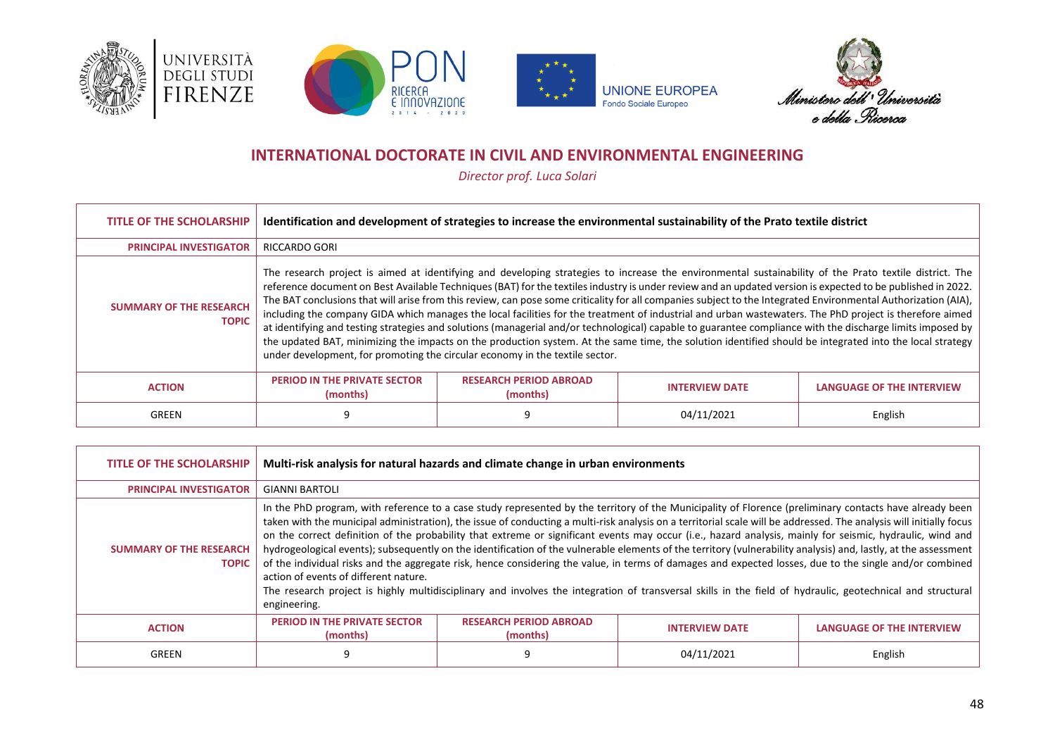







# **INTERNATIONAL DOCTORATE IN CIVIL AND ENVIRONMENTAL ENGINEERING**

*Director prof. Luca Solari*

<span id="page-47-0"></span>

| <b>TITLE OF THE SCHOLARSHIP</b>                | Identification and development of strategies to increase the environmental sustainability of the Prato textile district                                                                                                                                                                                                                                                                                                                                                                                                                                                                                                                                                                                                                                                                                                                                                                                                                                                                                                                                      |                                           |                       |                                  |
|------------------------------------------------|--------------------------------------------------------------------------------------------------------------------------------------------------------------------------------------------------------------------------------------------------------------------------------------------------------------------------------------------------------------------------------------------------------------------------------------------------------------------------------------------------------------------------------------------------------------------------------------------------------------------------------------------------------------------------------------------------------------------------------------------------------------------------------------------------------------------------------------------------------------------------------------------------------------------------------------------------------------------------------------------------------------------------------------------------------------|-------------------------------------------|-----------------------|----------------------------------|
| <b>PRINCIPAL INVESTIGATOR</b>                  | <b>RICCARDO GORI</b>                                                                                                                                                                                                                                                                                                                                                                                                                                                                                                                                                                                                                                                                                                                                                                                                                                                                                                                                                                                                                                         |                                           |                       |                                  |
| <b>SUMMARY OF THE RESEARCH</b><br><b>TOPIC</b> | The research project is aimed at identifying and developing strategies to increase the environmental sustainability of the Prato textile district. The<br>reference document on Best Available Techniques (BAT) for the textiles industry is under review and an updated version is expected to be published in 2022.<br>The BAT conclusions that will arise from this review, can pose some criticality for all companies subject to the Integrated Environmental Authorization (AIA),<br>including the company GIDA which manages the local facilities for the treatment of industrial and urban wastewaters. The PhD project is therefore aimed<br>at identifying and testing strategies and solutions (managerial and/or technological) capable to guarantee compliance with the discharge limits imposed by<br>the updated BAT, minimizing the impacts on the production system. At the same time, the solution identified should be integrated into the local strategy<br>under development, for promoting the circular economy in the textile sector. |                                           |                       |                                  |
| <b>ACTION</b>                                  | <b>PERIOD IN THE PRIVATE SECTOR</b><br>(months)                                                                                                                                                                                                                                                                                                                                                                                                                                                                                                                                                                                                                                                                                                                                                                                                                                                                                                                                                                                                              | <b>RESEARCH PERIOD ABROAD</b><br>(months) | <b>INTERVIEW DATE</b> | <b>LANGUAGE OF THE INTERVIEW</b> |
| GREEN                                          | q                                                                                                                                                                                                                                                                                                                                                                                                                                                                                                                                                                                                                                                                                                                                                                                                                                                                                                                                                                                                                                                            |                                           | 04/11/2021            | English                          |

| <b>TITLE OF THE SCHOLARSHIP</b>                | Multi-risk analysis for natural hazards and climate change in urban environments                                                                                                                                                                                                                                                                                                                                                                                                                                                                                                                                                                                                                                                                                                                                                                                                                                                                                                                                                                 |                                           |                       |                                  |
|------------------------------------------------|--------------------------------------------------------------------------------------------------------------------------------------------------------------------------------------------------------------------------------------------------------------------------------------------------------------------------------------------------------------------------------------------------------------------------------------------------------------------------------------------------------------------------------------------------------------------------------------------------------------------------------------------------------------------------------------------------------------------------------------------------------------------------------------------------------------------------------------------------------------------------------------------------------------------------------------------------------------------------------------------------------------------------------------------------|-------------------------------------------|-----------------------|----------------------------------|
| <b>PRINCIPAL INVESTIGATOR</b>                  | <b>GIANNI BARTOLI</b>                                                                                                                                                                                                                                                                                                                                                                                                                                                                                                                                                                                                                                                                                                                                                                                                                                                                                                                                                                                                                            |                                           |                       |                                  |
| <b>SUMMARY OF THE RESEARCH</b><br><b>TOPIC</b> | In the PhD program, with reference to a case study represented by the territory of the Municipality of Florence (preliminary contacts have already been<br>taken with the municipal administration), the issue of conducting a multi-risk analysis on a territorial scale will be addressed. The analysis will initially focus<br>on the correct definition of the probability that extreme or significant events may occur (i.e., hazard analysis, mainly for seismic, hydraulic, wind and<br>hydrogeological events); subsequently on the identification of the vulnerable elements of the territory (vulnerability analysis) and, lastly, at the assessment<br>of the individual risks and the aggregate risk, hence considering the value, in terms of damages and expected losses, due to the single and/or combined<br>action of events of different nature.<br>The research project is highly multidisciplinary and involves the integration of transversal skills in the field of hydraulic, geotechnical and structural<br>engineering. |                                           |                       |                                  |
| <b>ACTION</b>                                  | <b>PERIOD IN THE PRIVATE SECTOR</b><br>(months)                                                                                                                                                                                                                                                                                                                                                                                                                                                                                                                                                                                                                                                                                                                                                                                                                                                                                                                                                                                                  | <b>RESEARCH PERIOD ABROAD</b><br>(months) | <b>INTERVIEW DATE</b> | <b>LANGUAGE OF THE INTERVIEW</b> |
| GREEN                                          | 9                                                                                                                                                                                                                                                                                                                                                                                                                                                                                                                                                                                                                                                                                                                                                                                                                                                                                                                                                                                                                                                |                                           | 04/11/2021            | English                          |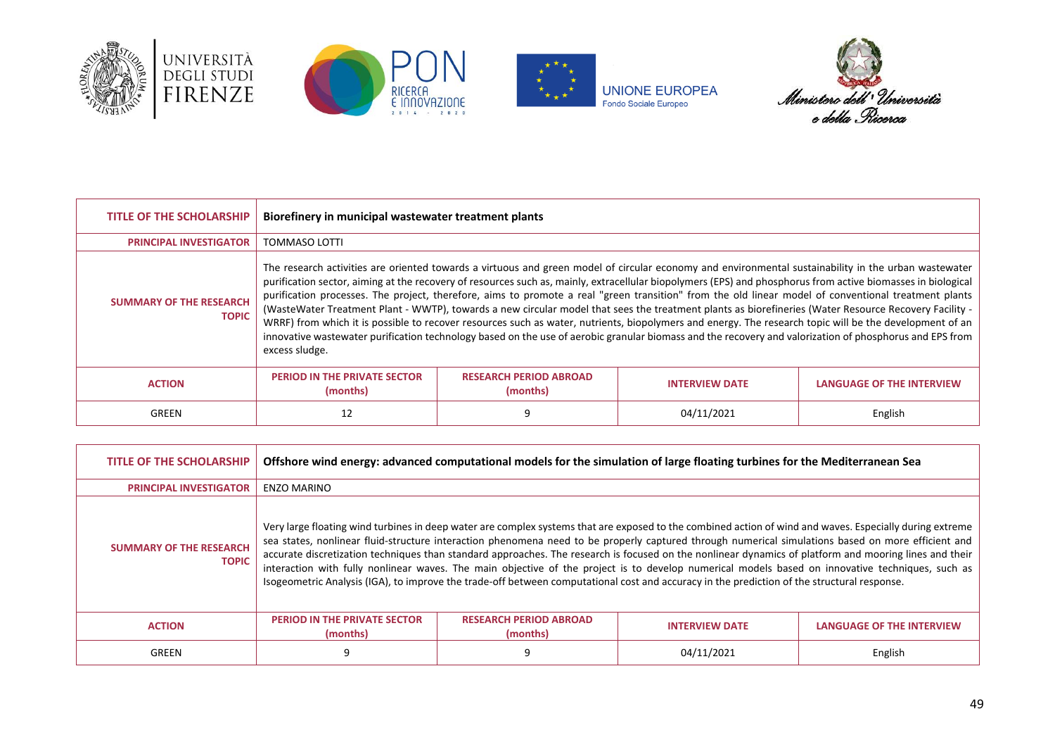







| <b>TITLE OF THE SCHOLARSHIP</b>                | Biorefinery in municipal wastewater treatment plants                                                                                                                                                                                                                                                                                                                                                                                                                                                                                                                                                                                                                                                                                                                                                                                                                                                                                                                          |                                           |                       |                                  |
|------------------------------------------------|-------------------------------------------------------------------------------------------------------------------------------------------------------------------------------------------------------------------------------------------------------------------------------------------------------------------------------------------------------------------------------------------------------------------------------------------------------------------------------------------------------------------------------------------------------------------------------------------------------------------------------------------------------------------------------------------------------------------------------------------------------------------------------------------------------------------------------------------------------------------------------------------------------------------------------------------------------------------------------|-------------------------------------------|-----------------------|----------------------------------|
| <b>PRINCIPAL INVESTIGATOR</b>                  | TOMMASO LOTTI                                                                                                                                                                                                                                                                                                                                                                                                                                                                                                                                                                                                                                                                                                                                                                                                                                                                                                                                                                 |                                           |                       |                                  |
| <b>SUMMARY OF THE RESEARCH</b><br><b>TOPIC</b> | The research activities are oriented towards a virtuous and green model of circular economy and environmental sustainability in the urban wastewater<br>purification sector, aiming at the recovery of resources such as, mainly, extracellular biopolymers (EPS) and phosphorus from active biomasses in biological<br>purification processes. The project, therefore, aims to promote a real "green transition" from the old linear model of conventional treatment plants<br>(WasteWater Treatment Plant - WWTP), towards a new circular model that sees the treatment plants as biorefineries (Water Resource Recovery Facility -<br>WRRF) from which it is possible to recover resources such as water, nutrients, biopolymers and energy. The research topic will be the development of an<br>innovative wastewater purification technology based on the use of aerobic granular biomass and the recovery and valorization of phosphorus and EPS from<br>excess sludge. |                                           |                       |                                  |
| <b>ACTION</b>                                  | <b>PERIOD IN THE PRIVATE SECTOR</b><br>(months)                                                                                                                                                                                                                                                                                                                                                                                                                                                                                                                                                                                                                                                                                                                                                                                                                                                                                                                               | <b>RESEARCH PERIOD ABROAD</b><br>(months) | <b>INTERVIEW DATE</b> | <b>LANGUAGE OF THE INTERVIEW</b> |
| GREEN                                          | 12                                                                                                                                                                                                                                                                                                                                                                                                                                                                                                                                                                                                                                                                                                                                                                                                                                                                                                                                                                            |                                           | 04/11/2021            | English                          |

| <b>TITLE OF THE SCHOLARSHIP</b>                | Offshore wind energy: advanced computational models for the simulation of large floating turbines for the Mediterranean Sea |                                                                                                                                                                                                                                                                                                                                                                                                                                                                                                                                                                                                                         |                       |                                                                                                                                                  |
|------------------------------------------------|-----------------------------------------------------------------------------------------------------------------------------|-------------------------------------------------------------------------------------------------------------------------------------------------------------------------------------------------------------------------------------------------------------------------------------------------------------------------------------------------------------------------------------------------------------------------------------------------------------------------------------------------------------------------------------------------------------------------------------------------------------------------|-----------------------|--------------------------------------------------------------------------------------------------------------------------------------------------|
| <b>PRINCIPAL INVESTIGATOR</b>                  | <b>ENZO MARINO</b>                                                                                                          |                                                                                                                                                                                                                                                                                                                                                                                                                                                                                                                                                                                                                         |                       |                                                                                                                                                  |
| <b>SUMMARY OF THE RESEARCH</b><br><b>TOPIC</b> |                                                                                                                             | Very large floating wind turbines in deep water are complex systems that are exposed to the combined action of wind and waves. Especially during extreme<br>sea states, nonlinear fluid-structure interaction phenomena need to be properly captured through numerical simulations based on more efficient and<br>accurate discretization techniques than standard approaches. The research is focused on the nonlinear dynamics of platform and mooring lines and their<br>Isogeometric Analysis (IGA), to improve the trade-off between computational cost and accuracy in the prediction of the structural response. |                       | interaction with fully nonlinear waves. The main objective of the project is to develop numerical models based on innovative techniques, such as |
| <b>ACTION</b>                                  | <b>PERIOD IN THE PRIVATE SECTOR</b><br>(months)                                                                             | <b>RESEARCH PERIOD ABROAD</b><br>(months)                                                                                                                                                                                                                                                                                                                                                                                                                                                                                                                                                                               | <b>INTERVIEW DATE</b> | <b>LANGUAGE OF THE INTERVIEW</b>                                                                                                                 |
| GREEN                                          | 9                                                                                                                           |                                                                                                                                                                                                                                                                                                                                                                                                                                                                                                                                                                                                                         | 04/11/2021            | English                                                                                                                                          |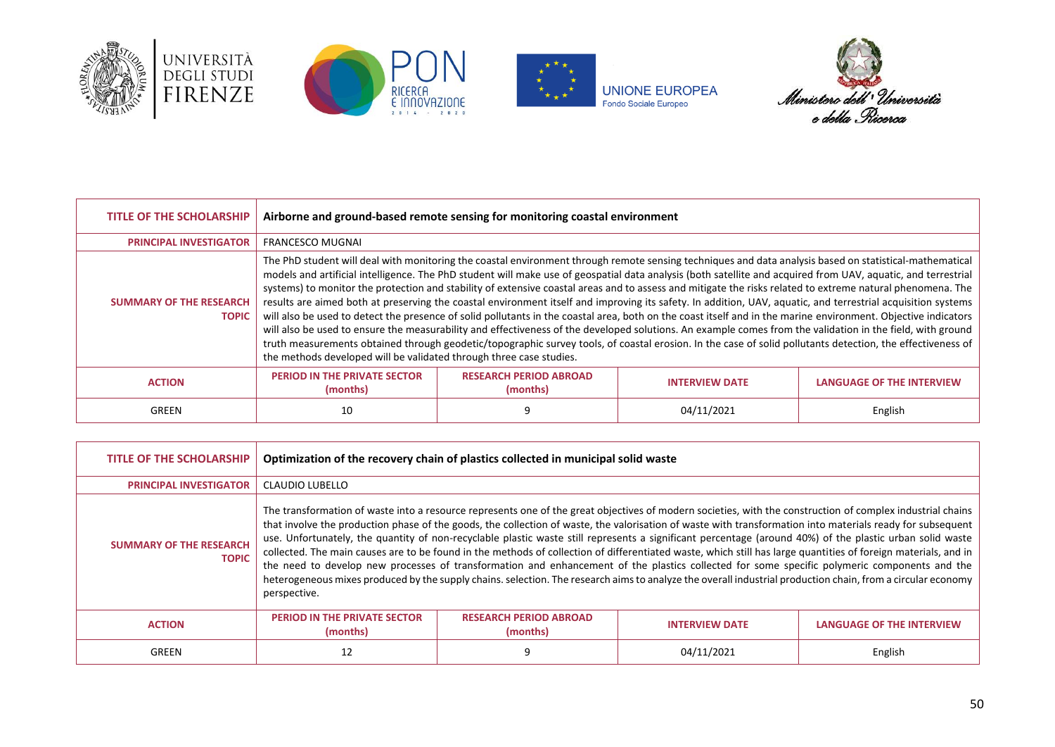





**UNIONE EUROPEA**<br>Fondo Sociale Europeo



| <b>TITLE OF THE SCHOLARSHIP</b>                | Airborne and ground-based remote sensing for monitoring coastal environment                                                                                                                                                                                                                                                                                                                                                                                                                                                                                                                                                                                                                                                                                                                                                                                                                                                                                                                                                                                                                                                                                                                                                 |                                           |                       |                                  |
|------------------------------------------------|-----------------------------------------------------------------------------------------------------------------------------------------------------------------------------------------------------------------------------------------------------------------------------------------------------------------------------------------------------------------------------------------------------------------------------------------------------------------------------------------------------------------------------------------------------------------------------------------------------------------------------------------------------------------------------------------------------------------------------------------------------------------------------------------------------------------------------------------------------------------------------------------------------------------------------------------------------------------------------------------------------------------------------------------------------------------------------------------------------------------------------------------------------------------------------------------------------------------------------|-------------------------------------------|-----------------------|----------------------------------|
| <b>PRINCIPAL INVESTIGATOR</b>                  | <b>FRANCESCO MUGNAL</b>                                                                                                                                                                                                                                                                                                                                                                                                                                                                                                                                                                                                                                                                                                                                                                                                                                                                                                                                                                                                                                                                                                                                                                                                     |                                           |                       |                                  |
| <b>SUMMARY OF THE RESEARCH</b><br><b>TOPIC</b> | The PhD student will deal with monitoring the coastal environment through remote sensing techniques and data analysis based on statistical-mathematical<br>models and artificial intelligence. The PhD student will make use of geospatial data analysis (both satellite and acquired from UAV, aquatic, and terrestrial<br>systems) to monitor the protection and stability of extensive coastal areas and to assess and mitigate the risks related to extreme natural phenomena. The<br>results are aimed both at preserving the coastal environment itself and improving its safety. In addition, UAV, aquatic, and terrestrial acquisition systems<br>will also be used to detect the presence of solid pollutants in the coastal area, both on the coast itself and in the marine environment. Objective indicators<br>will also be used to ensure the measurability and effectiveness of the developed solutions. An example comes from the validation in the field, with ground<br>truth measurements obtained through geodetic/topographic survey tools, of coastal erosion. In the case of solid pollutants detection, the effectiveness of<br>the methods developed will be validated through three case studies. |                                           |                       |                                  |
| <b>ACTION</b>                                  | <b>PERIOD IN THE PRIVATE SECTOR</b><br>(months)                                                                                                                                                                                                                                                                                                                                                                                                                                                                                                                                                                                                                                                                                                                                                                                                                                                                                                                                                                                                                                                                                                                                                                             | <b>RESEARCH PERIOD ABROAD</b><br>(months) | <b>INTERVIEW DATE</b> | <b>LANGUAGE OF THE INTERVIEW</b> |
| GREEN                                          | 10                                                                                                                                                                                                                                                                                                                                                                                                                                                                                                                                                                                                                                                                                                                                                                                                                                                                                                                                                                                                                                                                                                                                                                                                                          |                                           | 04/11/2021            | English                          |

| <b>TITLE OF THE SCHOLARSHIP</b>                | Optimization of the recovery chain of plastics collected in municipal solid waste                                                                                                                                                                                                                                                                                                                                                                                                                                                                                                                                                                                                                                                                                                                                                                                                                                                                                                     |                                           |                       |                                  |
|------------------------------------------------|---------------------------------------------------------------------------------------------------------------------------------------------------------------------------------------------------------------------------------------------------------------------------------------------------------------------------------------------------------------------------------------------------------------------------------------------------------------------------------------------------------------------------------------------------------------------------------------------------------------------------------------------------------------------------------------------------------------------------------------------------------------------------------------------------------------------------------------------------------------------------------------------------------------------------------------------------------------------------------------|-------------------------------------------|-----------------------|----------------------------------|
| <b>PRINCIPAL INVESTIGATOR</b>                  | CLAUDIO LUBELLO                                                                                                                                                                                                                                                                                                                                                                                                                                                                                                                                                                                                                                                                                                                                                                                                                                                                                                                                                                       |                                           |                       |                                  |
| <b>SUMMARY OF THE RESEARCH</b><br><b>TOPIC</b> | The transformation of waste into a resource represents one of the great objectives of modern societies, with the construction of complex industrial chains<br>that involve the production phase of the goods, the collection of waste, the valorisation of waste with transformation into materials ready for subsequent<br>use. Unfortunately, the quantity of non-recyclable plastic waste still represents a significant percentage (around 40%) of the plastic urban solid waste<br>collected. The main causes are to be found in the methods of collection of differentiated waste, which still has large quantities of foreign materials, and in<br>the need to develop new processes of transformation and enhancement of the plastics collected for some specific polymeric components and the<br>heterogeneous mixes produced by the supply chains. selection. The research aims to analyze the overall industrial production chain, from a circular economy<br>perspective. |                                           |                       |                                  |
| <b>ACTION</b>                                  | <b>PERIOD IN THE PRIVATE SECTOR</b><br>(months)                                                                                                                                                                                                                                                                                                                                                                                                                                                                                                                                                                                                                                                                                                                                                                                                                                                                                                                                       | <b>RESEARCH PERIOD ABROAD</b><br>(months) | <b>INTERVIEW DATE</b> | <b>LANGUAGE OF THE INTERVIEW</b> |
| GREEN                                          | 12                                                                                                                                                                                                                                                                                                                                                                                                                                                                                                                                                                                                                                                                                                                                                                                                                                                                                                                                                                                    |                                           | 04/11/2021            | English                          |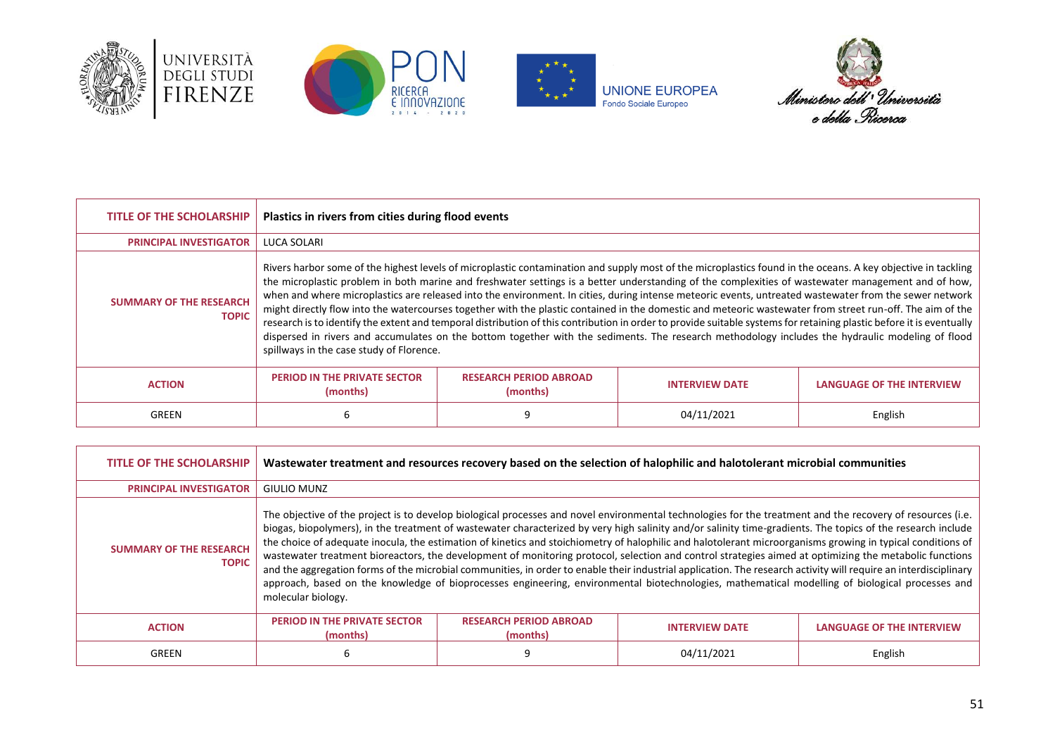





**UNIONE EUROPEA**<br>Fondo Sociale Europeo



| <b>TITLE OF THE SCHOLARSHIP</b>                | Plastics in rivers from cities during flood events                                                                                                                                                                                                                                                                                                                                                                                                                                                                                                                                                                                                                                                                                                                                                                                                                                                                                                                                                                |                                           |                       |                                  |
|------------------------------------------------|-------------------------------------------------------------------------------------------------------------------------------------------------------------------------------------------------------------------------------------------------------------------------------------------------------------------------------------------------------------------------------------------------------------------------------------------------------------------------------------------------------------------------------------------------------------------------------------------------------------------------------------------------------------------------------------------------------------------------------------------------------------------------------------------------------------------------------------------------------------------------------------------------------------------------------------------------------------------------------------------------------------------|-------------------------------------------|-----------------------|----------------------------------|
| <b>PRINCIPAL INVESTIGATOR</b>                  | <b>LUCA SOLARI</b>                                                                                                                                                                                                                                                                                                                                                                                                                                                                                                                                                                                                                                                                                                                                                                                                                                                                                                                                                                                                |                                           |                       |                                  |
| <b>SUMMARY OF THE RESEARCH</b><br><b>TOPIC</b> | Rivers harbor some of the highest levels of microplastic contamination and supply most of the microplastics found in the oceans. A key objective in tackling<br>the microplastic problem in both marine and freshwater settings is a better understanding of the complexities of wastewater management and of how,<br>when and where microplastics are released into the environment. In cities, during intense meteoric events, untreated wastewater from the sewer network<br>might directly flow into the watercourses together with the plastic contained in the domestic and meteoric wastewater from street run-off. The aim of the<br>research is to identify the extent and temporal distribution of this contribution in order to provide suitable systems for retaining plastic before it is eventually<br>dispersed in rivers and accumulates on the bottom together with the sediments. The research methodology includes the hydraulic modeling of flood<br>spillways in the case study of Florence. |                                           |                       |                                  |
| <b>ACTION</b>                                  | <b>PERIOD IN THE PRIVATE SECTOR</b><br>(months)                                                                                                                                                                                                                                                                                                                                                                                                                                                                                                                                                                                                                                                                                                                                                                                                                                                                                                                                                                   | <b>RESEARCH PERIOD ABROAD</b><br>(months) | <b>INTERVIEW DATE</b> | <b>LANGUAGE OF THE INTERVIEW</b> |
| GREEN                                          | 6                                                                                                                                                                                                                                                                                                                                                                                                                                                                                                                                                                                                                                                                                                                                                                                                                                                                                                                                                                                                                 |                                           | 04/11/2021            | English                          |

| <b>TITLE OF THE SCHOLARSHIP</b>                | Wastewater treatment and resources recovery based on the selection of halophilic and halotolerant microbial communities                                                                                                                                                                                                                                                                                                                                                                                                                                                                                                                                                                                                                                                                                                                                                                                                                                                                         |                                           |                       |                                  |
|------------------------------------------------|-------------------------------------------------------------------------------------------------------------------------------------------------------------------------------------------------------------------------------------------------------------------------------------------------------------------------------------------------------------------------------------------------------------------------------------------------------------------------------------------------------------------------------------------------------------------------------------------------------------------------------------------------------------------------------------------------------------------------------------------------------------------------------------------------------------------------------------------------------------------------------------------------------------------------------------------------------------------------------------------------|-------------------------------------------|-----------------------|----------------------------------|
| <b>PRINCIPAL INVESTIGATOR</b>                  | <b>GIULIO MUNZ</b>                                                                                                                                                                                                                                                                                                                                                                                                                                                                                                                                                                                                                                                                                                                                                                                                                                                                                                                                                                              |                                           |                       |                                  |
| <b>SUMMARY OF THE RESEARCH</b><br><b>TOPIC</b> | The objective of the project is to develop biological processes and novel environmental technologies for the treatment and the recovery of resources (i.e.<br>biogas, biopolymers), in the treatment of wastewater characterized by very high salinity and/or salinity time-gradients. The topics of the research include<br>the choice of adequate inocula, the estimation of kinetics and stoichiometry of halophilic and halotolerant microorganisms growing in typical conditions of<br>wastewater treatment bioreactors, the development of monitoring protocol, selection and control strategies aimed at optimizing the metabolic functions<br>and the aggregation forms of the microbial communities, in order to enable their industrial application. The research activity will require an interdisciplinary<br>approach, based on the knowledge of bioprocesses engineering, environmental biotechnologies, mathematical modelling of biological processes and<br>molecular biology. |                                           |                       |                                  |
| <b>ACTION</b>                                  | <b>PERIOD IN THE PRIVATE SECTOR</b><br>(months)                                                                                                                                                                                                                                                                                                                                                                                                                                                                                                                                                                                                                                                                                                                                                                                                                                                                                                                                                 | <b>RESEARCH PERIOD ABROAD</b><br>(months) | <b>INTERVIEW DATE</b> | <b>LANGUAGE OF THE INTERVIEW</b> |
| GREEN                                          | 6                                                                                                                                                                                                                                                                                                                                                                                                                                                                                                                                                                                                                                                                                                                                                                                                                                                                                                                                                                                               |                                           | 04/11/2021            | English                          |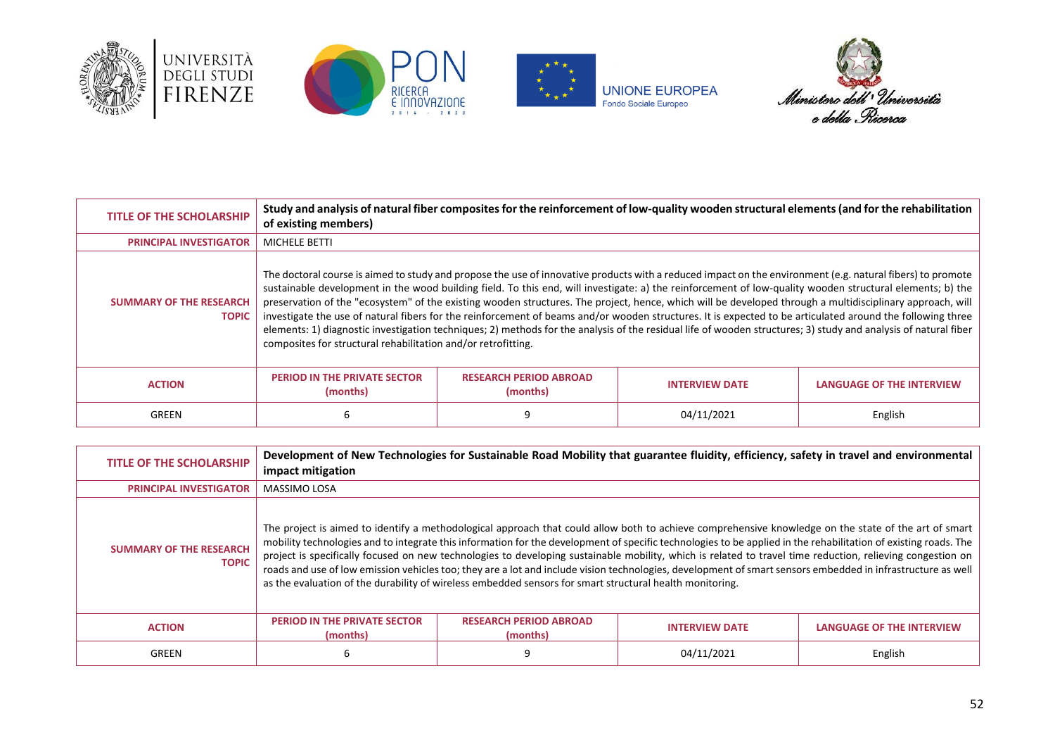







| <b>TITLE OF THE SCHOLARSHIP</b>                | of existing members)                                                                                                                                                                                                                                                                                                                                                                                                                                                                                                                                                                                                                                                                                                                                                                                                                                                                   |                                           | Study and analysis of natural fiber composites for the reinforcement of low-quality wooden structural elements (and for the rehabilitation |                                  |
|------------------------------------------------|----------------------------------------------------------------------------------------------------------------------------------------------------------------------------------------------------------------------------------------------------------------------------------------------------------------------------------------------------------------------------------------------------------------------------------------------------------------------------------------------------------------------------------------------------------------------------------------------------------------------------------------------------------------------------------------------------------------------------------------------------------------------------------------------------------------------------------------------------------------------------------------|-------------------------------------------|--------------------------------------------------------------------------------------------------------------------------------------------|----------------------------------|
| <b>PRINCIPAL INVESTIGATOR</b>                  | <b>MICHELE BETTI</b>                                                                                                                                                                                                                                                                                                                                                                                                                                                                                                                                                                                                                                                                                                                                                                                                                                                                   |                                           |                                                                                                                                            |                                  |
| <b>SUMMARY OF THE RESEARCH</b><br><b>TOPIC</b> | The doctoral course is aimed to study and propose the use of innovative products with a reduced impact on the environment (e.g. natural fibers) to promote<br>sustainable development in the wood building field. To this end, will investigate: a) the reinforcement of low-quality wooden structural elements; b) the<br>preservation of the "ecosystem" of the existing wooden structures. The project, hence, which will be developed through a multidisciplinary approach, will<br>investigate the use of natural fibers for the reinforcement of beams and/or wooden structures. It is expected to be articulated around the following three<br>elements: 1) diagnostic investigation techniques; 2) methods for the analysis of the residual life of wooden structures; 3) study and analysis of natural fiber<br>composites for structural rehabilitation and/or retrofitting. |                                           |                                                                                                                                            |                                  |
| <b>ACTION</b>                                  | <b>PERIOD IN THE PRIVATE SECTOR</b><br>(months)                                                                                                                                                                                                                                                                                                                                                                                                                                                                                                                                                                                                                                                                                                                                                                                                                                        | <b>RESEARCH PERIOD ABROAD</b><br>(months) | <b>INTERVIEW DATE</b>                                                                                                                      | <b>LANGUAGE OF THE INTERVIEW</b> |
| GREEN                                          |                                                                                                                                                                                                                                                                                                                                                                                                                                                                                                                                                                                                                                                                                                                                                                                                                                                                                        |                                           | 04/11/2021                                                                                                                                 | English                          |

| <b>TITLE OF THE SCHOLARSHIP</b>                | impact mitigation                               |                                                                                                          | Development of New Technologies for Sustainable Road Mobility that guarantee fluidity, efficiency, safety in travel and environmental                                                                                                                                                                                                                                                                                                                                                                                                                                                                                                                |                           |
|------------------------------------------------|-------------------------------------------------|----------------------------------------------------------------------------------------------------------|------------------------------------------------------------------------------------------------------------------------------------------------------------------------------------------------------------------------------------------------------------------------------------------------------------------------------------------------------------------------------------------------------------------------------------------------------------------------------------------------------------------------------------------------------------------------------------------------------------------------------------------------------|---------------------------|
| <b>PRINCIPAL INVESTIGATOR</b>                  | <b>MASSIMO LOSA</b>                             |                                                                                                          |                                                                                                                                                                                                                                                                                                                                                                                                                                                                                                                                                                                                                                                      |                           |
| <b>SUMMARY OF THE RESEARCH</b><br><b>TOPIC</b> |                                                 | as the evaluation of the durability of wireless embedded sensors for smart structural health monitoring. | The project is aimed to identify a methodological approach that could allow both to achieve comprehensive knowledge on the state of the art of smart<br>mobility technologies and to integrate this information for the development of specific technologies to be applied in the rehabilitation of existing roads. The<br>project is specifically focused on new technologies to developing sustainable mobility, which is related to travel time reduction, relieving congestion on<br>roads and use of low emission vehicles too; they are a lot and include vision technologies, development of smart sensors embedded in infrastructure as well |                           |
| <b>ACTION</b>                                  | <b>PERIOD IN THE PRIVATE SECTOR</b><br>(months) | <b>RESEARCH PERIOD ABROAD</b><br>(months)                                                                | <b>INTERVIEW DATE</b>                                                                                                                                                                                                                                                                                                                                                                                                                                                                                                                                                                                                                                | LANGUAGE OF THE INTERVIEW |
| <b>GREEN</b>                                   | ь                                               |                                                                                                          | 04/11/2021                                                                                                                                                                                                                                                                                                                                                                                                                                                                                                                                                                                                                                           | English                   |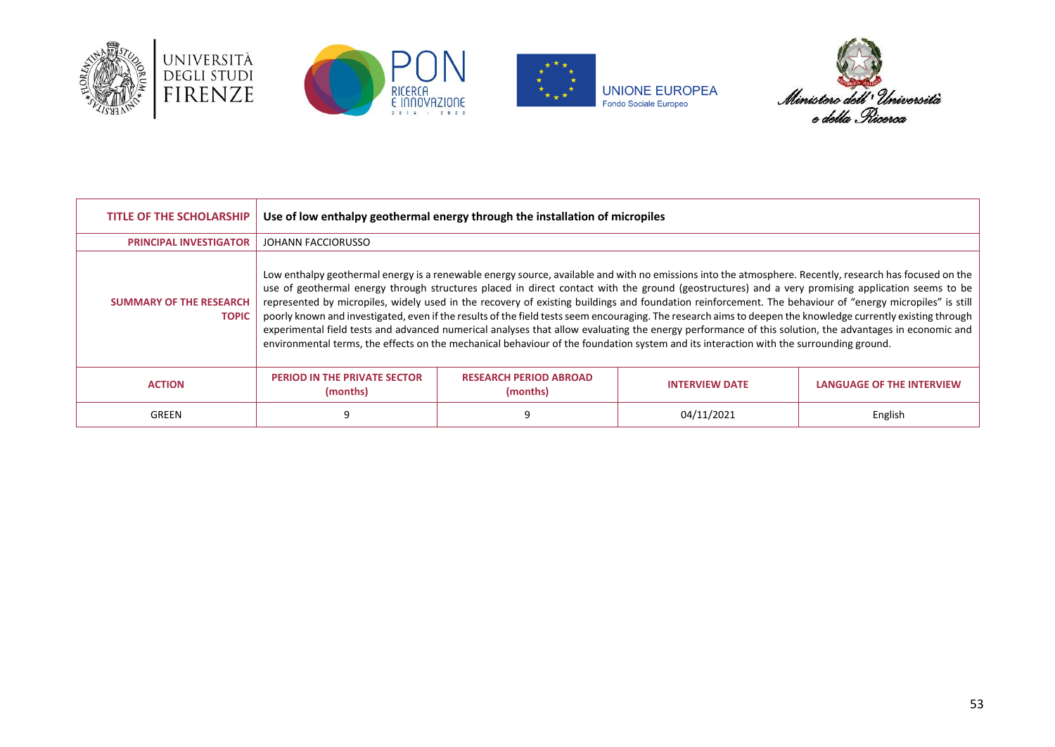







| <b>TITLE OF THE SCHOLARSHIP</b>                | Use of low enthalpy geothermal energy through the installation of micropiles |                                           |                                                                                                                                                                                                                                                                                                                                                                                                                                                                                                                                                                                                                                                                                                                                                                                                                                                                                                                                              |                                  |
|------------------------------------------------|------------------------------------------------------------------------------|-------------------------------------------|----------------------------------------------------------------------------------------------------------------------------------------------------------------------------------------------------------------------------------------------------------------------------------------------------------------------------------------------------------------------------------------------------------------------------------------------------------------------------------------------------------------------------------------------------------------------------------------------------------------------------------------------------------------------------------------------------------------------------------------------------------------------------------------------------------------------------------------------------------------------------------------------------------------------------------------------|----------------------------------|
| <b>PRINCIPAL INVESTIGATOR</b>                  | JOHANN FACCIORUSSO                                                           |                                           |                                                                                                                                                                                                                                                                                                                                                                                                                                                                                                                                                                                                                                                                                                                                                                                                                                                                                                                                              |                                  |
| <b>SUMMARY OF THE RESEARCH</b><br><b>TOPIC</b> |                                                                              |                                           | Low enthalpy geothermal energy is a renewable energy source, available and with no emissions into the atmosphere. Recently, research has focused on the<br>use of geothermal energy through structures placed in direct contact with the ground (geostructures) and a very promising application seems to be<br>represented by micropiles, widely used in the recovery of existing buildings and foundation reinforcement. The behaviour of "energy micropiles" is still<br>poorly known and investigated, even if the results of the field tests seem encouraging. The research aims to deepen the knowledge currently existing through<br>experimental field tests and advanced numerical analyses that allow evaluating the energy performance of this solution, the advantages in economic and<br>environmental terms, the effects on the mechanical behaviour of the foundation system and its interaction with the surrounding ground. |                                  |
| <b>ACTION</b>                                  | <b>PERIOD IN THE PRIVATE SECTOR</b><br>(months)                              | <b>RESEARCH PERIOD ABROAD</b><br>(months) | <b>INTERVIEW DATE</b>                                                                                                                                                                                                                                                                                                                                                                                                                                                                                                                                                                                                                                                                                                                                                                                                                                                                                                                        | <b>LANGUAGE OF THE INTERVIEW</b> |
| GREEN                                          |                                                                              |                                           | 04/11/2021                                                                                                                                                                                                                                                                                                                                                                                                                                                                                                                                                                                                                                                                                                                                                                                                                                                                                                                                   | English                          |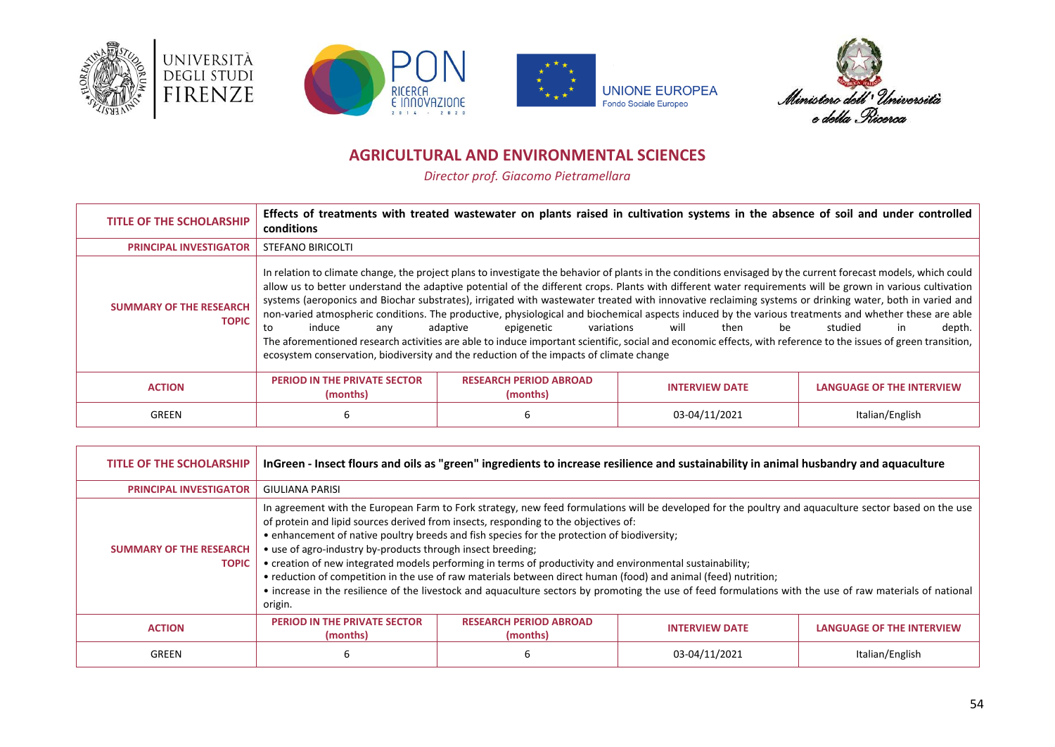







### **AGRICULTURAL AND ENVIRONMENTAL SCIENCES**

*Director prof. Giacomo Pietramellara*

<span id="page-53-0"></span>

| <b>TITLE OF THE SCHOLARSHIP</b>                | conditions                                      |                                                                                                                                 | Effects of treatments with treated wastewater on plants raised in cultivation systems in the absence of soil and under controlled                                                                                                                                                                                                                                                                                                                                                                                                                                                                                                                                                                                                                                                                                                        |                                  |
|------------------------------------------------|-------------------------------------------------|---------------------------------------------------------------------------------------------------------------------------------|------------------------------------------------------------------------------------------------------------------------------------------------------------------------------------------------------------------------------------------------------------------------------------------------------------------------------------------------------------------------------------------------------------------------------------------------------------------------------------------------------------------------------------------------------------------------------------------------------------------------------------------------------------------------------------------------------------------------------------------------------------------------------------------------------------------------------------------|----------------------------------|
| <b>PRINCIPAL INVESTIGATOR</b>                  | <b>STEFANO BIRICOLTI</b>                        |                                                                                                                                 |                                                                                                                                                                                                                                                                                                                                                                                                                                                                                                                                                                                                                                                                                                                                                                                                                                          |                                  |
| <b>SUMMARY OF THE RESEARCH</b><br><b>TOPIC</b> | induce<br>to<br>anv                             | adaptive<br>epigenetic<br>variations<br>ecosystem conservation, biodiversity and the reduction of the impacts of climate change | In relation to climate change, the project plans to investigate the behavior of plants in the conditions envisaged by the current forecast models, which could<br>allow us to better understand the adaptive potential of the different crops. Plants with different water requirements will be grown in various cultivation<br>systems (aeroponics and Biochar substrates), irrigated with wastewater treated with innovative reclaiming systems or drinking water, both in varied and<br>non-varied atmospheric conditions. The productive, physiological and biochemical aspects induced by the various treatments and whether these are able<br>will<br>then<br>be<br>The aforementioned research activities are able to induce important scientific, social and economic effects, with reference to the issues of green transition, | studied<br>depth.<br>in.         |
| <b>ACTION</b>                                  | <b>PERIOD IN THE PRIVATE SECTOR</b><br>(months) | <b>RESEARCH PERIOD ABROAD</b><br>(months)                                                                                       | <b>INTERVIEW DATE</b>                                                                                                                                                                                                                                                                                                                                                                                                                                                                                                                                                                                                                                                                                                                                                                                                                    | <b>LANGUAGE OF THE INTERVIEW</b> |
| GREEN                                          | 6                                               | b                                                                                                                               | 03-04/11/2021                                                                                                                                                                                                                                                                                                                                                                                                                                                                                                                                                                                                                                                                                                                                                                                                                            | Italian/English                  |

| <b>TITLE OF THE SCHOLARSHIP</b>                | InGreen - Insect flours and oils as "green" ingredients to increase resilience and sustainability in animal husbandry and aquaculture |                                                                                                                                                                                                                                                                                                                                                                                                                    |                                                                                                                                                                                                                                                                                                                    |                           |
|------------------------------------------------|---------------------------------------------------------------------------------------------------------------------------------------|--------------------------------------------------------------------------------------------------------------------------------------------------------------------------------------------------------------------------------------------------------------------------------------------------------------------------------------------------------------------------------------------------------------------|--------------------------------------------------------------------------------------------------------------------------------------------------------------------------------------------------------------------------------------------------------------------------------------------------------------------|---------------------------|
| <b>PRINCIPAL INVESTIGATOR</b>                  | <b>GIULIANA PARISI</b>                                                                                                                |                                                                                                                                                                                                                                                                                                                                                                                                                    |                                                                                                                                                                                                                                                                                                                    |                           |
| <b>SUMMARY OF THE RESEARCH</b><br><b>TOPIC</b> | • use of agro-industry by-products through insect breeding;<br>origin.                                                                | of protein and lipid sources derived from insects, responding to the objectives of:<br>• enhancement of native poultry breeds and fish species for the protection of biodiversity;<br>• creation of new integrated models performing in terms of productivity and environmental sustainability;<br>• reduction of competition in the use of raw materials between direct human (food) and animal (feed) nutrition; | In agreement with the European Farm to Fork strategy, new feed formulations will be developed for the poultry and aquaculture sector based on the use<br>• increase in the resilience of the livestock and aquaculture sectors by promoting the use of feed formulations with the use of raw materials of national |                           |
| <b>ACTION</b>                                  | <b>PERIOD IN THE PRIVATE SECTOR</b><br>(months)                                                                                       | <b>RESEARCH PERIOD ABROAD</b><br>(months)                                                                                                                                                                                                                                                                                                                                                                          | <b>INTERVIEW DATE</b>                                                                                                                                                                                                                                                                                              | LANGUAGE OF THE INTERVIEW |
| GREEN                                          | 6                                                                                                                                     |                                                                                                                                                                                                                                                                                                                                                                                                                    | 03-04/11/2021                                                                                                                                                                                                                                                                                                      | Italian/English           |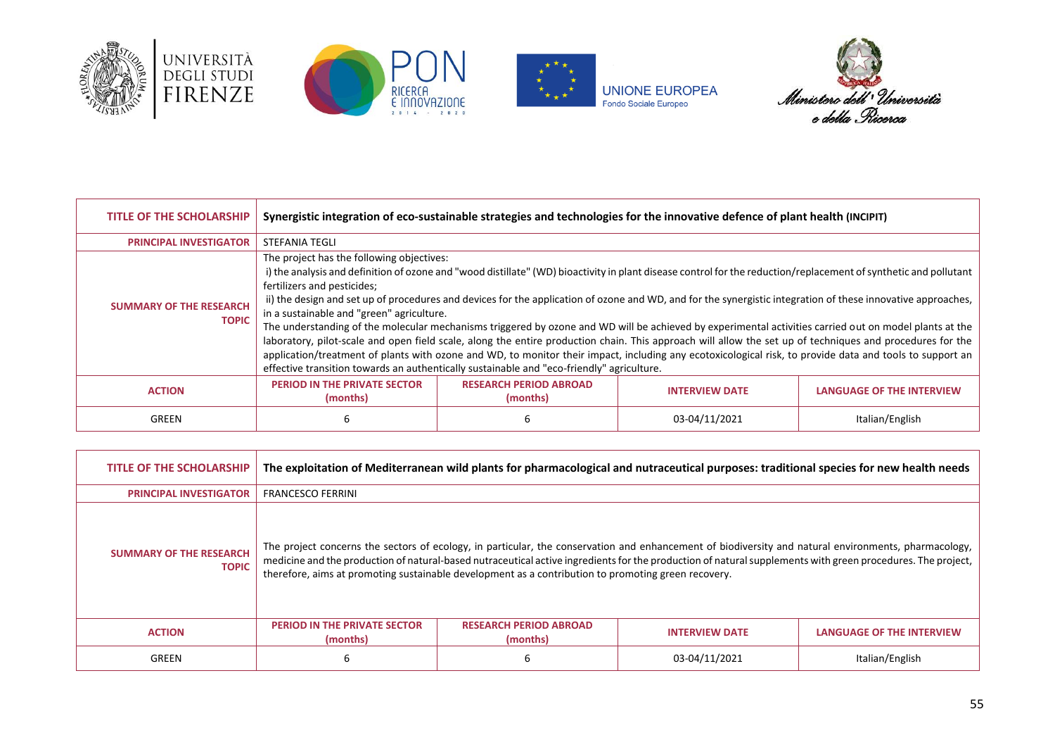







| <b>TITLE OF THE SCHOLARSHIP</b>                | Synergistic integration of eco-sustainable strategies and technologies for the innovative defence of plant health (INCIPIT) |                                                                                           |                                                                                                                                                                                                                                                                                                                                                                                                                                                                                                                                                                                                                                                                                                                                                                                                                     |                                  |
|------------------------------------------------|-----------------------------------------------------------------------------------------------------------------------------|-------------------------------------------------------------------------------------------|---------------------------------------------------------------------------------------------------------------------------------------------------------------------------------------------------------------------------------------------------------------------------------------------------------------------------------------------------------------------------------------------------------------------------------------------------------------------------------------------------------------------------------------------------------------------------------------------------------------------------------------------------------------------------------------------------------------------------------------------------------------------------------------------------------------------|----------------------------------|
| <b>PRINCIPAL INVESTIGATOR</b>                  | STEFANIA TEGLI                                                                                                              |                                                                                           |                                                                                                                                                                                                                                                                                                                                                                                                                                                                                                                                                                                                                                                                                                                                                                                                                     |                                  |
| <b>SUMMARY OF THE RESEARCH</b><br><b>TOPIC</b> | The project has the following objectives:<br>fertilizers and pesticides;<br>in a sustainable and "green" agriculture.       | effective transition towards an authentically sustainable and "eco-friendly" agriculture. | i) the analysis and definition of ozone and "wood distillate" (WD) bioactivity in plant disease control for the reduction/replacement of synthetic and pollutant<br>ii) the design and set up of procedures and devices for the application of ozone and WD, and for the synergistic integration of these innovative approaches,<br>The understanding of the molecular mechanisms triggered by ozone and WD will be achieved by experimental activities carried out on model plants at the<br>laboratory, pilot-scale and open field scale, along the entire production chain. This approach will allow the set up of techniques and procedures for the<br>application/treatment of plants with ozone and WD, to monitor their impact, including any ecotoxicological risk, to provide data and tools to support an |                                  |
| <b>ACTION</b>                                  | PERIOD IN THE PRIVATE SECTOR<br>(months)                                                                                    | <b>RESEARCH PERIOD ABROAD</b><br>(months)                                                 | <b>INTERVIEW DATE</b>                                                                                                                                                                                                                                                                                                                                                                                                                                                                                                                                                                                                                                                                                                                                                                                               | <b>LANGUAGE OF THE INTERVIEW</b> |
| GREEN                                          | 6                                                                                                                           |                                                                                           | 03-04/11/2021                                                                                                                                                                                                                                                                                                                                                                                                                                                                                                                                                                                                                                                                                                                                                                                                       | Italian/English                  |

| <b>TITLE OF THE SCHOLARSHIP</b>                | The exploitation of Mediterranean wild plants for pharmacological and nutraceutical purposes: traditional species for new health needs |                                                                                                                                                                                                                                                                                                                                                                                                                            |                       |                           |
|------------------------------------------------|----------------------------------------------------------------------------------------------------------------------------------------|----------------------------------------------------------------------------------------------------------------------------------------------------------------------------------------------------------------------------------------------------------------------------------------------------------------------------------------------------------------------------------------------------------------------------|-----------------------|---------------------------|
| <b>PRINCIPAL INVESTIGATOR</b>                  | <b>FRANCESCO FERRINI</b>                                                                                                               |                                                                                                                                                                                                                                                                                                                                                                                                                            |                       |                           |
| <b>SUMMARY OF THE RESEARCH</b><br><b>TOPIC</b> |                                                                                                                                        | The project concerns the sectors of ecology, in particular, the conservation and enhancement of biodiversity and natural environments, pharmacology,<br>medicine and the production of natural-based nutraceutical active ingredients for the production of natural supplements with green procedures. The project,<br>therefore, aims at promoting sustainable development as a contribution to promoting green recovery. |                       |                           |
| <b>ACTION</b>                                  | <b>PERIOD IN THE PRIVATE SECTOR</b><br>(months)                                                                                        | <b>RESEARCH PERIOD ABROAD</b><br>(months)                                                                                                                                                                                                                                                                                                                                                                                  | <b>INTERVIEW DATE</b> | LANGUAGE OF THE INTERVIEW |
| GREEN                                          | 6                                                                                                                                      |                                                                                                                                                                                                                                                                                                                                                                                                                            | 03-04/11/2021         | Italian/English           |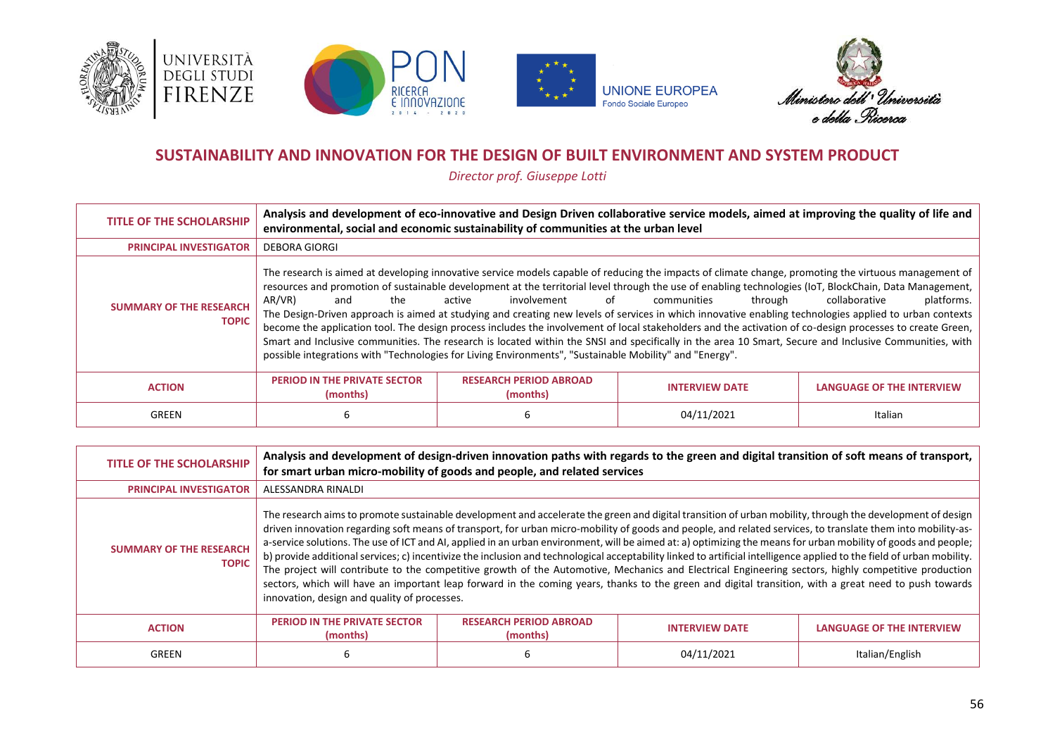







#### **SUSTAINABILITY AND INNOVATION FOR THE DESIGN OF BUILT ENVIRONMENT AND SYSTEM PRODUCT**

*Director prof. Giuseppe Lotti*

<span id="page-55-0"></span>

| <b>TITLE OF THE SCHOLARSHIP</b>                | Analysis and development of eco-innovative and Design Driven collaborative service models, aimed at improving the quality of life and<br>environmental, social and economic sustainability of communities at the urban level |                                                                                                                                        |                                                                                                                                                                                                                                                                                                                                                                                                                                                                                                                                                                                                                                                                                                                                                                                                                              |                                  |
|------------------------------------------------|------------------------------------------------------------------------------------------------------------------------------------------------------------------------------------------------------------------------------|----------------------------------------------------------------------------------------------------------------------------------------|------------------------------------------------------------------------------------------------------------------------------------------------------------------------------------------------------------------------------------------------------------------------------------------------------------------------------------------------------------------------------------------------------------------------------------------------------------------------------------------------------------------------------------------------------------------------------------------------------------------------------------------------------------------------------------------------------------------------------------------------------------------------------------------------------------------------------|----------------------------------|
| <b>PRINCIPAL INVESTIGATOR</b>                  | <b>DEBORA GIORGI</b>                                                                                                                                                                                                         |                                                                                                                                        |                                                                                                                                                                                                                                                                                                                                                                                                                                                                                                                                                                                                                                                                                                                                                                                                                              |                                  |
| <b>SUMMARY OF THE RESEARCH</b><br><b>TOPIC</b> | AR/VR)<br>the<br>and                                                                                                                                                                                                         | of<br>involvement<br>active<br>possible integrations with "Technologies for Living Environments", "Sustainable Mobility" and "Energy". | The research is aimed at developing innovative service models capable of reducing the impacts of climate change, promoting the virtuous management of<br>resources and promotion of sustainable development at the territorial level through the use of enabling technologies (IoT, BlockChain, Data Management,<br>communities<br>through<br>The Design-Driven approach is aimed at studying and creating new levels of services in which innovative enabling technologies applied to urban contexts<br>become the application tool. The design process includes the involvement of local stakeholders and the activation of co-design processes to create Green,<br>Smart and Inclusive communities. The research is located within the SNSI and specifically in the area 10 Smart, Secure and Inclusive Communities, with | platforms.<br>collaborative      |
| <b>ACTION</b>                                  | <b>PERIOD IN THE PRIVATE SECTOR</b><br>(months)                                                                                                                                                                              | <b>RESEARCH PERIOD ABROAD</b><br>(months)                                                                                              | <b>INTERVIEW DATE</b>                                                                                                                                                                                                                                                                                                                                                                                                                                                                                                                                                                                                                                                                                                                                                                                                        | <b>LANGUAGE OF THE INTERVIEW</b> |
| GREEN                                          | 6                                                                                                                                                                                                                            |                                                                                                                                        | 04/11/2021                                                                                                                                                                                                                                                                                                                                                                                                                                                                                                                                                                                                                                                                                                                                                                                                                   | Italian                          |

| TITLE OF THE SCHOLARSHIP                       | Analysis and development of design-driven innovation paths with regards to the green and digital transition of soft means of transport,<br>for smart urban micro-mobility of goods and people, and related services                                                                                                                                                                                                                                                                                                                                                                                                                                                                                                                                                                                                                                                                                                                                                                                                                    |                                           |                       |                                  |
|------------------------------------------------|----------------------------------------------------------------------------------------------------------------------------------------------------------------------------------------------------------------------------------------------------------------------------------------------------------------------------------------------------------------------------------------------------------------------------------------------------------------------------------------------------------------------------------------------------------------------------------------------------------------------------------------------------------------------------------------------------------------------------------------------------------------------------------------------------------------------------------------------------------------------------------------------------------------------------------------------------------------------------------------------------------------------------------------|-------------------------------------------|-----------------------|----------------------------------|
| <b>PRINCIPAL INVESTIGATOR</b>                  | ALESSANDRA RINALDI                                                                                                                                                                                                                                                                                                                                                                                                                                                                                                                                                                                                                                                                                                                                                                                                                                                                                                                                                                                                                     |                                           |                       |                                  |
| <b>SUMMARY OF THE RESEARCH</b><br><b>TOPIC</b> | The research aims to promote sustainable development and accelerate the green and digital transition of urban mobility, through the development of design<br>driven innovation regarding soft means of transport, for urban micro-mobility of goods and people, and related services, to translate them into mobility-as-<br>a-service solutions. The use of ICT and AI, applied in an urban environment, will be aimed at: a) optimizing the means for urban mobility of goods and people;<br>b) provide additional services; c) incentivize the inclusion and technological acceptability linked to artificial intelligence applied to the field of urban mobility.<br>The project will contribute to the competitive growth of the Automotive, Mechanics and Electrical Engineering sectors, highly competitive production<br>sectors, which will have an important leap forward in the coming years, thanks to the green and digital transition, with a great need to push towards<br>innovation, design and quality of processes. |                                           |                       |                                  |
| <b>ACTION</b>                                  | <b>PERIOD IN THE PRIVATE SECTOR</b><br>(months)                                                                                                                                                                                                                                                                                                                                                                                                                                                                                                                                                                                                                                                                                                                                                                                                                                                                                                                                                                                        | <b>RESEARCH PERIOD ABROAD</b><br>(months) | <b>INTERVIEW DATE</b> | <b>LANGUAGE OF THE INTERVIEW</b> |
| GREEN                                          | 6                                                                                                                                                                                                                                                                                                                                                                                                                                                                                                                                                                                                                                                                                                                                                                                                                                                                                                                                                                                                                                      |                                           | 04/11/2021            | Italian/English                  |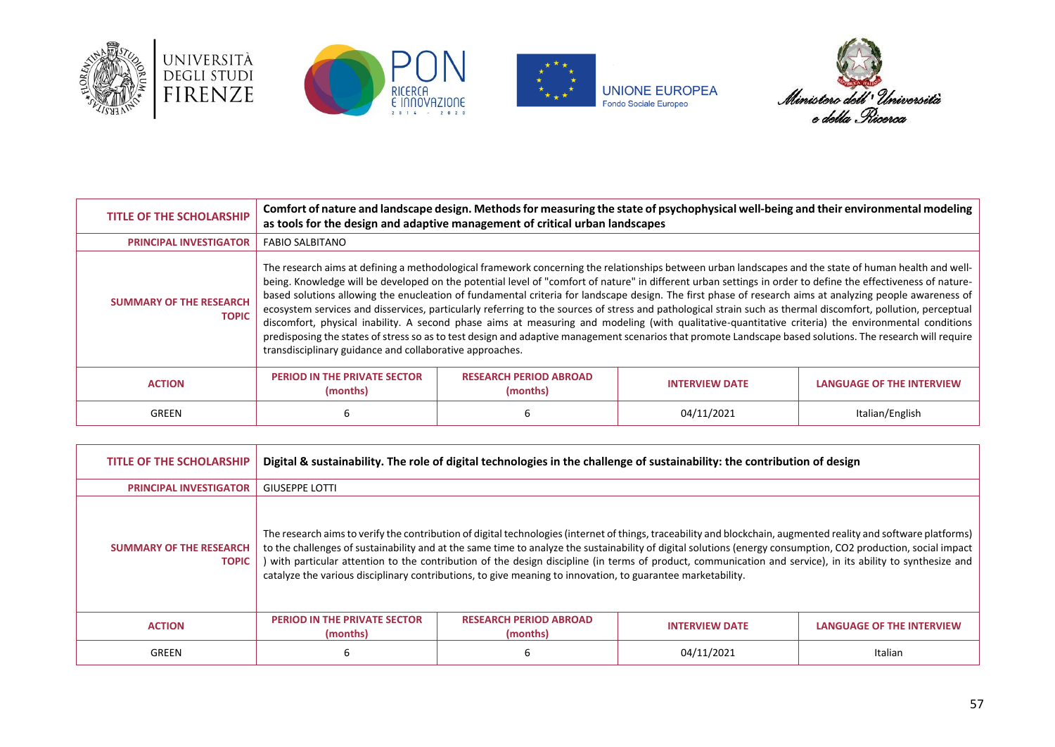







| <b>TITLE OF THE SCHOLARSHIP</b>                | Comfort of nature and landscape design. Methods for measuring the state of psychophysical well-being and their environmental modeling<br>as tools for the design and adaptive management of critical urban landscapes                                                                                                                                                                                                                                                                                                                                                                                                                                                                                                                                                                                                                                                                                                                                                                                                                |                                           |                       |                                  |
|------------------------------------------------|--------------------------------------------------------------------------------------------------------------------------------------------------------------------------------------------------------------------------------------------------------------------------------------------------------------------------------------------------------------------------------------------------------------------------------------------------------------------------------------------------------------------------------------------------------------------------------------------------------------------------------------------------------------------------------------------------------------------------------------------------------------------------------------------------------------------------------------------------------------------------------------------------------------------------------------------------------------------------------------------------------------------------------------|-------------------------------------------|-----------------------|----------------------------------|
| <b>PRINCIPAL INVESTIGATOR</b>                  | <b>FABIO SALBITANO</b>                                                                                                                                                                                                                                                                                                                                                                                                                                                                                                                                                                                                                                                                                                                                                                                                                                                                                                                                                                                                               |                                           |                       |                                  |
| <b>SUMMARY OF THE RESEARCH</b><br><b>TOPIC</b> | The research aims at defining a methodological framework concerning the relationships between urban landscapes and the state of human health and well-<br>being. Knowledge will be developed on the potential level of "comfort of nature" in different urban settings in order to define the effectiveness of nature-<br>based solutions allowing the enucleation of fundamental criteria for landscape design. The first phase of research aims at analyzing people awareness of<br>ecosystem services and disservices, particularly referring to the sources of stress and pathological strain such as thermal discomfort, pollution, perceptual<br>discomfort, physical inability. A second phase aims at measuring and modeling (with qualitative-quantitative criteria) the environmental conditions<br>predisposing the states of stress so as to test design and adaptive management scenarios that promote Landscape based solutions. The research will require<br>transdisciplinary guidance and collaborative approaches. |                                           |                       |                                  |
| <b>ACTION</b>                                  | <b>PERIOD IN THE PRIVATE SECTOR</b><br>(months)                                                                                                                                                                                                                                                                                                                                                                                                                                                                                                                                                                                                                                                                                                                                                                                                                                                                                                                                                                                      | <b>RESEARCH PERIOD ABROAD</b><br>(months) | <b>INTERVIEW DATE</b> | <b>LANGUAGE OF THE INTERVIEW</b> |
| GREEN                                          | b                                                                                                                                                                                                                                                                                                                                                                                                                                                                                                                                                                                                                                                                                                                                                                                                                                                                                                                                                                                                                                    |                                           | 04/11/2021            | Italian/English                  |

| <b>TITLE OF THE SCHOLARSHIP</b>                | Digital & sustainability. The role of digital technologies in the challenge of sustainability: the contribution of design |                                                                                                             |                                                                                                                                                                                                                                                                                                                                                                                                                                                                                                   |                                  |
|------------------------------------------------|---------------------------------------------------------------------------------------------------------------------------|-------------------------------------------------------------------------------------------------------------|---------------------------------------------------------------------------------------------------------------------------------------------------------------------------------------------------------------------------------------------------------------------------------------------------------------------------------------------------------------------------------------------------------------------------------------------------------------------------------------------------|----------------------------------|
| <b>PRINCIPAL INVESTIGATOR</b>                  | <b>GIUSEPPE LOTTI</b>                                                                                                     |                                                                                                             |                                                                                                                                                                                                                                                                                                                                                                                                                                                                                                   |                                  |
| <b>SUMMARY OF THE RESEARCH</b><br><b>TOPIC</b> |                                                                                                                           | catalyze the various disciplinary contributions, to give meaning to innovation, to guarantee marketability. | The research aims to verify the contribution of digital technologies (internet of things, traceability and blockchain, augmented reality and software platforms)<br>to the challenges of sustainability and at the same time to analyze the sustainability of digital solutions (energy consumption, CO2 production, social impact<br>) with particular attention to the contribution of the design discipline (in terms of product, communication and service), in its ability to synthesize and |                                  |
| <b>ACTION</b>                                  | PERIOD IN THE PRIVATE SECTOR<br>(months)                                                                                  | <b>RESEARCH PERIOD ABROAD</b><br>(months)                                                                   | <b>INTERVIEW DATE</b>                                                                                                                                                                                                                                                                                                                                                                                                                                                                             | <b>LANGUAGE OF THE INTERVIEW</b> |
| GREEN                                          | 6                                                                                                                         |                                                                                                             | 04/11/2021                                                                                                                                                                                                                                                                                                                                                                                                                                                                                        | Italian                          |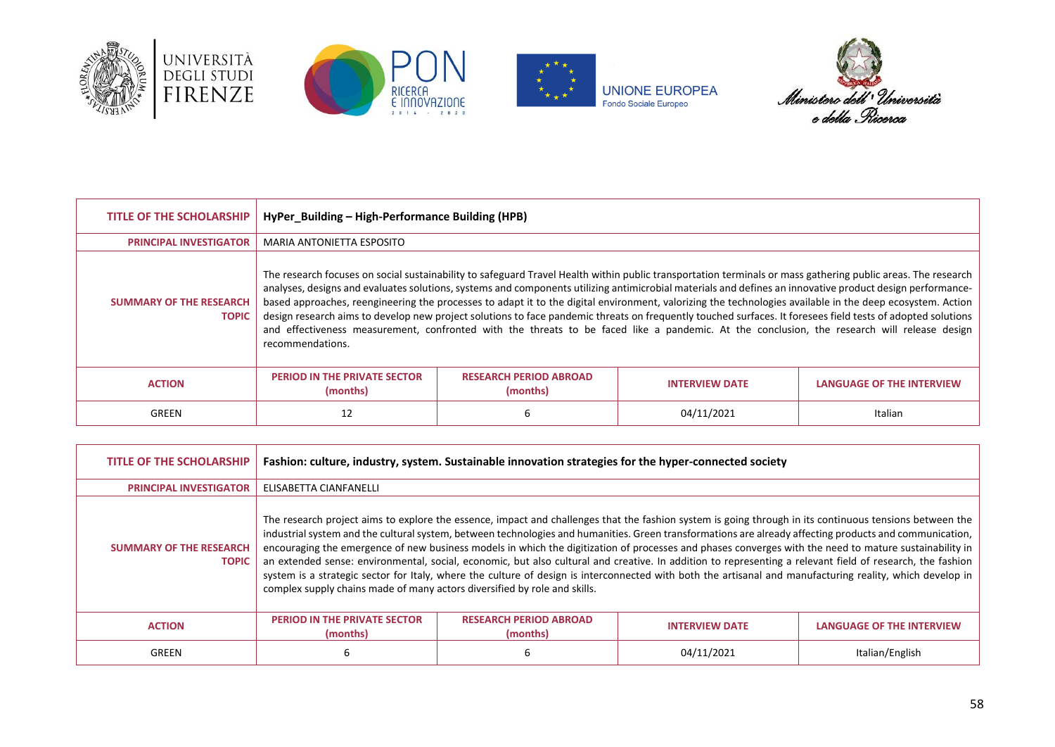







| <b>TITLE OF THE SCHOLARSHIP</b>                | HyPer_Building – High-Performance Building (HPB)                                                                                                                                                                                                                                                                                                                                                                                                                                                                                                                                                                                                                                                                                                                                                                         |                                           |                       |                                  |
|------------------------------------------------|--------------------------------------------------------------------------------------------------------------------------------------------------------------------------------------------------------------------------------------------------------------------------------------------------------------------------------------------------------------------------------------------------------------------------------------------------------------------------------------------------------------------------------------------------------------------------------------------------------------------------------------------------------------------------------------------------------------------------------------------------------------------------------------------------------------------------|-------------------------------------------|-----------------------|----------------------------------|
| <b>PRINCIPAL INVESTIGATOR</b>                  | MARIA ANTONIETTA ESPOSITO                                                                                                                                                                                                                                                                                                                                                                                                                                                                                                                                                                                                                                                                                                                                                                                                |                                           |                       |                                  |
| <b>SUMMARY OF THE RESEARCH</b><br><b>TOPIC</b> | The research focuses on social sustainability to safeguard Travel Health within public transportation terminals or mass gathering public areas. The research<br>analyses, designs and evaluates solutions, systems and components utilizing antimicrobial materials and defines an innovative product design performance-<br>based approaches, reengineering the processes to adapt it to the digital environment, valorizing the technologies available in the deep ecosystem. Action<br>design research aims to develop new project solutions to face pandemic threats on frequently touched surfaces. It foresees field tests of adopted solutions<br>and effectiveness measurement, confronted with the threats to be faced like a pandemic. At the conclusion, the research will release design<br>recommendations. |                                           |                       |                                  |
| <b>ACTION</b>                                  | <b>PERIOD IN THE PRIVATE SECTOR</b><br>(months)                                                                                                                                                                                                                                                                                                                                                                                                                                                                                                                                                                                                                                                                                                                                                                          | <b>RESEARCH PERIOD ABROAD</b><br>(months) | <b>INTERVIEW DATE</b> | <b>LANGUAGE OF THE INTERVIEW</b> |
| GREEN                                          | 12                                                                                                                                                                                                                                                                                                                                                                                                                                                                                                                                                                                                                                                                                                                                                                                                                       |                                           | 04/11/2021            | Italian                          |

| <b>TITLE OF THE SCHOLARSHIP</b>                | Fashion: culture, industry, system. Sustainable innovation strategies for the hyper-connected society                                                                                                                                                                                                                                                                                                                                                                                                                                                                                                                                                                                                                                                                                                                                                                               |                                           |                       |                                  |
|------------------------------------------------|-------------------------------------------------------------------------------------------------------------------------------------------------------------------------------------------------------------------------------------------------------------------------------------------------------------------------------------------------------------------------------------------------------------------------------------------------------------------------------------------------------------------------------------------------------------------------------------------------------------------------------------------------------------------------------------------------------------------------------------------------------------------------------------------------------------------------------------------------------------------------------------|-------------------------------------------|-----------------------|----------------------------------|
| <b>PRINCIPAL INVESTIGATOR</b>                  | ELISABETTA CIANFANELLI                                                                                                                                                                                                                                                                                                                                                                                                                                                                                                                                                                                                                                                                                                                                                                                                                                                              |                                           |                       |                                  |
| <b>SUMMARY OF THE RESEARCH</b><br><b>TOPIC</b> | The research project aims to explore the essence, impact and challenges that the fashion system is going through in its continuous tensions between the<br>industrial system and the cultural system, between technologies and humanities. Green transformations are already affecting products and communication,<br>encouraging the emergence of new business models in which the digitization of processes and phases converges with the need to mature sustainability in<br>an extended sense: environmental, social, economic, but also cultural and creative. In addition to representing a relevant field of research, the fashion<br>system is a strategic sector for Italy, where the culture of design is interconnected with both the artisanal and manufacturing reality, which develop in<br>complex supply chains made of many actors diversified by role and skills. |                                           |                       |                                  |
| <b>ACTION</b>                                  | <b>PERIOD IN THE PRIVATE SECTOR</b><br>(months)                                                                                                                                                                                                                                                                                                                                                                                                                                                                                                                                                                                                                                                                                                                                                                                                                                     | <b>RESEARCH PERIOD ABROAD</b><br>(months) | <b>INTERVIEW DATE</b> | <b>LANGUAGE OF THE INTERVIEW</b> |
| GREEN                                          | ь                                                                                                                                                                                                                                                                                                                                                                                                                                                                                                                                                                                                                                                                                                                                                                                                                                                                                   |                                           | 04/11/2021            | Italian/English                  |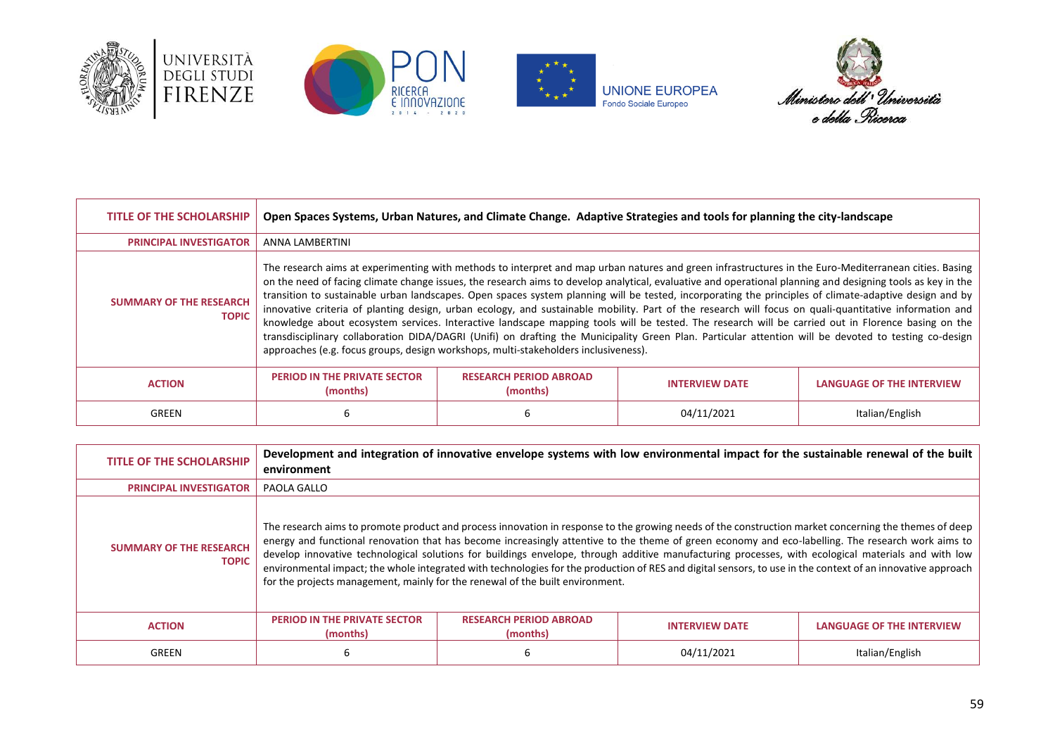







| <b>TITLE OF THE SCHOLARSHIP</b>                | Open Spaces Systems, Urban Natures, and Climate Change. Adaptive Strategies and tools for planning the city-landscape                                                                                                                                                                                                                                                                                                                                                                                                                                                                                                                                                                                                                                                                                                                                                                                                                                                                                                                          |                                           |                       |                                  |
|------------------------------------------------|------------------------------------------------------------------------------------------------------------------------------------------------------------------------------------------------------------------------------------------------------------------------------------------------------------------------------------------------------------------------------------------------------------------------------------------------------------------------------------------------------------------------------------------------------------------------------------------------------------------------------------------------------------------------------------------------------------------------------------------------------------------------------------------------------------------------------------------------------------------------------------------------------------------------------------------------------------------------------------------------------------------------------------------------|-------------------------------------------|-----------------------|----------------------------------|
| <b>PRINCIPAL INVESTIGATOR</b>                  | ANNA LAMBERTINI                                                                                                                                                                                                                                                                                                                                                                                                                                                                                                                                                                                                                                                                                                                                                                                                                                                                                                                                                                                                                                |                                           |                       |                                  |
| <b>SUMMARY OF THE RESEARCH</b><br><b>TOPIC</b> | The research aims at experimenting with methods to interpret and map urban natures and green infrastructures in the Euro-Mediterranean cities. Basing<br>on the need of facing climate change issues, the research aims to develop analytical, evaluative and operational planning and designing tools as key in the<br>transition to sustainable urban landscapes. Open spaces system planning will be tested, incorporating the principles of climate-adaptive design and by<br>innovative criteria of planting design, urban ecology, and sustainable mobility. Part of the research will focus on quali-quantitative information and<br>knowledge about ecosystem services. Interactive landscape mapping tools will be tested. The research will be carried out in Florence basing on the<br>transdisciplinary collaboration DIDA/DAGRI (Unifi) on drafting the Municipality Green Plan. Particular attention will be devoted to testing co-design<br>approaches (e.g. focus groups, design workshops, multi-stakeholders inclusiveness). |                                           |                       |                                  |
| <b>ACTION</b>                                  | <b>PERIOD IN THE PRIVATE SECTOR</b><br>(months)                                                                                                                                                                                                                                                                                                                                                                                                                                                                                                                                                                                                                                                                                                                                                                                                                                                                                                                                                                                                | <b>RESEARCH PERIOD ABROAD</b><br>(months) | <b>INTERVIEW DATE</b> | <b>LANGUAGE OF THE INTERVIEW</b> |
| GREEN                                          | 6                                                                                                                                                                                                                                                                                                                                                                                                                                                                                                                                                                                                                                                                                                                                                                                                                                                                                                                                                                                                                                              | h                                         | 04/11/2021            | Italian/English                  |

| TITLE OF THE SCHOLARSHIP                       | environment                                                                                                                                                                                                                                                                                                                                                                                                                                                                                                                                                                                                                                                                                                        | Development and integration of innovative envelope systems with low environmental impact for the sustainable renewal of the built |                       |                           |
|------------------------------------------------|--------------------------------------------------------------------------------------------------------------------------------------------------------------------------------------------------------------------------------------------------------------------------------------------------------------------------------------------------------------------------------------------------------------------------------------------------------------------------------------------------------------------------------------------------------------------------------------------------------------------------------------------------------------------------------------------------------------------|-----------------------------------------------------------------------------------------------------------------------------------|-----------------------|---------------------------|
| <b>PRINCIPAL INVESTIGATOR</b>                  | PAOLA GALLO                                                                                                                                                                                                                                                                                                                                                                                                                                                                                                                                                                                                                                                                                                        |                                                                                                                                   |                       |                           |
| <b>SUMMARY OF THE RESEARCH</b><br><b>TOPIC</b> | The research aims to promote product and process innovation in response to the growing needs of the construction market concerning the themes of deep<br>energy and functional renovation that has become increasingly attentive to the theme of green economy and eco-labelling. The research work aims to<br>develop innovative technological solutions for buildings envelope, through additive manufacturing processes, with ecological materials and with low<br>environmental impact; the whole integrated with technologies for the production of RES and digital sensors, to use in the context of an innovative approach<br>for the projects management, mainly for the renewal of the built environment. |                                                                                                                                   |                       |                           |
| <b>ACTION</b>                                  | <b>PERIOD IN THE PRIVATE SECTOR</b><br>(months)                                                                                                                                                                                                                                                                                                                                                                                                                                                                                                                                                                                                                                                                    | <b>RESEARCH PERIOD ABROAD</b><br>(months)                                                                                         | <b>INTERVIEW DATE</b> | LANGUAGE OF THE INTERVIEW |
| GREEN                                          | 6                                                                                                                                                                                                                                                                                                                                                                                                                                                                                                                                                                                                                                                                                                                  | h                                                                                                                                 | 04/11/2021            | Italian/English           |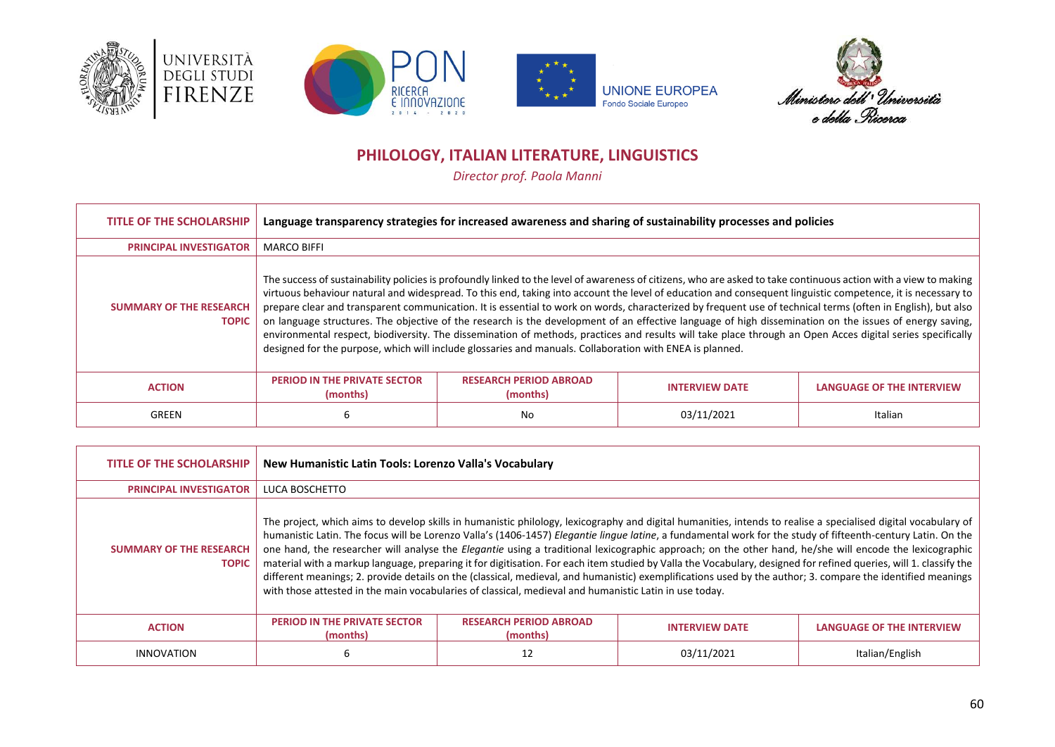







# **PHILOLOGY, ITALIAN LITERATURE, LINGUISTICS**

*Director prof. Paola Manni*

<span id="page-59-0"></span>

| <b>TITLE OF THE SCHOLARSHIP</b>                | Language transparency strategies for increased awareness and sharing of sustainability processes and policies                                                                                                                                                                                                                                                                                                                                                                                                                                                                                                                                                                                                                                                                                                                                                                                                                        |                                           |                       |                                  |
|------------------------------------------------|--------------------------------------------------------------------------------------------------------------------------------------------------------------------------------------------------------------------------------------------------------------------------------------------------------------------------------------------------------------------------------------------------------------------------------------------------------------------------------------------------------------------------------------------------------------------------------------------------------------------------------------------------------------------------------------------------------------------------------------------------------------------------------------------------------------------------------------------------------------------------------------------------------------------------------------|-------------------------------------------|-----------------------|----------------------------------|
| <b>PRINCIPAL INVESTIGATOR</b>                  | <b>MARCO BIFFI</b>                                                                                                                                                                                                                                                                                                                                                                                                                                                                                                                                                                                                                                                                                                                                                                                                                                                                                                                   |                                           |                       |                                  |
| <b>SUMMARY OF THE RESEARCH</b><br><b>TOPIC</b> | The success of sustainability policies is profoundly linked to the level of awareness of citizens, who are asked to take continuous action with a view to making<br>virtuous behaviour natural and widespread. To this end, taking into account the level of education and consequent linguistic competence, it is necessary to<br>prepare clear and transparent communication. It is essential to work on words, characterized by frequent use of technical terms (often in English), but also<br>on language structures. The objective of the research is the development of an effective language of high dissemination on the issues of energy saving,<br>environmental respect, biodiversity. The dissemination of methods, practices and results will take place through an Open Acces digital series specifically<br>designed for the purpose, which will include glossaries and manuals. Collaboration with ENEA is planned. |                                           |                       |                                  |
| <b>ACTION</b>                                  | <b>PERIOD IN THE PRIVATE SECTOR</b><br>(months)                                                                                                                                                                                                                                                                                                                                                                                                                                                                                                                                                                                                                                                                                                                                                                                                                                                                                      | <b>RESEARCH PERIOD ABROAD</b><br>(months) | <b>INTERVIEW DATE</b> | <b>LANGUAGE OF THE INTERVIEW</b> |
| GREEN                                          | 6                                                                                                                                                                                                                                                                                                                                                                                                                                                                                                                                                                                                                                                                                                                                                                                                                                                                                                                                    | No                                        | 03/11/2021            | Italian                          |

| <b>TITLE OF THE SCHOLARSHIP</b>                | New Humanistic Latin Tools: Lorenzo Valla's Vocabulary                                                                                                                                                                                                                                                                                                                                                                                                                                                                                                                                                                                                                                                                                                                                                                                                                                                                                  |                                           |                       |                                  |
|------------------------------------------------|-----------------------------------------------------------------------------------------------------------------------------------------------------------------------------------------------------------------------------------------------------------------------------------------------------------------------------------------------------------------------------------------------------------------------------------------------------------------------------------------------------------------------------------------------------------------------------------------------------------------------------------------------------------------------------------------------------------------------------------------------------------------------------------------------------------------------------------------------------------------------------------------------------------------------------------------|-------------------------------------------|-----------------------|----------------------------------|
| <b>PRINCIPAL INVESTIGATOR</b>                  | LUCA BOSCHETTO                                                                                                                                                                                                                                                                                                                                                                                                                                                                                                                                                                                                                                                                                                                                                                                                                                                                                                                          |                                           |                       |                                  |
| <b>SUMMARY OF THE RESEARCH</b><br><b>TOPIC</b> | The project, which aims to develop skills in humanistic philology, lexicography and digital humanities, intends to realise a specialised digital vocabulary of<br>humanistic Latin. The focus will be Lorenzo Valla's (1406-1457) Elegantie lingue latine, a fundamental work for the study of fifteenth-century Latin. On the<br>one hand, the researcher will analyse the Elegantie using a traditional lexicographic approach; on the other hand, he/she will encode the lexicographic<br>material with a markup language, preparing it for digitisation. For each item studied by Valla the Vocabulary, designed for refined queries, will 1. classify the<br>different meanings; 2. provide details on the (classical, medieval, and humanistic) exemplifications used by the author; 3. compare the identified meanings<br>with those attested in the main vocabularies of classical, medieval and humanistic Latin in use today. |                                           |                       |                                  |
| <b>ACTION</b>                                  | <b>PERIOD IN THE PRIVATE SECTOR</b><br>(months)                                                                                                                                                                                                                                                                                                                                                                                                                                                                                                                                                                                                                                                                                                                                                                                                                                                                                         | <b>RESEARCH PERIOD ABROAD</b><br>(months) | <b>INTERVIEW DATE</b> | <b>LANGUAGE OF THE INTERVIEW</b> |
| <b>INNOVATION</b>                              | 6                                                                                                                                                                                                                                                                                                                                                                                                                                                                                                                                                                                                                                                                                                                                                                                                                                                                                                                                       | 12                                        | 03/11/2021            | Italian/English                  |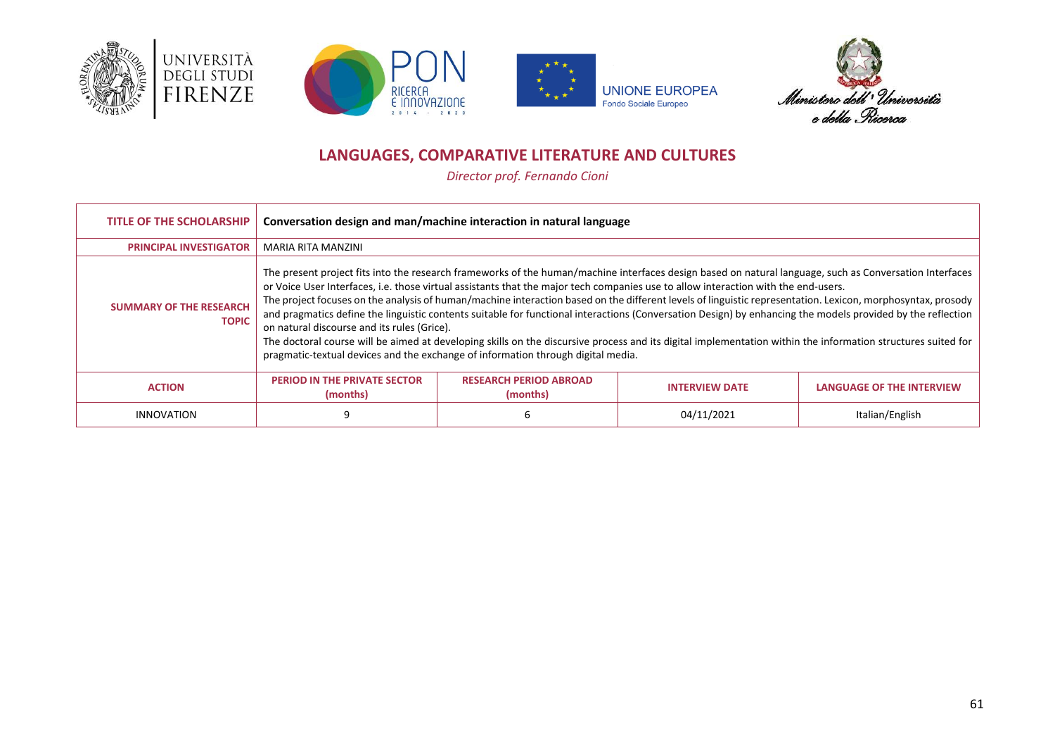







# **LANGUAGES, COMPARATIVE LITERATURE AND CULTURES**

*Director prof. Fernando Cioni*

<span id="page-60-0"></span>

| <b>TITLE OF THE SCHOLARSHIP</b>                | Conversation design and man/machine interaction in natural language                                                                                                                                                                                                                                                                                                                                                                                                                                                                                                                                                                                                                                                                                                                                                                                                                                                            |                                           |                       |                                  |
|------------------------------------------------|--------------------------------------------------------------------------------------------------------------------------------------------------------------------------------------------------------------------------------------------------------------------------------------------------------------------------------------------------------------------------------------------------------------------------------------------------------------------------------------------------------------------------------------------------------------------------------------------------------------------------------------------------------------------------------------------------------------------------------------------------------------------------------------------------------------------------------------------------------------------------------------------------------------------------------|-------------------------------------------|-----------------------|----------------------------------|
| <b>PRINCIPAL INVESTIGATOR</b>                  | MARIA RITA MANZINI                                                                                                                                                                                                                                                                                                                                                                                                                                                                                                                                                                                                                                                                                                                                                                                                                                                                                                             |                                           |                       |                                  |
| <b>SUMMARY OF THE RESEARCH</b><br><b>TOPIC</b> | The present project fits into the research frameworks of the human/machine interfaces design based on natural language, such as Conversation Interfaces<br>or Voice User Interfaces, i.e. those virtual assistants that the major tech companies use to allow interaction with the end-users.<br>The project focuses on the analysis of human/machine interaction based on the different levels of linguistic representation. Lexicon, morphosyntax, prosody<br>and pragmatics define the linguistic contents suitable for functional interactions (Conversation Design) by enhancing the models provided by the reflection<br>on natural discourse and its rules (Grice).<br>The doctoral course will be aimed at developing skills on the discursive process and its digital implementation within the information structures suited for<br>pragmatic-textual devices and the exchange of information through digital media. |                                           |                       |                                  |
| <b>ACTION</b>                                  | <b>PERIOD IN THE PRIVATE SECTOR</b><br>(months)                                                                                                                                                                                                                                                                                                                                                                                                                                                                                                                                                                                                                                                                                                                                                                                                                                                                                | <b>RESEARCH PERIOD ABROAD</b><br>(months) | <b>INTERVIEW DATE</b> | <b>LANGUAGE OF THE INTERVIEW</b> |
| <b>INNOVATION</b>                              |                                                                                                                                                                                                                                                                                                                                                                                                                                                                                                                                                                                                                                                                                                                                                                                                                                                                                                                                |                                           | 04/11/2021            | Italian/English                  |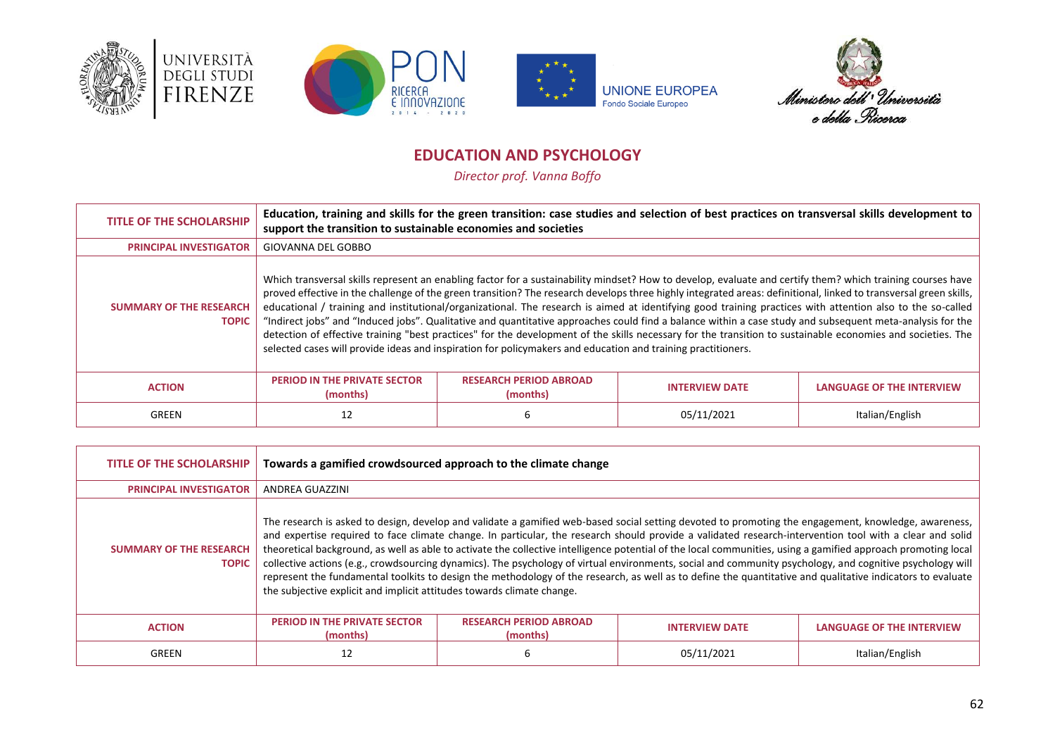







# **EDUCATION AND PSYCHOLOGY**

*Director prof. Vanna Boffo*

<span id="page-61-0"></span>

| <b>TITLE OF THE SCHOLARSHIP</b>                | Education, training and skills for the green transition: case studies and selection of best practices on transversal skills development to<br>support the transition to sustainable economies and societies                                                                                                                                                                                                                                                                                                                                                                                                                                                                                                                                                                                                                                                                                                                               |                                           |                       |                                  |
|------------------------------------------------|-------------------------------------------------------------------------------------------------------------------------------------------------------------------------------------------------------------------------------------------------------------------------------------------------------------------------------------------------------------------------------------------------------------------------------------------------------------------------------------------------------------------------------------------------------------------------------------------------------------------------------------------------------------------------------------------------------------------------------------------------------------------------------------------------------------------------------------------------------------------------------------------------------------------------------------------|-------------------------------------------|-----------------------|----------------------------------|
| <b>PRINCIPAL INVESTIGATOR</b>                  | <b>GIOVANNA DEL GOBBO</b>                                                                                                                                                                                                                                                                                                                                                                                                                                                                                                                                                                                                                                                                                                                                                                                                                                                                                                                 |                                           |                       |                                  |
| <b>SUMMARY OF THE RESEARCH</b><br><b>TOPIC</b> | Which transversal skills represent an enabling factor for a sustainability mindset? How to develop, evaluate and certify them? which training courses have<br>proved effective in the challenge of the green transition? The research develops three highly integrated areas: definitional, linked to transversal green skills,<br>educational / training and institutional/organizational. The research is aimed at identifying good training practices with attention also to the so-called<br>"Indirect jobs" and "Induced jobs". Qualitative and quantitative approaches could find a balance within a case study and subsequent meta-analysis for the<br>detection of effective training "best practices" for the development of the skills necessary for the transition to sustainable economies and societies. The<br>selected cases will provide ideas and inspiration for policymakers and education and training practitioners. |                                           |                       |                                  |
| <b>ACTION</b>                                  | <b>PERIOD IN THE PRIVATE SECTOR</b><br>(months)                                                                                                                                                                                                                                                                                                                                                                                                                                                                                                                                                                                                                                                                                                                                                                                                                                                                                           | <b>RESEARCH PERIOD ABROAD</b><br>(months) | <b>INTERVIEW DATE</b> | <b>LANGUAGE OF THE INTERVIEW</b> |
| GREEN                                          | 12                                                                                                                                                                                                                                                                                                                                                                                                                                                                                                                                                                                                                                                                                                                                                                                                                                                                                                                                        |                                           | 05/11/2021            | Italian/English                  |

| <b>TITLE OF THE SCHOLARSHIP</b>                | Towards a gamified crowdsourced approach to the climate change                                                                                                                                                                                                                                                                                                                                                                                                                                                                                                                                                                                                                                                                                                                                                                                                                        |                                           |                       |                                  |
|------------------------------------------------|---------------------------------------------------------------------------------------------------------------------------------------------------------------------------------------------------------------------------------------------------------------------------------------------------------------------------------------------------------------------------------------------------------------------------------------------------------------------------------------------------------------------------------------------------------------------------------------------------------------------------------------------------------------------------------------------------------------------------------------------------------------------------------------------------------------------------------------------------------------------------------------|-------------------------------------------|-----------------------|----------------------------------|
| <b>PRINCIPAL INVESTIGATOR</b>                  | ANDREA GUAZZINI                                                                                                                                                                                                                                                                                                                                                                                                                                                                                                                                                                                                                                                                                                                                                                                                                                                                       |                                           |                       |                                  |
| <b>SUMMARY OF THE RESEARCH</b><br><b>TOPIC</b> | The research is asked to design, develop and validate a gamified web-based social setting devoted to promoting the engagement, knowledge, awareness,<br>and expertise required to face climate change. In particular, the research should provide a validated research-intervention tool with a clear and solid<br>theoretical background, as well as able to activate the collective intelligence potential of the local communities, using a gamified approach promoting local<br>collective actions (e.g., crowdsourcing dynamics). The psychology of virtual environments, social and community psychology, and cognitive psychology will<br>represent the fundamental toolkits to design the methodology of the research, as well as to define the quantitative and qualitative indicators to evaluate<br>the subjective explicit and implicit attitudes towards climate change. |                                           |                       |                                  |
| <b>ACTION</b>                                  | <b>PERIOD IN THE PRIVATE SECTOR</b><br>(months)                                                                                                                                                                                                                                                                                                                                                                                                                                                                                                                                                                                                                                                                                                                                                                                                                                       | <b>RESEARCH PERIOD ABROAD</b><br>(months) | <b>INTERVIEW DATE</b> | <b>LANGUAGE OF THE INTERVIEW</b> |
| GREEN                                          | 12                                                                                                                                                                                                                                                                                                                                                                                                                                                                                                                                                                                                                                                                                                                                                                                                                                                                                    | b                                         | 05/11/2021            | Italian/English                  |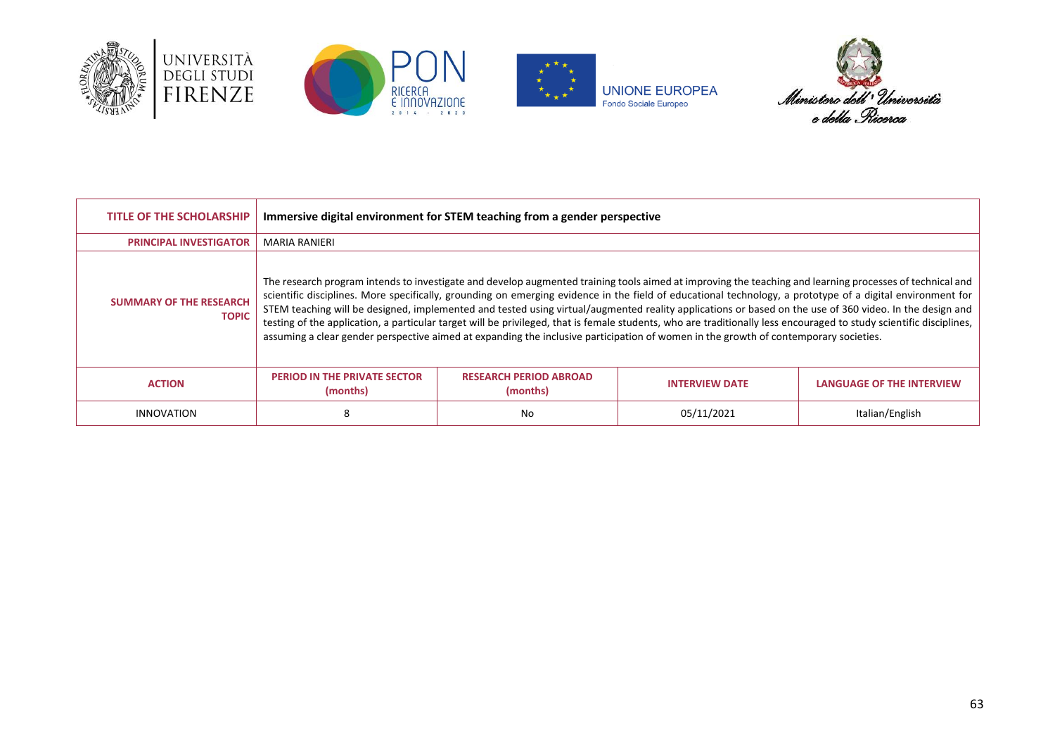







| <b>TITLE OF THE SCHOLARSHIP</b>                | Immersive digital environment for STEM teaching from a gender perspective |                                           |                                                                                                                                                                                                                                                                                                                                                                                                                                                                                                                                                                                                                                                                                                                                                                                                  |                           |
|------------------------------------------------|---------------------------------------------------------------------------|-------------------------------------------|--------------------------------------------------------------------------------------------------------------------------------------------------------------------------------------------------------------------------------------------------------------------------------------------------------------------------------------------------------------------------------------------------------------------------------------------------------------------------------------------------------------------------------------------------------------------------------------------------------------------------------------------------------------------------------------------------------------------------------------------------------------------------------------------------|---------------------------|
| <b>PRINCIPAL INVESTIGATOR</b>                  | MARIA RANIERI                                                             |                                           |                                                                                                                                                                                                                                                                                                                                                                                                                                                                                                                                                                                                                                                                                                                                                                                                  |                           |
| <b>SUMMARY OF THE RESEARCH</b><br><b>TOPIC</b> |                                                                           |                                           | The research program intends to investigate and develop augmented training tools aimed at improving the teaching and learning processes of technical and<br>scientific disciplines. More specifically, grounding on emerging evidence in the field of educational technology, a prototype of a digital environment for<br>STEM teaching will be designed, implemented and tested using virtual/augmented reality applications or based on the use of 360 video. In the design and<br>testing of the application, a particular target will be privileged, that is female students, who are traditionally less encouraged to study scientific disciplines,<br>assuming a clear gender perspective aimed at expanding the inclusive participation of women in the growth of contemporary societies. |                           |
| <b>ACTION</b>                                  | <b>PERIOD IN THE PRIVATE SECTOR</b><br>(months)                           | <b>RESEARCH PERIOD ABROAD</b><br>(months) | <b>INTERVIEW DATE</b>                                                                                                                                                                                                                                                                                                                                                                                                                                                                                                                                                                                                                                                                                                                                                                            | LANGUAGE OF THE INTERVIEW |
| <b>INNOVATION</b>                              | 8                                                                         | No                                        | 05/11/2021                                                                                                                                                                                                                                                                                                                                                                                                                                                                                                                                                                                                                                                                                                                                                                                       | Italian/English           |